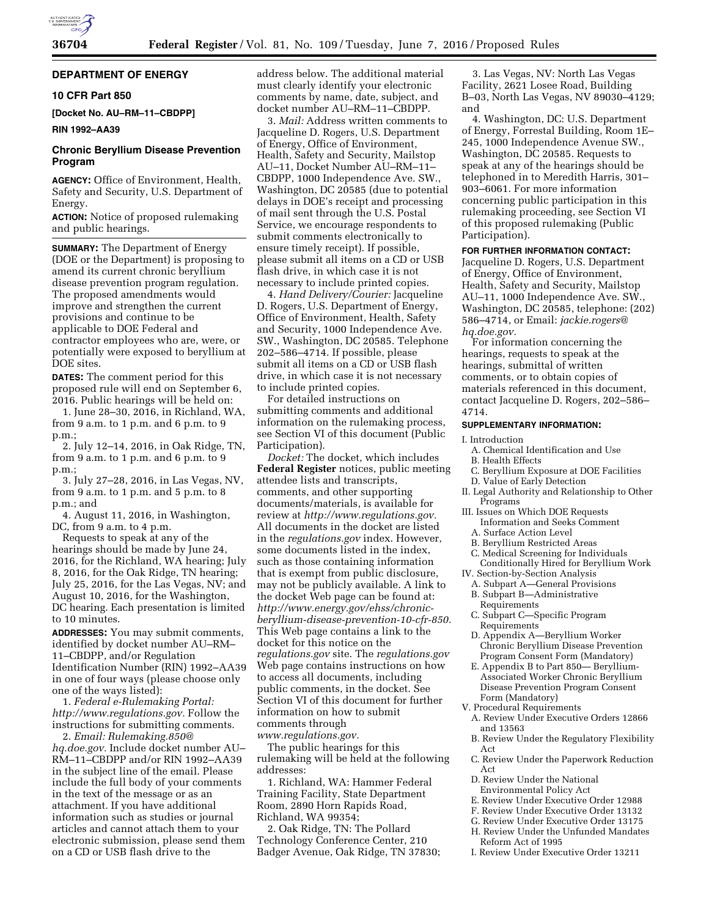# **DEPARTMENT OF ENERGY**

## **10 CFR Part 850**

**[Docket No. AU–RM–11–CBDPP]** 

## **RIN 1992–AA39**

# **Chronic Beryllium Disease Prevention Program**

**AGENCY:** Office of Environment, Health, Safety and Security, U.S. Department of Energy.

**ACTION:** Notice of proposed rulemaking and public hearings.

**SUMMARY:** The Department of Energy (DOE or the Department) is proposing to amend its current chronic beryllium disease prevention program regulation. The proposed amendments would improve and strengthen the current provisions and continue to be applicable to DOE Federal and contractor employees who are, were, or potentially were exposed to beryllium at DOE sites.

**DATES:** The comment period for this proposed rule will end on September 6, 2016. Public hearings will be held on:

1. June 28–30, 2016, in Richland, WA, from 9 a.m. to 1 p.m. and 6 p.m. to 9 p.m.;

2. July 12–14, 2016, in Oak Ridge, TN, from 9 a.m. to 1 p.m. and 6 p.m. to 9 p.m.;

3. July 27–28, 2016, in Las Vegas, NV, from 9 a.m. to 1 p.m. and 5 p.m. to 8 p.m.; and

4. August 11, 2016, in Washington, DC, from 9 a.m. to 4 p.m.

Requests to speak at any of the hearings should be made by June 24, 2016, for the Richland, WA hearing; July 8, 2016, for the Oak Ridge, TN hearing; July 25, 2016, for the Las Vegas, NV; and August 10, 2016, for the Washington, DC hearing. Each presentation is limited to 10 minutes.

**ADDRESSES:** You may submit comments, identified by docket number AU–RM– 11–CBDPP, and/or Regulation Identification Number (RIN) 1992–AA39 in one of four ways (please choose only one of the ways listed):

1. *Federal e-Rulemaking Portal: [http://www.regulations.gov.](http://www.regulations.gov)* Follow the instructions for submitting comments.

2. *Email: [Rulemaking.850@](mailto:Rulemaking.850@hq.doe.gov) [hq.doe.gov.](mailto:Rulemaking.850@hq.doe.gov)* Include docket number AU– RM–11–CBDPP and/or RIN 1992–AA39 in the subject line of the email. Please include the full body of your comments in the text of the message or as an attachment. If you have additional information such as studies or journal articles and cannot attach them to your electronic submission, please send them on a CD or USB flash drive to the

address below. The additional material must clearly identify your electronic comments by name, date, subject, and docket number AU–RM–11–CBDPP.

3. *Mail:* Address written comments to Jacqueline D. Rogers, U.S. Department of Energy, Office of Environment, Health, Safety and Security, Mailstop AU–11, Docket Number AU–RM–11– CBDPP, 1000 Independence Ave. SW., Washington, DC 20585 (due to potential delays in DOE's receipt and processing of mail sent through the U.S. Postal Service, we encourage respondents to submit comments electronically to ensure timely receipt). If possible, please submit all items on a CD or USB flash drive, in which case it is not necessary to include printed copies.

4. *Hand Delivery/Courier:* Jacqueline D. Rogers, U.S. Department of Energy, Office of Environment, Health, Safety and Security, 1000 Independence Ave. SW., Washington, DC 20585. Telephone 202–586–4714. If possible, please submit all items on a CD or USB flash drive, in which case it is not necessary to include printed copies.

For detailed instructions on submitting comments and additional information on the rulemaking process, see Section VI of this document (Public Participation).

*Docket:* The docket, which includes **Federal Register** notices, public meeting attendee lists and transcripts, comments, and other supporting documents/materials, is available for review at *[http://www.regulations.gov.](http://www.regulations.gov)*  All documents in the docket are listed in the *regulations.gov* index. However, some documents listed in the index, such as those containing information that is exempt from public disclosure, may not be publicly available. A link to the docket Web page can be found at: *[http://www.energy.gov/ehss/chronic](http://www.energy.gov/ehss/chronic-beryllium-disease-prevention-10-cfr-850)[beryllium-disease-prevention-10-cfr-850.](http://www.energy.gov/ehss/chronic-beryllium-disease-prevention-10-cfr-850)*  This Web page contains a link to the docket for this notice on the *regulations.gov* site. The *regulations.gov*  Web page contains instructions on how to access all documents, including public comments, in the docket. See Section VI of this document for further information on how to submit comments through *[www.regulations.gov.](http://www.regulations.gov)* 

The public hearings for this rulemaking will be held at the following addresses:

1. Richland, WA: Hammer Federal Training Facility, State Department Room, 2890 Horn Rapids Road, Richland, WA 99354;

2. Oak Ridge, TN: The Pollard Technology Conference Center, 210 Badger Avenue, Oak Ridge, TN 37830;

3. Las Vegas, NV: North Las Vegas Facility, 2621 Losee Road, Building B–03, North Las Vegas, NV 89030–4129; and

4. Washington, DC: U.S. Department of Energy, Forrestal Building, Room 1E– 245, 1000 Independence Avenue SW., Washington, DC 20585. Requests to speak at any of the hearings should be telephoned in to Meredith Harris, 301– 903–6061. For more information concerning public participation in this rulemaking proceeding, see Section VI of this proposed rulemaking (Public Participation).

#### **FOR FURTHER INFORMATION CONTACT:**

Jacqueline D. Rogers, U.S. Department of Energy, Office of Environment, Health, Safety and Security, Mailstop AU–11, 1000 Independence Ave. SW., Washington, DC 20585, telephone: (202) 586–4714, or Email: *[jackie.rogers@](mailto:jackie.rogers@hq.doe.gov) [hq.doe.gov.](mailto:jackie.rogers@hq.doe.gov)* 

For information concerning the hearings, requests to speak at the hearings, submittal of written comments, or to obtain copies of materials referenced in this document, contact Jacqueline D. Rogers, 202–586– 4714.

#### **SUPPLEMENTARY INFORMATION:**

#### I. Introduction

- A. Chemical Identification and Use
- B. Health Effects
- C. Beryllium Exposure at DOE Facilities
- D. Value of Early Detection II. Legal Authority and Relationship to Other
- Programs III. Issues on Which DOE Requests
	- Information and Seeks Comment A. Surface Action Level
	- B. Beryllium Restricted Areas
- C. Medical Screening for Individuals Conditionally Hired for Beryllium Work
- IV. Section-by-Section Analysis
	- A. Subpart A—General Provisions B. Subpart B—Administrative
	- Requirements C. Subpart C—Specific Program
	- Requirements
	- D. Appendix A—Beryllium Worker Chronic Beryllium Disease Prevention Program Consent Form (Mandatory)
	- E. Appendix B to Part 850— Beryllium-Associated Worker Chronic Beryllium Disease Prevention Program Consent Form (Mandatory)
- V. Procedural Requirements
	- A. Review Under Executive Orders 12866 and 13563
	- B. Review Under the Regulatory Flexibility Act
	- C. Review Under the Paperwork Reduction Act
	- D. Review Under the National
	- Environmental Policy Act
	- E. Review Under Executive Order 12988
	- F. Review Under Executive Order 13132
	- G. Review Under Executive Order 13175
	- H. Review Under the Unfunded Mandates
	- Reform Act of 1995
	- I. Review Under Executive Order 13211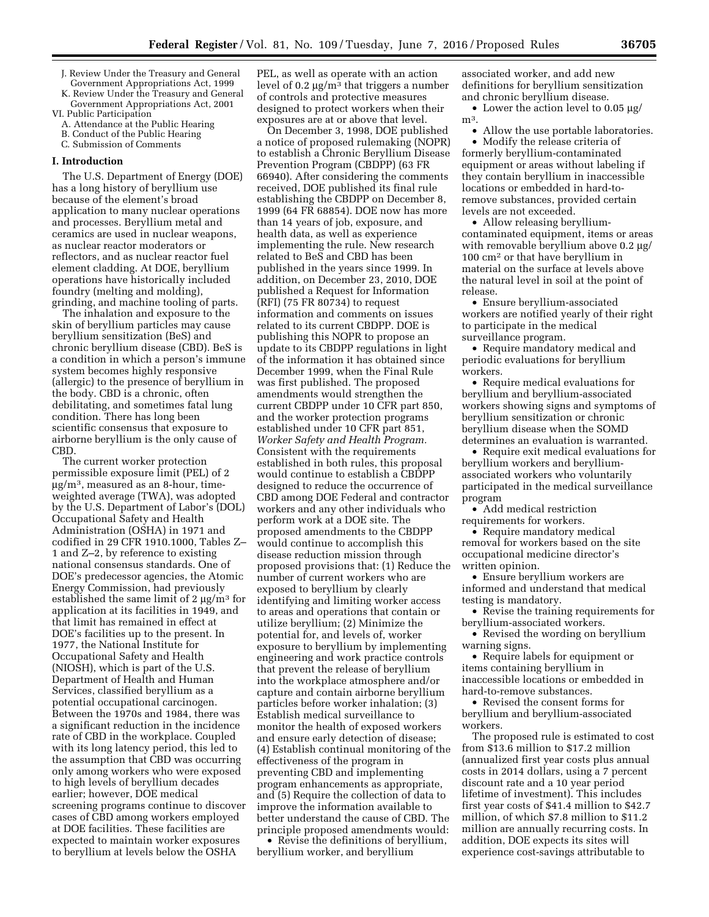- J. Review Under the Treasury and General Government Appropriations Act, 1999
- K. Review Under the Treasury and General Government Appropriations Act, 2001
- VI. Public Participation
	- A. Attendance at the Public Hearing B. Conduct of the Public Hearing
	- C. Submission of Comments

#### **I. Introduction**

The U.S. Department of Energy (DOE) has a long history of beryllium use because of the element's broad application to many nuclear operations and processes. Beryllium metal and ceramics are used in nuclear weapons, as nuclear reactor moderators or reflectors, and as nuclear reactor fuel element cladding. At DOE, beryllium operations have historically included foundry (melting and molding), grinding, and machine tooling of parts.

The inhalation and exposure to the skin of beryllium particles may cause beryllium sensitization (BeS) and chronic beryllium disease (CBD). BeS is a condition in which a person's immune system becomes highly responsive (allergic) to the presence of beryllium in the body. CBD is a chronic, often debilitating, and sometimes fatal lung condition. There has long been scientific consensus that exposure to airborne beryllium is the only cause of CBD.

The current worker protection permissible exposure limit (PEL) of 2  $\mu$ g/m<sup>3</sup>, measured as an 8-hour, timeweighted average (TWA), was adopted by the U.S. Department of Labor's (DOL) Occupational Safety and Health Administration (OSHA) in 1971 and codified in 29 CFR 1910.1000, Tables Z– 1 and Z–2, by reference to existing national consensus standards. One of DOE's predecessor agencies, the Atomic Energy Commission, had previously established the same limit of  $2 \mu g/m^3$  for application at its facilities in 1949, and that limit has remained in effect at DOE's facilities up to the present. In 1977, the National Institute for Occupational Safety and Health (NIOSH), which is part of the U.S. Department of Health and Human Services, classified beryllium as a potential occupational carcinogen. Between the 1970s and 1984, there was a significant reduction in the incidence rate of CBD in the workplace. Coupled with its long latency period, this led to the assumption that CBD was occurring only among workers who were exposed to high levels of beryllium decades earlier; however, DOE medical screening programs continue to discover cases of CBD among workers employed at DOE facilities. These facilities are expected to maintain worker exposures to beryllium at levels below the OSHA

PEL, as well as operate with an action level of 0.2  $\mu$ g/m<sup>3</sup> that triggers a number of controls and protective measures designed to protect workers when their exposures are at or above that level.

On December 3, 1998, DOE published a notice of proposed rulemaking (NOPR) to establish a Chronic Beryllium Disease Prevention Program (CBDPP) (63 FR 66940). After considering the comments received, DOE published its final rule establishing the CBDPP on December 8, 1999 (64 FR 68854). DOE now has more than 14 years of job, exposure, and health data, as well as experience implementing the rule. New research related to BeS and CBD has been published in the years since 1999. In addition, on December 23, 2010, DOE published a Request for Information (RFI) (75 FR 80734) to request information and comments on issues related to its current CBDPP. DOE is publishing this NOPR to propose an update to its CBDPP regulations in light of the information it has obtained since December 1999, when the Final Rule was first published. The proposed amendments would strengthen the current CBDPP under 10 CFR part 850, and the worker protection programs established under 10 CFR part 851, *Worker Safety and Health Program.*  Consistent with the requirements established in both rules, this proposal would continue to establish a CBDPP designed to reduce the occurrence of CBD among DOE Federal and contractor workers and any other individuals who perform work at a DOE site. The proposed amendments to the CBDPP would continue to accomplish this disease reduction mission through proposed provisions that: (1) Reduce the number of current workers who are exposed to beryllium by clearly identifying and limiting worker access to areas and operations that contain or utilize beryllium; (2) Minimize the potential for, and levels of, worker exposure to beryllium by implementing engineering and work practice controls that prevent the release of beryllium into the workplace atmosphere and/or capture and contain airborne beryllium particles before worker inhalation; (3) Establish medical surveillance to monitor the health of exposed workers and ensure early detection of disease; (4) Establish continual monitoring of the effectiveness of the program in preventing CBD and implementing program enhancements as appropriate, and (5) Require the collection of data to improve the information available to better understand the cause of CBD. The principle proposed amendments would:

• Revise the definitions of beryllium, beryllium worker, and beryllium

associated worker, and add new definitions for beryllium sensitization and chronic beryllium disease.

• Lower the action level to  $0.05 \mu g$ / m<sup>3</sup>.

• Allow the use portable laboratories. • Modify the release criteria of

formerly beryllium-contaminated equipment or areas without labeling if they contain beryllium in inaccessible locations or embedded in hard-toremove substances, provided certain levels are not exceeded.

• Allow releasing berylliumcontaminated equipment, items or areas with removable beryllium above  $0.2 \mu g$ / 100 cm2 or that have beryllium in material on the surface at levels above the natural level in soil at the point of release.

• Ensure beryllium-associated workers are notified yearly of their right to participate in the medical surveillance program.

• Require mandatory medical and periodic evaluations for beryllium workers.

• Require medical evaluations for beryllium and beryllium-associated workers showing signs and symptoms of beryllium sensitization or chronic beryllium disease when the SOMD determines an evaluation is warranted.

• Require exit medical evaluations for beryllium workers and berylliumassociated workers who voluntarily participated in the medical surveillance program

• Add medical restriction requirements for workers.

• Require mandatory medical removal for workers based on the site occupational medicine director's written opinion.

• Ensure beryllium workers are informed and understand that medical testing is mandatory.

• Revise the training requirements for beryllium-associated workers.

• Revised the wording on beryllium warning signs.

• Require labels for equipment or items containing beryllium in inaccessible locations or embedded in hard-to-remove substances.

• Revised the consent forms for beryllium and beryllium-associated workers.

The proposed rule is estimated to cost from \$13.6 million to \$17.2 million (annualized first year costs plus annual costs in 2014 dollars, using a 7 percent discount rate and a 10 year period lifetime of investment). This includes first year costs of \$41.4 million to \$42.7 million, of which \$7.8 million to \$11.2 million are annually recurring costs. In addition, DOE expects its sites will experience cost-savings attributable to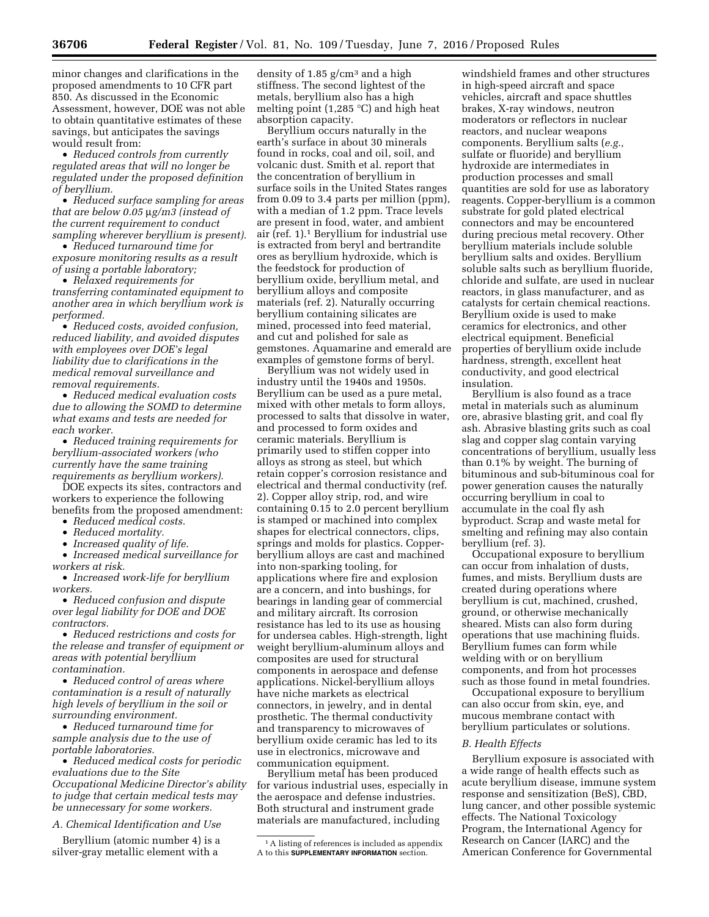minor changes and clarifications in the proposed amendments to 10 CFR part 850. As discussed in the Economic Assessment, however, DOE was not able to obtain quantitative estimates of these savings, but anticipates the savings would result from:

• *Reduced controls from currently regulated areas that will no longer be regulated under the proposed definition of beryllium.* 

• *Reduced surface sampling for areas that are below 0.05* m*g/m3 (instead of the current requirement to conduct sampling wherever beryllium is present).* 

• *Reduced turnaround time for exposure monitoring results as a result of using a portable laboratory;* 

• *Relaxed requirements for transferring contaminated equipment to another area in which beryllium work is performed.* 

• *Reduced costs, avoided confusion, reduced liability, and avoided disputes with employees over DOE's legal liability due to clarifications in the medical removal surveillance and removal requirements.* 

• *Reduced medical evaluation costs due to allowing the SOMD to determine what exams and tests are needed for each worker.* 

• *Reduced training requirements for beryllium-associated workers (who currently have the same training requirements as beryllium workers).* 

DOE expects its sites, contractors and workers to experience the following benefits from the proposed amendment:

- *Reduced medical costs.*
- *Reduced mortality.*

• *Increased quality of life.* 

• *Increased medical surveillance for workers at risk.* 

• *Increased work-life for beryllium workers.* 

• *Reduced confusion and dispute over legal liability for DOE and DOE contractors.* 

• *Reduced restrictions and costs for the release and transfer of equipment or areas with potential beryllium contamination.* 

• *Reduced control of areas where contamination is a result of naturally high levels of beryllium in the soil or surrounding environment.* 

• *Reduced turnaround time for sample analysis due to the use of portable laboratories.* 

• *Reduced medical costs for periodic evaluations due to the Site Occupational Medicine Director's ability to judge that certain medical tests may be unnecessary for some workers.* 

*A. Chemical Identification and Use* 

Beryllium (atomic number 4) is a silver-gray metallic element with a

density of  $1.85$  g/cm<sup>3</sup> and a high stiffness. The second lightest of the metals, beryllium also has a high melting point (1,285 °C) and high heat absorption capacity.

Beryllium occurs naturally in the earth's surface in about 30 minerals found in rocks, coal and oil, soil, and volcanic dust. Smith et al. report that the concentration of beryllium in surface soils in the United States ranges from 0.09 to 3.4 parts per million (ppm), with a median of 1.2 ppm. Trace levels are present in food, water, and ambient air (ref. 1).1 Beryllium for industrial use is extracted from beryl and bertrandite ores as beryllium hydroxide, which is the feedstock for production of beryllium oxide, beryllium metal, and beryllium alloys and composite materials (ref. 2). Naturally occurring beryllium containing silicates are mined, processed into feed material, and cut and polished for sale as gemstones. Aquamarine and emerald are examples of gemstone forms of beryl.

Beryllium was not widely used in industry until the 1940s and 1950s. Beryllium can be used as a pure metal, mixed with other metals to form alloys, processed to salts that dissolve in water, and processed to form oxides and ceramic materials. Beryllium is primarily used to stiffen copper into alloys as strong as steel, but which retain copper's corrosion resistance and electrical and thermal conductivity (ref. 2). Copper alloy strip, rod, and wire containing 0.15 to 2.0 percent beryllium is stamped or machined into complex shapes for electrical connectors, clips, springs and molds for plastics. Copperberyllium alloys are cast and machined into non-sparking tooling, for applications where fire and explosion are a concern, and into bushings, for bearings in landing gear of commercial and military aircraft. Its corrosion resistance has led to its use as housing for undersea cables. High-strength, light weight beryllium-aluminum alloys and composites are used for structural components in aerospace and defense applications. Nickel-beryllium alloys have niche markets as electrical connectors, in jewelry, and in dental prosthetic. The thermal conductivity and transparency to microwaves of beryllium oxide ceramic has led to its use in electronics, microwave and communication equipment.

Beryllium metal has been produced for various industrial uses, especially in the aerospace and defense industries. Both structural and instrument grade materials are manufactured, including

windshield frames and other structures in high-speed aircraft and space vehicles, aircraft and space shuttles brakes, X-ray windows, neutron moderators or reflectors in nuclear reactors, and nuclear weapons components. Beryllium salts (*e.g.,*  sulfate or fluoride) and beryllium hydroxide are intermediates in production processes and small quantities are sold for use as laboratory reagents. Copper-beryllium is a common substrate for gold plated electrical connectors and may be encountered during precious metal recovery. Other beryllium materials include soluble beryllium salts and oxides. Beryllium soluble salts such as beryllium fluoride, chloride and sulfate, are used in nuclear reactors, in glass manufacturer, and as catalysts for certain chemical reactions. Beryllium oxide is used to make ceramics for electronics, and other electrical equipment. Beneficial properties of beryllium oxide include hardness, strength, excellent heat conductivity, and good electrical insulation.

Beryllium is also found as a trace metal in materials such as aluminum ore, abrasive blasting grit, and coal fly ash. Abrasive blasting grits such as coal slag and copper slag contain varying concentrations of beryllium, usually less than 0.1% by weight. The burning of bituminous and sub-bituminous coal for power generation causes the naturally occurring beryllium in coal to accumulate in the coal fly ash byproduct. Scrap and waste metal for smelting and refining may also contain beryllium (ref. 3).

Occupational exposure to beryllium can occur from inhalation of dusts, fumes, and mists. Beryllium dusts are created during operations where beryllium is cut, machined, crushed, ground, or otherwise mechanically sheared. Mists can also form during operations that use machining fluids. Beryllium fumes can form while welding with or on beryllium components, and from hot processes such as those found in metal foundries.

Occupational exposure to beryllium can also occur from skin, eye, and mucous membrane contact with beryllium particulates or solutions.

# *B. Health Effects*

Beryllium exposure is associated with a wide range of health effects such as acute beryllium disease, immune system response and sensitization (BeS), CBD, lung cancer, and other possible systemic effects. The National Toxicology Program, the International Agency for Research on Cancer (IARC) and the American Conference for Governmental

<sup>1</sup>A listing of references is included as appendix A to this **SUPPLEMENTARY INFORMATION** section.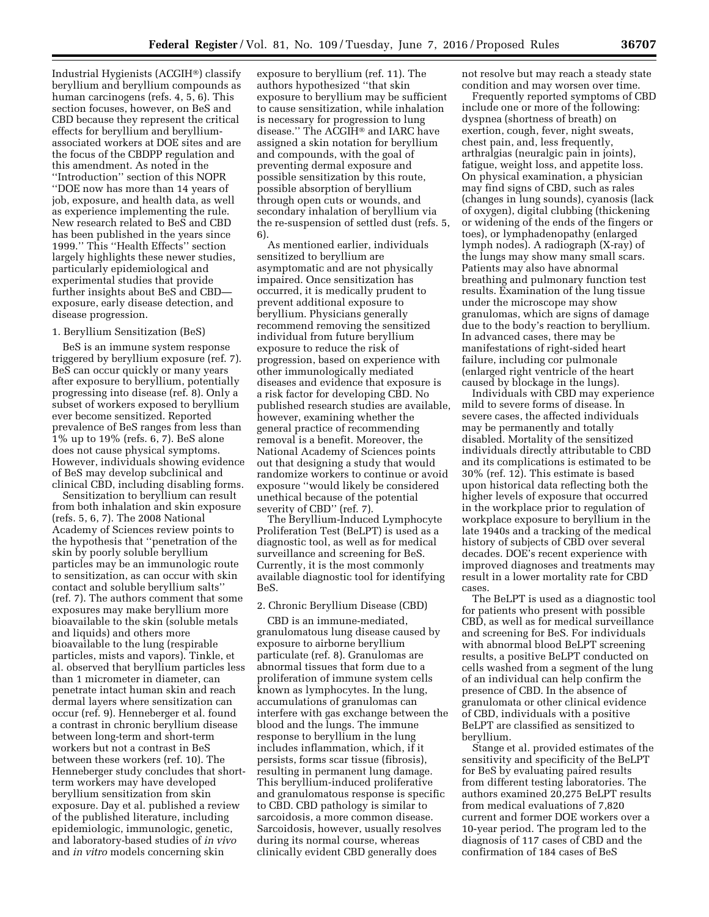Industrial Hygienists (ACGIH®) classify beryllium and beryllium compounds as human carcinogens (refs. 4, 5, 6). This section focuses, however, on BeS and CBD because they represent the critical effects for beryllium and berylliumassociated workers at DOE sites and are the focus of the CBDPP regulation and this amendment. As noted in the ''Introduction'' section of this NOPR ''DOE now has more than 14 years of job, exposure, and health data, as well as experience implementing the rule. New research related to BeS and CBD has been published in the years since 1999.'' This ''Health Effects'' section largely highlights these newer studies, particularly epidemiological and experimental studies that provide further insights about BeS and CBD exposure, early disease detection, and disease progression.

#### 1. Beryllium Sensitization (BeS)

BeS is an immune system response triggered by beryllium exposure (ref. 7). BeS can occur quickly or many years after exposure to beryllium, potentially progressing into disease (ref. 8). Only a subset of workers exposed to beryllium ever become sensitized. Reported prevalence of BeS ranges from less than 1% up to 19% (refs. 6, 7). BeS alone does not cause physical symptoms. However, individuals showing evidence of BeS may develop subclinical and clinical CBD, including disabling forms.

Sensitization to beryllium can result from both inhalation and skin exposure (refs. 5, 6, 7). The 2008 National Academy of Sciences review points to the hypothesis that ''penetration of the skin by poorly soluble beryllium particles may be an immunologic route to sensitization, as can occur with skin contact and soluble beryllium salts'' (ref. 7). The authors comment that some exposures may make beryllium more bioavailable to the skin (soluble metals and liquids) and others more bioavailable to the lung (respirable particles, mists and vapors). Tinkle, et al. observed that beryllium particles less than 1 micrometer in diameter, can penetrate intact human skin and reach dermal layers where sensitization can occur (ref. 9). Henneberger et al. found a contrast in chronic beryllium disease between long-term and short-term workers but not a contrast in BeS between these workers (ref. 10). The Henneberger study concludes that shortterm workers may have developed beryllium sensitization from skin exposure. Day et al. published a review of the published literature, including epidemiologic, immunologic, genetic, and laboratory-based studies of *in vivo*  and *in vitro* models concerning skin

exposure to beryllium (ref. 11). The authors hypothesized ''that skin exposure to beryllium may be sufficient to cause sensitization, while inhalation is necessary for progression to lung disease.'' The ACGIH® and IARC have assigned a skin notation for beryllium and compounds, with the goal of preventing dermal exposure and possible sensitization by this route, possible absorption of beryllium through open cuts or wounds, and secondary inhalation of beryllium via the re-suspension of settled dust (refs. 5, 6).

As mentioned earlier, individuals sensitized to beryllium are asymptomatic and are not physically impaired. Once sensitization has occurred, it is medically prudent to prevent additional exposure to beryllium. Physicians generally recommend removing the sensitized individual from future beryllium exposure to reduce the risk of progression, based on experience with other immunologically mediated diseases and evidence that exposure is a risk factor for developing CBD. No published research studies are available, however, examining whether the general practice of recommending removal is a benefit. Moreover, the National Academy of Sciences points out that designing a study that would randomize workers to continue or avoid exposure ''would likely be considered unethical because of the potential severity of CBD'' (ref. 7).

The Beryllium-Induced Lymphocyte Proliferation Test (BeLPT) is used as a diagnostic tool, as well as for medical surveillance and screening for BeS. Currently, it is the most commonly available diagnostic tool for identifying BeS.

# 2. Chronic Beryllium Disease (CBD)

CBD is an immune-mediated, granulomatous lung disease caused by exposure to airborne beryllium particulate (ref. 8). Granulomas are abnormal tissues that form due to a proliferation of immune system cells known as lymphocytes. In the lung, accumulations of granulomas can interfere with gas exchange between the blood and the lungs. The immune response to beryllium in the lung includes inflammation, which, if it persists, forms scar tissue (fibrosis), resulting in permanent lung damage. This beryllium-induced proliferative and granulomatous response is specific to CBD. CBD pathology is similar to sarcoidosis, a more common disease. Sarcoidosis, however, usually resolves during its normal course, whereas clinically evident CBD generally does

not resolve but may reach a steady state condition and may worsen over time.

Frequently reported symptoms of CBD include one or more of the following: dyspnea (shortness of breath) on exertion, cough, fever, night sweats, chest pain, and, less frequently, arthralgias (neuralgic pain in joints), fatigue, weight loss, and appetite loss. On physical examination, a physician may find signs of CBD, such as rales (changes in lung sounds), cyanosis (lack of oxygen), digital clubbing (thickening or widening of the ends of the fingers or toes), or lymphadenopathy (enlarged lymph nodes). A radiograph (X-ray) of the lungs may show many small scars. Patients may also have abnormal breathing and pulmonary function test results. Examination of the lung tissue under the microscope may show granulomas, which are signs of damage due to the body's reaction to beryllium. In advanced cases, there may be manifestations of right-sided heart failure, including cor pulmonale (enlarged right ventricle of the heart caused by blockage in the lungs).

Individuals with CBD may experience mild to severe forms of disease. In severe cases, the affected individuals may be permanently and totally disabled. Mortality of the sensitized individuals directly attributable to CBD and its complications is estimated to be 30% (ref. 12). This estimate is based upon historical data reflecting both the higher levels of exposure that occurred in the workplace prior to regulation of workplace exposure to beryllium in the late 1940s and a tracking of the medical history of subjects of CBD over several decades. DOE's recent experience with improved diagnoses and treatments may result in a lower mortality rate for CBD cases.

The BeLPT is used as a diagnostic tool for patients who present with possible CBD, as well as for medical surveillance and screening for BeS. For individuals with abnormal blood BeLPT screening results, a positive BeLPT conducted on cells washed from a segment of the lung of an individual can help confirm the presence of CBD. In the absence of granulomata or other clinical evidence of CBD, individuals with a positive BeLPT are classified as sensitized to beryllium.

Stange et al. provided estimates of the sensitivity and specificity of the BeLPT for BeS by evaluating paired results from different testing laboratories. The authors examined 20,275 BeLPT results from medical evaluations of 7,820 current and former DOE workers over a 10-year period. The program led to the diagnosis of 117 cases of CBD and the confirmation of 184 cases of BeS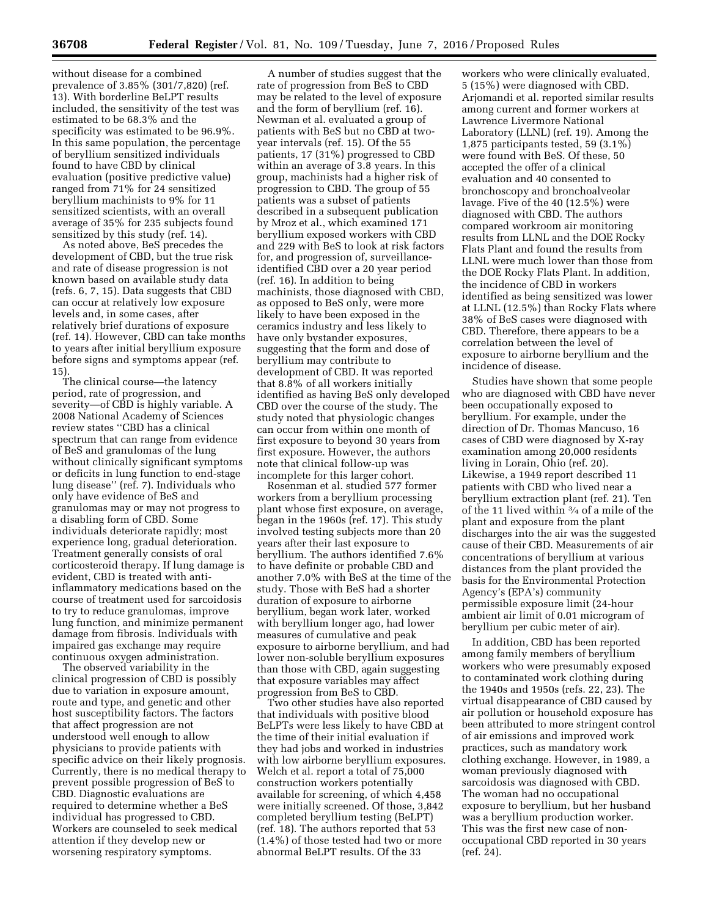without disease for a combined prevalence of 3.85% (301/7,820) (ref. 13). With borderline BeLPT results included, the sensitivity of the test was estimated to be 68.3% and the specificity was estimated to be 96.9%. In this same population, the percentage of beryllium sensitized individuals found to have CBD by clinical evaluation (positive predictive value) ranged from 71% for 24 sensitized beryllium machinists to 9% for 11 sensitized scientists, with an overall average of 35% for 235 subjects found sensitized by this study (ref. 14).

As noted above, BeS precedes the development of CBD, but the true risk and rate of disease progression is not known based on available study data (refs. 6, 7, 15). Data suggests that CBD can occur at relatively low exposure levels and, in some cases, after relatively brief durations of exposure (ref. 14). However, CBD can take months to years after initial beryllium exposure before signs and symptoms appear (ref. 15).

The clinical course—the latency period, rate of progression, and severity—of CBD is highly variable. A 2008 National Academy of Sciences review states ''CBD has a clinical spectrum that can range from evidence of BeS and granulomas of the lung without clinically significant symptoms or deficits in lung function to end-stage lung disease'' (ref. 7). Individuals who only have evidence of BeS and granulomas may or may not progress to a disabling form of CBD. Some individuals deteriorate rapidly; most experience long, gradual deterioration. Treatment generally consists of oral corticosteroid therapy. If lung damage is evident, CBD is treated with antiinflammatory medications based on the course of treatment used for sarcoidosis to try to reduce granulomas, improve lung function, and minimize permanent damage from fibrosis. Individuals with impaired gas exchange may require continuous oxygen administration.

The observed variability in the clinical progression of CBD is possibly due to variation in exposure amount, route and type, and genetic and other host susceptibility factors. The factors that affect progression are not understood well enough to allow physicians to provide patients with specific advice on their likely prognosis. Currently, there is no medical therapy to prevent possible progression of BeS to CBD. Diagnostic evaluations are required to determine whether a BeS individual has progressed to CBD. Workers are counseled to seek medical attention if they develop new or worsening respiratory symptoms.

A number of studies suggest that the rate of progression from BeS to CBD may be related to the level of exposure and the form of beryllium (ref. 16). Newman et al. evaluated a group of patients with BeS but no CBD at twoyear intervals (ref. 15). Of the 55 patients, 17 (31%) progressed to CBD within an average of 3.8 years. In this group, machinists had a higher risk of progression to CBD. The group of 55 patients was a subset of patients described in a subsequent publication by Mroz et al., which examined 171 beryllium exposed workers with CBD and 229 with BeS to look at risk factors for, and progression of, surveillanceidentified CBD over a 20 year period (ref. 16). In addition to being machinists, those diagnosed with CBD, as opposed to BeS only, were more likely to have been exposed in the ceramics industry and less likely to have only bystander exposures, suggesting that the form and dose of beryllium may contribute to development of CBD. It was reported that 8.8% of all workers initially identified as having BeS only developed CBD over the course of the study. The study noted that physiologic changes can occur from within one month of first exposure to beyond 30 years from first exposure. However, the authors note that clinical follow-up was incomplete for this larger cohort.

Rosenman et al. studied 577 former workers from a beryllium processing plant whose first exposure, on average, began in the 1960s (ref. 17). This study involved testing subjects more than 20 years after their last exposure to beryllium. The authors identified 7.6% to have definite or probable CBD and another 7.0% with BeS at the time of the study. Those with BeS had a shorter duration of exposure to airborne beryllium, began work later, worked with beryllium longer ago, had lower measures of cumulative and peak exposure to airborne beryllium, and had lower non-soluble beryllium exposures than those with CBD, again suggesting that exposure variables may affect progression from BeS to CBD.

Two other studies have also reported that individuals with positive blood BeLPTs were less likely to have CBD at the time of their initial evaluation if they had jobs and worked in industries with low airborne beryllium exposures. Welch et al. report a total of 75,000 construction workers potentially available for screening, of which 4,458 were initially screened. Of those, 3,842 completed beryllium testing (BeLPT) (ref. 18). The authors reported that 53 (1.4%) of those tested had two or more abnormal BeLPT results. Of the 33

workers who were clinically evaluated, 5 (15%) were diagnosed with CBD. Arjomandi et al. reported similar results among current and former workers at Lawrence Livermore National Laboratory (LLNL) (ref. 19). Among the 1,875 participants tested, 59 (3.1%) were found with BeS. Of these, 50 accepted the offer of a clinical evaluation and 40 consented to bronchoscopy and bronchoalveolar lavage. Five of the 40 (12.5%) were diagnosed with CBD. The authors compared workroom air monitoring results from LLNL and the DOE Rocky Flats Plant and found the results from LLNL were much lower than those from the DOE Rocky Flats Plant. In addition, the incidence of CBD in workers identified as being sensitized was lower at LLNL (12.5%) than Rocky Flats where 38% of BeS cases were diagnosed with CBD. Therefore, there appears to be a correlation between the level of exposure to airborne beryllium and the incidence of disease.

Studies have shown that some people who are diagnosed with CBD have never been occupationally exposed to beryllium. For example, under the direction of Dr. Thomas Mancuso, 16 cases of CBD were diagnosed by X-ray examination among 20,000 residents living in Lorain, Ohio (ref. 20). Likewise, a 1949 report described 11 patients with CBD who lived near a beryllium extraction plant (ref. 21). Ten of the 11 lived within 3⁄4 of a mile of the plant and exposure from the plant discharges into the air was the suggested cause of their CBD. Measurements of air concentrations of beryllium at various distances from the plant provided the basis for the Environmental Protection Agency's (EPA's) community permissible exposure limit (24-hour ambient air limit of 0.01 microgram of beryllium per cubic meter of air).

In addition, CBD has been reported among family members of beryllium workers who were presumably exposed to contaminated work clothing during the 1940s and 1950s (refs. 22, 23). The virtual disappearance of CBD caused by air pollution or household exposure has been attributed to more stringent control of air emissions and improved work practices, such as mandatory work clothing exchange. However, in 1989, a woman previously diagnosed with sarcoidosis was diagnosed with CBD. The woman had no occupational exposure to beryllium, but her husband was a beryllium production worker. This was the first new case of nonoccupational CBD reported in 30 years (ref. 24).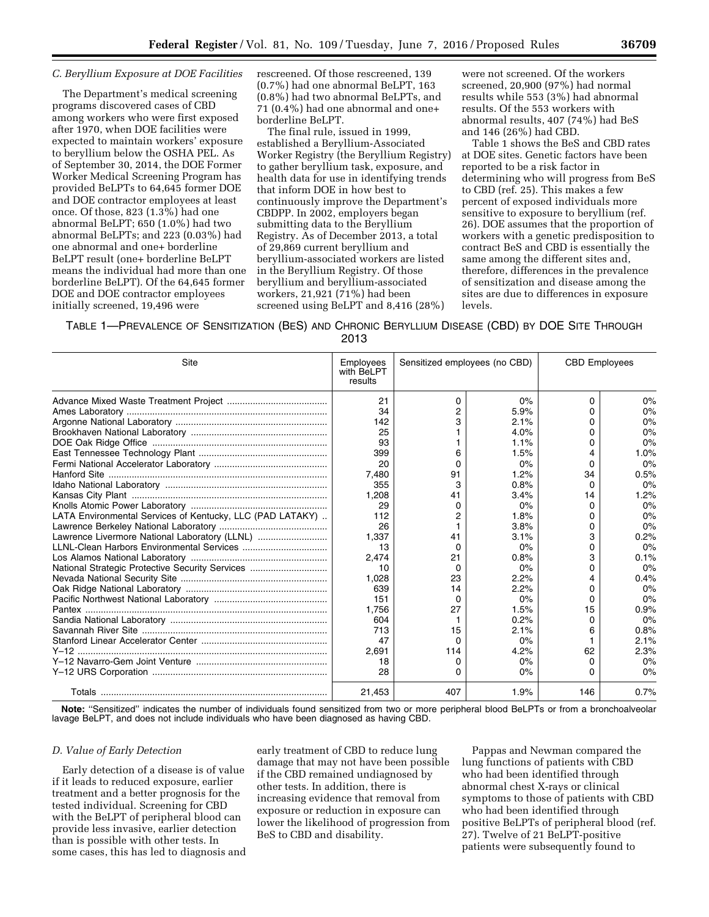#### *C. Beryllium Exposure at DOE Facilities*

The Department's medical screening programs discovered cases of CBD among workers who were first exposed after 1970, when DOE facilities were expected to maintain workers' exposure to beryllium below the OSHA PEL. As of September 30, 2014, the DOE Former Worker Medical Screening Program has provided BeLPTs to 64,645 former DOE and DOE contractor employees at least once. Of those, 823 (1.3%) had one abnormal BeLPT; 650 (1.0%) had two abnormal BeLPTs; and 223 (0.03%) had one abnormal and one+ borderline BeLPT result (one+ borderline BeLPT means the individual had more than one borderline BeLPT). Of the 64,645 former DOE and DOE contractor employees initially screened, 19,496 were

rescreened. Of those rescreened, 139 (0.7%) had one abnormal BeLPT, 163 (0.8%) had two abnormal BeLPTs, and 71 (0.4%) had one abnormal and one+ borderline BeLPT.

The final rule, issued in 1999, established a Beryllium-Associated Worker Registry (the Beryllium Registry) to gather beryllium task, exposure, and health data for use in identifying trends that inform DOE in how best to continuously improve the Department's CBDPP. In 2002, employers began submitting data to the Beryllium Registry. As of December 2013, a total of 29,869 current beryllium and beryllium-associated workers are listed in the Beryllium Registry. Of those beryllium and beryllium-associated workers, 21,921 (71%) had been screened using BeLPT and 8,416 (28%)

were not screened. Of the workers screened, 20,900 (97%) had normal results while 553 (3%) had abnormal results. Of the 553 workers with abnormal results, 407 (74%) had BeS and 146 (26%) had CBD.

Table 1 shows the BeS and CBD rates at DOE sites. Genetic factors have been reported to be a risk factor in determining who will progress from BeS to CBD (ref. 25). This makes a few percent of exposed individuals more sensitive to exposure to beryllium (ref. 26). DOE assumes that the proportion of workers with a genetic predisposition to contract BeS and CBD is essentially the same among the different sites and, therefore, differences in the prevalence of sensitization and disease among the sites are due to differences in exposure levels.

TABLE 1—PREVALENCE OF SENSITIZATION (BES) AND CHRONIC BERYLLIUM DISEASE (CBD) BY DOE SITE THROUGH

2013

| Site                                                      | Employees<br>with BeLPT<br>results | Sensitized employees (no CBD) |      | <b>CBD Employees</b> |      |
|-----------------------------------------------------------|------------------------------------|-------------------------------|------|----------------------|------|
|                                                           | 21                                 | 0                             | 0%   | 0                    | 0%   |
|                                                           | 34                                 | 2                             | 5.9% | n                    | 0%   |
|                                                           | 142                                |                               | 2.1% | n                    | 0%   |
|                                                           | 25                                 |                               | 4.0% | 0                    | 0%   |
|                                                           | 93                                 |                               | 1.1% | 0                    | 0%   |
|                                                           | 399                                | 6                             | 1.5% | 4                    | 1.0% |
|                                                           | 20                                 | $\Omega$                      | 0%   | 0                    | 0%   |
|                                                           | 7,480                              | 91                            | 1.2% | 34                   | 0.5% |
|                                                           | 355                                | 3                             | 0.8% | 0                    | 0%   |
|                                                           | 1,208                              | 41                            | 3.4% | 14                   | 1.2% |
|                                                           | 29                                 | 0                             | 0%   | O                    | 0%   |
| LATA Environmental Services of Kentucky, LLC (PAD LATAKY) | 112                                | 2                             | 1.8% | 0                    | 0%   |
|                                                           | 26                                 |                               | 3.8% | 0                    | 0%   |
|                                                           | 1.337                              | 41                            | 3.1% | 3                    | 0.2% |
|                                                           | 13                                 | 0                             | 0%   | 0                    | 0%   |
|                                                           | 2.474                              | 21                            | 0.8% | 3                    | 0.1% |
| National Strategic Protective Security Services           | 10                                 | <sup>0</sup>                  | 0%   | 0                    | 0%   |
|                                                           | 1.028                              | 23                            | 2.2% | 4                    | 0.4% |
|                                                           | 639                                | 14                            | 2.2% | o                    | 0%   |
|                                                           | 151                                | <sup>0</sup>                  | 0%   | 0                    | 0%   |
|                                                           | 1.756                              | 27                            | 1.5% | 15                   | 0.9% |
|                                                           | 604                                | 1                             | 0.2% | o                    | 0%   |
|                                                           | 713                                | 15                            | 2.1% | 6                    | 0.8% |
|                                                           | 47                                 | <sup>0</sup>                  | 0%   |                      | 2.1% |
|                                                           | 2.691                              | 114                           | 4.2% | 62                   | 2.3% |
|                                                           | 18                                 | 0                             | 0%   | 0                    | 0%   |
|                                                           | 28                                 | 0                             | 0%   | 0                    | 0%   |
|                                                           | 21,453                             | 407                           | 1.9% | 146                  | 0.7% |

**Note:** ''Sensitized'' indicates the number of individuals found sensitized from two or more peripheral blood BeLPTs or from a bronchoalveolar lavage BeLPT, and does not include individuals who have been diagnosed as having CBD.

#### *D. Value of Early Detection*

Early detection of a disease is of value if it leads to reduced exposure, earlier treatment and a better prognosis for the tested individual. Screening for CBD with the BeLPT of peripheral blood can provide less invasive, earlier detection than is possible with other tests. In some cases, this has led to diagnosis and

early treatment of CBD to reduce lung damage that may not have been possible if the CBD remained undiagnosed by other tests. In addition, there is increasing evidence that removal from exposure or reduction in exposure can lower the likelihood of progression from BeS to CBD and disability.

Pappas and Newman compared the lung functions of patients with CBD who had been identified through abnormal chest X-rays or clinical symptoms to those of patients with CBD who had been identified through positive BeLPTs of peripheral blood (ref. 27). Twelve of 21 BeLPT-positive patients were subsequently found to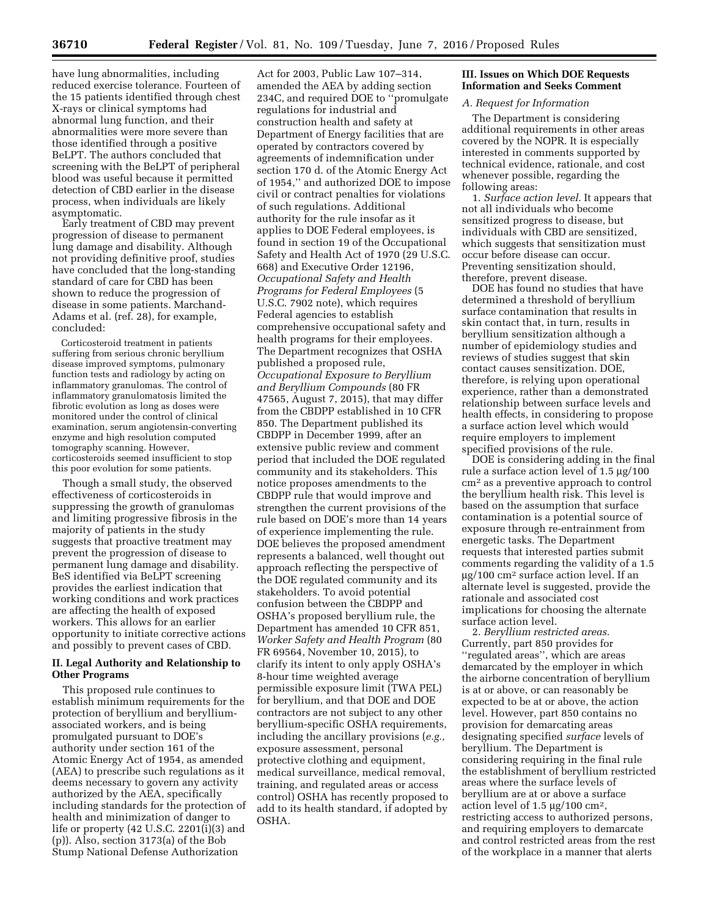have lung abnormalities, including reduced exercise tolerance. Fourteen of the 15 patients identified through chest X-rays or clinical symptoms had abnormal lung function, and their abnormalities were more severe than those identified through a positive BeLPT. The authors concluded that screening with the BeLPT of peripheral blood was useful because it permitted detection of CBD earlier in the disease process, when individuals are likely asymptomatic.

Early treatment of CBD may prevent progression of disease to permanent lung damage and disability. Although not providing definitive proof, studies have concluded that the long-standing standard of care for CBD has been shown to reduce the progression of disease in some patients. Marchand-Adams et al. (ref. 28), for example, concluded:

Corticosteroid treatment in patients suffering from serious chronic beryllium disease improved symptoms, pulmonary function tests and radiology by acting on inflammatory granulomas. The control of inflammatory granulomatosis limited the fibrotic evolution as long as doses were monitored under the control of clinical examination, serum angiotensin-converting enzyme and high resolution computed tomography scanning. However, corticosteroids seemed insufficient to stop this poor evolution for some patients.

Though a small study, the observed effectiveness of corticosteroids in suppressing the growth of granulomas and limiting progressive fibrosis in the majority of patients in the study suggests that proactive treatment may prevent the progression of disease to permanent lung damage and disability. BeS identified via BeLPT screening provides the earliest indication that working conditions and work practices are affecting the health of exposed workers. This allows for an earlier opportunity to initiate corrective actions and possibly to prevent cases of CBD.

## **II. Legal Authority and Relationship to Other Programs**

This proposed rule continues to establish minimum requirements for the protection of beryllium and berylliumassociated workers, and is being promulgated pursuant to DOE's authority under section 161 of the Atomic Energy Act of 1954, as amended (AEA) to prescribe such regulations as it deems necessary to govern any activity authorized by the AEA, specifically including standards for the protection of health and minimization of danger to life or property  $(42 \text{ U.S.C. } 2201(\overline{i})(3)$  and (p)). Also, section 3173(a) of the Bob Stump National Defense Authorization

Act for 2003, Public Law 107–314, amended the AEA by adding section 234C, and required DOE to ''promulgate regulations for industrial and construction health and safety at Department of Energy facilities that are operated by contractors covered by agreements of indemnification under section 170 d. of the Atomic Energy Act of 1954,'' and authorized DOE to impose civil or contract penalties for violations of such regulations. Additional authority for the rule insofar as it applies to DOE Federal employees, is found in section 19 of the Occupational Safety and Health Act of 1970 (29 U.S.C. 668) and Executive Order 12196, *Occupational Safety and Health Programs for Federal Employees* (5 U.S.C. 7902 note), which requires Federal agencies to establish comprehensive occupational safety and health programs for their employees. The Department recognizes that OSHA published a proposed rule, *Occupational Exposure to Beryllium and Beryllium Compounds* (80 FR 47565, August 7, 2015), that may differ from the CBDPP established in 10 CFR 850. The Department published its CBDPP in December 1999, after an extensive public review and comment period that included the DOE regulated community and its stakeholders. This notice proposes amendments to the CBDPP rule that would improve and strengthen the current provisions of the rule based on DOE's more than 14 years of experience implementing the rule. DOE believes the proposed amendment represents a balanced, well thought out approach reflecting the perspective of the DOE regulated community and its stakeholders. To avoid potential confusion between the CBDPP and OSHA's proposed beryllium rule, the Department has amended 10 CFR 851, *Worker Safety and Health Program* (80 FR 69564, November 10, 2015), to clarify its intent to only apply OSHA's 8-hour time weighted average permissible exposure limit (TWA PEL) for beryllium, and that DOE and DOE contractors are not subject to any other beryllium-specific OSHA requirements, including the ancillary provisions (*e.g.,*  exposure assessment, personal protective clothing and equipment, medical surveillance, medical removal, training, and regulated areas or access control) OSHA has recently proposed to add to its health standard, if adopted by OSHA.

# **III. Issues on Which DOE Requests Information and Seeks Comment**

## *A. Request for Information*

The Department is considering additional requirements in other areas covered by the NOPR. It is especially interested in comments supported by technical evidence, rationale, and cost whenever possible, regarding the following areas:

1. *Surface action level.* It appears that not all individuals who become sensitized progress to disease, but individuals with CBD are sensitized, which suggests that sensitization must occur before disease can occur. Preventing sensitization should, therefore, prevent disease.

DOE has found no studies that have determined a threshold of beryllium surface contamination that results in skin contact that, in turn, results in beryllium sensitization although a number of epidemiology studies and reviews of studies suggest that skin contact causes sensitization. DOE, therefore, is relying upon operational experience, rather than a demonstrated relationship between surface levels and health effects, in considering to propose a surface action level which would require employers to implement specified provisions of the rule.

DOE is considering adding in the final rule a surface action level of  $1.5 \mu g/100$ cm2 as a preventive approach to control the beryllium health risk. This level is based on the assumption that surface contamination is a potential source of exposure through re-entrainment from energetic tasks. The Department requests that interested parties submit comments regarding the validity of a 1.5  $\mu$ g/100 cm<sup>2</sup> surface action level. If an alternate level is suggested, provide the rationale and associated cost implications for choosing the alternate surface action level.

2. *Beryllium restricted areas.*  Currently, part 850 provides for ''regulated areas'', which are areas demarcated by the employer in which the airborne concentration of beryllium is at or above, or can reasonably be expected to be at or above, the action level. However, part 850 contains no provision for demarcating areas designating specified *surface* levels of beryllium. The Department is considering requiring in the final rule the establishment of beryllium restricted areas where the surface levels of beryllium are at or above a surface action level of 1.5  $\mu$ g/100 cm<sup>2</sup>, restricting access to authorized persons, and requiring employers to demarcate and control restricted areas from the rest of the workplace in a manner that alerts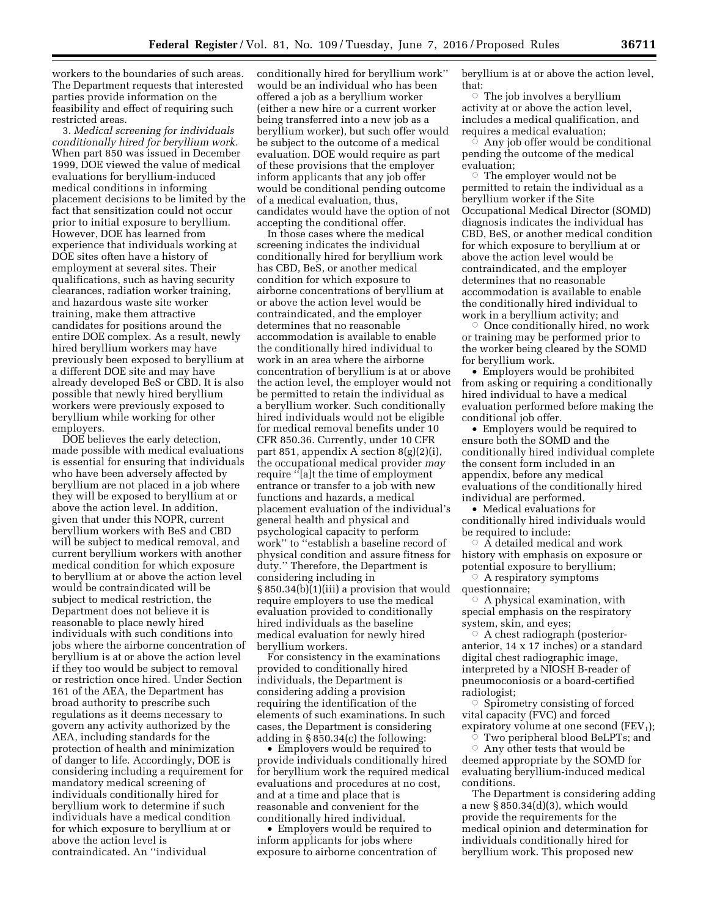workers to the boundaries of such areas. The Department requests that interested parties provide information on the feasibility and effect of requiring such restricted areas.

3. *Medical screening for individuals conditionally hired for beryllium work.*  When part 850 was issued in December 1999, DOE viewed the value of medical evaluations for beryllium-induced medical conditions in informing placement decisions to be limited by the fact that sensitization could not occur prior to initial exposure to beryllium. However, DOE has learned from experience that individuals working at DOE sites often have a history of employment at several sites. Their qualifications, such as having security clearances, radiation worker training, and hazardous waste site worker training, make them attractive candidates for positions around the entire DOE complex. As a result, newly hired beryllium workers may have previously been exposed to beryllium at a different DOE site and may have already developed BeS or CBD. It is also possible that newly hired beryllium workers were previously exposed to beryllium while working for other employers.

DOE believes the early detection, made possible with medical evaluations is essential for ensuring that individuals who have been adversely affected by beryllium are not placed in a job where they will be exposed to beryllium at or above the action level. In addition, given that under this NOPR, current beryllium workers with BeS and CBD will be subject to medical removal, and current beryllium workers with another medical condition for which exposure to beryllium at or above the action level would be contraindicated will be subject to medical restriction, the Department does not believe it is reasonable to place newly hired individuals with such conditions into jobs where the airborne concentration of beryllium is at or above the action level if they too would be subject to removal or restriction once hired. Under Section 161 of the AEA, the Department has broad authority to prescribe such regulations as it deems necessary to govern any activity authorized by the AEA, including standards for the protection of health and minimization of danger to life. Accordingly, DOE is considering including a requirement for mandatory medical screening of individuals conditionally hired for beryllium work to determine if such individuals have a medical condition for which exposure to beryllium at or above the action level is contraindicated. An ''individual

conditionally hired for beryllium work'' would be an individual who has been offered a job as a beryllium worker (either a new hire or a current worker being transferred into a new job as a beryllium worker), but such offer would be subject to the outcome of a medical evaluation. DOE would require as part of these provisions that the employer inform applicants that any job offer would be conditional pending outcome of a medical evaluation, thus, candidates would have the option of not accepting the conditional offer.

In those cases where the medical screening indicates the individual conditionally hired for beryllium work has CBD, BeS, or another medical condition for which exposure to airborne concentrations of beryllium at or above the action level would be contraindicated, and the employer determines that no reasonable accommodation is available to enable the conditionally hired individual to work in an area where the airborne concentration of beryllium is at or above the action level, the employer would not be permitted to retain the individual as a beryllium worker. Such conditionally hired individuals would not be eligible for medical removal benefits under 10 CFR 850.36. Currently, under 10 CFR part 851, appendix A section 8(g)(2)(i), the occupational medical provider *may*  require ''[a]t the time of employment entrance or transfer to a job with new functions and hazards, a medical placement evaluation of the individual's general health and physical and psychological capacity to perform work'' to ''establish a baseline record of physical condition and assure fitness for duty.'' Therefore, the Department is considering including in § 850.34(b)(1)(iii) a provision that would require employers to use the medical evaluation provided to conditionally hired individuals as the baseline medical evaluation for newly hired beryllium workers.

For consistency in the examinations provided to conditionally hired individuals, the Department is considering adding a provision requiring the identification of the elements of such examinations. In such cases, the Department is considering adding in § 850.34(c) the following:

• Employers would be required to provide individuals conditionally hired for beryllium work the required medical evaluations and procedures at no cost, and at a time and place that is reasonable and convenient for the conditionally hired individual.

• Employers would be required to inform applicants for jobs where exposure to airborne concentration of beryllium is at or above the action level, that:

 $\circ$  The job involves a beryllium activity at or above the action level, includes a medical qualification, and requires a medical evaluation;

 $\circ$  Any job offer would be conditional pending the outcome of the medical evaluation;

 $\circ$  The employer would not be permitted to retain the individual as a beryllium worker if the Site Occupational Medical Director (SOMD) diagnosis indicates the individual has CBD, BeS, or another medical condition for which exposure to beryllium at or above the action level would be contraindicated, and the employer determines that no reasonable accommodation is available to enable the conditionally hired individual to work in a beryllium activity; and

Æ Once conditionally hired, no work or training may be performed prior to the worker being cleared by the SOMD for beryllium work.

• Employers would be prohibited from asking or requiring a conditionally hired individual to have a medical evaluation performed before making the conditional job offer.

• Employers would be required to ensure both the SOMD and the conditionally hired individual complete the consent form included in an appendix, before any medical evaluations of the conditionally hired individual are performed.

• Medical evaluations for conditionally hired individuals would be required to include:

 $\circ$   $\overrightarrow{A}$  detailed medical and work history with emphasis on exposure or potential exposure to beryllium;

 $\circ$  A respiratory symptoms questionnaire;

 $\circ$  A physical examination, with special emphasis on the respiratory system, skin, and eyes;

 $\circ$  A chest radiograph (posterioranterior, 14 x 17 inches) or a standard digital chest radiographic image, interpreted by a NIOSH B-reader of pneumoconiosis or a board-certified radiologist;

Æ Spirometry consisting of forced vital capacity (FVC) and forced expiratory volume at one second  $(FEV<sub>1</sub>)$ ;  $\circ$  Two peripheral blood BeLPTs; and

 $\circ$  Any other tests that would be deemed appropriate by the SOMD for evaluating beryllium-induced medical conditions.

The Department is considering adding a new § 850.34(d)(3), which would provide the requirements for the medical opinion and determination for individuals conditionally hired for beryllium work. This proposed new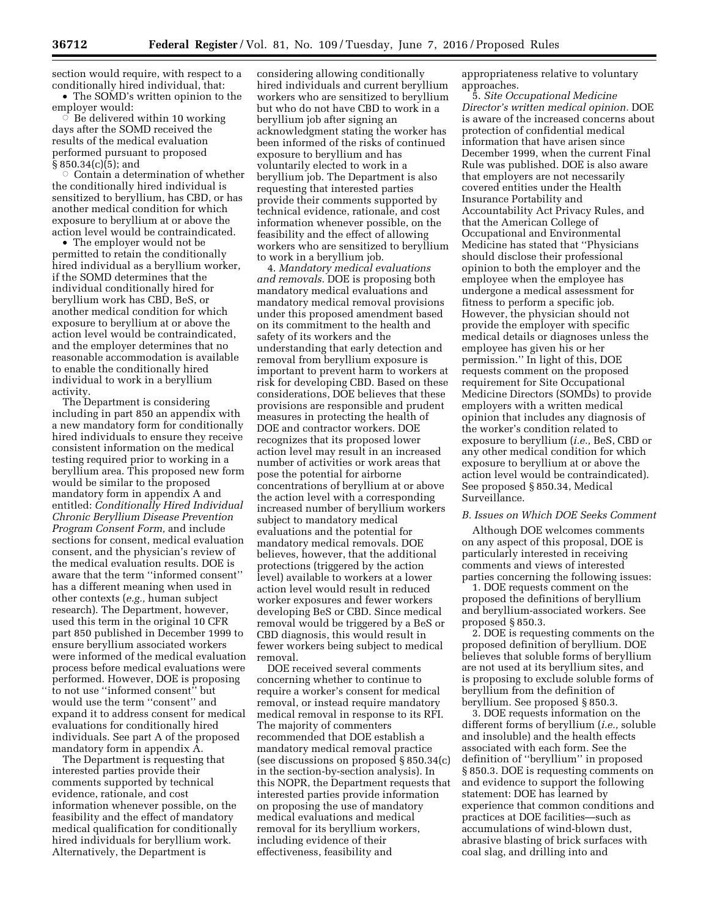section would require, with respect to a conditionally hired individual, that: • The SOMD's written opinion to the

employer would:  $\vec{C}$  Be delivered within 10 working days after the SOMD received the results of the medical evaluation performed pursuant to proposed § 850.34(c)(5); and

 $\circ$  Contain a determination of whether the conditionally hired individual is sensitized to beryllium, has CBD, or has another medical condition for which exposure to beryllium at or above the action level would be contraindicated.

• The employer would not be permitted to retain the conditionally hired individual as a beryllium worker, if the SOMD determines that the individual conditionally hired for beryllium work has CBD, BeS, or another medical condition for which exposure to beryllium at or above the action level would be contraindicated, and the employer determines that no reasonable accommodation is available to enable the conditionally hired individual to work in a beryllium activity.

The Department is considering including in part 850 an appendix with a new mandatory form for conditionally hired individuals to ensure they receive consistent information on the medical testing required prior to working in a beryllium area. This proposed new form would be similar to the proposed mandatory form in appendix A and entitled: *Conditionally Hired Individual Chronic Beryllium Disease Prevention Program Consent Form,* and include sections for consent, medical evaluation consent, and the physician's review of the medical evaluation results. DOE is aware that the term ''informed consent'' has a different meaning when used in other contexts (*e.g.,* human subject research). The Department, however, used this term in the original 10 CFR part 850 published in December 1999 to ensure beryllium associated workers were informed of the medical evaluation process before medical evaluations were performed. However, DOE is proposing to not use ''informed consent'' but would use the term ''consent'' and expand it to address consent for medical evaluations for conditionally hired individuals. See part A of the proposed mandatory form in appendix A.

The Department is requesting that interested parties provide their comments supported by technical evidence, rationale, and cost information whenever possible, on the feasibility and the effect of mandatory medical qualification for conditionally hired individuals for beryllium work. Alternatively, the Department is

considering allowing conditionally hired individuals and current beryllium workers who are sensitized to beryllium but who do not have CBD to work in a beryllium job after signing an acknowledgment stating the worker has been informed of the risks of continued exposure to beryllium and has voluntarily elected to work in a beryllium job. The Department is also requesting that interested parties provide their comments supported by technical evidence, rationale, and cost information whenever possible, on the feasibility and the effect of allowing workers who are sensitized to beryllium to work in a beryllium job.

4. *Mandatory medical evaluations and removals.* DOE is proposing both mandatory medical evaluations and mandatory medical removal provisions under this proposed amendment based on its commitment to the health and safety of its workers and the understanding that early detection and removal from beryllium exposure is important to prevent harm to workers at risk for developing CBD. Based on these considerations, DOE believes that these provisions are responsible and prudent measures in protecting the health of DOE and contractor workers. DOE recognizes that its proposed lower action level may result in an increased number of activities or work areas that pose the potential for airborne concentrations of beryllium at or above the action level with a corresponding increased number of beryllium workers subject to mandatory medical evaluations and the potential for mandatory medical removals. DOE believes, however, that the additional protections (triggered by the action level) available to workers at a lower action level would result in reduced worker exposures and fewer workers developing BeS or CBD. Since medical removal would be triggered by a BeS or CBD diagnosis, this would result in fewer workers being subject to medical removal.

DOE received several comments concerning whether to continue to require a worker's consent for medical removal, or instead require mandatory medical removal in response to its RFI. The majority of commenters recommended that DOE establish a mandatory medical removal practice (see discussions on proposed § 850.34(c) in the section-by-section analysis). In this NOPR, the Department requests that interested parties provide information on proposing the use of mandatory medical evaluations and medical removal for its beryllium workers, including evidence of their effectiveness, feasibility and

appropriateness relative to voluntary approaches.

5. *Site Occupational Medicine Director's written medical opinion.* DOE is aware of the increased concerns about protection of confidential medical information that have arisen since December 1999, when the current Final Rule was published. DOE is also aware that employers are not necessarily covered entities under the Health Insurance Portability and Accountability Act Privacy Rules, and that the American College of Occupational and Environmental Medicine has stated that ''Physicians should disclose their professional opinion to both the employer and the employee when the employee has undergone a medical assessment for fitness to perform a specific job. However, the physician should not provide the employer with specific medical details or diagnoses unless the employee has given his or her permission.'' In light of this, DOE requests comment on the proposed requirement for Site Occupational Medicine Directors (SOMDs) to provide employers with a written medical opinion that includes any diagnosis of the worker's condition related to exposure to beryllium (*i.e.,* BeS, CBD or any other medical condition for which exposure to beryllium at or above the action level would be contraindicated). See proposed § 850.34, Medical Surveillance.

#### *B. Issues on Which DOE Seeks Comment*

Although DOE welcomes comments on any aspect of this proposal, DOE is particularly interested in receiving comments and views of interested parties concerning the following issues:

1. DOE requests comment on the proposed the definitions of beryllium and beryllium-associated workers. See proposed § 850.3.

2. DOE is requesting comments on the proposed definition of beryllium. DOE believes that soluble forms of beryllium are not used at its beryllium sites, and is proposing to exclude soluble forms of beryllium from the definition of beryllium. See proposed § 850.3.

3. DOE requests information on the different forms of beryllium (*i.e.,* soluble and insoluble) and the health effects associated with each form. See the definition of ''beryllium'' in proposed § 850.3. DOE is requesting comments on and evidence to support the following statement: DOE has learned by experience that common conditions and practices at DOE facilities—such as accumulations of wind-blown dust, abrasive blasting of brick surfaces with coal slag, and drilling into and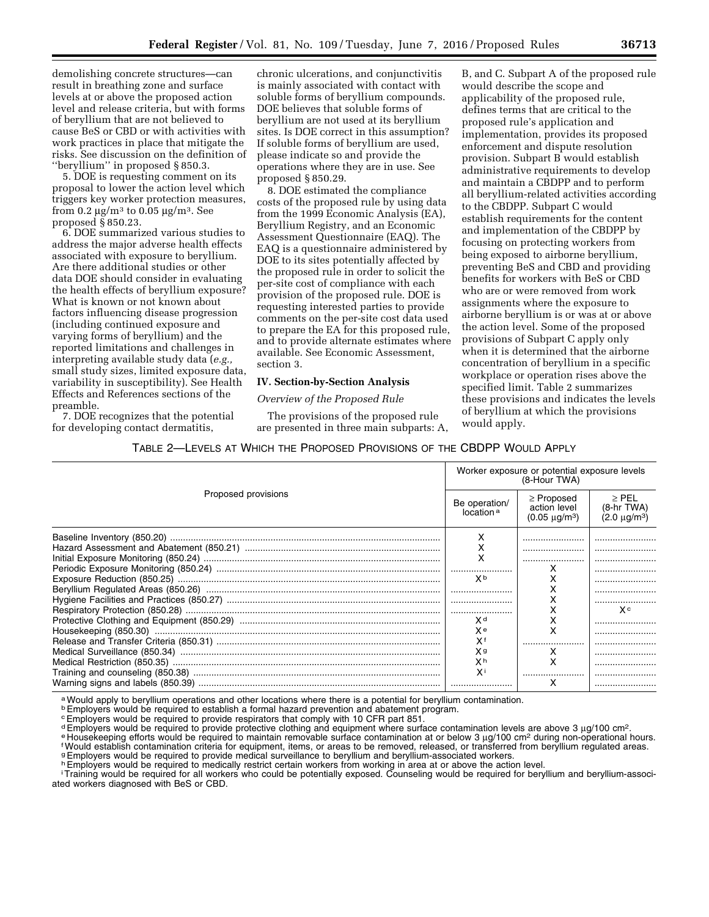demolishing concrete structures—can result in breathing zone and surface levels at or above the proposed action level and release criteria, but with forms of beryllium that are not believed to cause BeS or CBD or with activities with work practices in place that mitigate the risks. See discussion on the definition of ''beryllium'' in proposed § 850.3.

5. DOE is requesting comment on its proposal to lower the action level which triggers key worker protection measures, from 0.2  $\mu$ g/m<sup>3</sup> to 0.05  $\mu$ g/m<sup>3</sup>. See proposed § 850.23.

6. DOE summarized various studies to address the major adverse health effects associated with exposure to beryllium. Are there additional studies or other data DOE should consider in evaluating the health effects of beryllium exposure? What is known or not known about factors influencing disease progression (including continued exposure and varying forms of beryllium) and the reported limitations and challenges in interpreting available study data (*e.g.,*  small study sizes, limited exposure data, variability in susceptibility). See Health Effects and References sections of the preamble.

7. DOE recognizes that the potential for developing contact dermatitis,

chronic ulcerations, and conjunctivitis is mainly associated with contact with soluble forms of beryllium compounds. DOE believes that soluble forms of beryllium are not used at its beryllium sites. Is DOE correct in this assumption? If soluble forms of beryllium are used, please indicate so and provide the operations where they are in use. See proposed § 850.29.

8. DOE estimated the compliance costs of the proposed rule by using data from the 1999 Economic Analysis (EA), Beryllium Registry, and an Economic Assessment Questionnaire (EAQ). The EAQ is a questionnaire administered by DOE to its sites potentially affected by the proposed rule in order to solicit the per-site cost of compliance with each provision of the proposed rule. DOE is requesting interested parties to provide comments on the per-site cost data used to prepare the EA for this proposed rule, and to provide alternate estimates where available. See Economic Assessment, section 3.

## **IV. Section-by-Section Analysis**

# *Overview of the Proposed Rule*

The provisions of the proposed rule are presented in three main subparts: A,

B, and C. Subpart A of the proposed rule would describe the scope and applicability of the proposed rule, defines terms that are critical to the proposed rule's application and implementation, provides its proposed enforcement and dispute resolution provision. Subpart B would establish administrative requirements to develop and maintain a CBDPP and to perform all beryllium-related activities according to the CBDPP. Subpart C would establish requirements for the content and implementation of the CBDPP by focusing on protecting workers from being exposed to airborne beryllium, preventing BeS and CBD and providing benefits for workers with BeS or CBD who are or were removed from work assignments where the exposure to airborne beryllium is or was at or above the action level. Some of the proposed provisions of Subpart C apply only when it is determined that the airborne concentration of beryllium in a specific workplace or operation rises above the specified limit. Table 2 summarizes these provisions and indicates the levels of beryllium at which the provisions would apply.

TABLE 2—LEVELS AT WHICH THE PROPOSED PROVISIONS OF THE CBDPP WOULD APPLY

|                     | Worker exposure or potential exposure levels<br>(8-Hour TWA) |                                                            |                                                      |  |
|---------------------|--------------------------------------------------------------|------------------------------------------------------------|------------------------------------------------------|--|
| Proposed provisions | Be operation/<br>location <sup>a</sup>                       | $\geq$ Proposed<br>action level<br>$(0.05 \text{ µq/m}^3)$ | $\ge$ PEL<br>$(8-hr)$ TWA)<br>$(2.0 \text{ µq/m}^3)$ |  |
|                     | х                                                            |                                                            |                                                      |  |
|                     | х                                                            |                                                            |                                                      |  |
|                     | x                                                            |                                                            |                                                      |  |
|                     |                                                              |                                                            |                                                      |  |
|                     | X <sub>p</sub>                                               |                                                            |                                                      |  |
|                     |                                                              |                                                            |                                                      |  |
|                     |                                                              |                                                            |                                                      |  |
|                     |                                                              |                                                            | X c                                                  |  |
|                     | χd                                                           |                                                            |                                                      |  |
|                     | χe                                                           | ᆺ                                                          |                                                      |  |
|                     | Xf                                                           |                                                            |                                                      |  |
|                     | X a                                                          |                                                            |                                                      |  |
|                     | χh                                                           | х                                                          |                                                      |  |
|                     | χi                                                           |                                                            |                                                      |  |
|                     |                                                              | x                                                          |                                                      |  |

a Would apply to beryllium operations and other locations where there is a potential for beryllium contamination.

<sup>b</sup> Employers would be required to establish a formal hazard prevention and abatement program.

cEmployers would be required to provide respirators that comply with 10 CFR part 851.

demployers would be required to provide protective clothing and equipment where surface contamination levels are above 3 µg/100 cm<sup>2</sup>.<br><sup>e</sup> Housekeeping efforts would be required to provide protective clothing and equipment gEmployers would be required to provide medical surveillance to beryllium and beryllium-associated workers.

h Employers would be required to medically restrict certain workers from working in area at or above the action level.

iTraining would be required for all workers who could be potentially exposed. Counseling would be required for beryllium and beryllium-associated workers diagnosed with BeS or CBD.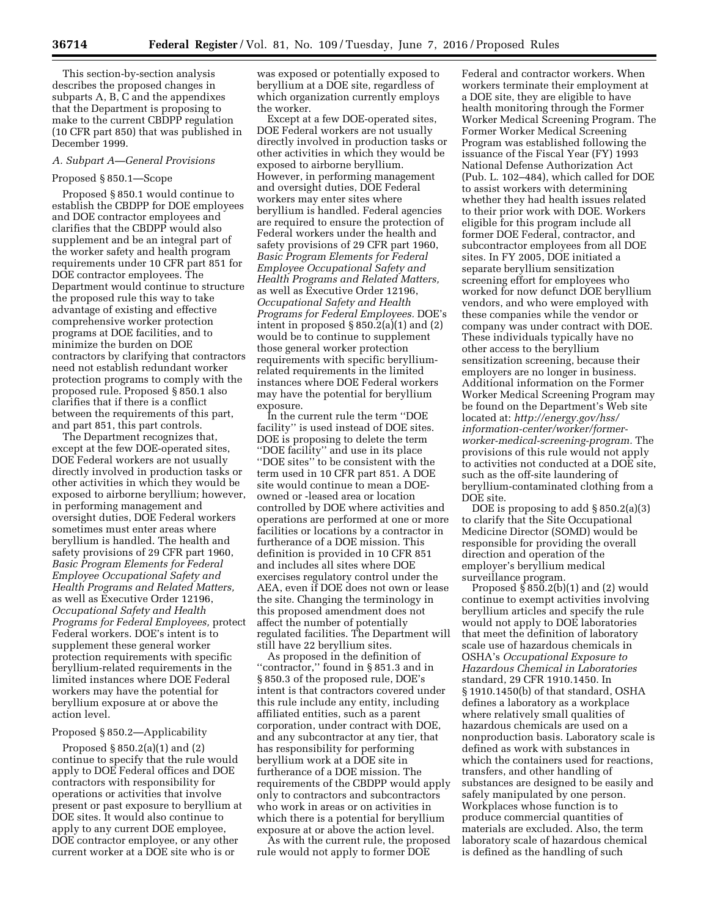This section-by-section analysis describes the proposed changes in subparts A, B, C and the appendixes that the Department is proposing to make to the current CBDPP regulation (10 CFR part 850) that was published in December 1999.

# *A. Subpart A—General Provisions*

## Proposed § 850.1—Scope

Proposed § 850.1 would continue to establish the CBDPP for DOE employees and DOE contractor employees and clarifies that the CBDPP would also supplement and be an integral part of the worker safety and health program requirements under 10 CFR part 851 for DOE contractor employees. The Department would continue to structure the proposed rule this way to take advantage of existing and effective comprehensive worker protection programs at DOE facilities, and to minimize the burden on DOE contractors by clarifying that contractors need not establish redundant worker protection programs to comply with the proposed rule. Proposed § 850.1 also clarifies that if there is a conflict between the requirements of this part, and part 851, this part controls.

The Department recognizes that, except at the few DOE-operated sites, DOE Federal workers are not usually directly involved in production tasks or other activities in which they would be exposed to airborne beryllium; however, in performing management and oversight duties, DOE Federal workers sometimes must enter areas where beryllium is handled. The health and safety provisions of 29 CFR part 1960, *Basic Program Elements for Federal Employee Occupational Safety and Health Programs and Related Matters,*  as well as Executive Order 12196, *Occupational Safety and Health Programs for Federal Employees,* protect Federal workers. DOE's intent is to supplement these general worker protection requirements with specific beryllium-related requirements in the limited instances where DOE Federal workers may have the potential for beryllium exposure at or above the action level.

#### Proposed § 850.2—Applicability

Proposed § 850.2(a)(1) and (2) continue to specify that the rule would apply to DOE Federal offices and DOE contractors with responsibility for operations or activities that involve present or past exposure to beryllium at DOE sites. It would also continue to apply to any current DOE employee, DOE contractor employee, or any other current worker at a DOE site who is or

was exposed or potentially exposed to beryllium at a DOE site, regardless of which organization currently employs the worker.

Except at a few DOE-operated sites, DOE Federal workers are not usually directly involved in production tasks or other activities in which they would be exposed to airborne beryllium. However, in performing management and oversight duties, DOE Federal workers may enter sites where beryllium is handled. Federal agencies are required to ensure the protection of Federal workers under the health and safety provisions of 29 CFR part 1960, *Basic Program Elements for Federal Employee Occupational Safety and Health Programs and Related Matters,*  as well as Executive Order 12196, *Occupational Safety and Health Programs for Federal Employees.* DOE's intent in proposed § 850.2(a)(1) and (2) would be to continue to supplement those general worker protection requirements with specific berylliumrelated requirements in the limited instances where DOE Federal workers may have the potential for beryllium exposure.

In the current rule the term ''DOE facility'' is used instead of DOE sites. DOE is proposing to delete the term ''DOE facility'' and use in its place ''DOE sites'' to be consistent with the term used in 10 CFR part 851. A DOE site would continue to mean a DOEowned or -leased area or location controlled by DOE where activities and operations are performed at one or more facilities or locations by a contractor in furtherance of a DOE mission. This definition is provided in 10 CFR 851 and includes all sites where DOE exercises regulatory control under the AEA, even if DOE does not own or lease the site. Changing the terminology in this proposed amendment does not affect the number of potentially regulated facilities. The Department will still have 22 beryllium sites.

As proposed in the definition of ''contractor,'' found in § 851.3 and in § 850.3 of the proposed rule, DOE's intent is that contractors covered under this rule include any entity, including affiliated entities, such as a parent corporation, under contract with DOE, and any subcontractor at any tier, that has responsibility for performing beryllium work at a DOE site in furtherance of a DOE mission. The requirements of the CBDPP would apply only to contractors and subcontractors who work in areas or on activities in which there is a potential for beryllium exposure at or above the action level.

As with the current rule, the proposed rule would not apply to former DOE

Federal and contractor workers. When workers terminate their employment at a DOE site, they are eligible to have health monitoring through the Former Worker Medical Screening Program. The Former Worker Medical Screening Program was established following the issuance of the Fiscal Year (FY) 1993 National Defense Authorization Act (Pub. L. 102–484), which called for DOE to assist workers with determining whether they had health issues related to their prior work with DOE. Workers eligible for this program include all former DOE Federal, contractor, and subcontractor employees from all DOE sites. In FY 2005, DOE initiated a separate beryllium sensitization screening effort for employees who worked for now defunct DOE beryllium vendors, and who were employed with these companies while the vendor or company was under contract with DOE. These individuals typically have no other access to the beryllium sensitization screening, because their employers are no longer in business. Additional information on the Former Worker Medical Screening Program may be found on the Department's Web site located at: *[http://energy.gov/hss/](http://energy.gov/hss/information-center/worker/former-worker-medical-screening-program) [information-center/worker/former](http://energy.gov/hss/information-center/worker/former-worker-medical-screening-program)[worker-medical-screening-program.](http://energy.gov/hss/information-center/worker/former-worker-medical-screening-program)* The provisions of this rule would not apply to activities not conducted at a DOE site, such as the off-site laundering of beryllium-contaminated clothing from a DOE site.

DOE is proposing to add  $\S 850.2(a)(3)$ to clarify that the Site Occupational Medicine Director (SOMD) would be responsible for providing the overall direction and operation of the employer's beryllium medical surveillance program.

Proposed  $\S 850.2(b)(1)$  and  $(2)$  would continue to exempt activities involving beryllium articles and specify the rule would not apply to DOE laboratories that meet the definition of laboratory scale use of hazardous chemicals in OSHA's *Occupational Exposure to Hazardous Chemical in Laboratories*  standard, 29 CFR 1910.1450. In § 1910.1450(b) of that standard, OSHA defines a laboratory as a workplace where relatively small qualities of hazardous chemicals are used on a nonproduction basis. Laboratory scale is defined as work with substances in which the containers used for reactions, transfers, and other handling of substances are designed to be easily and safely manipulated by one person. Workplaces whose function is to produce commercial quantities of materials are excluded. Also, the term laboratory scale of hazardous chemical is defined as the handling of such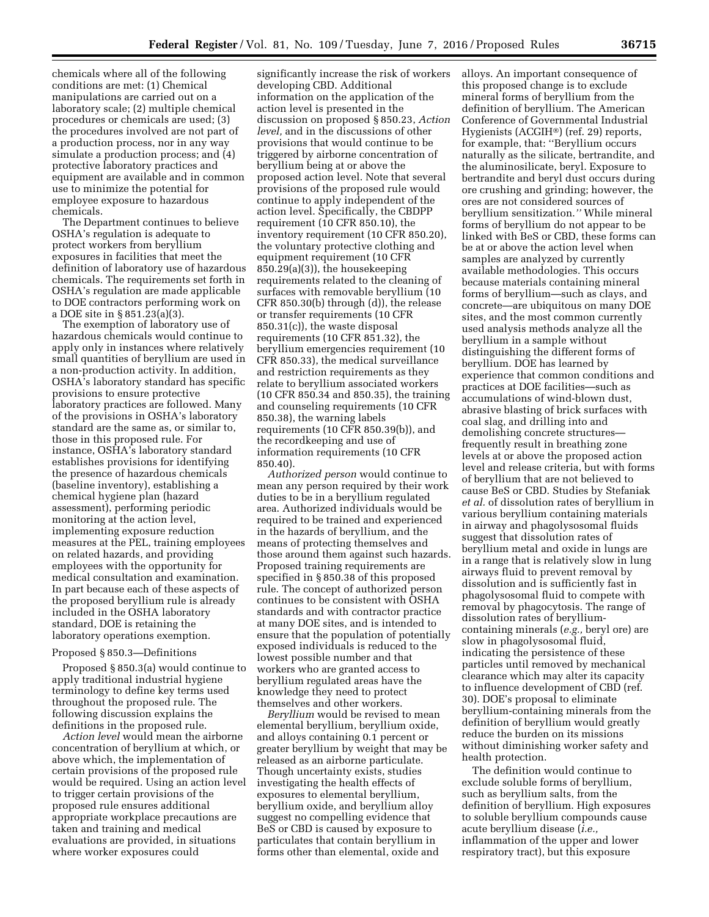chemicals where all of the following conditions are met: (1) Chemical manipulations are carried out on a laboratory scale; (2) multiple chemical procedures or chemicals are used; (3) the procedures involved are not part of a production process, nor in any way simulate a production process; and (4) protective laboratory practices and equipment are available and in common use to minimize the potential for employee exposure to hazardous chemicals.

The Department continues to believe OSHA's regulation is adequate to protect workers from beryllium exposures in facilities that meet the definition of laboratory use of hazardous chemicals. The requirements set forth in OSHA's regulation are made applicable to DOE contractors performing work on a DOE site in § 851.23(a)(3).

The exemption of laboratory use of hazardous chemicals would continue to apply only in instances where relatively small quantities of beryllium are used in a non-production activity. In addition, OSHA's laboratory standard has specific provisions to ensure protective laboratory practices are followed. Many of the provisions in OSHA's laboratory standard are the same as, or similar to, those in this proposed rule. For instance, OSHA's laboratory standard establishes provisions for identifying the presence of hazardous chemicals (baseline inventory), establishing a chemical hygiene plan (hazard assessment), performing periodic monitoring at the action level, implementing exposure reduction measures at the PEL, training employees on related hazards, and providing employees with the opportunity for medical consultation and examination. In part because each of these aspects of the proposed beryllium rule is already included in the OSHA laboratory standard, DOE is retaining the laboratory operations exemption.

## Proposed § 850.3—Definitions

Proposed § 850.3(a) would continue to apply traditional industrial hygiene terminology to define key terms used throughout the proposed rule. The following discussion explains the definitions in the proposed rule.

*Action level* would mean the airborne concentration of beryllium at which, or above which, the implementation of certain provisions of the proposed rule would be required. Using an action level to trigger certain provisions of the proposed rule ensures additional appropriate workplace precautions are taken and training and medical evaluations are provided, in situations where worker exposures could

significantly increase the risk of workers developing CBD. Additional information on the application of the action level is presented in the discussion on proposed § 850.23, *Action level,* and in the discussions of other provisions that would continue to be triggered by airborne concentration of beryllium being at or above the proposed action level. Note that several provisions of the proposed rule would continue to apply independent of the action level. Specifically, the CBDPP requirement (10 CFR 850.10), the inventory requirement (10 CFR 850.20), the voluntary protective clothing and equipment requirement (10 CFR 850.29(a)(3)), the housekeeping requirements related to the cleaning of surfaces with removable beryllium (10 CFR 850.30(b) through (d)), the release or transfer requirements (10 CFR 850.31(c)), the waste disposal requirements (10 CFR 851.32), the beryllium emergencies requirement (10 CFR 850.33), the medical surveillance and restriction requirements as they relate to beryllium associated workers (10 CFR 850.34 and 850.35), the training and counseling requirements (10 CFR 850.38), the warning labels requirements (10 CFR 850.39(b)), and the recordkeeping and use of information requirements (10 CFR 850.40).

*Authorized person* would continue to mean any person required by their work duties to be in a beryllium regulated area. Authorized individuals would be required to be trained and experienced in the hazards of beryllium, and the means of protecting themselves and those around them against such hazards. Proposed training requirements are specified in § 850.38 of this proposed rule. The concept of authorized person continues to be consistent with OSHA standards and with contractor practice at many DOE sites, and is intended to ensure that the population of potentially exposed individuals is reduced to the lowest possible number and that workers who are granted access to beryllium regulated areas have the knowledge they need to protect themselves and other workers.

*Beryllium* would be revised to mean elemental beryllium, beryllium oxide, and alloys containing 0.1 percent or greater beryllium by weight that may be released as an airborne particulate. Though uncertainty exists, studies investigating the health effects of exposures to elemental beryllium, beryllium oxide, and beryllium alloy suggest no compelling evidence that BeS or CBD is caused by exposure to particulates that contain beryllium in forms other than elemental, oxide and

alloys. An important consequence of this proposed change is to exclude mineral forms of beryllium from the definition of beryllium. The American Conference of Governmental Industrial Hygienists (ACGIH®) (ref. 29) reports, for example, that: ''Beryllium occurs naturally as the silicate, bertrandite, and the aluminosilicate, beryl. Exposure to bertrandite and beryl dust occurs during ore crushing and grinding; however, the ores are not considered sources of beryllium sensitization.*''* While mineral forms of beryllium do not appear to be linked with BeS or CBD, these forms can be at or above the action level when samples are analyzed by currently available methodologies. This occurs because materials containing mineral forms of beryllium—such as clays, and concrete—are ubiquitous on many DOE sites, and the most common currently used analysis methods analyze all the beryllium in a sample without distinguishing the different forms of beryllium. DOE has learned by experience that common conditions and practices at DOE facilities—such as accumulations of wind-blown dust, abrasive blasting of brick surfaces with coal slag, and drilling into and demolishing concrete structures frequently result in breathing zone levels at or above the proposed action level and release criteria, but with forms of beryllium that are not believed to cause BeS or CBD. Studies by Stefaniak *et al.* of dissolution rates of beryllium in various beryllium containing materials in airway and phagolysosomal fluids suggest that dissolution rates of beryllium metal and oxide in lungs are in a range that is relatively slow in lung airways fluid to prevent removal by dissolution and is sufficiently fast in phagolysosomal fluid to compete with removal by phagocytosis. The range of dissolution rates of berylliumcontaining minerals (*e.g.,* beryl ore) are slow in phagolysosomal fluid, indicating the persistence of these particles until removed by mechanical clearance which may alter its capacity to influence development of CBD (ref. 30). DOE's proposal to eliminate beryllium-containing minerals from the definition of beryllium would greatly reduce the burden on its missions without diminishing worker safety and health protection.

The definition would continue to exclude soluble forms of beryllium, such as beryllium salts, from the definition of beryllium. High exposures to soluble beryllium compounds cause acute beryllium disease (*i.e.,*  inflammation of the upper and lower respiratory tract), but this exposure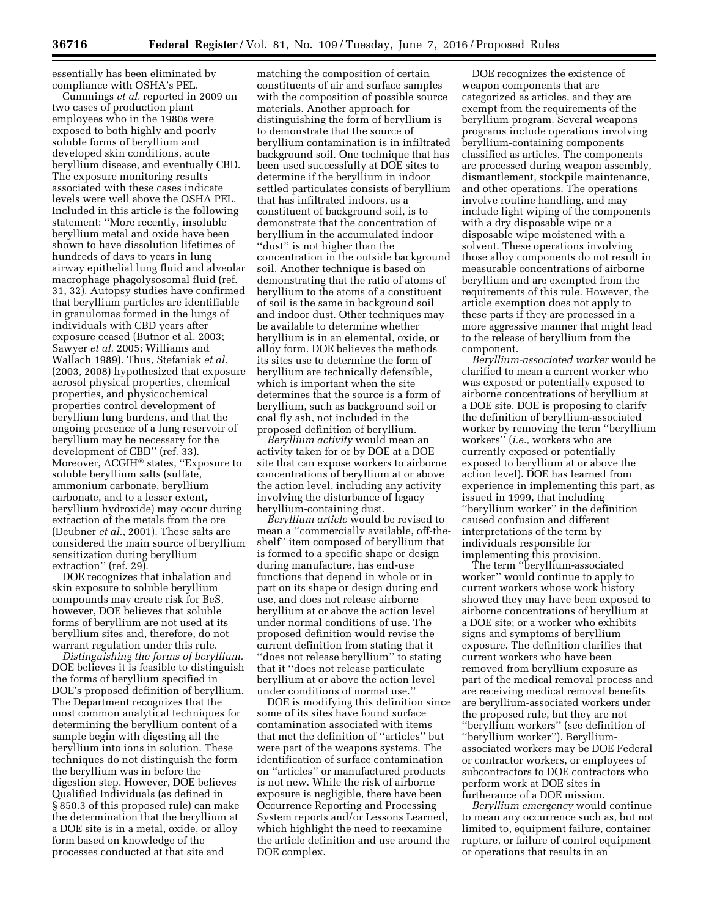essentially has been eliminated by compliance with OSHA's PEL.

Cummings *et al.* reported in 2009 on two cases of production plant employees who in the 1980s were exposed to both highly and poorly soluble forms of beryllium and developed skin conditions, acute beryllium disease, and eventually CBD. The exposure monitoring results associated with these cases indicate levels were well above the OSHA PEL. Included in this article is the following statement: ''More recently, insoluble beryllium metal and oxide have been shown to have dissolution lifetimes of hundreds of days to years in lung airway epithelial lung fluid and alveolar macrophage phagolysosomal fluid (ref. 31, 32). Autopsy studies have confirmed that beryllium particles are identifiable in granulomas formed in the lungs of individuals with CBD years after exposure ceased (Butnor et al. 2003; Sawyer *et al.* 2005; Williams and Wallach 1989). Thus, Stefaniak *et al.*  (2003, 2008) hypothesized that exposure aerosol physical properties, chemical properties, and physicochemical properties control development of beryllium lung burdens, and that the ongoing presence of a lung reservoir of beryllium may be necessary for the development of CBD'' (ref. 33). Moreover, ACGIH® states, ''Exposure to soluble beryllium salts (sulfate, ammonium carbonate, beryllium carbonate, and to a lesser extent, beryllium hydroxide) may occur during extraction of the metals from the ore (Deubner *et al.*, 2001). These salts are considered the main source of beryllium sensitization during beryllium extraction'' (ref. 29).

DOE recognizes that inhalation and skin exposure to soluble beryllium compounds may create risk for BeS, however, DOE believes that soluble forms of beryllium are not used at its beryllium sites and, therefore, do not warrant regulation under this rule.

*Distinguishing the forms of beryllium.*  DOE believes it is feasible to distinguish the forms of beryllium specified in DOE's proposed definition of beryllium. The Department recognizes that the most common analytical techniques for determining the beryllium content of a sample begin with digesting all the beryllium into ions in solution. These techniques do not distinguish the form the beryllium was in before the digestion step. However, DOE believes Qualified Individuals (as defined in § 850.3 of this proposed rule) can make the determination that the beryllium at a DOE site is in a metal, oxide, or alloy form based on knowledge of the processes conducted at that site and

matching the composition of certain constituents of air and surface samples with the composition of possible source materials. Another approach for distinguishing the form of beryllium is to demonstrate that the source of beryllium contamination is in infiltrated background soil. One technique that has been used successfully at DOE sites to determine if the beryllium in indoor settled particulates consists of beryllium that has infiltrated indoors, as a constituent of background soil, is to demonstrate that the concentration of beryllium in the accumulated indoor ''dust'' is not higher than the concentration in the outside background soil. Another technique is based on demonstrating that the ratio of atoms of beryllium to the atoms of a constituent of soil is the same in background soil and indoor dust. Other techniques may be available to determine whether beryllium is in an elemental, oxide, or alloy form. DOE believes the methods its sites use to determine the form of beryllium are technically defensible, which is important when the site determines that the source is a form of beryllium, such as background soil or coal fly ash, not included in the proposed definition of beryllium.

*Beryllium activity* would mean an activity taken for or by DOE at a DOE site that can expose workers to airborne concentrations of beryllium at or above the action level, including any activity involving the disturbance of legacy beryllium-containing dust.

*Beryllium article* would be revised to mean a ''commercially available, off-theshelf'' item composed of beryllium that is formed to a specific shape or design during manufacture, has end-use functions that depend in whole or in part on its shape or design during end use, and does not release airborne beryllium at or above the action level under normal conditions of use. The proposed definition would revise the current definition from stating that it ''does not release beryllium'' to stating that it ''does not release particulate beryllium at or above the action level under conditions of normal use.''

DOE is modifying this definition since some of its sites have found surface contamination associated with items that met the definition of ''articles'' but were part of the weapons systems. The identification of surface contamination on ''articles'' or manufactured products is not new. While the risk of airborne exposure is negligible, there have been Occurrence Reporting and Processing System reports and/or Lessons Learned, which highlight the need to reexamine the article definition and use around the DOE complex.

DOE recognizes the existence of weapon components that are categorized as articles, and they are exempt from the requirements of the beryllium program. Several weapons programs include operations involving beryllium-containing components classified as articles. The components are processed during weapon assembly, dismantlement, stockpile maintenance, and other operations. The operations involve routine handling, and may include light wiping of the components with a dry disposable wipe or a disposable wipe moistened with a solvent. These operations involving those alloy components do not result in measurable concentrations of airborne beryllium and are exempted from the requirements of this rule. However, the article exemption does not apply to these parts if they are processed in a more aggressive manner that might lead to the release of beryllium from the component.

*Beryllium-associated worker* would be clarified to mean a current worker who was exposed or potentially exposed to airborne concentrations of beryllium at a DOE site. DOE is proposing to clarify the definition of beryllium-associated worker by removing the term ''beryllium workers'' (*i.e.,* workers who are currently exposed or potentially exposed to beryllium at or above the action level). DOE has learned from experience in implementing this part, as issued in 1999, that including ''beryllium worker'' in the definition caused confusion and different interpretations of the term by individuals responsible for implementing this provision.

The term ''beryllium-associated worker'' would continue to apply to current workers whose work history showed they may have been exposed to airborne concentrations of beryllium at a DOE site; or a worker who exhibits signs and symptoms of beryllium exposure. The definition clarifies that current workers who have been removed from beryllium exposure as part of the medical removal process and are receiving medical removal benefits are beryllium-associated workers under the proposed rule, but they are not ''beryllium workers'' (see definition of ''beryllium worker''). Berylliumassociated workers may be DOE Federal or contractor workers, or employees of subcontractors to DOE contractors who perform work at DOE sites in furtherance of a DOE mission.

*Beryllium emergency* would continue to mean any occurrence such as, but not limited to, equipment failure, container rupture, or failure of control equipment or operations that results in an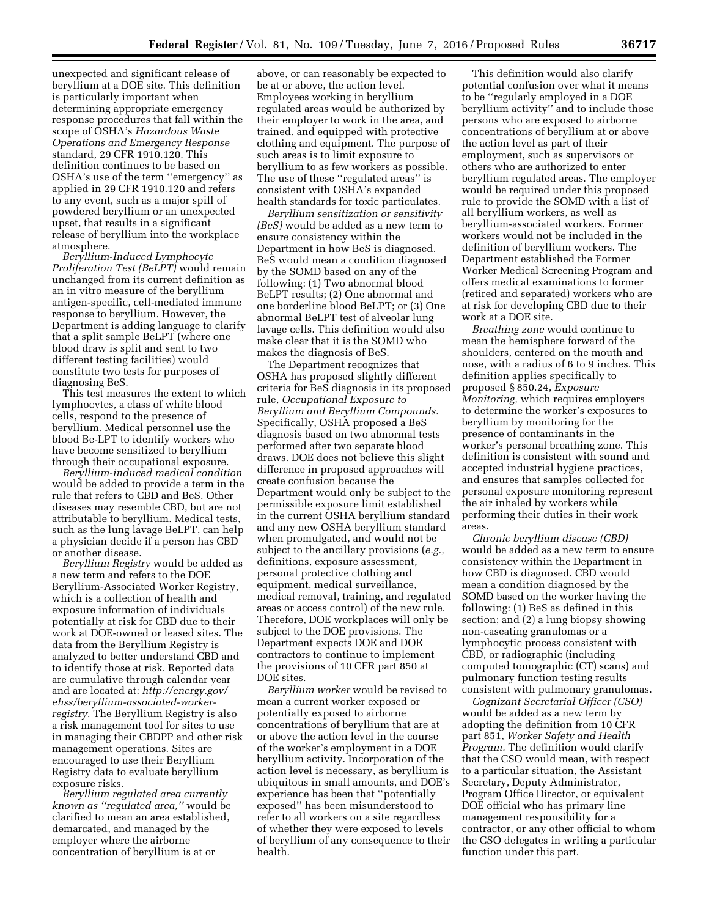unexpected and significant release of beryllium at a DOE site. This definition is particularly important when determining appropriate emergency response procedures that fall within the scope of OSHA's *Hazardous Waste Operations and Emergency Response*  standard, 29 CFR 1910.120. This definition continues to be based on OSHA's use of the term ''emergency'' as applied in 29 CFR 1910.120 and refers to any event, such as a major spill of powdered beryllium or an unexpected upset, that results in a significant release of beryllium into the workplace atmosphere.

*Beryllium-Induced Lymphocyte Proliferation Test (BeLPT)* would remain unchanged from its current definition as an in vitro measure of the beryllium antigen-specific, cell-mediated immune response to beryllium. However, the Department is adding language to clarify that a split sample BeLPT (where one blood draw is split and sent to two different testing facilities) would constitute two tests for purposes of diagnosing BeS.

This test measures the extent to which lymphocytes, a class of white blood cells, respond to the presence of beryllium. Medical personnel use the blood Be-LPT to identify workers who have become sensitized to beryllium through their occupational exposure.

*Beryllium-induced medical condition*  would be added to provide a term in the rule that refers to CBD and BeS. Other diseases may resemble CBD, but are not attributable to beryllium. Medical tests, such as the lung lavage BeLPT, can help a physician decide if a person has CBD or another disease.

*Beryllium Registry* would be added as a new term and refers to the DOE Beryllium-Associated Worker Registry, which is a collection of health and exposure information of individuals potentially at risk for CBD due to their work at DOE-owned or leased sites. The data from the Beryllium Registry is analyzed to better understand CBD and to identify those at risk. Reported data are cumulative through calendar year and are located at: *http://energy.gov/ ehss/beryllium-associated-workerregistry.* The Beryllium Registry is also a risk management tool for sites to use in managing their CBDPP and other risk management operations. Sites are encouraged to use their Beryllium Registry data to evaluate beryllium exposure risks.

*Beryllium regulated area currently known as ''regulated area,''* would be clarified to mean an area established, demarcated, and managed by the employer where the airborne concentration of beryllium is at or

above, or can reasonably be expected to be at or above, the action level. Employees working in beryllium regulated areas would be authorized by their employer to work in the area, and trained, and equipped with protective clothing and equipment. The purpose of such areas is to limit exposure to beryllium to as few workers as possible. The use of these ''regulated areas'' is consistent with OSHA's expanded health standards for toxic particulates.

*Beryllium sensitization or sensitivity (BeS)* would be added as a new term to ensure consistency within the Department in how BeS is diagnosed. BeS would mean a condition diagnosed by the SOMD based on any of the following: (1) Two abnormal blood BeLPT results; (2) One abnormal and one borderline blood BeLPT; or (3) One abnormal BeLPT test of alveolar lung lavage cells. This definition would also make clear that it is the SOMD who makes the diagnosis of BeS.

The Department recognizes that OSHA has proposed slightly different criteria for BeS diagnosis in its proposed rule, *Occupational Exposure to Beryllium and Beryllium Compounds.*  Specifically, OSHA proposed a BeS diagnosis based on two abnormal tests performed after two separate blood draws. DOE does not believe this slight difference in proposed approaches will create confusion because the Department would only be subject to the permissible exposure limit established in the current OSHA beryllium standard and any new OSHA beryllium standard when promulgated, and would not be subject to the ancillary provisions (*e.g.,*  definitions, exposure assessment, personal protective clothing and equipment, medical surveillance, medical removal, training, and regulated areas or access control) of the new rule. Therefore, DOE workplaces will only be subject to the DOE provisions. The Department expects DOE and DOE contractors to continue to implement the provisions of 10 CFR part 850 at DOE sites.

*Beryllium worker* would be revised to mean a current worker exposed or potentially exposed to airborne concentrations of beryllium that are at or above the action level in the course of the worker's employment in a DOE beryllium activity. Incorporation of the action level is necessary, as beryllium is ubiquitous in small amounts, and DOE's experience has been that ''potentially exposed'' has been misunderstood to refer to all workers on a site regardless of whether they were exposed to levels of beryllium of any consequence to their health.

This definition would also clarify potential confusion over what it means to be ''regularly employed in a DOE beryllium activity'' and to include those persons who are exposed to airborne concentrations of beryllium at or above the action level as part of their employment, such as supervisors or others who are authorized to enter beryllium regulated areas. The employer would be required under this proposed rule to provide the SOMD with a list of all beryllium workers, as well as beryllium-associated workers. Former workers would not be included in the definition of beryllium workers. The Department established the Former Worker Medical Screening Program and offers medical examinations to former (retired and separated) workers who are at risk for developing CBD due to their work at a DOE site.

*Breathing zone* would continue to mean the hemisphere forward of the shoulders, centered on the mouth and nose, with a radius of 6 to 9 inches. This definition applies specifically to proposed § 850.24, *Exposure Monitoring,* which requires employers to determine the worker's exposures to beryllium by monitoring for the presence of contaminants in the worker's personal breathing zone. This definition is consistent with sound and accepted industrial hygiene practices, and ensures that samples collected for personal exposure monitoring represent the air inhaled by workers while performing their duties in their work areas.

*Chronic beryllium disease (CBD)*  would be added as a new term to ensure consistency within the Department in how CBD is diagnosed. CBD would mean a condition diagnosed by the SOMD based on the worker having the following: (1) BeS as defined in this section; and (2) a lung biopsy showing non-caseating granulomas or a lymphocytic process consistent with CBD, or radiographic (including computed tomographic (CT) scans) and pulmonary function testing results consistent with pulmonary granulomas.

*Cognizant Secretarial Officer (CSO)*  would be added as a new term by adopting the definition from 10 CFR part 851, *Worker Safety and Health Program.* The definition would clarify that the CSO would mean, with respect to a particular situation, the Assistant Secretary, Deputy Administrator, Program Office Director, or equivalent DOE official who has primary line management responsibility for a contractor, or any other official to whom the CSO delegates in writing a particular function under this part.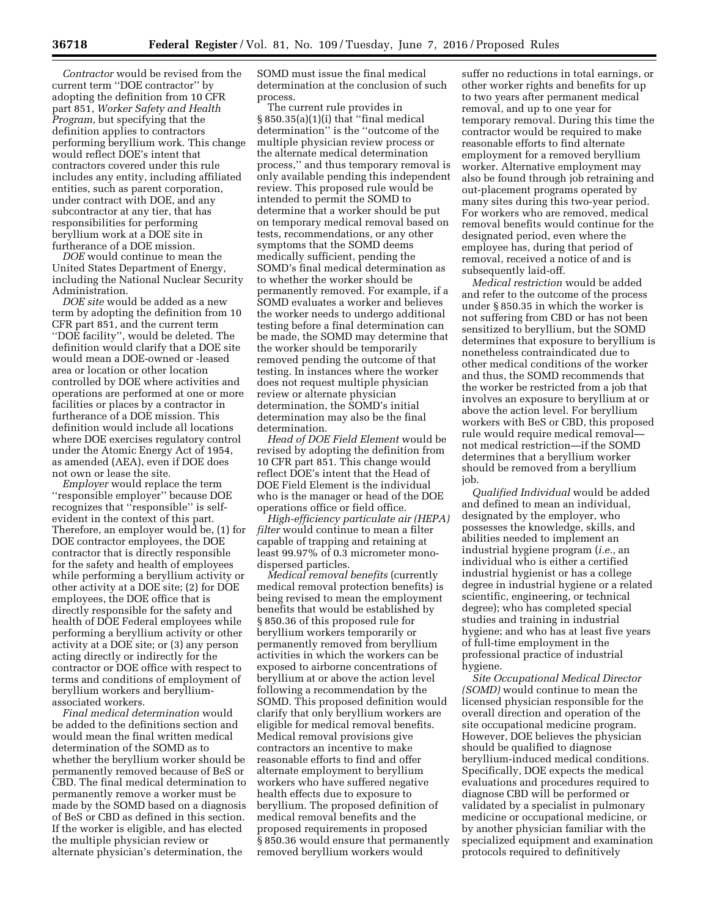*Contractor* would be revised from the current term ''DOE contractor'' by adopting the definition from 10 CFR part 851, *Worker Safety and Health Program,* but specifying that the definition applies to contractors performing beryllium work. This change would reflect DOE's intent that contractors covered under this rule includes any entity, including affiliated entities, such as parent corporation, under contract with DOE, and any subcontractor at any tier, that has responsibilities for performing beryllium work at a DOE site in furtherance of a DOE mission.

*DOE* would continue to mean the United States Department of Energy, including the National Nuclear Security Administration.

*DOE site* would be added as a new term by adopting the definition from 10 CFR part 851, and the current term ''DOE facility'', would be deleted. The definition would clarify that a DOE site would mean a DOE-owned or -leased area or location or other location controlled by DOE where activities and operations are performed at one or more facilities or places by a contractor in furtherance of a DOE mission. This definition would include all locations where DOE exercises regulatory control under the Atomic Energy Act of 1954, as amended (AEA), even if DOE does not own or lease the site.

*Employer* would replace the term ''responsible employer'' because DOE recognizes that ''responsible'' is selfevident in the context of this part. Therefore, an employer would be, (1) for DOE contractor employees, the DOE contractor that is directly responsible for the safety and health of employees while performing a beryllium activity or other activity at a DOE site; (2) for DOE employees, the DOE office that is directly responsible for the safety and health of DOE Federal employees while performing a beryllium activity or other activity at a DOE site; or (3) any person acting directly or indirectly for the contractor or DOE office with respect to terms and conditions of employment of beryllium workers and berylliumassociated workers.

*Final medical determination* would be added to the definitions section and would mean the final written medical determination of the SOMD as to whether the beryllium worker should be permanently removed because of BeS or CBD. The final medical determination to permanently remove a worker must be made by the SOMD based on a diagnosis of BeS or CBD as defined in this section. If the worker is eligible, and has elected the multiple physician review or alternate physician's determination, the

SOMD must issue the final medical determination at the conclusion of such process.

The current rule provides in § 850.35(a)(1)(i) that ''final medical determination'' is the ''outcome of the multiple physician review process or the alternate medical determination process,'' and thus temporary removal is only available pending this independent review. This proposed rule would be intended to permit the SOMD to determine that a worker should be put on temporary medical removal based on tests, recommendations, or any other symptoms that the SOMD deems medically sufficient, pending the SOMD's final medical determination as to whether the worker should be permanently removed. For example, if a SOMD evaluates a worker and believes the worker needs to undergo additional testing before a final determination can be made, the SOMD may determine that the worker should be temporarily removed pending the outcome of that testing. In instances where the worker does not request multiple physician review or alternate physician determination, the SOMD's initial determination may also be the final determination.

*Head of DOE Field Element* would be revised by adopting the definition from 10 CFR part 851. This change would reflect DOE's intent that the Head of DOE Field Element is the individual who is the manager or head of the DOE operations office or field office.

*High-efficiency particulate air (HEPA) filter* would continue to mean a filter capable of trapping and retaining at least 99.97% of 0.3 micrometer monodispersed particles.

*Medical removal benefits* (currently medical removal protection benefits) is being revised to mean the employment benefits that would be established by § 850.36 of this proposed rule for beryllium workers temporarily or permanently removed from beryllium activities in which the workers can be exposed to airborne concentrations of beryllium at or above the action level following a recommendation by the SOMD. This proposed definition would clarify that only beryllium workers are eligible for medical removal benefits. Medical removal provisions give contractors an incentive to make reasonable efforts to find and offer alternate employment to beryllium workers who have suffered negative health effects due to exposure to beryllium. The proposed definition of medical removal benefits and the proposed requirements in proposed § 850.36 would ensure that permanently removed beryllium workers would

suffer no reductions in total earnings, or other worker rights and benefits for up to two years after permanent medical removal, and up to one year for temporary removal. During this time the contractor would be required to make reasonable efforts to find alternate employment for a removed beryllium worker. Alternative employment may also be found through job retraining and out-placement programs operated by many sites during this two-year period. For workers who are removed, medical removal benefits would continue for the designated period, even where the employee has, during that period of removal, received a notice of and is subsequently laid-off.

*Medical restriction* would be added and refer to the outcome of the process under § 850.35 in which the worker is not suffering from CBD or has not been sensitized to beryllium, but the SOMD determines that exposure to beryllium is nonetheless contraindicated due to other medical conditions of the worker and thus, the SOMD recommends that the worker be restricted from a job that involves an exposure to beryllium at or above the action level. For beryllium workers with BeS or CBD, this proposed rule would require medical removal not medical restriction—if the SOMD determines that a beryllium worker should be removed from a beryllium job.

*Qualified Individual* would be added and defined to mean an individual, designated by the employer, who possesses the knowledge, skills, and abilities needed to implement an industrial hygiene program (*i.e.,* an individual who is either a certified industrial hygienist or has a college degree in industrial hygiene or a related scientific, engineering, or technical degree); who has completed special studies and training in industrial hygiene; and who has at least five years of full-time employment in the professional practice of industrial hygiene.

*Site Occupational Medical Director (SOMD)* would continue to mean the licensed physician responsible for the overall direction and operation of the site occupational medicine program. However, DOE believes the physician should be qualified to diagnose beryllium-induced medical conditions. Specifically, DOE expects the medical evaluations and procedures required to diagnose CBD will be performed or validated by a specialist in pulmonary medicine or occupational medicine, or by another physician familiar with the specialized equipment and examination protocols required to definitively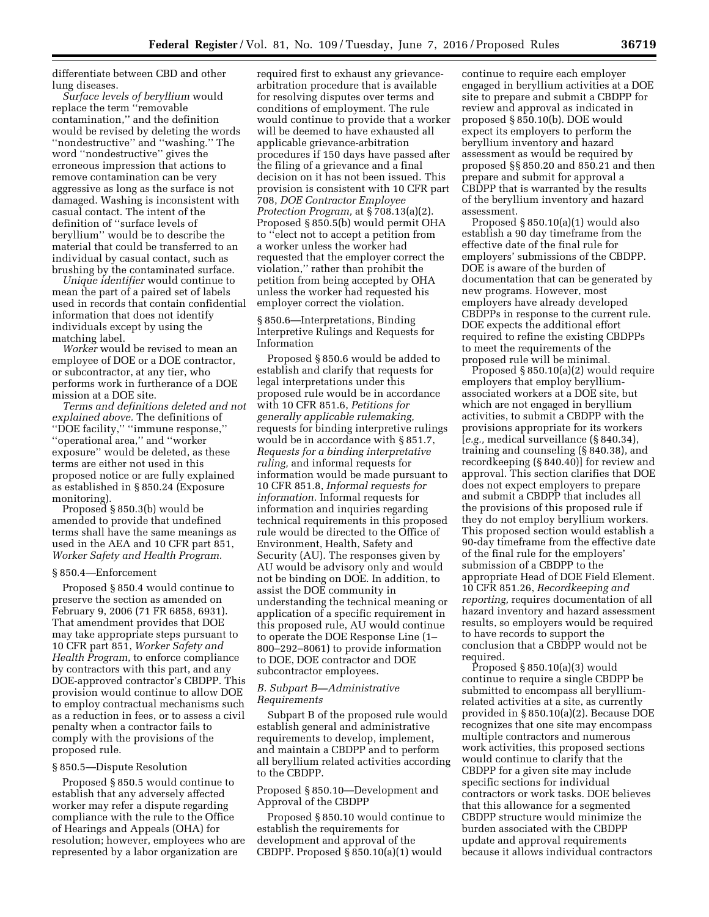differentiate between CBD and other lung diseases.

*Surface levels of beryllium* would replace the term ''removable contamination,'' and the definition would be revised by deleting the words ''nondestructive'' and ''washing.'' The word ''nondestructive'' gives the erroneous impression that actions to remove contamination can be very aggressive as long as the surface is not damaged. Washing is inconsistent with casual contact. The intent of the definition of ''surface levels of beryllium'' would be to describe the material that could be transferred to an individual by casual contact, such as brushing by the contaminated surface.

*Unique identifier* would continue to mean the part of a paired set of labels used in records that contain confidential information that does not identify individuals except by using the matching label.

*Worker* would be revised to mean an employee of DOE or a DOE contractor, or subcontractor, at any tier, who performs work in furtherance of a DOE mission at a DOE site.

*Terms and definitions deleted and not explained above.* The definitions of ''DOE facility,'' ''immune response,'' ''operational area,'' and ''worker exposure'' would be deleted, as these terms are either not used in this proposed notice or are fully explained as established in § 850.24 (Exposure monitoring).

Proposed § 850.3(b) would be amended to provide that undefined terms shall have the same meanings as used in the AEA and 10 CFR part 851, *Worker Safety and Health Program.* 

#### § 850.4—Enforcement

Proposed § 850.4 would continue to preserve the section as amended on February 9, 2006 (71 FR 6858, 6931). That amendment provides that DOE may take appropriate steps pursuant to 10 CFR part 851, *Worker Safety and Health Program,* to enforce compliance by contractors with this part, and any DOE-approved contractor's CBDPP. This provision would continue to allow DOE to employ contractual mechanisms such as a reduction in fees, or to assess a civil penalty when a contractor fails to comply with the provisions of the proposed rule.

## § 850.5—Dispute Resolution

Proposed § 850.5 would continue to establish that any adversely affected worker may refer a dispute regarding compliance with the rule to the Office of Hearings and Appeals (OHA) for resolution; however, employees who are represented by a labor organization are

required first to exhaust any grievancearbitration procedure that is available for resolving disputes over terms and conditions of employment. The rule would continue to provide that a worker will be deemed to have exhausted all applicable grievance-arbitration procedures if 150 days have passed after the filing of a grievance and a final decision on it has not been issued. This provision is consistent with 10 CFR part 708, *DOE Contractor Employee Protection Program,* at § 708.13(a)(2). Proposed § 850.5(b) would permit OHA to ''elect not to accept a petition from a worker unless the worker had requested that the employer correct the violation,'' rather than prohibit the petition from being accepted by OHA unless the worker had requested his employer correct the violation.

§ 850.6—Interpretations, Binding Interpretive Rulings and Requests for Information

Proposed § 850.6 would be added to establish and clarify that requests for legal interpretations under this proposed rule would be in accordance with 10 CFR 851.6, *Petitions for generally applicable rulemaking,*  requests for binding interpretive rulings would be in accordance with § 851.7, *Requests for a binding interpretative ruling,* and informal requests for information would be made pursuant to 10 CFR 851.8, *Informal requests for information.* Informal requests for information and inquiries regarding technical requirements in this proposed rule would be directed to the Office of Environment, Health, Safety and Security (AU). The responses given by AU would be advisory only and would not be binding on DOE. In addition, to assist the DOE community in understanding the technical meaning or application of a specific requirement in this proposed rule, AU would continue to operate the DOE Response Line (1– 800–292–8061) to provide information to DOE, DOE contractor and DOE subcontractor employees.

## *B. Subpart B—Administrative Requirements*

Subpart B of the proposed rule would establish general and administrative requirements to develop, implement, and maintain a CBDPP and to perform all beryllium related activities according to the CBDPP.

## Proposed § 850.10—Development and Approval of the CBDPP

Proposed § 850.10 would continue to establish the requirements for development and approval of the CBDPP. Proposed § 850.10(a)(1) would

continue to require each employer engaged in beryllium activities at a DOE site to prepare and submit a CBDPP for review and approval as indicated in proposed § 850.10(b). DOE would expect its employers to perform the beryllium inventory and hazard assessment as would be required by proposed §§ 850.20 and 850.21 and then prepare and submit for approval a CBDPP that is warranted by the results of the beryllium inventory and hazard assessment.

Proposed § 850.10(a)(1) would also establish a 90 day timeframe from the effective date of the final rule for employers' submissions of the CBDPP. DOE is aware of the burden of documentation that can be generated by new programs. However, most employers have already developed CBDPPs in response to the current rule. DOE expects the additional effort required to refine the existing CBDPPs to meet the requirements of the proposed rule will be minimal.

Proposed § 850.10(a)(2) would require employers that employ berylliumassociated workers at a DOE site, but which are not engaged in beryllium activities, to submit a CBDPP with the provisions appropriate for its workers [*e.g.,* medical surveillance (§ 840.34), training and counseling (§ 840.38), and recordkeeping (§ 840.40)] for review and approval. This section clarifies that DOE does not expect employers to prepare and submit a CBDPP that includes all the provisions of this proposed rule if they do not employ beryllium workers. This proposed section would establish a 90-day timeframe from the effective date of the final rule for the employers' submission of a CBDPP to the appropriate Head of DOE Field Element. 10 CFR 851.26, *Recordkeeping and reporting,* requires documentation of all hazard inventory and hazard assessment results, so employers would be required to have records to support the conclusion that a CBDPP would not be required.

Proposed  $\S 850.10(a)(3)$  would continue to require a single CBDPP be submitted to encompass all berylliumrelated activities at a site, as currently provided in § 850.10(a)(2). Because DOE recognizes that one site may encompass multiple contractors and numerous work activities, this proposed sections would continue to clarify that the CBDPP for a given site may include specific sections for individual contractors or work tasks. DOE believes that this allowance for a segmented CBDPP structure would minimize the burden associated with the CBDPP update and approval requirements because it allows individual contractors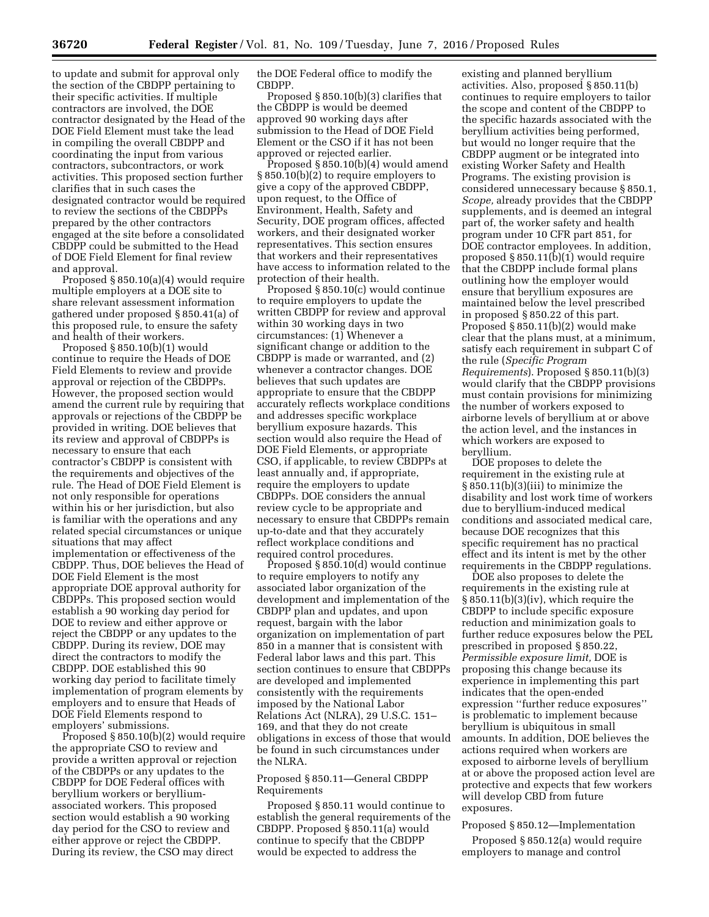to update and submit for approval only the section of the CBDPP pertaining to their specific activities. If multiple contractors are involved, the DOE contractor designated by the Head of the DOE Field Element must take the lead in compiling the overall CBDPP and coordinating the input from various contractors, subcontractors, or work activities. This proposed section further clarifies that in such cases the designated contractor would be required to review the sections of the CBDPPs prepared by the other contractors engaged at the site before a consolidated CBDPP could be submitted to the Head of DOE Field Element for final review and approval.

Proposed § 850.10(a)(4) would require multiple employers at a DOE site to share relevant assessment information gathered under proposed § 850.41(a) of this proposed rule, to ensure the safety and health of their workers.

Proposed § 850.10(b)(1) would continue to require the Heads of DOE Field Elements to review and provide approval or rejection of the CBDPPs. However, the proposed section would amend the current rule by requiring that approvals or rejections of the CBDPP be provided in writing. DOE believes that its review and approval of CBDPPs is necessary to ensure that each contractor's CBDPP is consistent with the requirements and objectives of the rule. The Head of DOE Field Element is not only responsible for operations within his or her jurisdiction, but also is familiar with the operations and any related special circumstances or unique situations that may affect implementation or effectiveness of the CBDPP. Thus, DOE believes the Head of DOE Field Element is the most appropriate DOE approval authority for CBDPPs. This proposed section would establish a 90 working day period for DOE to review and either approve or reject the CBDPP or any updates to the CBDPP. During its review, DOE may direct the contractors to modify the CBDPP. DOE established this 90 working day period to facilitate timely implementation of program elements by employers and to ensure that Heads of DOE Field Elements respond to employers' submissions.

Proposed § 850.10(b)(2) would require the appropriate CSO to review and provide a written approval or rejection of the CBDPPs or any updates to the CBDPP for DOE Federal offices with beryllium workers or berylliumassociated workers. This proposed section would establish a 90 working day period for the CSO to review and either approve or reject the CBDPP. During its review, the CSO may direct

the DOE Federal office to modify the CBDPP.

Proposed § 850.10(b)(3) clarifies that the CBDPP is would be deemed approved 90 working days after submission to the Head of DOE Field Element or the CSO if it has not been approved or rejected earlier.

Proposed § 850.10(b)(4) would amend § 850.10(b)(2) to require employers to give a copy of the approved CBDPP, upon request, to the Office of Environment, Health, Safety and Security, DOE program offices, affected workers, and their designated worker representatives. This section ensures that workers and their representatives have access to information related to the protection of their health.

Proposed § 850.10(c) would continue to require employers to update the written CBDPP for review and approval within 30 working days in two circumstances: (1) Whenever a significant change or addition to the CBDPP is made or warranted, and (2) whenever a contractor changes. DOE believes that such updates are appropriate to ensure that the CBDPP accurately reflects workplace conditions and addresses specific workplace beryllium exposure hazards. This section would also require the Head of DOE Field Elements, or appropriate CSO, if applicable, to review CBDPPs at least annually and, if appropriate, require the employers to update CBDPPs. DOE considers the annual review cycle to be appropriate and necessary to ensure that CBDPPs remain up-to-date and that they accurately reflect workplace conditions and required control procedures.

Proposed § 850.10(d) would continue to require employers to notify any associated labor organization of the development and implementation of the CBDPP plan and updates, and upon request, bargain with the labor organization on implementation of part 850 in a manner that is consistent with Federal labor laws and this part. This section continues to ensure that CBDPPs are developed and implemented consistently with the requirements imposed by the National Labor Relations Act (NLRA), 29 U.S.C. 151– 169, and that they do not create obligations in excess of those that would be found in such circumstances under the NLRA.

## Proposed § 850.11—General CBDPP Requirements

Proposed § 850.11 would continue to establish the general requirements of the CBDPP. Proposed § 850.11(a) would continue to specify that the CBDPP would be expected to address the

existing and planned beryllium activities. Also, proposed § 850.11(b) continues to require employers to tailor the scope and content of the CBDPP to the specific hazards associated with the beryllium activities being performed, but would no longer require that the CBDPP augment or be integrated into existing Worker Safety and Health Programs. The existing provision is considered unnecessary because § 850.1, *Scope,* already provides that the CBDPP supplements, and is deemed an integral part of, the worker safety and health program under 10 CFR part 851, for DOE contractor employees. In addition, proposed § 850.11(b)(1) would require that the CBDPP include formal plans outlining how the employer would ensure that beryllium exposures are maintained below the level prescribed in proposed § 850.22 of this part. Proposed § 850.11(b)(2) would make clear that the plans must, at a minimum, satisfy each requirement in subpart C of the rule (*Specific Program Requirements*). Proposed § 850.11(b)(3) would clarify that the CBDPP provisions must contain provisions for minimizing the number of workers exposed to airborne levels of beryllium at or above the action level, and the instances in which workers are exposed to beryllium.

DOE proposes to delete the requirement in the existing rule at § 850.11(b)(3)(iii) to minimize the disability and lost work time of workers due to beryllium-induced medical conditions and associated medical care, because DOE recognizes that this specific requirement has no practical effect and its intent is met by the other requirements in the CBDPP regulations.

DOE also proposes to delete the requirements in the existing rule at § 850.11(b)(3)(iv), which require the CBDPP to include specific exposure reduction and minimization goals to further reduce exposures below the PEL prescribed in proposed § 850.22, *Permissible exposure limit,* DOE is proposing this change because its experience in implementing this part indicates that the open-ended expression ''further reduce exposures'' is problematic to implement because beryllium is ubiquitous in small amounts. In addition, DOE believes the actions required when workers are exposed to airborne levels of beryllium at or above the proposed action level are protective and expects that few workers will develop CBD from future exposures.

Proposed § 850.12—Implementation

Proposed § 850.12(a) would require employers to manage and control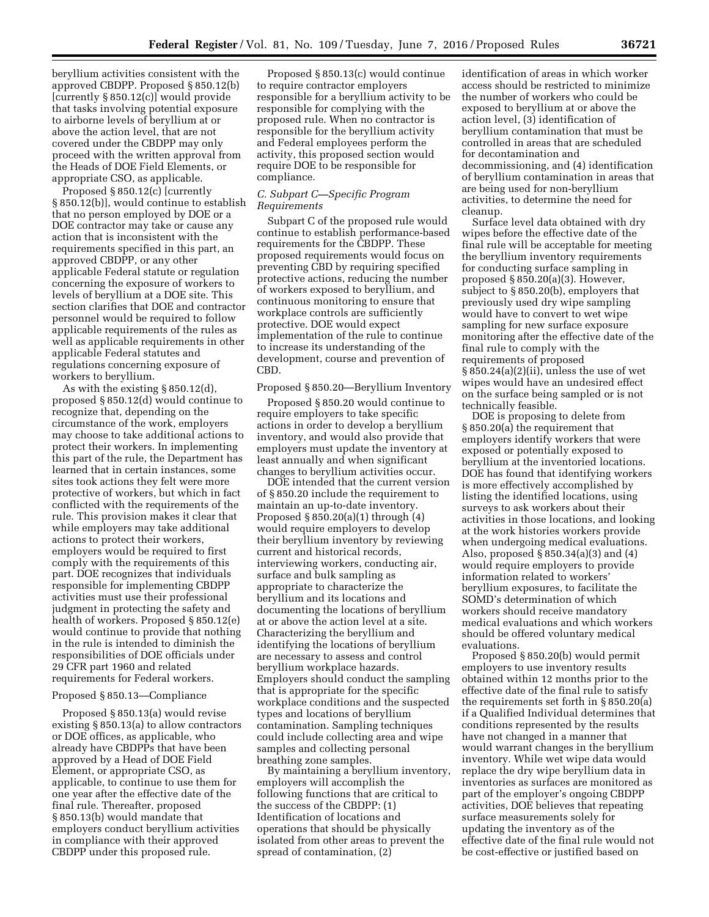beryllium activities consistent with the approved CBDPP. Proposed § 850.12(b) [currently § 850.12(c)] would provide that tasks involving potential exposure to airborne levels of beryllium at or above the action level, that are not covered under the CBDPP may only proceed with the written approval from the Heads of DOE Field Elements, or appropriate CSO, as applicable.

Proposed § 850.12(c) [currently § 850.12(b)], would continue to establish that no person employed by DOE or a DOE contractor may take or cause any action that is inconsistent with the requirements specified in this part, an approved CBDPP, or any other applicable Federal statute or regulation concerning the exposure of workers to levels of beryllium at a DOE site. This section clarifies that DOE and contractor personnel would be required to follow applicable requirements of the rules as well as applicable requirements in other applicable Federal statutes and regulations concerning exposure of workers to beryllium.

As with the existing § 850.12(d), proposed § 850.12(d) would continue to recognize that, depending on the circumstance of the work, employers may choose to take additional actions to protect their workers. In implementing this part of the rule, the Department has learned that in certain instances, some sites took actions they felt were more protective of workers, but which in fact conflicted with the requirements of the rule. This provision makes it clear that while employers may take additional actions to protect their workers, employers would be required to first comply with the requirements of this part. DOE recognizes that individuals responsible for implementing CBDPP activities must use their professional judgment in protecting the safety and health of workers. Proposed § 850.12(e) would continue to provide that nothing in the rule is intended to diminish the responsibilities of DOE officials under 29 CFR part 1960 and related requirements for Federal workers.

#### Proposed § 850.13—Compliance

Proposed § 850.13(a) would revise existing § 850.13(a) to allow contractors or DOE offices, as applicable, who already have CBDPPs that have been approved by a Head of DOE Field Element, or appropriate CSO, as applicable, to continue to use them for one year after the effective date of the final rule. Thereafter, proposed § 850.13(b) would mandate that employers conduct beryllium activities in compliance with their approved CBDPP under this proposed rule.

Proposed § 850.13(c) would continue to require contractor employers responsible for a beryllium activity to be responsible for complying with the proposed rule. When no contractor is responsible for the beryllium activity and Federal employees perform the activity, this proposed section would require DOE to be responsible for compliance.

## *C. Subpart C—Specific Program Requirements*

Subpart C of the proposed rule would continue to establish performance-based requirements for the CBDPP. These proposed requirements would focus on preventing CBD by requiring specified protective actions, reducing the number of workers exposed to beryllium, and continuous monitoring to ensure that workplace controls are sufficiently protective. DOE would expect implementation of the rule to continue to increase its understanding of the development, course and prevention of CBD.

## Proposed § 850.20—Beryllium Inventory

Proposed § 850.20 would continue to require employers to take specific actions in order to develop a beryllium inventory, and would also provide that employers must update the inventory at least annually and when significant changes to beryllium activities occur.

DOE intended that the current version of § 850.20 include the requirement to maintain an up-to-date inventory. Proposed § 850.20(a)(1) through (4) would require employers to develop their beryllium inventory by reviewing current and historical records, interviewing workers, conducting air, surface and bulk sampling as appropriate to characterize the beryllium and its locations and documenting the locations of beryllium at or above the action level at a site. Characterizing the beryllium and identifying the locations of beryllium are necessary to assess and control beryllium workplace hazards. Employers should conduct the sampling that is appropriate for the specific workplace conditions and the suspected types and locations of beryllium contamination. Sampling techniques could include collecting area and wipe samples and collecting personal breathing zone samples.

By maintaining a beryllium inventory, employers will accomplish the following functions that are critical to the success of the CBDPP: (1) Identification of locations and operations that should be physically isolated from other areas to prevent the spread of contamination, (2)

identification of areas in which worker access should be restricted to minimize the number of workers who could be exposed to beryllium at or above the action level, (3) identification of beryllium contamination that must be controlled in areas that are scheduled for decontamination and decommissioning, and (4) identification of beryllium contamination in areas that are being used for non-beryllium activities, to determine the need for cleanup.

Surface level data obtained with dry wipes before the effective date of the final rule will be acceptable for meeting the beryllium inventory requirements for conducting surface sampling in proposed § 850.20(a)(3). However, subject to § 850.20(b), employers that previously used dry wipe sampling would have to convert to wet wipe sampling for new surface exposure monitoring after the effective date of the final rule to comply with the requirements of proposed § 850.24(a)(2)(ii), unless the use of wet wipes would have an undesired effect on the surface being sampled or is not technically feasible.

DOE is proposing to delete from § 850.20(a) the requirement that employers identify workers that were exposed or potentially exposed to beryllium at the inventoried locations. DOE has found that identifying workers is more effectively accomplished by listing the identified locations, using surveys to ask workers about their activities in those locations, and looking at the work histories workers provide when undergoing medical evaluations. Also, proposed § 850.34(a)(3) and (4) would require employers to provide information related to workers' beryllium exposures, to facilitate the SOMD's determination of which workers should receive mandatory medical evaluations and which workers should be offered voluntary medical evaluations.

Proposed § 850.20(b) would permit employers to use inventory results obtained within 12 months prior to the effective date of the final rule to satisfy the requirements set forth in § 850.20(a) if a Qualified Individual determines that conditions represented by the results have not changed in a manner that would warrant changes in the beryllium inventory. While wet wipe data would replace the dry wipe beryllium data in inventories as surfaces are monitored as part of the employer's ongoing CBDPP activities, DOE believes that repeating surface measurements solely for updating the inventory as of the effective date of the final rule would not be cost-effective or justified based on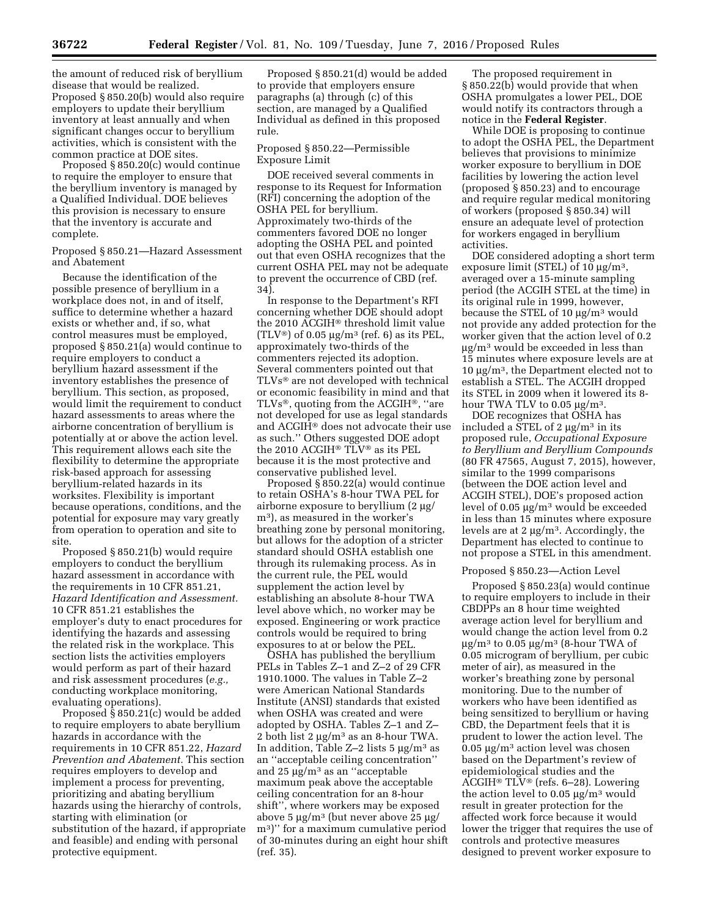the amount of reduced risk of beryllium disease that would be realized. Proposed § 850.20(b) would also require employers to update their beryllium inventory at least annually and when significant changes occur to beryllium activities, which is consistent with the common practice at DOE sites.

Proposed § 850.20(c) would continue to require the employer to ensure that the beryllium inventory is managed by a Qualified Individual. DOE believes this provision is necessary to ensure that the inventory is accurate and complete.

## Proposed § 850.21—Hazard Assessment and Abatement

Because the identification of the possible presence of beryllium in a workplace does not, in and of itself, suffice to determine whether a hazard exists or whether and, if so, what control measures must be employed, proposed § 850.21(a) would continue to require employers to conduct a beryllium hazard assessment if the inventory establishes the presence of beryllium. This section, as proposed, would limit the requirement to conduct hazard assessments to areas where the airborne concentration of beryllium is potentially at or above the action level. This requirement allows each site the flexibility to determine the appropriate risk-based approach for assessing beryllium-related hazards in its worksites. Flexibility is important because operations, conditions, and the potential for exposure may vary greatly from operation to operation and site to site.

Proposed § 850.21(b) would require employers to conduct the beryllium hazard assessment in accordance with the requirements in 10 CFR 851.21, *Hazard Identification and Assessment.*  10 CFR 851.21 establishes the employer's duty to enact procedures for identifying the hazards and assessing the related risk in the workplace. This section lists the activities employers would perform as part of their hazard and risk assessment procedures (*e.g.,*  conducting workplace monitoring, evaluating operations).

Proposed § 850.21(c) would be added to require employers to abate beryllium hazards in accordance with the requirements in 10 CFR 851.22, *Hazard Prevention and Abatement.* This section requires employers to develop and implement a process for preventing, prioritizing and abating beryllium hazards using the hierarchy of controls, starting with elimination (or substitution of the hazard, if appropriate and feasible) and ending with personal protective equipment.

Proposed § 850.21(d) would be added to provide that employers ensure paragraphs (a) through (c) of this section, are managed by a Qualified Individual as defined in this proposed rule.

#### Proposed § 850.22—Permissible Exposure Limit

DOE received several comments in response to its Request for Information (RFI) concerning the adoption of the OSHA PEL for beryllium. Approximately two-thirds of the commenters favored DOE no longer adopting the OSHA PEL and pointed out that even OSHA recognizes that the current OSHA PEL may not be adequate to prevent the occurrence of CBD (ref. 34).

In response to the Department's RFI concerning whether DOE should adopt the 2010 ACGIH® threshold limit value (TLV<sup>®</sup>) of 0.05  $\mu$ g/m<sup>3</sup> (ref. 6) as its PEL, approximately two-thirds of the commenters rejected its adoption. Several commenters pointed out that TLVs® are not developed with technical or economic feasibility in mind and that TLVs®, quoting from the ACGIH®, ''are not developed for use as legal standards and ACGIH® does not advocate their use as such.'' Others suggested DOE adopt the 2010 ACGIH® TLV® as its PEL because it is the most protective and conservative published level.

Proposed § 850.22(a) would continue to retain OSHA's 8-hour TWA PEL for airborne exposure to beryllium  $(2 \mu g)$ m3), as measured in the worker's breathing zone by personal monitoring, but allows for the adoption of a stricter standard should OSHA establish one through its rulemaking process. As in the current rule, the PEL would supplement the action level by establishing an absolute 8-hour TWA level above which, no worker may be exposed. Engineering or work practice controls would be required to bring exposures to at or below the PEL.

OSHA has published the beryllium PELs in Tables Z–1 and Z–2 of 29 CFR 1910.1000. The values in Table Z–2 were American National Standards Institute (ANSI) standards that existed when OSHA was created and were adopted by OSHA. Tables Z–1 and Z– 2 both list  $2 \mu g/m^3$  as an 8-hour TWA. In addition, Table  $Z-2$  lists 5  $\mu$ g/m<sup>3</sup> as an ''acceptable ceiling concentration'' and  $25 \mu g/m^3$  as an "acceptable maximum peak above the acceptable ceiling concentration for an 8-hour shift'', where workers may be exposed above 5  $\mu$ g/m<sup>3</sup> (but never above 25  $\mu$ g/ m3)'' for a maximum cumulative period of 30-minutes during an eight hour shift (ref. 35).

The proposed requirement in § 850.22(b) would provide that when OSHA promulgates a lower PEL, DOE would notify its contractors through a notice in the **Federal Register**.

While DOE is proposing to continue to adopt the OSHA PEL, the Department believes that provisions to minimize worker exposure to beryllium in DOE facilities by lowering the action level (proposed § 850.23) and to encourage and require regular medical monitoring of workers (proposed § 850.34) will ensure an adequate level of protection for workers engaged in beryllium activities.

DOE considered adopting a short term exposure limit (STEL) of 10  $\mu$ g/m<sup>3</sup>, averaged over a 15-minute sampling period (the ACGIH STEL at the time) in its original rule in 1999, however, because the STEL of 10  $\mu$ g/m<sup>3</sup> would not provide any added protection for the worker given that the action level of 0.2  $\mu$ g/m<sup>3</sup> would be exceeded in less than 15 minutes where exposure levels are at 10  $\mu$ g/m<sup>3</sup>, the Department elected not to establish a STEL. The ACGIH dropped its STEL in 2009 when it lowered its 8 hour TWA TLV to  $0.05 \mu g/m^3$ .

DOE recognizes that OSHA has included a STEL of 2  $\mu$ g/m<sup>3</sup> in its proposed rule, *Occupational Exposure to Beryllium and Beryllium Compounds*  (80 FR 47565, August 7, 2015), however, similar to the 1999 comparisons (between the DOE action level and ACGIH STEL), DOE's proposed action level of  $0.05 \mu g/m^3$  would be exceeded in less than 15 minutes where exposure levels are at  $2 \mu g/m^3$ . Accordingly, the Department has elected to continue to not propose a STEL in this amendment.

#### Proposed § 850.23—Action Level

Proposed § 850.23(a) would continue to require employers to include in their CBDPPs an 8 hour time weighted average action level for beryllium and would change the action level from 0.2  $\mu$ g/m<sup>3</sup> to 0.05  $\mu$ g/m<sup>3</sup> (8-hour TWA of 0.05 microgram of beryllium, per cubic meter of air), as measured in the worker's breathing zone by personal monitoring. Due to the number of workers who have been identified as being sensitized to beryllium or having CBD, the Department feels that it is prudent to lower the action level. The  $0.05 \mu g/m^3$  action level was chosen based on the Department's review of epidemiological studies and the ACGIH® TLV® (refs. 6–28). Lowering the action level to  $0.05 \mu g/m^3$  would result in greater protection for the affected work force because it would lower the trigger that requires the use of controls and protective measures designed to prevent worker exposure to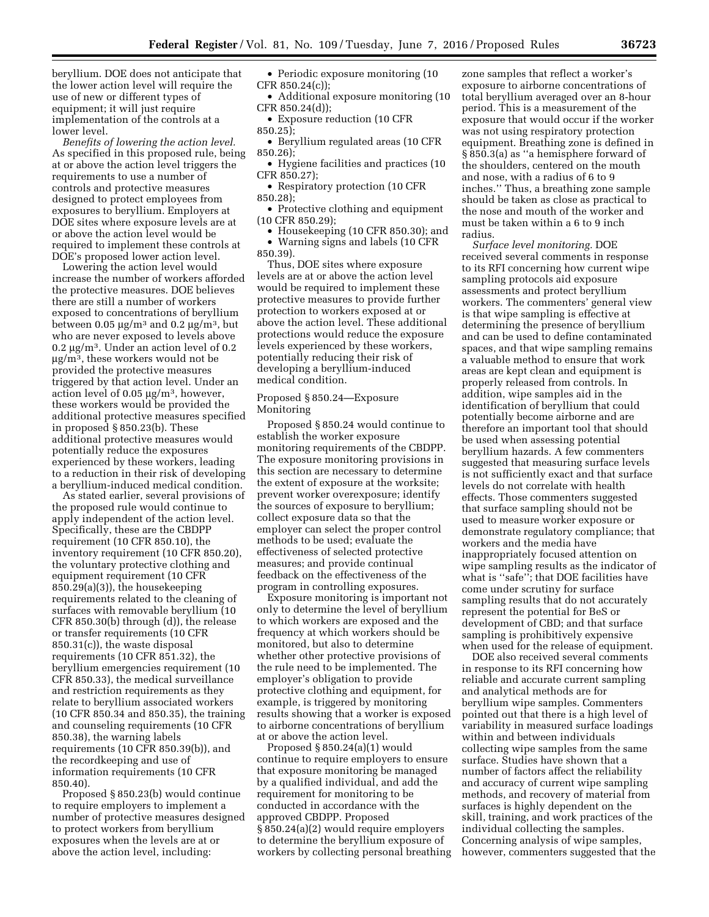beryllium. DOE does not anticipate that the lower action level will require the use of new or different types of equipment; it will just require implementation of the controls at a lower level.

*Benefits of lowering the action level.*  As specified in this proposed rule, being at or above the action level triggers the requirements to use a number of controls and protective measures designed to protect employees from exposures to beryllium. Employers at DOE sites where exposure levels are at or above the action level would be required to implement these controls at DOE's proposed lower action level.

Lowering the action level would increase the number of workers afforded the protective measures. DOE believes there are still a number of workers exposed to concentrations of beryllium between 0.05  $\mu$ g/m<sup>3</sup> and 0.2  $\mu$ g/m<sup>3</sup>, but who are never exposed to levels above 0.2  $\mu$ g/m<sup>3</sup>. Under an action level of 0.2  $\mu$ g/m<sup>3</sup>, these workers would not be provided the protective measures triggered by that action level. Under an action level of  $0.05 \mu g/m^3$ , however, these workers would be provided the additional protective measures specified in proposed § 850.23(b). These additional protective measures would potentially reduce the exposures experienced by these workers, leading to a reduction in their risk of developing a beryllium-induced medical condition.

As stated earlier, several provisions of the proposed rule would continue to apply independent of the action level. Specifically, these are the CBDPP requirement (10 CFR 850.10), the inventory requirement (10 CFR 850.20), the voluntary protective clothing and equipment requirement (10 CFR 850.29(a)(3)), the housekeeping requirements related to the cleaning of surfaces with removable beryllium (10 CFR 850.30(b) through (d)), the release or transfer requirements (10 CFR 850.31(c)), the waste disposal requirements (10 CFR 851.32), the beryllium emergencies requirement (10 CFR 850.33), the medical surveillance and restriction requirements as they relate to beryllium associated workers (10 CFR 850.34 and 850.35), the training and counseling requirements (10 CFR 850.38), the warning labels requirements (10 CFR 850.39(b)), and the recordkeeping and use of information requirements (10 CFR 850.40).

Proposed § 850.23(b) would continue to require employers to implement a number of protective measures designed to protect workers from beryllium exposures when the levels are at or above the action level, including:

- Periodic exposure monitoring (10 CFR 850.24(c));
- Additional exposure monitoring (10 CFR 850.24(d));
- Exposure reduction (10 CFR 850.25);
- Beryllium regulated areas (10 CFR 850.26);
- Hygiene facilities and practices (10 CFR 850.27);
- Respiratory protection (10 CFR 850.28);
- Protective clothing and equipment (10 CFR 850.29);
- Housekeeping (10 CFR 850.30); and
- Warning signs and labels (10 CFR 850.39).

Thus, DOE sites where exposure levels are at or above the action level would be required to implement these protective measures to provide further protection to workers exposed at or above the action level. These additional protections would reduce the exposure levels experienced by these workers, potentially reducing their risk of developing a beryllium-induced medical condition.

## Proposed § 850.24—Exposure Monitoring

Proposed § 850.24 would continue to establish the worker exposure monitoring requirements of the CBDPP. The exposure monitoring provisions in this section are necessary to determine the extent of exposure at the worksite; prevent worker overexposure; identify the sources of exposure to beryllium; collect exposure data so that the employer can select the proper control methods to be used; evaluate the effectiveness of selected protective measures; and provide continual feedback on the effectiveness of the program in controlling exposures.

Exposure monitoring is important not only to determine the level of beryllium to which workers are exposed and the frequency at which workers should be monitored, but also to determine whether other protective provisions of the rule need to be implemented. The employer's obligation to provide protective clothing and equipment, for example, is triggered by monitoring results showing that a worker is exposed to airborne concentrations of beryllium at or above the action level.

Proposed § 850.24(a)(1) would continue to require employers to ensure that exposure monitoring be managed by a qualified individual, and add the requirement for monitoring to be conducted in accordance with the approved CBDPP. Proposed § 850.24(a)(2) would require employers to determine the beryllium exposure of workers by collecting personal breathing zone samples that reflect a worker's exposure to airborne concentrations of total beryllium averaged over an 8-hour period. This is a measurement of the exposure that would occur if the worker was not using respiratory protection equipment. Breathing zone is defined in § 850.3(a) as ''a hemisphere forward of the shoulders, centered on the mouth and nose, with a radius of 6 to 9 inches.'' Thus, a breathing zone sample should be taken as close as practical to the nose and mouth of the worker and must be taken within a 6 to 9 inch radius.

*Surface level monitoring.* DOE received several comments in response to its RFI concerning how current wipe sampling protocols aid exposure assessments and protect beryllium workers. The commenters' general view is that wipe sampling is effective at determining the presence of beryllium and can be used to define contaminated spaces, and that wipe sampling remains a valuable method to ensure that work areas are kept clean and equipment is properly released from controls. In addition, wipe samples aid in the identification of beryllium that could potentially become airborne and are therefore an important tool that should be used when assessing potential beryllium hazards. A few commenters suggested that measuring surface levels is not sufficiently exact and that surface levels do not correlate with health effects. Those commenters suggested that surface sampling should not be used to measure worker exposure or demonstrate regulatory compliance; that workers and the media have inappropriately focused attention on wipe sampling results as the indicator of what is ''safe''; that DOE facilities have come under scrutiny for surface sampling results that do not accurately represent the potential for BeS or development of CBD; and that surface sampling is prohibitively expensive when used for the release of equipment.

DOE also received several comments in response to its RFI concerning how reliable and accurate current sampling and analytical methods are for beryllium wipe samples. Commenters pointed out that there is a high level of variability in measured surface loadings within and between individuals collecting wipe samples from the same surface. Studies have shown that a number of factors affect the reliability and accuracy of current wipe sampling methods, and recovery of material from surfaces is highly dependent on the skill, training, and work practices of the individual collecting the samples. Concerning analysis of wipe samples, however, commenters suggested that the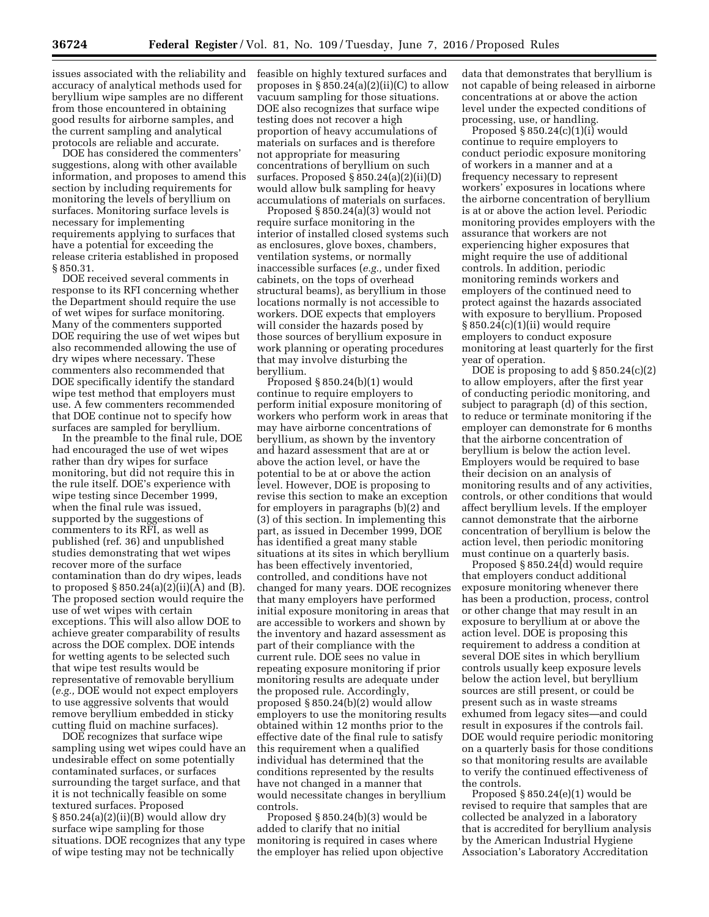issues associated with the reliability and accuracy of analytical methods used for beryllium wipe samples are no different from those encountered in obtaining good results for airborne samples, and the current sampling and analytical protocols are reliable and accurate.

DOE has considered the commenters' suggestions, along with other available information, and proposes to amend this section by including requirements for monitoring the levels of beryllium on surfaces. Monitoring surface levels is necessary for implementing requirements applying to surfaces that have a potential for exceeding the release criteria established in proposed § 850.31.

DOE received several comments in response to its RFI concerning whether the Department should require the use of wet wipes for surface monitoring. Many of the commenters supported DOE requiring the use of wet wipes but also recommended allowing the use of dry wipes where necessary. These commenters also recommended that DOE specifically identify the standard wipe test method that employers must use. A few commenters recommended that DOE continue not to specify how surfaces are sampled for beryllium.

In the preamble to the final rule, DOE had encouraged the use of wet wipes rather than dry wipes for surface monitoring, but did not require this in the rule itself. DOE's experience with wipe testing since December 1999, when the final rule was issued, supported by the suggestions of commenters to its RFI, as well as published (ref. 36) and unpublished studies demonstrating that wet wipes recover more of the surface contamination than do dry wipes, leads to proposed  $\S 850.24(a)(2)(ii)(A)$  and  $(B)$ . The proposed section would require the use of wet wipes with certain exceptions. This will also allow DOE to achieve greater comparability of results across the DOE complex. DOE intends for wetting agents to be selected such that wipe test results would be representative of removable beryllium (*e.g.,* DOE would not expect employers to use aggressive solvents that would remove beryllium embedded in sticky cutting fluid on machine surfaces).

DOE recognizes that surface wipe sampling using wet wipes could have an undesirable effect on some potentially contaminated surfaces, or surfaces surrounding the target surface, and that it is not technically feasible on some textured surfaces. Proposed § 850.24(a)(2)(ii)(B) would allow dry surface wipe sampling for those situations. DOE recognizes that any type of wipe testing may not be technically

feasible on highly textured surfaces and proposes in  $\S 850.24(a)(2)(ii)(C)$  to allow vacuum sampling for those situations. DOE also recognizes that surface wipe testing does not recover a high proportion of heavy accumulations of materials on surfaces and is therefore not appropriate for measuring concentrations of beryllium on such surfaces. Proposed  $\S 850.24(a)(2)(ii)(D)$ would allow bulk sampling for heavy accumulations of materials on surfaces.

Proposed § 850.24(a)(3) would not require surface monitoring in the interior of installed closed systems such as enclosures, glove boxes, chambers, ventilation systems, or normally inaccessible surfaces (*e.g.,* under fixed cabinets, on the tops of overhead structural beams), as beryllium in those locations normally is not accessible to workers. DOE expects that employers will consider the hazards posed by those sources of beryllium exposure in work planning or operating procedures that may involve disturbing the beryllium.

Proposed § 850.24(b)(1) would continue to require employers to perform initial exposure monitoring of workers who perform work in areas that may have airborne concentrations of beryllium, as shown by the inventory and hazard assessment that are at or above the action level, or have the potential to be at or above the action level. However, DOE is proposing to revise this section to make an exception for employers in paragraphs (b)(2) and (3) of this section. In implementing this part, as issued in December 1999, DOE has identified a great many stable situations at its sites in which beryllium has been effectively inventoried, controlled, and conditions have not changed for many years. DOE recognizes that many employers have performed initial exposure monitoring in areas that are accessible to workers and shown by the inventory and hazard assessment as part of their compliance with the current rule. DOE sees no value in repeating exposure monitoring if prior monitoring results are adequate under the proposed rule. Accordingly, proposed § 850.24(b)(2) would allow employers to use the monitoring results obtained within 12 months prior to the effective date of the final rule to satisfy this requirement when a qualified individual has determined that the conditions represented by the results have not changed in a manner that would necessitate changes in beryllium controls.

Proposed § 850.24(b)(3) would be added to clarify that no initial monitoring is required in cases where the employer has relied upon objective

data that demonstrates that beryllium is not capable of being released in airborne concentrations at or above the action level under the expected conditions of processing, use, or handling.

Proposed  $\S 850.24(c)(1)(i)$  would continue to require employers to conduct periodic exposure monitoring of workers in a manner and at a frequency necessary to represent workers' exposures in locations where the airborne concentration of beryllium is at or above the action level. Periodic monitoring provides employers with the assurance that workers are not experiencing higher exposures that might require the use of additional controls. In addition, periodic monitoring reminds workers and employers of the continued need to protect against the hazards associated with exposure to beryllium. Proposed § 850.24(c)(1)(ii) would require employers to conduct exposure monitoring at least quarterly for the first year of operation.

DOE is proposing to add  $\S 850.24(c)(2)$ to allow employers, after the first year of conducting periodic monitoring, and subject to paragraph (d) of this section, to reduce or terminate monitoring if the employer can demonstrate for 6 months that the airborne concentration of beryllium is below the action level. Employers would be required to base their decision on an analysis of monitoring results and of any activities, controls, or other conditions that would affect beryllium levels. If the employer cannot demonstrate that the airborne concentration of beryllium is below the action level, then periodic monitoring must continue on a quarterly basis.

Proposed § 850.24(d) would require that employers conduct additional exposure monitoring whenever there has been a production, process, control or other change that may result in an exposure to beryllium at or above the action level. DOE is proposing this requirement to address a condition at several DOE sites in which beryllium controls usually keep exposure levels below the action level, but beryllium sources are still present, or could be present such as in waste streams exhumed from legacy sites—and could result in exposures if the controls fail. DOE would require periodic monitoring on a quarterly basis for those conditions so that monitoring results are available to verify the continued effectiveness of the controls.

Proposed § 850.24(e)(1) would be revised to require that samples that are collected be analyzed in a laboratory that is accredited for beryllium analysis by the American Industrial Hygiene Association's Laboratory Accreditation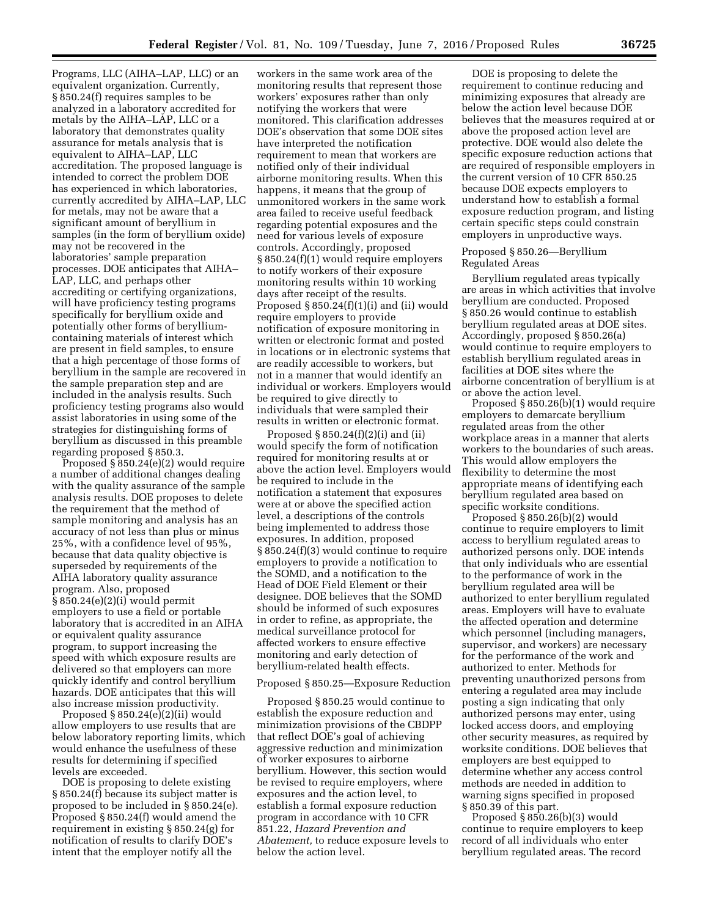Programs, LLC (AIHA–LAP, LLC) or an equivalent organization. Currently, § 850.24(f) requires samples to be analyzed in a laboratory accredited for metals by the AIHA–LAP, LLC or a laboratory that demonstrates quality assurance for metals analysis that is equivalent to AIHA–LAP, LLC accreditation. The proposed language is intended to correct the problem DOE has experienced in which laboratories, currently accredited by AIHA–LAP, LLC for metals, may not be aware that a significant amount of beryllium in samples (in the form of beryllium oxide) may not be recovered in the laboratories' sample preparation processes. DOE anticipates that AIHA– LAP, LLC, and perhaps other accrediting or certifying organizations, will have proficiency testing programs specifically for beryllium oxide and potentially other forms of berylliumcontaining materials of interest which are present in field samples, to ensure that a high percentage of those forms of beryllium in the sample are recovered in the sample preparation step and are included in the analysis results. Such proficiency testing programs also would assist laboratories in using some of the strategies for distinguishing forms of beryllium as discussed in this preamble regarding proposed § 850.3.

Proposed § 850.24(e)(2) would require a number of additional changes dealing with the quality assurance of the sample analysis results. DOE proposes to delete the requirement that the method of sample monitoring and analysis has an accuracy of not less than plus or minus 25%, with a confidence level of 95%, because that data quality objective is superseded by requirements of the AIHA laboratory quality assurance program. Also, proposed § 850.24(e)(2)(i) would permit employers to use a field or portable laboratory that is accredited in an AIHA or equivalent quality assurance program, to support increasing the speed with which exposure results are delivered so that employers can more quickly identify and control beryllium hazards. DOE anticipates that this will also increase mission productivity.

Proposed § 850.24(e)(2)(ii) would allow employers to use results that are below laboratory reporting limits, which would enhance the usefulness of these results for determining if specified levels are exceeded.

DOE is proposing to delete existing § 850.24(f) because its subject matter is proposed to be included in § 850.24(e). Proposed § 850.24(f) would amend the requirement in existing § 850.24(g) for notification of results to clarify DOE's intent that the employer notify all the

workers in the same work area of the monitoring results that represent those workers' exposures rather than only notifying the workers that were monitored. This clarification addresses DOE's observation that some DOE sites have interpreted the notification requirement to mean that workers are notified only of their individual airborne monitoring results. When this happens, it means that the group of unmonitored workers in the same work area failed to receive useful feedback regarding potential exposures and the need for various levels of exposure controls. Accordingly, proposed § 850.24(f)(1) would require employers to notify workers of their exposure monitoring results within 10 working days after receipt of the results. Proposed  $\S 850.24(f)(1)(i)$  and (ii) would require employers to provide notification of exposure monitoring in written or electronic format and posted in locations or in electronic systems that are readily accessible to workers, but not in a manner that would identify an individual or workers. Employers would be required to give directly to individuals that were sampled their results in written or electronic format.

Proposed § 850.24(f)(2)(i) and (ii) would specify the form of notification required for monitoring results at or above the action level. Employers would be required to include in the notification a statement that exposures were at or above the specified action level, a descriptions of the controls being implemented to address those exposures. In addition, proposed § 850.24(f)(3) would continue to require employers to provide a notification to the SOMD, and a notification to the Head of DOE Field Element or their designee. DOE believes that the SOMD should be informed of such exposures in order to refine, as appropriate, the medical surveillance protocol for affected workers to ensure effective monitoring and early detection of beryllium-related health effects.

#### Proposed § 850.25—Exposure Reduction

Proposed § 850.25 would continue to establish the exposure reduction and minimization provisions of the CBDPP that reflect DOE's goal of achieving aggressive reduction and minimization of worker exposures to airborne beryllium. However, this section would be revised to require employers, where exposures and the action level, to establish a formal exposure reduction program in accordance with 10 CFR 851.22, *Hazard Prevention and Abatement,* to reduce exposure levels to below the action level.

DOE is proposing to delete the requirement to continue reducing and minimizing exposures that already are below the action level because DOE believes that the measures required at or above the proposed action level are protective. DOE would also delete the specific exposure reduction actions that are required of responsible employers in the current version of 10 CFR 850.25 because DOE expects employers to understand how to establish a formal exposure reduction program, and listing certain specific steps could constrain employers in unproductive ways.

#### Proposed § 850.26—Beryllium Regulated Areas

Beryllium regulated areas typically are areas in which activities that involve beryllium are conducted. Proposed § 850.26 would continue to establish beryllium regulated areas at DOE sites. Accordingly, proposed § 850.26(a) would continue to require employers to establish beryllium regulated areas in facilities at DOE sites where the airborne concentration of beryllium is at or above the action level.

Proposed § 850.26(b)(1) would require employers to demarcate beryllium regulated areas from the other workplace areas in a manner that alerts workers to the boundaries of such areas. This would allow employers the flexibility to determine the most appropriate means of identifying each beryllium regulated area based on specific worksite conditions.

Proposed § 850.26(b)(2) would continue to require employers to limit access to beryllium regulated areas to authorized persons only. DOE intends that only individuals who are essential to the performance of work in the beryllium regulated area will be authorized to enter beryllium regulated areas. Employers will have to evaluate the affected operation and determine which personnel (including managers, supervisor, and workers) are necessary for the performance of the work and authorized to enter. Methods for preventing unauthorized persons from entering a regulated area may include posting a sign indicating that only authorized persons may enter, using locked access doors, and employing other security measures, as required by worksite conditions. DOE believes that employers are best equipped to determine whether any access control methods are needed in addition to warning signs specified in proposed § 850.39 of this part.

Proposed  $\S 850.26(b)(3)$  would continue to require employers to keep record of all individuals who enter beryllium regulated areas. The record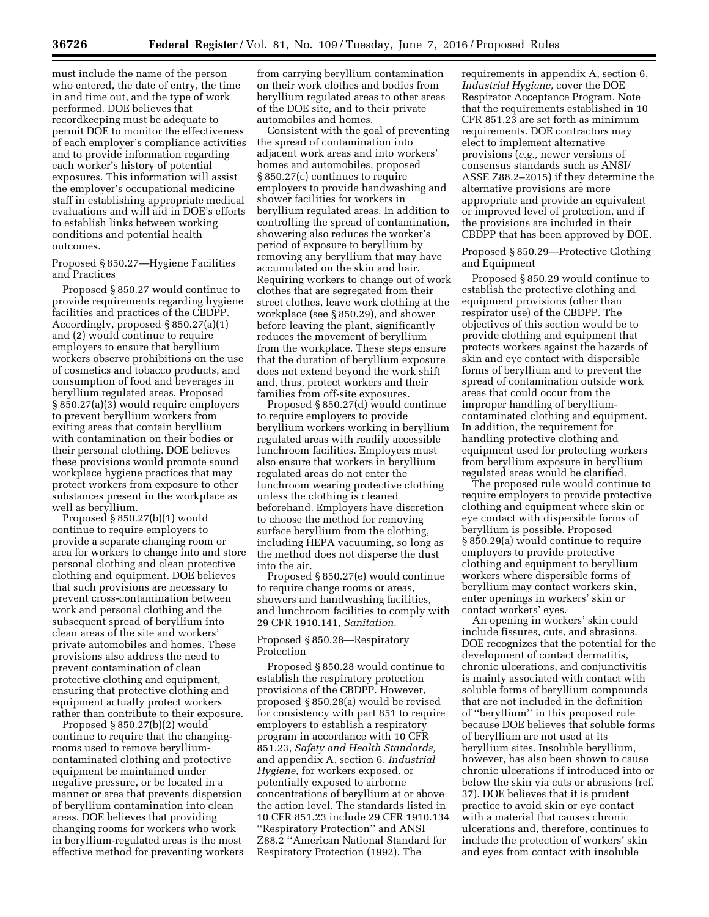must include the name of the person who entered, the date of entry, the time in and time out, and the type of work performed. DOE believes that recordkeeping must be adequate to permit DOE to monitor the effectiveness of each employer's compliance activities and to provide information regarding each worker's history of potential exposures. This information will assist the employer's occupational medicine staff in establishing appropriate medical evaluations and will aid in DOE's efforts to establish links between working conditions and potential health outcomes.

Proposed § 850.27—Hygiene Facilities and Practices

Proposed § 850.27 would continue to provide requirements regarding hygiene facilities and practices of the CBDPP. Accordingly, proposed § 850.27(a)(1) and (2) would continue to require employers to ensure that beryllium workers observe prohibitions on the use of cosmetics and tobacco products, and consumption of food and beverages in beryllium regulated areas. Proposed § 850.27(a)(3) would require employers to prevent beryllium workers from exiting areas that contain beryllium with contamination on their bodies or their personal clothing. DOE believes these provisions would promote sound workplace hygiene practices that may protect workers from exposure to other substances present in the workplace as well as beryllium.

Proposed § 850.27(b)(1) would continue to require employers to provide a separate changing room or area for workers to change into and store personal clothing and clean protective clothing and equipment. DOE believes that such provisions are necessary to prevent cross-contamination between work and personal clothing and the subsequent spread of beryllium into clean areas of the site and workers' private automobiles and homes. These provisions also address the need to prevent contamination of clean protective clothing and equipment, ensuring that protective clothing and equipment actually protect workers rather than contribute to their exposure.

Proposed § 850.27(b)(2) would continue to require that the changingrooms used to remove berylliumcontaminated clothing and protective equipment be maintained under negative pressure, or be located in a manner or area that prevents dispersion of beryllium contamination into clean areas. DOE believes that providing changing rooms for workers who work in beryllium-regulated areas is the most effective method for preventing workers

from carrying beryllium contamination on their work clothes and bodies from beryllium regulated areas to other areas of the DOE site, and to their private automobiles and homes.

Consistent with the goal of preventing the spread of contamination into adjacent work areas and into workers' homes and automobiles, proposed § 850.27(c) continues to require employers to provide handwashing and shower facilities for workers in beryllium regulated areas. In addition to controlling the spread of contamination, showering also reduces the worker's period of exposure to beryllium by removing any beryllium that may have accumulated on the skin and hair. Requiring workers to change out of work clothes that are segregated from their street clothes, leave work clothing at the workplace (see § 850.29), and shower before leaving the plant, significantly reduces the movement of beryllium from the workplace. These steps ensure that the duration of beryllium exposure does not extend beyond the work shift and, thus, protect workers and their families from off-site exposures.

Proposed § 850.27(d) would continue to require employers to provide beryllium workers working in beryllium regulated areas with readily accessible lunchroom facilities. Employers must also ensure that workers in beryllium regulated areas do not enter the lunchroom wearing protective clothing unless the clothing is cleaned beforehand. Employers have discretion to choose the method for removing surface beryllium from the clothing, including HEPA vacuuming, so long as the method does not disperse the dust into the air.

Proposed § 850.27(e) would continue to require change rooms or areas, showers and handwashing facilities, and lunchroom facilities to comply with 29 CFR 1910.141, *Sanitation.* 

## Proposed § 850.28—Respiratory Protection

Proposed § 850.28 would continue to establish the respiratory protection provisions of the CBDPP. However, proposed § 850.28(a) would be revised for consistency with part 851 to require employers to establish a respiratory program in accordance with 10 CFR 851.23, *Safety and Health Standards,*  and appendix A, section 6, *Industrial Hygiene,* for workers exposed, or potentially exposed to airborne concentrations of beryllium at or above the action level. The standards listed in 10 CFR 851.23 include 29 CFR 1910.134 ''Respiratory Protection'' and ANSI Z88.2 ''American National Standard for Respiratory Protection (1992). The

requirements in appendix A, section 6, *Industrial Hygiene,* cover the DOE Respirator Acceptance Program. Note that the requirements established in 10 CFR 851.23 are set forth as minimum requirements. DOE contractors may elect to implement alternative provisions (*e.g.,* newer versions of consensus standards such as ANSI/ ASSE Z88.2–2015) if they determine the alternative provisions are more appropriate and provide an equivalent or improved level of protection, and if the provisions are included in their CBDPP that has been approved by DOE.

Proposed § 850.29—Protective Clothing and Equipment

Proposed § 850.29 would continue to establish the protective clothing and equipment provisions (other than respirator use) of the CBDPP. The objectives of this section would be to provide clothing and equipment that protects workers against the hazards of skin and eye contact with dispersible forms of beryllium and to prevent the spread of contamination outside work areas that could occur from the improper handling of berylliumcontaminated clothing and equipment. In addition, the requirement for handling protective clothing and equipment used for protecting workers from beryllium exposure in beryllium regulated areas would be clarified.

The proposed rule would continue to require employers to provide protective clothing and equipment where skin or eye contact with dispersible forms of beryllium is possible. Proposed § 850.29(a) would continue to require employers to provide protective clothing and equipment to beryllium workers where dispersible forms of beryllium may contact workers skin, enter openings in workers' skin or contact workers' eyes.

An opening in workers' skin could include fissures, cuts, and abrasions. DOE recognizes that the potential for the development of contact dermatitis, chronic ulcerations, and conjunctivitis is mainly associated with contact with soluble forms of beryllium compounds that are not included in the definition of ''beryllium'' in this proposed rule because DOE believes that soluble forms of beryllium are not used at its beryllium sites. Insoluble beryllium, however, has also been shown to cause chronic ulcerations if introduced into or below the skin via cuts or abrasions (ref. 37). DOE believes that it is prudent practice to avoid skin or eye contact with a material that causes chronic ulcerations and, therefore, continues to include the protection of workers' skin and eyes from contact with insoluble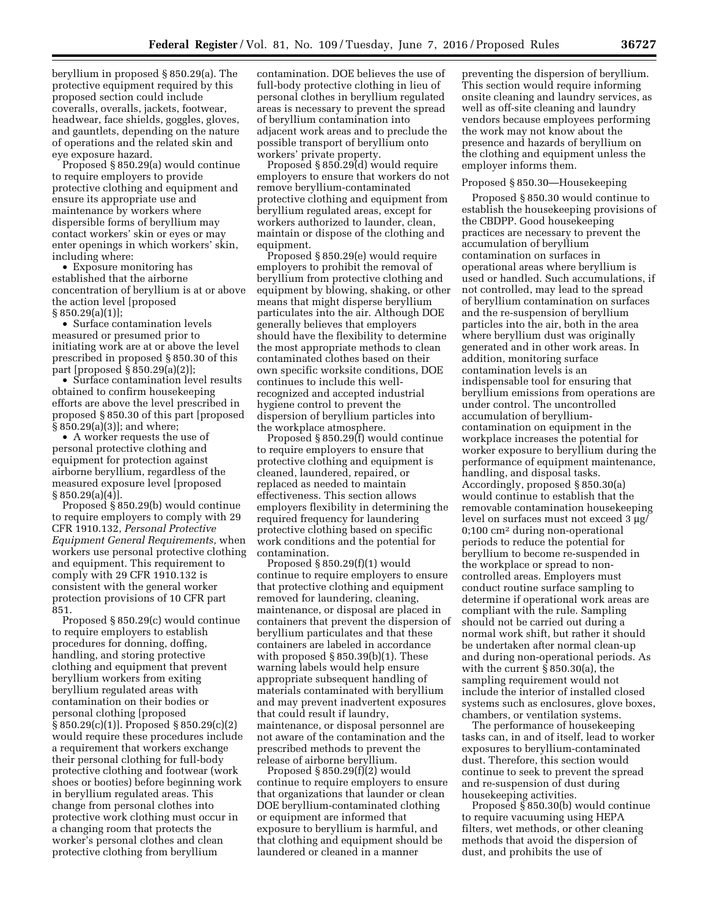beryllium in proposed § 850.29(a). The protective equipment required by this proposed section could include coveralls, overalls, jackets, footwear, headwear, face shields, goggles, gloves, and gauntlets, depending on the nature of operations and the related skin and eye exposure hazard.

Proposed § 850.29(a) would continue to require employers to provide protective clothing and equipment and ensure its appropriate use and maintenance by workers where dispersible forms of beryllium may contact workers' skin or eyes or may enter openings in which workers' skin, including where:

• Exposure monitoring has established that the airborne concentration of beryllium is at or above the action level [proposed  $\S 850.29(a)(1)$ ;

• Surface contamination levels measured or presumed prior to initiating work are at or above the level prescribed in proposed § 850.30 of this part [proposed § 850.29(a)(2)];

• Surface contamination level results obtained to confirm housekeeping efforts are above the level prescribed in proposed § 850.30 of this part [proposed § 850.29(a)(3)]; and where;

• A worker requests the use of personal protective clothing and equipment for protection against airborne beryllium, regardless of the measured exposure level [proposed § 850.29(a)(4)].

Proposed § 850.29(b) would continue to require employers to comply with 29 CFR 1910.132, *Personal Protective Equipment General Requirements,* when workers use personal protective clothing and equipment. This requirement to comply with 29 CFR 1910.132 is consistent with the general worker protection provisions of 10 CFR part 851.

Proposed § 850.29(c) would continue to require employers to establish procedures for donning, doffing, handling, and storing protective clothing and equipment that prevent beryllium workers from exiting beryllium regulated areas with contamination on their bodies or personal clothing [proposed § 850.29(c)(1)]. Proposed § 850.29(c)(2) would require these procedures include a requirement that workers exchange their personal clothing for full-body protective clothing and footwear (work shoes or booties) before beginning work in beryllium regulated areas. This change from personal clothes into protective work clothing must occur in a changing room that protects the worker's personal clothes and clean protective clothing from beryllium

contamination. DOE believes the use of full-body protective clothing in lieu of personal clothes in beryllium regulated areas is necessary to prevent the spread of beryllium contamination into adjacent work areas and to preclude the possible transport of beryllium onto workers' private property.

Proposed § 850.29(d) would require employers to ensure that workers do not remove beryllium-contaminated protective clothing and equipment from beryllium regulated areas, except for workers authorized to launder, clean, maintain or dispose of the clothing and equipment.

Proposed § 850.29(e) would require employers to prohibit the removal of beryllium from protective clothing and equipment by blowing, shaking, or other means that might disperse beryllium particulates into the air. Although DOE generally believes that employers should have the flexibility to determine the most appropriate methods to clean contaminated clothes based on their own specific worksite conditions, DOE continues to include this wellrecognized and accepted industrial hygiene control to prevent the dispersion of beryllium particles into the workplace atmosphere.

Proposed § 850.29(f) would continue to require employers to ensure that protective clothing and equipment is cleaned, laundered, repaired, or replaced as needed to maintain effectiveness. This section allows employers flexibility in determining the required frequency for laundering protective clothing based on specific work conditions and the potential for contamination.

Proposed § 850.29(f)(1) would continue to require employers to ensure that protective clothing and equipment removed for laundering, cleaning, maintenance, or disposal are placed in containers that prevent the dispersion of beryllium particulates and that these containers are labeled in accordance with proposed § 850.39(b)(1). These warning labels would help ensure appropriate subsequent handling of materials contaminated with beryllium and may prevent inadvertent exposures that could result if laundry, maintenance, or disposal personnel are not aware of the contamination and the prescribed methods to prevent the release of airborne beryllium.

Proposed § 850.29(f)(2) would continue to require employers to ensure that organizations that launder or clean DOE beryllium-contaminated clothing or equipment are informed that exposure to beryllium is harmful, and that clothing and equipment should be laundered or cleaned in a manner

preventing the dispersion of beryllium. This section would require informing onsite cleaning and laundry services, as well as off-site cleaning and laundry vendors because employees performing the work may not know about the presence and hazards of beryllium on the clothing and equipment unless the employer informs them.

#### Proposed § 850.30—Housekeeping

Proposed § 850.30 would continue to establish the housekeeping provisions of the CBDPP. Good housekeeping practices are necessary to prevent the accumulation of beryllium contamination on surfaces in operational areas where beryllium is used or handled. Such accumulations, if not controlled, may lead to the spread of beryllium contamination on surfaces and the re-suspension of beryllium particles into the air, both in the area where beryllium dust was originally generated and in other work areas. In addition, monitoring surface contamination levels is an indispensable tool for ensuring that beryllium emissions from operations are under control. The uncontrolled accumulation of berylliumcontamination on equipment in the workplace increases the potential for worker exposure to beryllium during the performance of equipment maintenance, handling, and disposal tasks. Accordingly, proposed § 850.30(a) would continue to establish that the removable contamination housekeeping level on surfaces must not exceed 3  $\mu$ g/ 0;100 cm2 during non-operational periods to reduce the potential for beryllium to become re-suspended in the workplace or spread to noncontrolled areas. Employers must conduct routine surface sampling to determine if operational work areas are compliant with the rule. Sampling should not be carried out during a normal work shift, but rather it should be undertaken after normal clean-up and during non-operational periods. As with the current § 850.30(a), the sampling requirement would not include the interior of installed closed systems such as enclosures, glove boxes, chambers, or ventilation systems.

The performance of housekeeping tasks can, in and of itself, lead to worker exposures to beryllium-contaminated dust. Therefore, this section would continue to seek to prevent the spread and re-suspension of dust during housekeeping activities.

Proposed § 850.30(b) would continue to require vacuuming using HEPA filters, wet methods, or other cleaning methods that avoid the dispersion of dust, and prohibits the use of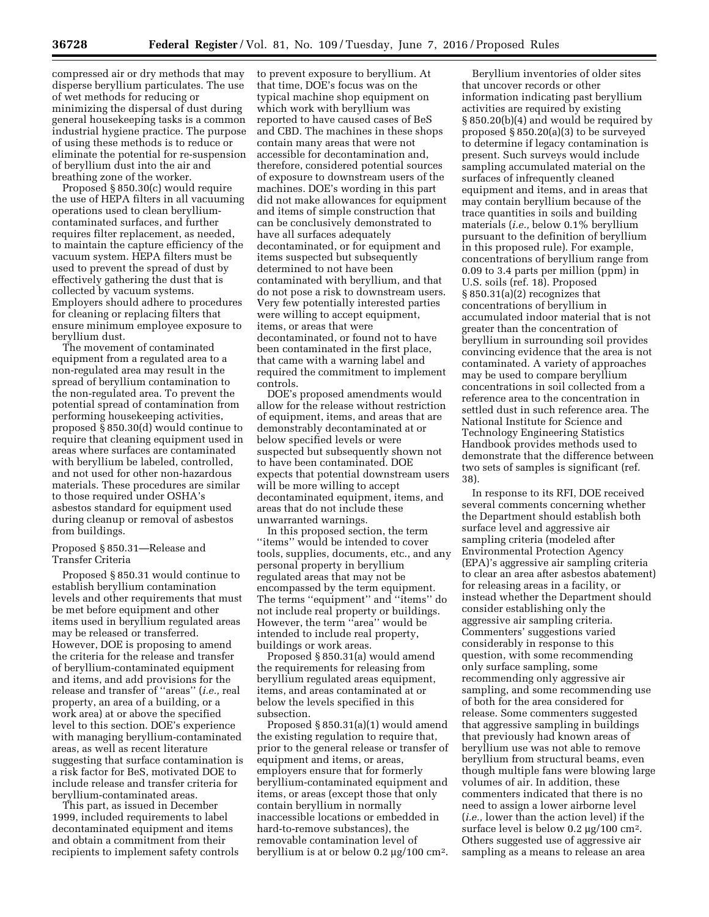compressed air or dry methods that may disperse beryllium particulates. The use of wet methods for reducing or minimizing the dispersal of dust during general housekeeping tasks is a common industrial hygiene practice. The purpose of using these methods is to reduce or eliminate the potential for re-suspension of beryllium dust into the air and breathing zone of the worker.

Proposed § 850.30(c) would require the use of HEPA filters in all vacuuming operations used to clean berylliumcontaminated surfaces, and further requires filter replacement, as needed, to maintain the capture efficiency of the vacuum system. HEPA filters must be used to prevent the spread of dust by effectively gathering the dust that is collected by vacuum systems. Employers should adhere to procedures for cleaning or replacing filters that ensure minimum employee exposure to beryllium dust.

The movement of contaminated equipment from a regulated area to a non-regulated area may result in the spread of beryllium contamination to the non-regulated area. To prevent the potential spread of contamination from performing housekeeping activities, proposed § 850.30(d) would continue to require that cleaning equipment used in areas where surfaces are contaminated with beryllium be labeled, controlled, and not used for other non-hazardous materials. These procedures are similar to those required under OSHA's asbestos standard for equipment used during cleanup or removal of asbestos from buildings.

## Proposed § 850.31—Release and Transfer Criteria

Proposed § 850.31 would continue to establish beryllium contamination levels and other requirements that must be met before equipment and other items used in beryllium regulated areas may be released or transferred. However, DOE is proposing to amend the criteria for the release and transfer of beryllium-contaminated equipment and items, and add provisions for the release and transfer of ''areas'' (*i.e.,* real property, an area of a building, or a work area) at or above the specified level to this section. DOE's experience with managing beryllium-contaminated areas, as well as recent literature suggesting that surface contamination is a risk factor for BeS, motivated DOE to include release and transfer criteria for beryllium-contaminated areas.

This part, as issued in December 1999, included requirements to label decontaminated equipment and items and obtain a commitment from their recipients to implement safety controls to prevent exposure to beryllium. At that time, DOE's focus was on the typical machine shop equipment on which work with beryllium was reported to have caused cases of BeS and CBD. The machines in these shops contain many areas that were not accessible for decontamination and, therefore, considered potential sources of exposure to downstream users of the machines. DOE's wording in this part did not make allowances for equipment and items of simple construction that can be conclusively demonstrated to have all surfaces adequately decontaminated, or for equipment and items suspected but subsequently determined to not have been contaminated with beryllium, and that do not pose a risk to downstream users. Very few potentially interested parties were willing to accept equipment, items, or areas that were decontaminated, or found not to have been contaminated in the first place, that came with a warning label and required the commitment to implement controls.

DOE's proposed amendments would allow for the release without restriction of equipment, items, and areas that are demonstrably decontaminated at or below specified levels or were suspected but subsequently shown not to have been contaminated. DOE expects that potential downstream users will be more willing to accept decontaminated equipment, items, and areas that do not include these unwarranted warnings.

In this proposed section, the term ''items'' would be intended to cover tools, supplies, documents, etc., and any personal property in beryllium regulated areas that may not be encompassed by the term equipment. The terms ''equipment'' and ''items'' do not include real property or buildings. However, the term ''area'' would be intended to include real property, buildings or work areas.

Proposed § 850.31(a) would amend the requirements for releasing from beryllium regulated areas equipment, items, and areas contaminated at or below the levels specified in this subsection.

Proposed § 850.31(a)(1) would amend the existing regulation to require that, prior to the general release or transfer of equipment and items, or areas, employers ensure that for formerly beryllium-contaminated equipment and items, or areas (except those that only contain beryllium in normally inaccessible locations or embedded in hard-to-remove substances), the removable contamination level of beryllium is at or below  $0.2 \mu g / 100 \text{ cm}^2$ .

Beryllium inventories of older sites that uncover records or other information indicating past beryllium activities are required by existing § 850.20(b)(4) and would be required by proposed § 850.20(a)(3) to be surveyed to determine if legacy contamination is present. Such surveys would include sampling accumulated material on the surfaces of infrequently cleaned equipment and items, and in areas that may contain beryllium because of the trace quantities in soils and building materials (*i.e.,* below 0.1% beryllium pursuant to the definition of beryllium in this proposed rule). For example, concentrations of beryllium range from 0.09 to 3.4 parts per million (ppm) in U.S. soils (ref. 18). Proposed § 850.31(a)(2) recognizes that concentrations of beryllium in accumulated indoor material that is not greater than the concentration of beryllium in surrounding soil provides convincing evidence that the area is not contaminated. A variety of approaches may be used to compare beryllium concentrations in soil collected from a reference area to the concentration in settled dust in such reference area. The National Institute for Science and Technology Engineering Statistics Handbook provides methods used to demonstrate that the difference between two sets of samples is significant (ref. 38).

In response to its RFI, DOE received several comments concerning whether the Department should establish both surface level and aggressive air sampling criteria (modeled after Environmental Protection Agency (EPA)'s aggressive air sampling criteria to clear an area after asbestos abatement) for releasing areas in a facility, or instead whether the Department should consider establishing only the aggressive air sampling criteria. Commenters' suggestions varied considerably in response to this question, with some recommending only surface sampling, some recommending only aggressive air sampling, and some recommending use of both for the area considered for release. Some commenters suggested that aggressive sampling in buildings that previously had known areas of beryllium use was not able to remove beryllium from structural beams, even though multiple fans were blowing large volumes of air. In addition, these commenters indicated that there is no need to assign a lower airborne level (*i.e.,* lower than the action level) if the surface level is below  $0.2 \mu g / 100 \text{ cm}^2$ . Others suggested use of aggressive air sampling as a means to release an area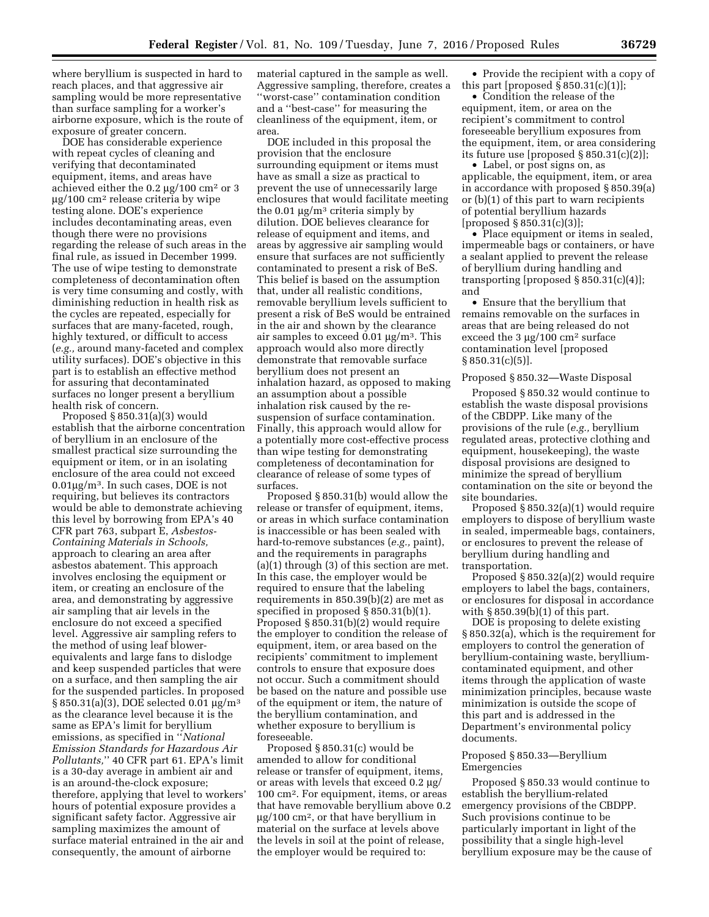where beryllium is suspected in hard to reach places, and that aggressive air sampling would be more representative than surface sampling for a worker's airborne exposure, which is the route of exposure of greater concern.

DOE has considerable experience with repeat cycles of cleaning and verifying that decontaminated equipment, items, and areas have achieved either the  $0.2 \mu g / 100 \text{ cm}^2 \text{ or } 3$ µg/100 cm<sup>2</sup> release criteria by wipe testing alone. DOE's experience includes decontaminating areas, even though there were no provisions regarding the release of such areas in the final rule, as issued in December 1999. The use of wipe testing to demonstrate completeness of decontamination often is very time consuming and costly, with diminishing reduction in health risk as the cycles are repeated, especially for surfaces that are many-faceted, rough, highly textured, or difficult to access (*e.g.,* around many-faceted and complex utility surfaces). DOE's objective in this part is to establish an effective method for assuring that decontaminated surfaces no longer present a beryllium health risk of concern.

Proposed § 850.31(a)(3) would establish that the airborne concentration of beryllium in an enclosure of the smallest practical size surrounding the equipment or item, or in an isolating enclosure of the area could not exceed  $0.01\mu$ g/m<sup>3</sup>. In such cases, DOE is not requiring, but believes its contractors would be able to demonstrate achieving this level by borrowing from EPA's 40 CFR part 763, subpart E, *Asbestos-Containing Materials in Schools,*  approach to clearing an area after asbestos abatement. This approach involves enclosing the equipment or item, or creating an enclosure of the area, and demonstrating by aggressive air sampling that air levels in the enclosure do not exceed a specified level. Aggressive air sampling refers to the method of using leaf blowerequivalents and large fans to dislodge and keep suspended particles that were on a surface, and then sampling the air for the suspended particles. In proposed  $\S 850.31(a)(3)$ , DOE selected 0.01  $\mu$ g/m<sup>3</sup> as the clearance level because it is the same as EPA's limit for beryllium emissions, as specified in ''*National Emission Standards for Hazardous Air Pollutants,*'' 40 CFR part 61. EPA's limit is a 30-day average in ambient air and is an around-the-clock exposure; therefore, applying that level to workers' hours of potential exposure provides a significant safety factor. Aggressive air sampling maximizes the amount of surface material entrained in the air and consequently, the amount of airborne

material captured in the sample as well. Aggressive sampling, therefore, creates a ''worst-case'' contamination condition and a ''best-case'' for measuring the cleanliness of the equipment, item, or area.

DOE included in this proposal the provision that the enclosure surrounding equipment or items must have as small a size as practical to prevent the use of unnecessarily large enclosures that would facilitate meeting the 0.01  $\mu$ g/m<sup>3</sup> criteria simply by dilution. DOE believes clearance for release of equipment and items, and areas by aggressive air sampling would ensure that surfaces are not sufficiently contaminated to present a risk of BeS. This belief is based on the assumption that, under all realistic conditions, removable beryllium levels sufficient to present a risk of BeS would be entrained in the air and shown by the clearance air samples to exceed  $0.01 \mu g/m^3$ . This approach would also more directly demonstrate that removable surface beryllium does not present an inhalation hazard, as opposed to making an assumption about a possible inhalation risk caused by the resuspension of surface contamination. Finally, this approach would allow for a potentially more cost-effective process than wipe testing for demonstrating completeness of decontamination for clearance of release of some types of surfaces.

Proposed § 850.31(b) would allow the release or transfer of equipment, items, or areas in which surface contamination is inaccessible or has been sealed with hard-to-remove substances (*e.g.,* paint), and the requirements in paragraphs (a)(1) through (3) of this section are met. In this case, the employer would be required to ensure that the labeling requirements in 850.39(b)(2) are met as specified in proposed § 850.31(b)(1). Proposed § 850.31(b)(2) would require the employer to condition the release of equipment, item, or area based on the recipients' commitment to implement controls to ensure that exposure does not occur. Such a commitment should be based on the nature and possible use of the equipment or item, the nature of the beryllium contamination, and whether exposure to beryllium is foreseeable.

Proposed § 850.31(c) would be amended to allow for conditional release or transfer of equipment, items, or areas with levels that exceed  $0.2 \mu g$ / 100 cm2. For equipment, items, or areas that have removable beryllium above 0.2  $\mu$ g/100 cm<sup>2</sup>, or that have beryllium in material on the surface at levels above the levels in soil at the point of release, the employer would be required to:

• Provide the recipient with a copy of this part [proposed  $\S 850.31(c)(1)$ ];

• Condition the release of the equipment, item, or area on the recipient's commitment to control foreseeable beryllium exposures from the equipment, item, or area considering its future use [proposed § 850.31(c)(2)];

• Label, or post signs on, as applicable, the equipment, item, or area in accordance with proposed § 850.39(a) or (b)(1) of this part to warn recipients of potential beryllium hazards [proposed § 850.31(c)(3)];

• Place equipment or items in sealed, impermeable bags or containers, or have a sealant applied to prevent the release of beryllium during handling and transporting [proposed  $\S 850.31(c)(4)$ ]; and

• Ensure that the beryllium that remains removable on the surfaces in areas that are being released do not exceed the  $3 \mu g / 100 \text{ cm}^2 \text{ surface}$ contamination level [proposed § 850.31(c)(5)].

#### Proposed § 850.32—Waste Disposal

Proposed § 850.32 would continue to establish the waste disposal provisions of the CBDPP. Like many of the provisions of the rule (*e.g.,* beryllium regulated areas, protective clothing and equipment, housekeeping), the waste disposal provisions are designed to minimize the spread of beryllium contamination on the site or beyond the site boundaries.

Proposed § 850.32(a)(1) would require employers to dispose of beryllium waste in sealed, impermeable bags, containers, or enclosures to prevent the release of beryllium during handling and transportation.

Proposed § 850.32(a)(2) would require employers to label the bags, containers, or enclosures for disposal in accordance with § 850.39(b)(1) of this part.

DOE is proposing to delete existing § 850.32(a), which is the requirement for employers to control the generation of beryllium-containing waste, berylliumcontaminated equipment, and other items through the application of waste minimization principles, because waste minimization is outside the scope of this part and is addressed in the Department's environmental policy documents.

## Proposed § 850.33—Beryllium Emergencies

Proposed § 850.33 would continue to establish the beryllium-related emergency provisions of the CBDPP. Such provisions continue to be particularly important in light of the possibility that a single high-level beryllium exposure may be the cause of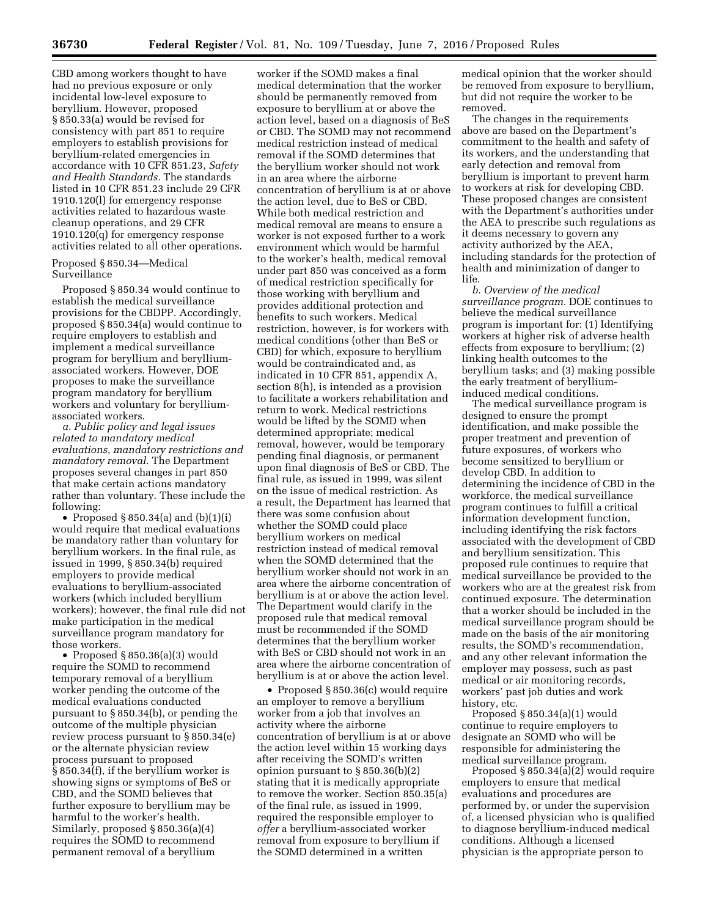CBD among workers thought to have had no previous exposure or only incidental low-level exposure to beryllium. However, proposed § 850.33(a) would be revised for consistency with part 851 to require employers to establish provisions for beryllium-related emergencies in accordance with 10 CFR 851.23, *Safety and Health Standards.* The standards listed in 10 CFR 851.23 include 29 CFR 1910.120(l) for emergency response activities related to hazardous waste cleanup operations, and 29 CFR 1910.120(q) for emergency response activities related to all other operations.

Proposed § 850.34—Medical Surveillance

Proposed § 850.34 would continue to establish the medical surveillance provisions for the CBDPP. Accordingly, proposed § 850.34(a) would continue to require employers to establish and implement a medical surveillance program for beryllium and berylliumassociated workers. However, DOE proposes to make the surveillance program mandatory for beryllium workers and voluntary for berylliumassociated workers.

*a. Public policy and legal issues related to mandatory medical evaluations, mandatory restrictions and mandatory removal.* The Department proposes several changes in part 850 that make certain actions mandatory rather than voluntary. These include the following:

• Proposed  $\S 850.34(a)$  and  $(b)(1)(i)$ would require that medical evaluations be mandatory rather than voluntary for beryllium workers. In the final rule, as issued in 1999, § 850.34(b) required employers to provide medical evaluations to beryllium-associated workers (which included beryllium workers); however, the final rule did not make participation in the medical surveillance program mandatory for those workers.

• Proposed § 850.36(a)(3) would require the SOMD to recommend temporary removal of a beryllium worker pending the outcome of the medical evaluations conducted pursuant to § 850.34(b), or pending the outcome of the multiple physician review process pursuant to § 850.34(e) or the alternate physician review process pursuant to proposed § 850.34(f), if the beryllium worker is showing signs or symptoms of BeS or CBD, and the SOMD believes that further exposure to beryllium may be harmful to the worker's health. Similarly, proposed § 850.36(a)(4) requires the SOMD to recommend permanent removal of a beryllium

worker if the SOMD makes a final medical determination that the worker should be permanently removed from exposure to beryllium at or above the action level, based on a diagnosis of BeS or CBD. The SOMD may not recommend medical restriction instead of medical removal if the SOMD determines that the beryllium worker should not work in an area where the airborne concentration of beryllium is at or above the action level, due to BeS or CBD. While both medical restriction and medical removal are means to ensure a worker is not exposed further to a work environment which would be harmful to the worker's health, medical removal under part 850 was conceived as a form of medical restriction specifically for those working with beryllium and provides additional protection and benefits to such workers. Medical restriction, however, is for workers with medical conditions (other than BeS or CBD) for which, exposure to beryllium would be contraindicated and, as indicated in 10 CFR 851, appendix A, section 8(h), is intended as a provision to facilitate a workers rehabilitation and return to work. Medical restrictions would be lifted by the SOMD when determined appropriate; medical removal, however, would be temporary pending final diagnosis, or permanent upon final diagnosis of BeS or CBD. The final rule, as issued in 1999, was silent on the issue of medical restriction. As a result, the Department has learned that there was some confusion about whether the SOMD could place beryllium workers on medical restriction instead of medical removal when the SOMD determined that the beryllium worker should not work in an area where the airborne concentration of beryllium is at or above the action level. The Department would clarify in the proposed rule that medical removal must be recommended if the SOMD determines that the beryllium worker with BeS or CBD should not work in an area where the airborne concentration of beryllium is at or above the action level.

• Proposed § 850.36(c) would require an employer to remove a beryllium worker from a job that involves an activity where the airborne concentration of beryllium is at or above the action level within 15 working days after receiving the SOMD's written opinion pursuant to § 850.36(b)(2) stating that it is medically appropriate to remove the worker. Section 850.35(a) of the final rule, as issued in 1999, required the responsible employer to *offer* a beryllium-associated worker removal from exposure to beryllium if the SOMD determined in a written

medical opinion that the worker should be removed from exposure to beryllium, but did not require the worker to be removed.

The changes in the requirements above are based on the Department's commitment to the health and safety of its workers, and the understanding that early detection and removal from beryllium is important to prevent harm to workers at risk for developing CBD. These proposed changes are consistent with the Department's authorities under the AEA to prescribe such regulations as it deems necessary to govern any activity authorized by the AEA, including standards for the protection of health and minimization of danger to life.

*b. Overview of the medical surveillance program.* DOE continues to believe the medical surveillance program is important for: (1) Identifying workers at higher risk of adverse health effects from exposure to beryllium; (2) linking health outcomes to the beryllium tasks; and (3) making possible the early treatment of berylliuminduced medical conditions.

The medical surveillance program is designed to ensure the prompt identification, and make possible the proper treatment and prevention of future exposures, of workers who become sensitized to beryllium or develop CBD. In addition to determining the incidence of CBD in the workforce, the medical surveillance program continues to fulfill a critical information development function, including identifying the risk factors associated with the development of CBD and beryllium sensitization. This proposed rule continues to require that medical surveillance be provided to the workers who are at the greatest risk from continued exposure. The determination that a worker should be included in the medical surveillance program should be made on the basis of the air monitoring results, the SOMD's recommendation, and any other relevant information the employer may possess, such as past medical or air monitoring records, workers' past job duties and work history, etc.

Proposed § 850.34(a)(1) would continue to require employers to designate an SOMD who will be responsible for administering the medical surveillance program.

Proposed § 850.34(a)(2) would require employers to ensure that medical evaluations and procedures are performed by, or under the supervision of, a licensed physician who is qualified to diagnose beryllium-induced medical conditions. Although a licensed physician is the appropriate person to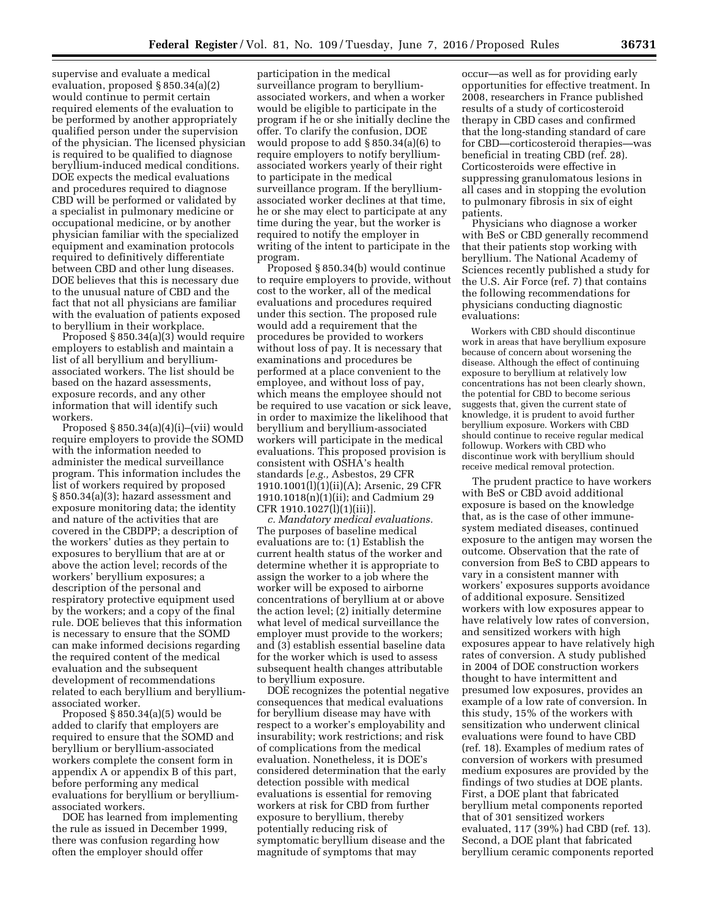supervise and evaluate a medical evaluation, proposed § 850.34(a)(2) would continue to permit certain required elements of the evaluation to be performed by another appropriately qualified person under the supervision of the physician. The licensed physician is required to be qualified to diagnose beryllium-induced medical conditions. DOE expects the medical evaluations and procedures required to diagnose CBD will be performed or validated by a specialist in pulmonary medicine or occupational medicine, or by another physician familiar with the specialized equipment and examination protocols required to definitively differentiate between CBD and other lung diseases. DOE believes that this is necessary due to the unusual nature of CBD and the fact that not all physicians are familiar with the evaluation of patients exposed to beryllium in their workplace.

Proposed § 850.34(a)(3) would require employers to establish and maintain a list of all beryllium and berylliumassociated workers. The list should be based on the hazard assessments, exposure records, and any other information that will identify such workers.

Proposed  $\S 850.34(a)(4)(i)$ –(vii) would require employers to provide the SOMD with the information needed to administer the medical surveillance program. This information includes the list of workers required by proposed § 850.34(a)(3); hazard assessment and exposure monitoring data; the identity and nature of the activities that are covered in the CBDPP; a description of the workers' duties as they pertain to exposures to beryllium that are at or above the action level; records of the workers' beryllium exposures; a description of the personal and respiratory protective equipment used by the workers; and a copy of the final rule. DOE believes that this information is necessary to ensure that the SOMD can make informed decisions regarding the required content of the medical evaluation and the subsequent development of recommendations related to each beryllium and berylliumassociated worker.

Proposed § 850.34(a)(5) would be added to clarify that employers are required to ensure that the SOMD and beryllium or beryllium-associated workers complete the consent form in appendix A or appendix B of this part, before performing any medical evaluations for beryllium or berylliumassociated workers.

DOE has learned from implementing the rule as issued in December 1999, there was confusion regarding how often the employer should offer

participation in the medical surveillance program to berylliumassociated workers, and when a worker would be eligible to participate in the program if he or she initially decline the offer. To clarify the confusion, DOE would propose to add § 850.34(a)(6) to require employers to notify berylliumassociated workers yearly of their right to participate in the medical surveillance program. If the berylliumassociated worker declines at that time, he or she may elect to participate at any time during the year, but the worker is required to notify the employer in writing of the intent to participate in the program.

Proposed § 850.34(b) would continue to require employers to provide, without cost to the worker, all of the medical evaluations and procedures required under this section. The proposed rule would add a requirement that the procedures be provided to workers without loss of pay. It is necessary that examinations and procedures be performed at a place convenient to the employee, and without loss of pay, which means the employee should not be required to use vacation or sick leave, in order to maximize the likelihood that beryllium and beryllium-associated workers will participate in the medical evaluations. This proposed provision is consistent with OSHA's health standards [*e.g.,* Asbestos, 29 CFR 1910.1001(l)(1)(ii)(A); Arsenic, 29 CFR 1910.1018(n)(1)(ii); and Cadmium 29 CFR 1910.1027(l)(1)(iii)].

*c. Mandatory medical evaluations.*  The purposes of baseline medical evaluations are to: (1) Establish the current health status of the worker and determine whether it is appropriate to assign the worker to a job where the worker will be exposed to airborne concentrations of beryllium at or above the action level; (2) initially determine what level of medical surveillance the employer must provide to the workers; and (3) establish essential baseline data for the worker which is used to assess subsequent health changes attributable to beryllium exposure.

DOE recognizes the potential negative consequences that medical evaluations for beryllium disease may have with respect to a worker's employability and insurability; work restrictions; and risk of complications from the medical evaluation. Nonetheless, it is DOE's considered determination that the early detection possible with medical evaluations is essential for removing workers at risk for CBD from further exposure to beryllium, thereby potentially reducing risk of symptomatic beryllium disease and the magnitude of symptoms that may

occur—as well as for providing early opportunities for effective treatment. In 2008, researchers in France published results of a study of corticosteroid therapy in CBD cases and confirmed that the long-standing standard of care for CBD—corticosteroid therapies—was beneficial in treating CBD (ref. 28). Corticosteroids were effective in suppressing granulomatous lesions in all cases and in stopping the evolution to pulmonary fibrosis in six of eight patients.

Physicians who diagnose a worker with BeS or CBD generally recommend that their patients stop working with beryllium. The National Academy of Sciences recently published a study for the U.S. Air Force (ref. 7) that contains the following recommendations for physicians conducting diagnostic evaluations:

Workers with CBD should discontinue work in areas that have beryllium exposure because of concern about worsening the disease. Although the effect of continuing exposure to beryllium at relatively low concentrations has not been clearly shown, the potential for CBD to become serious suggests that, given the current state of knowledge, it is prudent to avoid further beryllium exposure. Workers with CBD should continue to receive regular medical followup. Workers with CBD who discontinue work with beryllium should receive medical removal protection.

The prudent practice to have workers with BeS or CBD avoid additional exposure is based on the knowledge that, as is the case of other immunesystem mediated diseases, continued exposure to the antigen may worsen the outcome. Observation that the rate of conversion from BeS to CBD appears to vary in a consistent manner with workers' exposures supports avoidance of additional exposure. Sensitized workers with low exposures appear to have relatively low rates of conversion, and sensitized workers with high exposures appear to have relatively high rates of conversion. A study published in 2004 of DOE construction workers thought to have intermittent and presumed low exposures, provides an example of a low rate of conversion. In this study, 15% of the workers with sensitization who underwent clinical evaluations were found to have CBD (ref. 18). Examples of medium rates of conversion of workers with presumed medium exposures are provided by the findings of two studies at DOE plants. First, a DOE plant that fabricated beryllium metal components reported that of 301 sensitized workers evaluated, 117 (39%) had CBD (ref. 13). Second, a DOE plant that fabricated beryllium ceramic components reported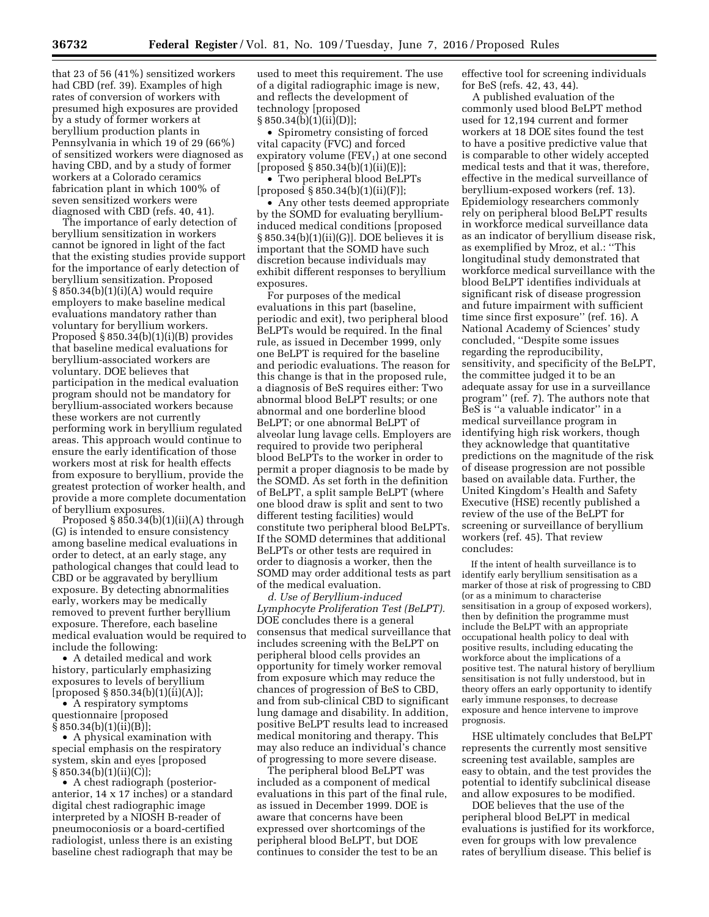that 23 of 56 (41%) sensitized workers had CBD (ref. 39). Examples of high rates of conversion of workers with presumed high exposures are provided by a study of former workers at beryllium production plants in Pennsylvania in which 19 of 29 (66%) of sensitized workers were diagnosed as having CBD, and by a study of former workers at a Colorado ceramics fabrication plant in which 100% of seven sensitized workers were diagnosed with CBD (refs. 40, 41).

The importance of early detection of beryllium sensitization in workers cannot be ignored in light of the fact that the existing studies provide support for the importance of early detection of beryllium sensitization. Proposed  $§ 850.34(b)(1)(i)(A)$  would require employers to make baseline medical evaluations mandatory rather than voluntary for beryllium workers. Proposed § 850.34(b)(1)(i)(B) provides that baseline medical evaluations for beryllium-associated workers are voluntary. DOE believes that participation in the medical evaluation program should not be mandatory for beryllium-associated workers because these workers are not currently performing work in beryllium regulated areas. This approach would continue to ensure the early identification of those workers most at risk for health effects from exposure to beryllium, provide the greatest protection of worker health, and provide a more complete documentation of beryllium exposures.

Proposed § 850.34(b)(1)(ii)(A) through (G) is intended to ensure consistency among baseline medical evaluations in order to detect, at an early stage, any pathological changes that could lead to CBD or be aggravated by beryllium exposure. By detecting abnormalities early, workers may be medically removed to prevent further beryllium exposure. Therefore, each baseline medical evaluation would be required to include the following:

• A detailed medical and work history, particularly emphasizing exposures to levels of beryllium [proposed § 850.34(b)(1)(ii)(A)];

• A respiratory symptoms questionnaire [proposed § 850.34(b)(1)(ii)(B)];

• A physical examination with special emphasis on the respiratory system, skin and eyes [proposed § 850.34(b)(1)(ii)(C)];

• A chest radiograph (posterioranterior, 14 x 17 inches) or a standard digital chest radiographic image interpreted by a NIOSH B-reader of pneumoconiosis or a board-certified radiologist, unless there is an existing baseline chest radiograph that may be

used to meet this requirement. The use of a digital radiographic image is new, and reflects the development of technology [proposed  $\S 850.34(b)(1)(ii)(D)$ ;

• Spirometry consisting of forced vital capacity (FVC) and forced expiratory volume  $(FEV_1)$  at one second  $[proposed § 850.34(b)(1)(ii)(E)];$ 

• Two peripheral blood BeLPTs [proposed § 850.34(b)(1)(ii)(F)];

• Any other tests deemed appropriate by the SOMD for evaluating berylliuminduced medical conditions [proposed § 850.34(b)(1)(ii)(G)]. DOE believes it is important that the SOMD have such discretion because individuals may exhibit different responses to beryllium exposures.

For purposes of the medical evaluations in this part (baseline, periodic and exit), two peripheral blood BeLPTs would be required. In the final rule, as issued in December 1999, only one BeLPT is required for the baseline and periodic evaluations. The reason for this change is that in the proposed rule, a diagnosis of BeS requires either: Two abnormal blood BeLPT results; or one abnormal and one borderline blood BeLPT; or one abnormal BeLPT of alveolar lung lavage cells. Employers are required to provide two peripheral blood BeLPTs to the worker in order to permit a proper diagnosis to be made by the SOMD. As set forth in the definition of BeLPT, a split sample BeLPT (where one blood draw is split and sent to two different testing facilities) would constitute two peripheral blood BeLPTs. If the SOMD determines that additional BeLPTs or other tests are required in order to diagnosis a worker, then the SOMD may order additional tests as part of the medical evaluation.

*d. Use of Beryllium-induced Lymphocyte Proliferation Test (BeLPT).*  DOE concludes there is a general consensus that medical surveillance that includes screening with the BeLPT on peripheral blood cells provides an opportunity for timely worker removal from exposure which may reduce the chances of progression of BeS to CBD, and from sub-clinical CBD to significant lung damage and disability. In addition, positive BeLPT results lead to increased medical monitoring and therapy. This may also reduce an individual's chance of progressing to more severe disease.

The peripheral blood BeLPT was included as a component of medical evaluations in this part of the final rule, as issued in December 1999. DOE is aware that concerns have been expressed over shortcomings of the peripheral blood BeLPT, but DOE continues to consider the test to be an

effective tool for screening individuals for BeS (refs. 42, 43, 44).

A published evaluation of the commonly used blood BeLPT method used for 12,194 current and former workers at 18 DOE sites found the test to have a positive predictive value that is comparable to other widely accepted medical tests and that it was, therefore, effective in the medical surveillance of beryllium-exposed workers (ref. 13). Epidemiology researchers commonly rely on peripheral blood BeLPT results in workforce medical surveillance data as an indicator of beryllium disease risk, as exemplified by Mroz, et al.: ''This longitudinal study demonstrated that workforce medical surveillance with the blood BeLPT identifies individuals at significant risk of disease progression and future impairment with sufficient time since first exposure'' (ref. 16). A National Academy of Sciences' study concluded, ''Despite some issues regarding the reproducibility, sensitivity, and specificity of the BeLPT, the committee judged it to be an adequate assay for use in a surveillance program'' (ref. 7). The authors note that BeS is ''a valuable indicator'' in a medical surveillance program in identifying high risk workers, though they acknowledge that quantitative predictions on the magnitude of the risk of disease progression are not possible based on available data. Further, the United Kingdom's Health and Safety Executive (HSE) recently published a review of the use of the BeLPT for screening or surveillance of beryllium workers (ref. 45). That review concludes:

If the intent of health surveillance is to identify early beryllium sensitisation as a marker of those at risk of progressing to CBD (or as a minimum to characterise sensitisation in a group of exposed workers), then by definition the programme must include the BeLPT with an appropriate occupational health policy to deal with positive results, including educating the workforce about the implications of a positive test. The natural history of beryllium sensitisation is not fully understood, but in theory offers an early opportunity to identify early immune responses, to decrease exposure and hence intervene to improve prognosis.

HSE ultimately concludes that BeLPT represents the currently most sensitive screening test available, samples are easy to obtain, and the test provides the potential to identify subclinical disease and allow exposures to be modified.

DOE believes that the use of the peripheral blood BeLPT in medical evaluations is justified for its workforce, even for groups with low prevalence rates of beryllium disease. This belief is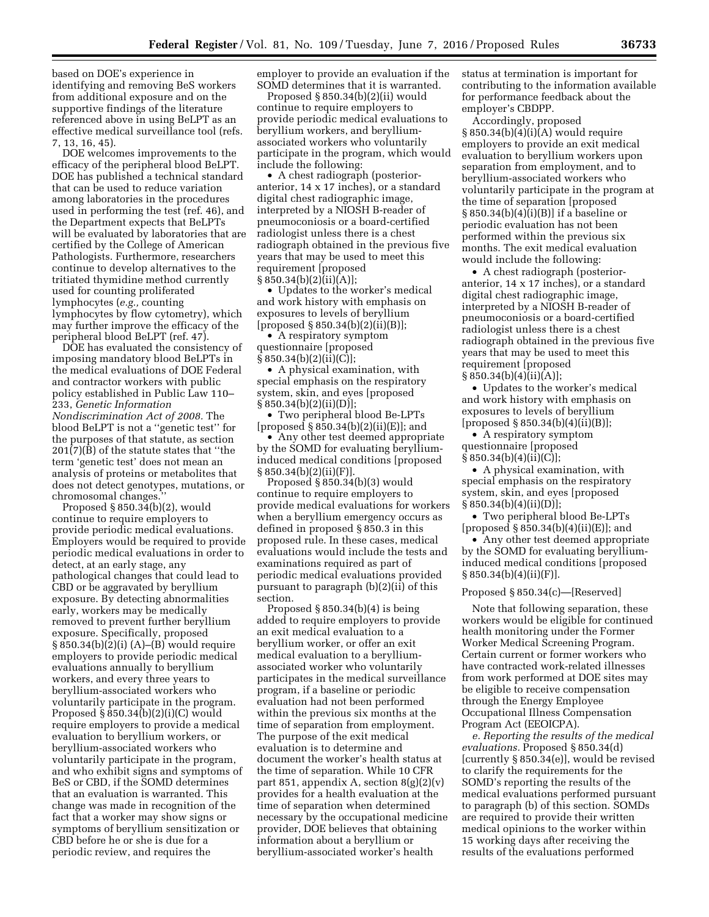based on DOE's experience in identifying and removing BeS workers from additional exposure and on the supportive findings of the literature referenced above in using BeLPT as an effective medical surveillance tool (refs. 7, 13, 16, 45).

DOE welcomes improvements to the efficacy of the peripheral blood BeLPT. DOE has published a technical standard that can be used to reduce variation among laboratories in the procedures used in performing the test (ref. 46), and the Department expects that BeLPTs will be evaluated by laboratories that are certified by the College of American Pathologists. Furthermore, researchers continue to develop alternatives to the tritiated thymidine method currently used for counting proliferated lymphocytes (*e.g.,* counting lymphocytes by flow cytometry), which may further improve the efficacy of the peripheral blood BeLPT (ref. 47).

DOE has evaluated the consistency of imposing mandatory blood BeLPTs in the medical evaluations of DOE Federal and contractor workers with public policy established in Public Law 110– 233, *Genetic Information Nondiscrimination Act of 2008.* The blood BeLPT is not a ''genetic test'' for the purposes of that statute, as section 201(7)(B) of the statute states that ''the term 'genetic test' does not mean an analysis of proteins or metabolites that does not detect genotypes, mutations, or chromosomal changes.''

Proposed  $\S 850.34(b)(2)$ , would continue to require employers to provide periodic medical evaluations. Employers would be required to provide periodic medical evaluations in order to detect, at an early stage, any pathological changes that could lead to CBD or be aggravated by beryllium exposure. By detecting abnormalities early, workers may be medically removed to prevent further beryllium exposure. Specifically, proposed § 850.34(b)(2)(i) (A)–(B) would require employers to provide periodic medical evaluations annually to beryllium workers, and every three years to beryllium-associated workers who voluntarily participate in the program. Proposed § 850.34(b)(2)(i)(C) would require employers to provide a medical evaluation to beryllium workers, or beryllium-associated workers who voluntarily participate in the program, and who exhibit signs and symptoms of BeS or CBD, if the SOMD determines that an evaluation is warranted. This change was made in recognition of the fact that a worker may show signs or symptoms of beryllium sensitization or CBD before he or she is due for a periodic review, and requires the

employer to provide an evaluation if the SOMD determines that it is warranted.

Proposed § 850.34(b)(2)(ii) would continue to require employers to provide periodic medical evaluations to beryllium workers, and berylliumassociated workers who voluntarily participate in the program, which would include the following:

• A chest radiograph (posterioranterior, 14 x 17 inches), or a standard digital chest radiographic image, interpreted by a NIOSH B-reader of pneumoconiosis or a board-certified radiologist unless there is a chest radiograph obtained in the previous five years that may be used to meet this requirement [proposed § 850.34(b)(2)(ii)(A)];

• Updates to the worker's medical and work history with emphasis on exposures to levels of beryllium [proposed § 850.34(b)(2)(ii)(B)];

• A respiratory symptom questionnaire [proposed § 850.34(b)(2)(ii)(C)];

• A physical examination, with special emphasis on the respiratory system, skin, and eyes [proposed § 850.34(b)(2)(ii)(D)];

• Two peripheral blood Be-LPTs [proposed § 850.34(b)(2)(ii)(E)]; and

• Any other test deemed appropriate by the SOMD for evaluating berylliuminduced medical conditions [proposed  $§ 850.34(b)(2)(ii)(F)].$ 

Proposed § 850.34(b)(3) would continue to require employers to provide medical evaluations for workers when a beryllium emergency occurs as defined in proposed § 850.3 in this proposed rule. In these cases, medical evaluations would include the tests and examinations required as part of periodic medical evaluations provided pursuant to paragraph (b)(2)(ii) of this section.

Proposed  $§ 850.34(b)(4)$  is being added to require employers to provide an exit medical evaluation to a beryllium worker, or offer an exit medical evaluation to a berylliumassociated worker who voluntarily participates in the medical surveillance program, if a baseline or periodic evaluation had not been performed within the previous six months at the time of separation from employment. The purpose of the exit medical evaluation is to determine and document the worker's health status at the time of separation. While 10 CFR part 851, appendix A, section  $8(g)(2)(v)$ provides for a health evaluation at the time of separation when determined necessary by the occupational medicine provider, DOE believes that obtaining information about a beryllium or beryllium-associated worker's health

status at termination is important for contributing to the information available for performance feedback about the employer's CBDPP.

Accordingly, proposed  $§ 850.34(b)(4)(i)(A)$  would require employers to provide an exit medical evaluation to beryllium workers upon separation from employment, and to beryllium-associated workers who voluntarily participate in the program at the time of separation [proposed § 850.34(b)(4)(i)(B)] if a baseline or periodic evaluation has not been performed within the previous six months. The exit medical evaluation would include the following:

• A chest radiograph (posterioranterior, 14 x 17 inches), or a standard digital chest radiographic image, interpreted by a NIOSH B-reader of pneumoconiosis or a board-certified radiologist unless there is a chest radiograph obtained in the previous five years that may be used to meet this requirement [proposed § 850.34(b)(4)(ii)(A)];

• Updates to the worker's medical and work history with emphasis on exposures to levels of beryllium [proposed § 850.34(b)(4)(ii)(B)];

• A respiratory symptom questionnaire [proposed  $§ 850.34(b)(4)(ii)(C)];$ 

• A physical examination, with special emphasis on the respiratory system, skin, and eyes [proposed  $§ 850.34(b)(4)(ii)(D)];$ 

• Two peripheral blood Be-LPTs [proposed  $\S 850.34(b)(4)(ii)(E)$ ]; and

• Any other test deemed appropriate by the SOMD for evaluating berylliuminduced medical conditions [proposed  $§ 850.34(b)(4)(ii)(F)].$ 

#### Proposed § 850.34(c)—[Reserved]

Note that following separation, these workers would be eligible for continued health monitoring under the Former Worker Medical Screening Program. Certain current or former workers who have contracted work-related illnesses from work performed at DOE sites may be eligible to receive compensation through the Energy Employee Occupational Illness Compensation Program Act (EEOICPA).

*e. Reporting the results of the medical evaluations.* Proposed § 850.34(d) [currently § 850.34(e)], would be revised to clarify the requirements for the SOMD's reporting the results of the medical evaluations performed pursuant to paragraph (b) of this section. SOMDs are required to provide their written medical opinions to the worker within 15 working days after receiving the results of the evaluations performed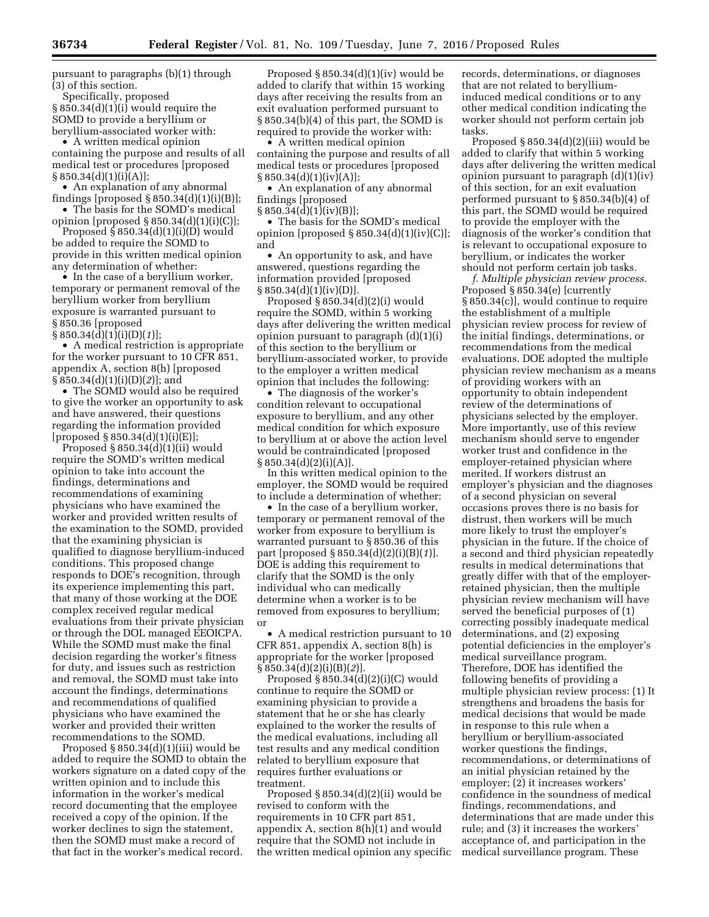pursuant to paragraphs (b)(1) through (3) of this section.

Specifically, proposed § 850.34(d)(1)(i) would require the SOMD to provide a beryllium or beryllium-associated worker with:

• A written medical opinion containing the purpose and results of all medical test or procedures [proposed  $§ 850.34(d)(1)(i)(A)];$ 

• An explanation of any abnormal findings [proposed  $\S 850.34(d)(1)(i)(B)$ ];

• The basis for the SOMD's medical opinion [proposed § 850.34(d)(1)(i)(C)];

Proposed  $\S$  850.34(d)(1)(i)(D) would be added to require the SOMD to provide in this written medical opinion any determination of whether:

• In the case of a beryllium worker, temporary or permanent removal of the beryllium worker from beryllium exposure is warranted pursuant to § 850.36 [proposed

§ 850.34(d)(1)(i)(D)(*1*)];

• A medical restriction is appropriate for the worker pursuant to 10 CFR 851, appendix A, section 8(h) [proposed § 850.34(d)(1)(i)(D)(*2*)]; and

• The SOMD would also be required to give the worker an opportunity to ask and have answered, their questions regarding the information provided  $[proposed § 850.34(d)(1)(i)(E)];$ 

Proposed § 850.34(d)(1)(ii) would require the SOMD's written medical opinion to take into account the findings, determinations and recommendations of examining physicians who have examined the worker and provided written results of the examination to the SOMD, provided that the examining physician is qualified to diagnose beryllium-induced conditions. This proposed change responds to DOE's recognition, through its experience implementing this part, that many of those working at the DOE complex received regular medical evaluations from their private physician or through the DOL managed EEOICPA. While the SOMD must make the final decision regarding the worker's fitness for duty, and issues such as restriction and removal, the SOMD must take into account the findings, determinations and recommendations of qualified physicians who have examined the worker and provided their written recommendations to the SOMD.

Proposed § 850.34(d)(1)(iii) would be added to require the SOMD to obtain the workers signature on a dated copy of the written opinion and to include this information in the worker's medical record documenting that the employee received a copy of the opinion. If the worker declines to sign the statement, then the SOMD must make a record of that fact in the worker's medical record.

Proposed  $§ 850.34(d)(1)(iv)$  would be added to clarify that within 15 working days after receiving the results from an exit evaluation performed pursuant to § 850.34(b)(4) of this part, the SOMD is required to provide the worker with:

• A written medical opinion containing the purpose and results of all medical tests or procedures [proposed  $§ 850.34(d)(1)(iv)(A)];$ 

• An explanation of any abnormal findings [proposed

§ 850.34(d)(1)(iv)(B)]; • The basis for the SOMD's medical

opinion [proposed  $\S 850.34(d)(1)(iv)(C)$ ]; and

• An opportunity to ask, and have answered, questions regarding the information provided [proposed  $§ 850.34(d)(1)(iv)(D)].$ 

Proposed § 850.34(d)(2)(i) would require the SOMD, within 5 working days after delivering the written medical opinion pursuant to paragraph (d)(1)(i) of this section to the beryllium or beryllium-associated worker, to provide to the employer a written medical opinion that includes the following:

• The diagnosis of the worker's condition relevant to occupational exposure to beryllium, and any other medical condition for which exposure to beryllium at or above the action level would be contraindicated [proposed  $§ 850.34(d)(2)(i)(A)].$ 

In this written medical opinion to the employer, the SOMD would be required to include a determination of whether:

• In the case of a beryllium worker, temporary or permanent removal of the worker from exposure to beryllium is warranted pursuant to § 850.36 of this part [proposed § 850.34(d)(2)(i)(B)(*1*)]. DOE is adding this requirement to clarify that the SOMD is the only individual who can medically determine when a worker is to be removed from exposures to beryllium; or

• A medical restriction pursuant to 10 CFR 851, appendix A, section 8(h) is appropriate for the worker [proposed § 850.34(d)(2)(i)(B)(*2*)].

Proposed § 850.34(d)(2)(i)(C) would continue to require the SOMD or examining physician to provide a statement that he or she has clearly explained to the worker the results of the medical evaluations, including all test results and any medical condition related to beryllium exposure that requires further evaluations or treatment.

Proposed  $§ 850.34(d)(2)(ii)$  would be revised to conform with the requirements in 10 CFR part 851, appendix A, section 8(h)(1) and would require that the SOMD not include in the written medical opinion any specific records, determinations, or diagnoses that are not related to berylliuminduced medical conditions or to any other medical condition indicating the worker should not perform certain job tasks.

Proposed  $\S 850.34(d)(2)(iii)$  would be added to clarify that within 5 working days after delivering the written medical opinion pursuant to paragraph (d)(1)(iv) of this section, for an exit evaluation performed pursuant to § 850.34(b)(4) of this part, the SOMD would be required to provide the employer with the diagnosis of the worker's condition that is relevant to occupational exposure to beryllium, or indicates the worker should not perform certain job tasks.

*f. Multiple physician review process.*  Proposed § 850.34(e) [currently § 850.34(c)], would continue to require the establishment of a multiple physician review process for review of the initial findings, determinations, or recommendations from the medical evaluations. DOE adopted the multiple physician review mechanism as a means of providing workers with an opportunity to obtain independent review of the determinations of physicians selected by the employer. More importantly, use of this review mechanism should serve to engender worker trust and confidence in the employer-retained physician where merited. If workers distrust an employer's physician and the diagnoses of a second physician on several occasions proves there is no basis for distrust, then workers will be much more likely to trust the employer's physician in the future. If the choice of a second and third physician repeatedly results in medical determinations that greatly differ with that of the employerretained physician, then the multiple physician review mechanism will have served the beneficial purposes of (1) correcting possibly inadequate medical determinations, and (2) exposing potential deficiencies in the employer's medical surveillance program. Therefore, DOE has identified the following benefits of providing a multiple physician review process: (1) It strengthens and broadens the basis for medical decisions that would be made in response to this rule when a beryllium or beryllium-associated worker questions the findings, recommendations, or determinations of an initial physician retained by the employer; (2) it increases workers' confidence in the soundness of medical findings, recommendations, and determinations that are made under this rule; and (3) it increases the workers' acceptance of, and participation in the medical surveillance program. These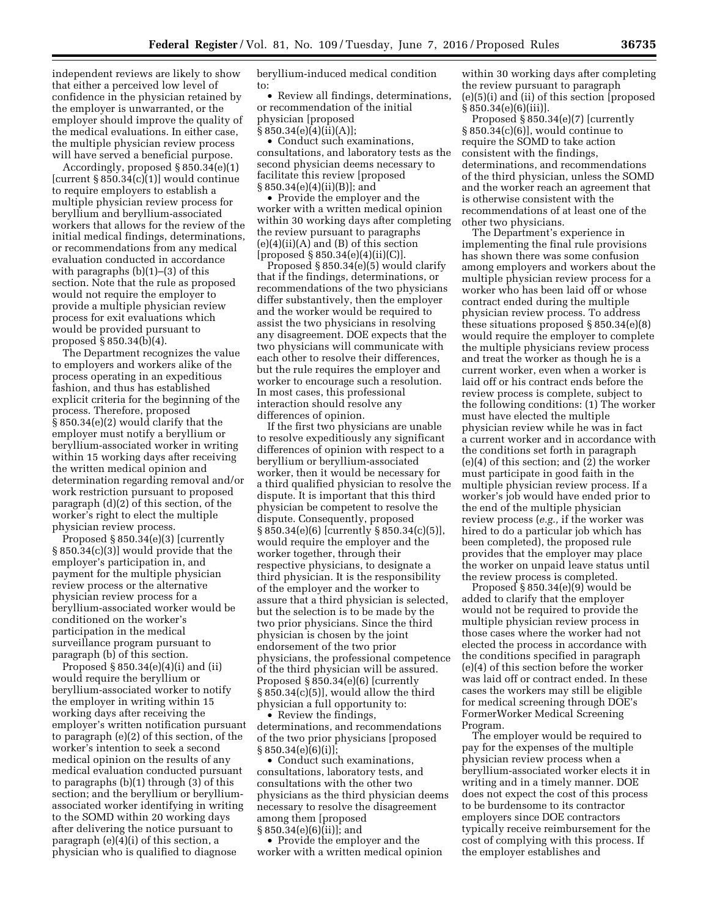independent reviews are likely to show that either a perceived low level of confidence in the physician retained by the employer is unwarranted, or the employer should improve the quality of the medical evaluations. In either case, the multiple physician review process will have served a beneficial purpose.

Accordingly, proposed § 850.34(e)(1) [current  $\S 850.34(c)(1)$ ] would continue to require employers to establish a multiple physician review process for beryllium and beryllium-associated workers that allows for the review of the initial medical findings, determinations, or recommendations from any medical evaluation conducted in accordance with paragraphs  $(b)(1)$ – $(3)$  of this section. Note that the rule as proposed would not require the employer to provide a multiple physician review process for exit evaluations which would be provided pursuant to proposed § 850.34(b)(4).

The Department recognizes the value to employers and workers alike of the process operating in an expeditious fashion, and thus has established explicit criteria for the beginning of the process. Therefore, proposed § 850.34(e)(2) would clarify that the employer must notify a beryllium or beryllium-associated worker in writing within 15 working days after receiving the written medical opinion and determination regarding removal and/or work restriction pursuant to proposed paragraph (d)(2) of this section, of the worker's right to elect the multiple physician review process.

Proposed § 850.34(e)(3) [currently § 850.34(c)(3)] would provide that the employer's participation in, and payment for the multiple physician review process or the alternative physician review process for a beryllium-associated worker would be conditioned on the worker's participation in the medical surveillance program pursuant to paragraph (b) of this section.

Proposed § 850.34(e)(4)(i) and (ii) would require the beryllium or beryllium-associated worker to notify the employer in writing within 15 working days after receiving the employer's written notification pursuant to paragraph (e)(2) of this section, of the worker's intention to seek a second medical opinion on the results of any medical evaluation conducted pursuant to paragraphs (b)(1) through (3) of this section; and the beryllium or berylliumassociated worker identifying in writing to the SOMD within 20 working days after delivering the notice pursuant to paragraph (e)(4)(i) of this section, a physician who is qualified to diagnose

beryllium-induced medical condition to:

• Review all findings, determinations, or recommendation of the initial physician [proposed

 $§ 850.34(e)(4)(ii)(A)];$ 

• Conduct such examinations, consultations, and laboratory tests as the second physician deems necessary to facilitate this review [proposed § 850.34(e)(4)(ii)(B)]; and

• Provide the employer and the worker with a written medical opinion within 30 working days after completing the review pursuant to paragraphs  $(e)(4)(ii)(A)$  and  $(B)$  of this section [proposed § 850.34(e)(4)(ii)(C)].

Proposed § 850.34(e)(5) would clarify that if the findings, determinations, or recommendations of the two physicians differ substantively, then the employer and the worker would be required to assist the two physicians in resolving any disagreement. DOE expects that the two physicians will communicate with each other to resolve their differences, but the rule requires the employer and worker to encourage such a resolution. In most cases, this professional interaction should resolve any differences of opinion.

If the first two physicians are unable to resolve expeditiously any significant differences of opinion with respect to a beryllium or beryllium-associated worker, then it would be necessary for a third qualified physician to resolve the dispute. It is important that this third physician be competent to resolve the dispute. Consequently, proposed § 850.34(e)(6) [currently § 850.34(c)(5)], would require the employer and the worker together, through their respective physicians, to designate a third physician. It is the responsibility of the employer and the worker to assure that a third physician is selected, but the selection is to be made by the two prior physicians. Since the third physician is chosen by the joint endorsement of the two prior physicians, the professional competence of the third physician will be assured. Proposed § 850.34(e)(6) [currently § 850.34(c)(5)], would allow the third physician a full opportunity to:

• Review the findings, determinations, and recommendations of the two prior physicians [proposed § 850.34(e)(6)(i)];

• Conduct such examinations, consultations, laboratory tests, and consultations with the other two physicians as the third physician deems necessary to resolve the disagreement among them [proposed § 850.34(e)(6)(ii)]; and

• Provide the employer and the worker with a written medical opinion

within 30 working days after completing the review pursuant to paragraph (e)(5)(i) and (ii) of this section [proposed § 850.34(e)(6)(iii)].

Proposed § 850.34(e)(7) [currently § 850.34(c)(6)], would continue to require the SOMD to take action consistent with the findings, determinations, and recommendations of the third physician, unless the SOMD and the worker reach an agreement that is otherwise consistent with the recommendations of at least one of the other two physicians.

The Department's experience in implementing the final rule provisions has shown there was some confusion among employers and workers about the multiple physician review process for a worker who has been laid off or whose contract ended during the multiple physician review process. To address these situations proposed § 850.34(e)(8) would require the employer to complete the multiple physicians review process and treat the worker as though he is a current worker, even when a worker is laid off or his contract ends before the review process is complete, subject to the following conditions: (1) The worker must have elected the multiple physician review while he was in fact a current worker and in accordance with the conditions set forth in paragraph (e)(4) of this section; and (2) the worker must participate in good faith in the multiple physician review process. If a worker's job would have ended prior to the end of the multiple physician review process (*e.g.,* if the worker was hired to do a particular job which has been completed), the proposed rule provides that the employer may place the worker on unpaid leave status until the review process is completed.

Proposed § 850.34(e)(9) would be added to clarify that the employer would not be required to provide the multiple physician review process in those cases where the worker had not elected the process in accordance with the conditions specified in paragraph (e)(4) of this section before the worker was laid off or contract ended. In these cases the workers may still be eligible for medical screening through DOE's FormerWorker Medical Screening Program.

The employer would be required to pay for the expenses of the multiple physician review process when a beryllium-associated worker elects it in writing and in a timely manner. DOE does not expect the cost of this process to be burdensome to its contractor employers since DOE contractors typically receive reimbursement for the cost of complying with this process. If the employer establishes and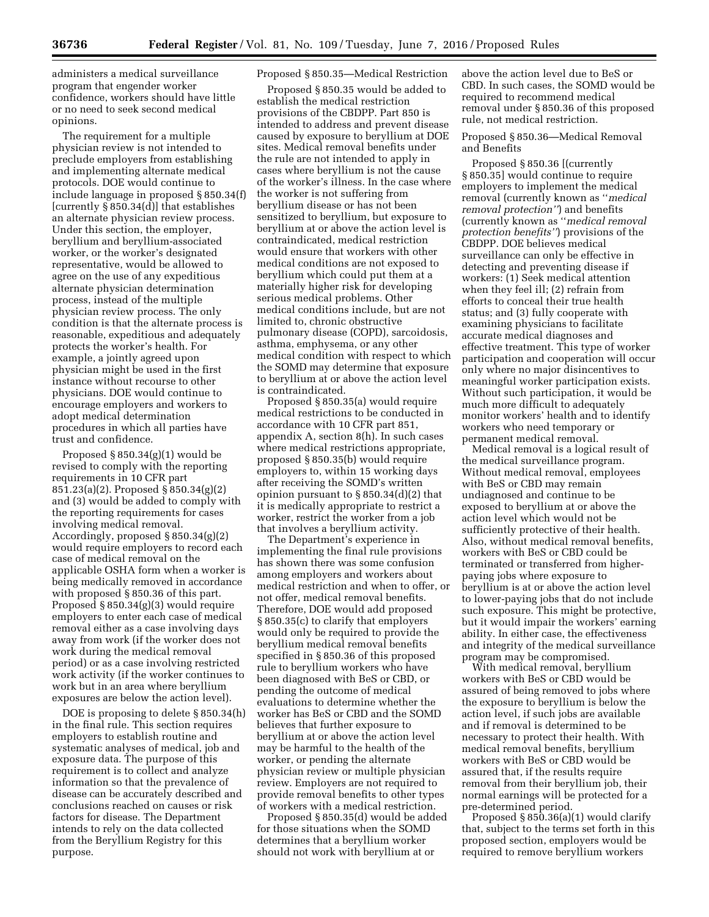administers a medical surveillance program that engender worker confidence, workers should have little or no need to seek second medical opinions.

The requirement for a multiple physician review is not intended to preclude employers from establishing and implementing alternate medical protocols. DOE would continue to include language in proposed § 850.34(f) [currently § 850.34(d)] that establishes an alternate physician review process. Under this section, the employer, beryllium and beryllium-associated worker, or the worker's designated representative, would be allowed to agree on the use of any expeditious alternate physician determination process, instead of the multiple physician review process. The only condition is that the alternate process is reasonable, expeditious and adequately protects the worker's health. For example, a jointly agreed upon physician might be used in the first instance without recourse to other physicians. DOE would continue to encourage employers and workers to adopt medical determination procedures in which all parties have trust and confidence.

Proposed § 850.34(g)(1) would be revised to comply with the reporting requirements in 10 CFR part 851.23(a)(2). Proposed § 850.34(g)(2) and (3) would be added to comply with the reporting requirements for cases involving medical removal. Accordingly, proposed § 850.34(g)(2) would require employers to record each case of medical removal on the applicable OSHA form when a worker is being medically removed in accordance with proposed § 850.36 of this part. Proposed § 850.34(g)(3) would require employers to enter each case of medical removal either as a case involving days away from work (if the worker does not work during the medical removal period) or as a case involving restricted work activity (if the worker continues to work but in an area where beryllium exposures are below the action level).

DOE is proposing to delete § 850.34(h) in the final rule. This section requires employers to establish routine and systematic analyses of medical, job and exposure data. The purpose of this requirement is to collect and analyze information so that the prevalence of disease can be accurately described and conclusions reached on causes or risk factors for disease. The Department intends to rely on the data collected from the Beryllium Registry for this purpose.

# Proposed § 850.35—Medical Restriction

Proposed § 850.35 would be added to establish the medical restriction provisions of the CBDPP. Part 850 is intended to address and prevent disease caused by exposure to beryllium at DOE sites. Medical removal benefits under the rule are not intended to apply in cases where beryllium is not the cause of the worker's illness. In the case where the worker is not suffering from beryllium disease or has not been sensitized to beryllium, but exposure to beryllium at or above the action level is contraindicated, medical restriction would ensure that workers with other medical conditions are not exposed to beryllium which could put them at a materially higher risk for developing serious medical problems. Other medical conditions include, but are not limited to, chronic obstructive pulmonary disease (COPD), sarcoidosis, asthma, emphysema, or any other medical condition with respect to which the SOMD may determine that exposure to beryllium at or above the action level is contraindicated.

Proposed § 850.35(a) would require medical restrictions to be conducted in accordance with 10 CFR part 851, appendix A, section 8(h). In such cases where medical restrictions appropriate, proposed § 850.35(b) would require employers to, within 15 working days after receiving the SOMD's written opinion pursuant to  $\S 850.34(d)(2)$  that it is medically appropriate to restrict a worker, restrict the worker from a job that involves a beryllium activity.

The Department's experience in implementing the final rule provisions has shown there was some confusion among employers and workers about medical restriction and when to offer, or not offer, medical removal benefits. Therefore, DOE would add proposed § 850.35(c) to clarify that employers would only be required to provide the beryllium medical removal benefits specified in § 850.36 of this proposed rule to beryllium workers who have been diagnosed with BeS or CBD, or pending the outcome of medical evaluations to determine whether the worker has BeS or CBD and the SOMD believes that further exposure to beryllium at or above the action level may be harmful to the health of the worker, or pending the alternate physician review or multiple physician review. Employers are not required to provide removal benefits to other types of workers with a medical restriction.

Proposed § 850.35(d) would be added for those situations when the SOMD determines that a beryllium worker should not work with beryllium at or

above the action level due to BeS or CBD. In such cases, the SOMD would be required to recommend medical removal under § 850.36 of this proposed rule, not medical restriction.

Proposed § 850.36—Medical Removal and Benefits

Proposed § 850.36 [(currently § 850.35] would continue to require employers to implement the medical removal (currently known as ''*medical removal protection''*) and benefits (currently known as ''*medical removal protection benefits''*) provisions of the CBDPP. DOE believes medical surveillance can only be effective in detecting and preventing disease if workers: (1) Seek medical attention when they feel ill; (2) refrain from efforts to conceal their true health status; and (3) fully cooperate with examining physicians to facilitate accurate medical diagnoses and effective treatment. This type of worker participation and cooperation will occur only where no major disincentives to meaningful worker participation exists. Without such participation, it would be much more difficult to adequately monitor workers' health and to identify workers who need temporary or permanent medical removal.

Medical removal is a logical result of the medical surveillance program. Without medical removal, employees with BeS or CBD may remain undiagnosed and continue to be exposed to beryllium at or above the action level which would not be sufficiently protective of their health. Also, without medical removal benefits, workers with BeS or CBD could be terminated or transferred from higherpaying jobs where exposure to beryllium is at or above the action level to lower-paying jobs that do not include such exposure. This might be protective, but it would impair the workers' earning ability. In either case, the effectiveness and integrity of the medical surveillance program may be compromised.

With medical removal, beryllium workers with BeS or CBD would be assured of being removed to jobs where the exposure to beryllium is below the action level, if such jobs are available and if removal is determined to be necessary to protect their health. With medical removal benefits, beryllium workers with BeS or CBD would be assured that, if the results require removal from their beryllium job, their normal earnings will be protected for a pre-determined period.

Proposed  $\S 850.36(a)(1)$  would clarify that, subject to the terms set forth in this proposed section, employers would be required to remove beryllium workers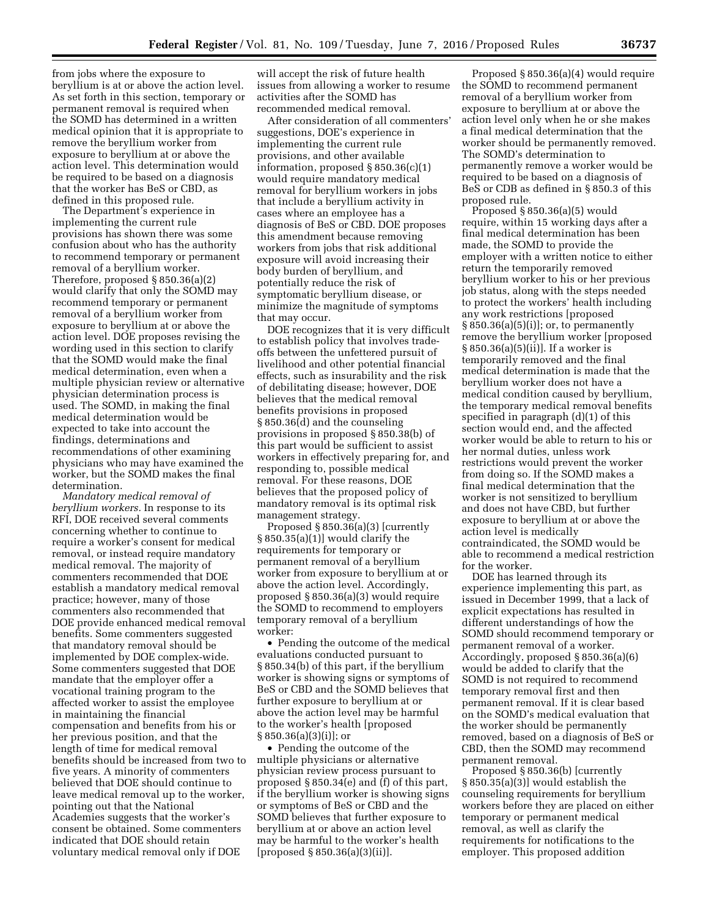from jobs where the exposure to beryllium is at or above the action level. As set forth in this section, temporary or permanent removal is required when the SOMD has determined in a written medical opinion that it is appropriate to remove the beryllium worker from exposure to beryllium at or above the action level. This determination would be required to be based on a diagnosis that the worker has BeS or CBD, as defined in this proposed rule.

The Department's experience in implementing the current rule provisions has shown there was some confusion about who has the authority to recommend temporary or permanent removal of a beryllium worker. Therefore, proposed § 850.36(a)(2) would clarify that only the SOMD may recommend temporary or permanent removal of a beryllium worker from exposure to beryllium at or above the action level. DOE proposes revising the wording used in this section to clarify that the SOMD would make the final medical determination, even when a multiple physician review or alternative physician determination process is used. The SOMD, in making the final medical determination would be expected to take into account the findings, determinations and recommendations of other examining physicians who may have examined the worker, but the SOMD makes the final determination.

*Mandatory medical removal of beryllium workers.* In response to its RFI, DOE received several comments concerning whether to continue to require a worker's consent for medical removal, or instead require mandatory medical removal. The majority of commenters recommended that DOE establish a mandatory medical removal practice; however, many of those commenters also recommended that DOE provide enhanced medical removal benefits. Some commenters suggested that mandatory removal should be implemented by DOE complex-wide. Some commenters suggested that DOE mandate that the employer offer a vocational training program to the affected worker to assist the employee in maintaining the financial compensation and benefits from his or her previous position, and that the length of time for medical removal benefits should be increased from two to five years. A minority of commenters believed that DOE should continue to leave medical removal up to the worker, pointing out that the National Academies suggests that the worker's consent be obtained. Some commenters indicated that DOE should retain voluntary medical removal only if DOE

will accept the risk of future health issues from allowing a worker to resume activities after the SOMD has recommended medical removal.

After consideration of all commenters' suggestions, DOE's experience in implementing the current rule provisions, and other available information, proposed § 850.36(c)(1) would require mandatory medical removal for beryllium workers in jobs that include a beryllium activity in cases where an employee has a diagnosis of BeS or CBD. DOE proposes this amendment because removing workers from jobs that risk additional exposure will avoid increasing their body burden of beryllium, and potentially reduce the risk of symptomatic beryllium disease, or minimize the magnitude of symptoms that may occur.

DOE recognizes that it is very difficult to establish policy that involves tradeoffs between the unfettered pursuit of livelihood and other potential financial effects, such as insurability and the risk of debilitating disease; however, DOE believes that the medical removal benefits provisions in proposed § 850.36(d) and the counseling provisions in proposed § 850.38(b) of this part would be sufficient to assist workers in effectively preparing for, and responding to, possible medical removal. For these reasons, DOE believes that the proposed policy of mandatory removal is its optimal risk management strategy.

Proposed § 850.36(a)(3) [currently § 850.35(a)(1)] would clarify the requirements for temporary or permanent removal of a beryllium worker from exposure to beryllium at or above the action level. Accordingly, proposed § 850.36(a)(3) would require the SOMD to recommend to employers temporary removal of a beryllium worker:

• Pending the outcome of the medical evaluations conducted pursuant to § 850.34(b) of this part, if the beryllium worker is showing signs or symptoms of BeS or CBD and the SOMD believes that further exposure to beryllium at or above the action level may be harmful to the worker's health [proposed § 850.36(a)(3)(i)]; or

• Pending the outcome of the multiple physicians or alternative physician review process pursuant to proposed § 850.34(e) and (f) of this part, if the beryllium worker is showing signs or symptoms of BeS or CBD and the SOMD believes that further exposure to beryllium at or above an action level may be harmful to the worker's health [proposed § 850.36(a)(3)(ii)].

Proposed § 850.36(a)(4) would require the SOMD to recommend permanent removal of a beryllium worker from exposure to beryllium at or above the action level only when he or she makes a final medical determination that the worker should be permanently removed. The SOMD's determination to permanently remove a worker would be required to be based on a diagnosis of BeS or CDB as defined in § 850.3 of this proposed rule.

Proposed § 850.36(a)(5) would require, within 15 working days after a final medical determination has been made, the SOMD to provide the employer with a written notice to either return the temporarily removed beryllium worker to his or her previous job status, along with the steps needed to protect the workers' health including any work restrictions [proposed § 850.36(a)(5)(i)]; or, to permanently remove the beryllium worker [proposed § 850.36(a)(5)(ii)]. If a worker is temporarily removed and the final medical determination is made that the beryllium worker does not have a medical condition caused by beryllium, the temporary medical removal benefits specified in paragraph (d)(1) of this section would end, and the affected worker would be able to return to his or her normal duties, unless work restrictions would prevent the worker from doing so. If the SOMD makes a final medical determination that the worker is not sensitized to beryllium and does not have CBD, but further exposure to beryllium at or above the action level is medically contraindicated, the SOMD would be able to recommend a medical restriction for the worker.

DOE has learned through its experience implementing this part, as issued in December 1999, that a lack of explicit expectations has resulted in different understandings of how the SOMD should recommend temporary or permanent removal of a worker. Accordingly, proposed § 850.36(a)(6) would be added to clarify that the SOMD is not required to recommend temporary removal first and then permanent removal. If it is clear based on the SOMD's medical evaluation that the worker should be permanently removed, based on a diagnosis of BeS or CBD, then the SOMD may recommend permanent removal.

Proposed § 850.36(b) [currently § 850.35(a)(3)] would establish the counseling requirements for beryllium workers before they are placed on either temporary or permanent medical removal, as well as clarify the requirements for notifications to the employer. This proposed addition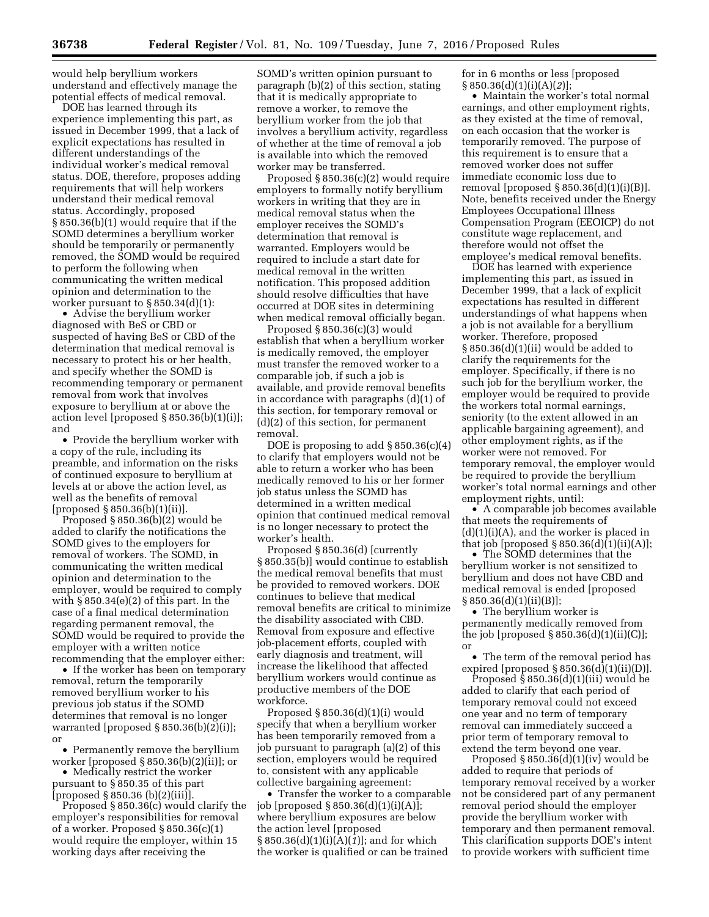would help beryllium workers understand and effectively manage the potential effects of medical removal.

DOE has learned through its experience implementing this part, as issued in December 1999, that a lack of explicit expectations has resulted in different understandings of the individual worker's medical removal status. DOE, therefore, proposes adding requirements that will help workers understand their medical removal status. Accordingly, proposed § 850.36(b)(1) would require that if the SOMD determines a beryllium worker should be temporarily or permanently removed, the SOMD would be required to perform the following when communicating the written medical opinion and determination to the worker pursuant to  $\S 850.34(d)(1)$ :

• Advise the beryllium worker diagnosed with BeS or CBD or suspected of having BeS or CBD of the determination that medical removal is necessary to protect his or her health, and specify whether the SOMD is recommending temporary or permanent removal from work that involves exposure to beryllium at or above the action level [proposed § 850.36(b)(1)(i)]; and

• Provide the beryllium worker with a copy of the rule, including its preamble, and information on the risks of continued exposure to beryllium at levels at or above the action level, as well as the benefits of removal [proposed § 850.36(b)(1)(ii)].

Proposed § 850.36(b)(2) would be added to clarify the notifications the SOMD gives to the employers for removal of workers. The SOMD, in communicating the written medical opinion and determination to the employer, would be required to comply with § 850.34(e)(2) of this part. In the case of a final medical determination regarding permanent removal, the SOMD would be required to provide the employer with a written notice recommending that the employer either:

• If the worker has been on temporary removal, return the temporarily removed beryllium worker to his previous job status if the SOMD determines that removal is no longer warranted [proposed  $\S 850.36(b)(2)(i)$ ]; or

• Permanently remove the beryllium worker [proposed § 850.36(b)(2)(ii)]; or

• Medically restrict the worker pursuant to § 850.35 of this part [proposed  $\S 850.36$  (b)(2)(iii)].

Proposed § 850.36(c) would clarify the employer's responsibilities for removal of a worker. Proposed § 850.36(c)(1) would require the employer, within 15 working days after receiving the

SOMD's written opinion pursuant to paragraph (b)(2) of this section, stating that it is medically appropriate to remove a worker, to remove the beryllium worker from the job that involves a beryllium activity, regardless of whether at the time of removal a job is available into which the removed worker may be transferred.

Proposed § 850.36(c)(2) would require employers to formally notify beryllium workers in writing that they are in medical removal status when the employer receives the SOMD's determination that removal is warranted. Employers would be required to include a start date for medical removal in the written notification. This proposed addition should resolve difficulties that have occurred at DOE sites in determining when medical removal officially began.

Proposed § 850.36(c)(3) would establish that when a beryllium worker is medically removed, the employer must transfer the removed worker to a comparable job, if such a job is available, and provide removal benefits in accordance with paragraphs (d)(1) of this section, for temporary removal or (d)(2) of this section, for permanent removal.

DOE is proposing to add  $\S 850.36(c)(4)$ to clarify that employers would not be able to return a worker who has been medically removed to his or her former job status unless the SOMD has determined in a written medical opinion that continued medical removal is no longer necessary to protect the worker's health.

Proposed § 850.36(d) [currently § 850.35(b)] would continue to establish the medical removal benefits that must be provided to removed workers. DOE continues to believe that medical removal benefits are critical to minimize the disability associated with CBD. Removal from exposure and effective job-placement efforts, coupled with early diagnosis and treatment, will increase the likelihood that affected beryllium workers would continue as productive members of the DOE workforce.

Proposed  $§ 850.36(d)(1)(i)$  would specify that when a beryllium worker has been temporarily removed from a job pursuant to paragraph (a)(2) of this section, employers would be required to, consistent with any applicable collective bargaining agreement:

• Transfer the worker to a comparable job [proposed § 850.36(d)(1)(i)(A)]; where beryllium exposures are below the action level [proposed § 850.36(d)(1)(i)(A)(*1*)]; and for which the worker is qualified or can be trained

for in 6 months or less [proposed § 850.36(d)(1)(i)(A)(*2*)];

• Maintain the worker's total normal earnings, and other employment rights, as they existed at the time of removal, on each occasion that the worker is temporarily removed. The purpose of this requirement is to ensure that a removed worker does not suffer immediate economic loss due to removal [proposed  $\S 850.36(d)(1)(i)(B)$ ]. Note, benefits received under the Energy Employees Occupational Illness Compensation Program (EEOICP) do not constitute wage replacement, and therefore would not offset the employee's medical removal benefits.

DOE has learned with experience implementing this part, as issued in December 1999, that a lack of explicit expectations has resulted in different understandings of what happens when a job is not available for a beryllium worker. Therefore, proposed  $§ 850.36(d)(1)(ii)$  would be added to clarify the requirements for the employer. Specifically, if there is no such job for the beryllium worker, the employer would be required to provide the workers total normal earnings, seniority (to the extent allowed in an applicable bargaining agreement), and other employment rights, as if the worker were not removed. For temporary removal, the employer would be required to provide the beryllium worker's total normal earnings and other employment rights, until:

• A comparable job becomes available that meets the requirements of  $(d)(1)(i)(A)$ , and the worker is placed in that job [proposed  $\S 850.36(d)(1)(ii)(A)$ ];

• The SOMD determines that the beryllium worker is not sensitized to beryllium and does not have CBD and medical removal is ended [proposed  $\S 850.36(d)(1)(ii)(B)$ ;

• The beryllium worker is permanently medically removed from the job [proposed  $\S 850.36(d)(1)(ii)(C)$ ]; or

• The term of the removal period has expired [proposed  $\S 850.36(d)(1)(ii)(D)$ ].

Proposed  $§ 850.36(d)(1)(iii)$  would be added to clarify that each period of temporary removal could not exceed one year and no term of temporary removal can immediately succeed a prior term of temporary removal to extend the term beyond one year.

Proposed  $\S 850.36(d)(1)(iv)$  would be added to require that periods of temporary removal received by a worker not be considered part of any permanent removal period should the employer provide the beryllium worker with temporary and then permanent removal. This clarification supports DOE's intent to provide workers with sufficient time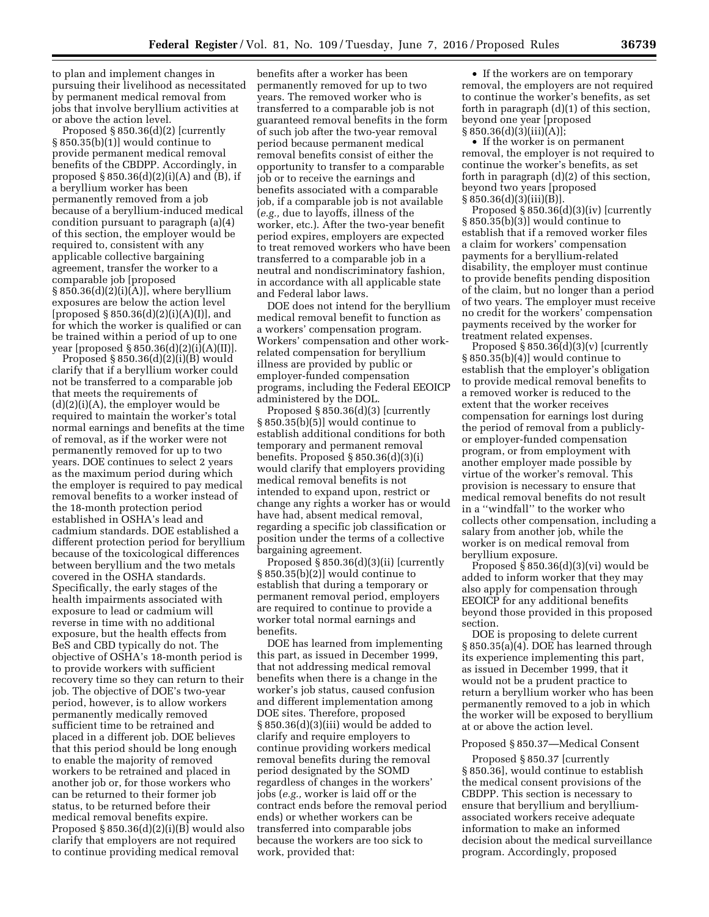to plan and implement changes in pursuing their livelihood as necessitated by permanent medical removal from jobs that involve beryllium activities at or above the action level.

Proposed § 850.36(d)(2) [currently § 850.35(b)(1)] would continue to provide permanent medical removal benefits of the CBDPP. Accordingly, in proposed  $\S 850.36(d)(2)(i)(A)$  and  $(B)$ , if a beryllium worker has been permanently removed from a job because of a beryllium-induced medical condition pursuant to paragraph (a)(4) of this section, the employer would be required to, consistent with any applicable collective bargaining agreement, transfer the worker to a comparable job [proposed  $§ 850.36(d)(2)(i)(A)],$  where beryllium exposures are below the action level [proposed  $\S 850.36(d)(2)(i)(A)(I)$ ], and for which the worker is qualified or can be trained within a period of up to one year [proposed  $\S 850.36(d)(2)(i)(A)(II)$ ].

Proposed § 850.36(d)(2)(i)(B) would clarify that if a beryllium worker could not be transferred to a comparable job that meets the requirements of (d)(2)(i)(A), the employer would be required to maintain the worker's total normal earnings and benefits at the time of removal, as if the worker were not permanently removed for up to two years. DOE continues to select 2 years as the maximum period during which the employer is required to pay medical removal benefits to a worker instead of the 18-month protection period established in OSHA's lead and cadmium standards. DOE established a different protection period for beryllium because of the toxicological differences between beryllium and the two metals covered in the OSHA standards. Specifically, the early stages of the health impairments associated with exposure to lead or cadmium will reverse in time with no additional exposure, but the health effects from BeS and CBD typically do not. The objective of OSHA's 18-month period is to provide workers with sufficient recovery time so they can return to their job. The objective of DOE's two-year period, however, is to allow workers permanently medically removed sufficient time to be retrained and placed in a different job. DOE believes that this period should be long enough to enable the majority of removed workers to be retrained and placed in another job or, for those workers who can be returned to their former job status, to be returned before their medical removal benefits expire. Proposed  $\S 850.36(d)(2)(i)(B)$  would also clarify that employers are not required to continue providing medical removal

benefits after a worker has been permanently removed for up to two years. The removed worker who is transferred to a comparable job is not guaranteed removal benefits in the form of such job after the two-year removal period because permanent medical removal benefits consist of either the opportunity to transfer to a comparable job or to receive the earnings and benefits associated with a comparable job, if a comparable job is not available (*e.g.,* due to layoffs, illness of the worker, etc.). After the two-year benefit period expires, employers are expected to treat removed workers who have been transferred to a comparable job in a neutral and nondiscriminatory fashion, in accordance with all applicable state and Federal labor laws.

DOE does not intend for the beryllium medical removal benefit to function as a workers' compensation program. Workers' compensation and other workrelated compensation for beryllium illness are provided by public or employer-funded compensation programs, including the Federal EEOICP administered by the DOL.

Proposed § 850.36(d)(3) [currently § 850.35(b)(5)] would continue to establish additional conditions for both temporary and permanent removal benefits. Proposed § 850.36(d)(3)(i) would clarify that employers providing medical removal benefits is not intended to expand upon, restrict or change any rights a worker has or would have had, absent medical removal, regarding a specific job classification or position under the terms of a collective bargaining agreement.

Proposed § 850.36(d)(3)(ii) [currently § 850.35(b)(2)] would continue to establish that during a temporary or permanent removal period, employers are required to continue to provide a worker total normal earnings and benefits.

DOE has learned from implementing this part, as issued in December 1999, that not addressing medical removal benefits when there is a change in the worker's job status, caused confusion and different implementation among DOE sites. Therefore, proposed  $§ 850.36(d)(3)(iii)$  would be added to clarify and require employers to continue providing workers medical removal benefits during the removal period designated by the SOMD regardless of changes in the workers' jobs (*e.g.,* worker is laid off or the contract ends before the removal period ends) or whether workers can be transferred into comparable jobs because the workers are too sick to work, provided that:

• If the workers are on temporary removal, the employers are not required to continue the worker's benefits, as set forth in paragraph (d)(1) of this section, beyond one year [proposed  $§ 850.36(d)(3)(iii)(A)];$ 

• If the worker is on permanent removal, the employer is not required to continue the worker's benefits, as set forth in paragraph (d)(2) of this section, beyond two years [proposed  $§ 850.36(d)(3)(iii)(B)].$ 

Proposed § 850.36(d)(3)(iv) [currently § 850.35(b)(3)] would continue to establish that if a removed worker files a claim for workers' compensation payments for a beryllium-related disability, the employer must continue to provide benefits pending disposition of the claim, but no longer than a period of two years. The employer must receive no credit for the workers' compensation payments received by the worker for treatment related expenses.

Proposed  $\S 850.36(d)(3)(v)$  [currently § 850.35(b)(4)] would continue to establish that the employer's obligation to provide medical removal benefits to a removed worker is reduced to the extent that the worker receives compensation for earnings lost during the period of removal from a publiclyor employer-funded compensation program, or from employment with another employer made possible by virtue of the worker's removal. This provision is necessary to ensure that medical removal benefits do not result in a ''windfall'' to the worker who collects other compensation, including a salary from another job, while the worker is on medical removal from beryllium exposure.

Proposed  $$850.36(d)(3)(vi)$  would be added to inform worker that they may also apply for compensation through EEOICP for any additional benefits beyond those provided in this proposed section.

DOE is proposing to delete current § 850.35(a)(4). DOE has learned through its experience implementing this part, as issued in December 1999, that it would not be a prudent practice to return a beryllium worker who has been permanently removed to a job in which the worker will be exposed to beryllium at or above the action level.

## Proposed § 850.37—Medical Consent

Proposed § 850.37 [currently § 850.36], would continue to establish the medical consent provisions of the CBDPP. This section is necessary to ensure that beryllium and berylliumassociated workers receive adequate information to make an informed decision about the medical surveillance program. Accordingly, proposed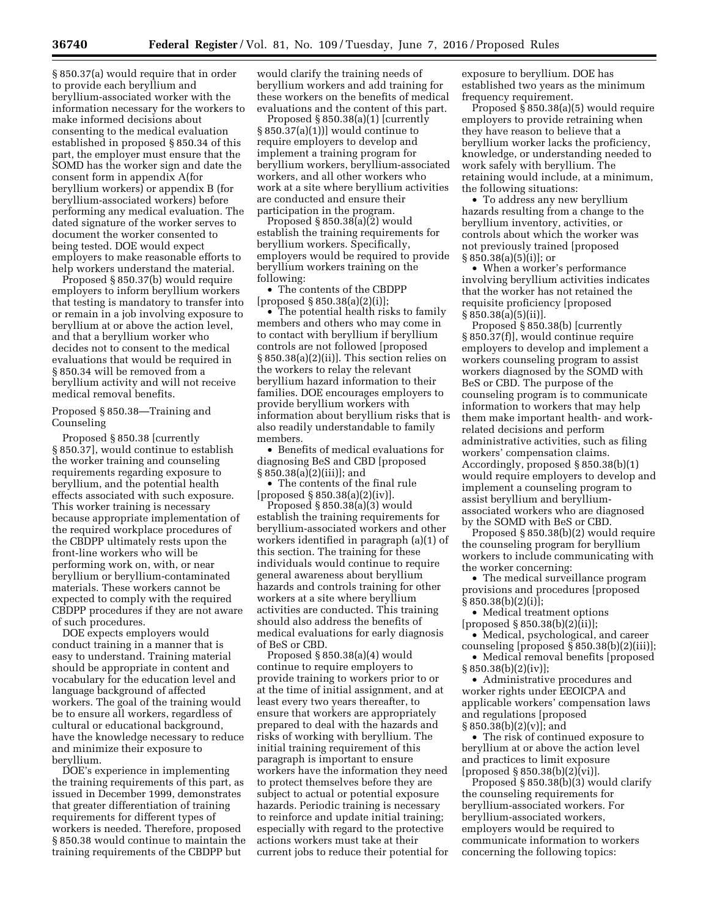§ 850.37(a) would require that in order to provide each beryllium and beryllium-associated worker with the information necessary for the workers to make informed decisions about consenting to the medical evaluation established in proposed § 850.34 of this part, the employer must ensure that the SOMD has the worker sign and date the consent form in appendix A(for beryllium workers) or appendix B (for beryllium-associated workers) before performing any medical evaluation. The dated signature of the worker serves to document the worker consented to being tested. DOE would expect employers to make reasonable efforts to help workers understand the material.

Proposed § 850.37(b) would require employers to inform beryllium workers that testing is mandatory to transfer into or remain in a job involving exposure to beryllium at or above the action level, and that a beryllium worker who decides not to consent to the medical evaluations that would be required in § 850.34 will be removed from a beryllium activity and will not receive medical removal benefits.

Proposed § 850.38—Training and Counseling

Proposed § 850.38 [currently § 850.37], would continue to establish the worker training and counseling requirements regarding exposure to beryllium, and the potential health effects associated with such exposure. This worker training is necessary because appropriate implementation of the required workplace procedures of the CBDPP ultimately rests upon the front-line workers who will be performing work on, with, or near beryllium or beryllium-contaminated materials. These workers cannot be expected to comply with the required CBDPP procedures if they are not aware of such procedures.

DOE expects employers would conduct training in a manner that is easy to understand. Training material should be appropriate in content and vocabulary for the education level and language background of affected workers. The goal of the training would be to ensure all workers, regardless of cultural or educational background, have the knowledge necessary to reduce and minimize their exposure to beryllium.

DOE's experience in implementing the training requirements of this part, as issued in December 1999, demonstrates that greater differentiation of training requirements for different types of workers is needed. Therefore, proposed § 850.38 would continue to maintain the training requirements of the CBDPP but

would clarify the training needs of beryllium workers and add training for these workers on the benefits of medical evaluations and the content of this part.

Proposed  $\S 850.38(a)(1)$  [currently § 850.37(a)(1))] would continue to require employers to develop and implement a training program for beryllium workers, beryllium-associated workers, and all other workers who work at a site where beryllium activities are conducted and ensure their participation in the program.

Proposed § 850.38(a)(2) would establish the training requirements for beryllium workers. Specifically, employers would be required to provide beryllium workers training on the following:

• The contents of the CBDPP [proposed § 850.38(a)(2)(i)];

• The potential health risks to family members and others who may come in to contact with beryllium if beryllium controls are not followed [proposed § 850.38(a)(2)(ii)]. This section relies on the workers to relay the relevant beryllium hazard information to their families. DOE encourages employers to provide beryllium workers with information about beryllium risks that is also readily understandable to family members.

• Benefits of medical evaluations for diagnosing BeS and CBD [proposed § 850.38(a)(2)(iii)]; and

• The contents of the final rule [proposed § 850.38(a)(2)(iv)].

Proposed § 850.38(a)(3) would establish the training requirements for beryllium-associated workers and other workers identified in paragraph (a)(1) of this section. The training for these individuals would continue to require general awareness about beryllium hazards and controls training for other workers at a site where beryllium activities are conducted. This training should also address the benefits of medical evaluations for early diagnosis of BeS or CBD.

Proposed § 850.38(a)(4) would continue to require employers to provide training to workers prior to or at the time of initial assignment, and at least every two years thereafter, to ensure that workers are appropriately prepared to deal with the hazards and risks of working with beryllium. The initial training requirement of this paragraph is important to ensure workers have the information they need to protect themselves before they are subject to actual or potential exposure hazards. Periodic training is necessary to reinforce and update initial training; especially with regard to the protective actions workers must take at their current jobs to reduce their potential for

exposure to beryllium. DOE has established two years as the minimum frequency requirement.

Proposed § 850.38(a)(5) would require employers to provide retraining when they have reason to believe that a beryllium worker lacks the proficiency, knowledge, or understanding needed to work safely with beryllium. The retaining would include, at a minimum, the following situations:

• To address any new beryllium hazards resulting from a change to the beryllium inventory, activities, or controls about which the worker was not previously trained [proposed § 850.38(a)(5)(i)]; or

• When a worker's performance involving beryllium activities indicates that the worker has not retained the requisite proficiency [proposed  $§ 850.38(a)(5)(ii)].$ 

Proposed § 850.38(b) [currently § 850.37(f)], would continue require employers to develop and implement a workers counseling program to assist workers diagnosed by the SOMD with BeS or CBD. The purpose of the counseling program is to communicate information to workers that may help them make important health- and workrelated decisions and perform administrative activities, such as filing workers' compensation claims. Accordingly, proposed § 850.38(b)(1) would require employers to develop and implement a counseling program to assist beryllium and berylliumassociated workers who are diagnosed by the SOMD with BeS or CBD.

Proposed § 850.38(b)(2) would require the counseling program for beryllium workers to include communicating with the worker concerning:

• The medical surveillance program provisions and procedures [proposed  $§ 850.38(b)(2)(i)];$ 

• Medical treatment options  $[proposed § 850.38(b)(2)(ii)];$ 

• Medical, psychological, and career counseling [proposed § 850.38(b)(2)(iii)];

• Medical removal benefits [proposed] § 850.38(b)(2)(iv)];

• Administrative procedures and worker rights under EEOICPA and applicable workers' compensation laws and regulations [proposed  $\S 850.38(b)(2)(v)$ ; and

• The risk of continued exposure to beryllium at or above the action level and practices to limit exposure [proposed § 850.38(b)(2)(vi)].

Proposed § 850.38(b)(3) would clarify the counseling requirements for beryllium-associated workers. For beryllium-associated workers, employers would be required to communicate information to workers concerning the following topics: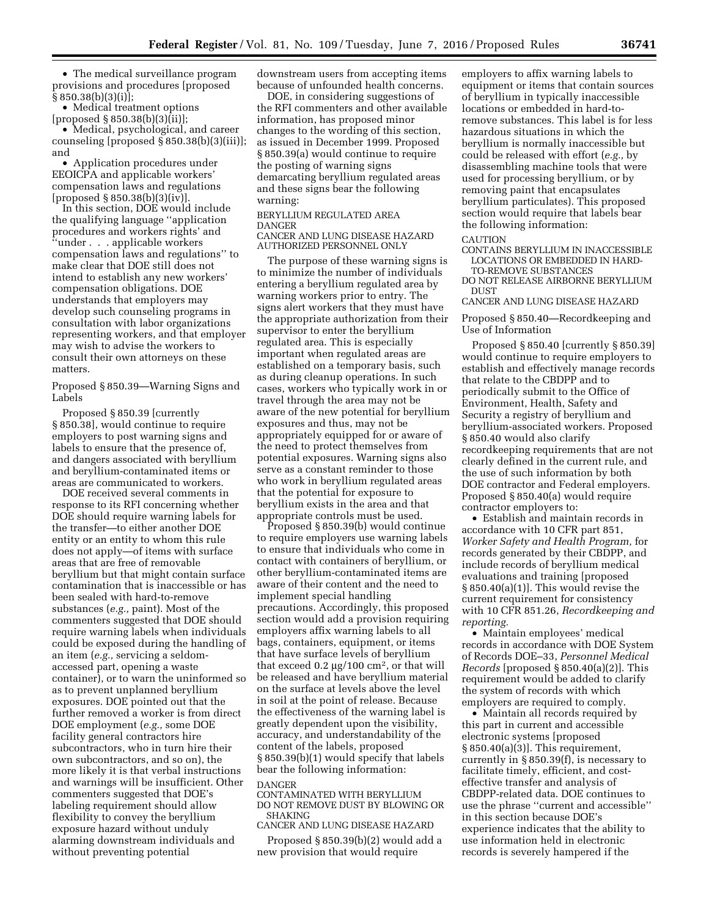• The medical surveillance program provisions and procedures [proposed § 850.38(b)(3)(i)];

• Medical treatment options  $[proposed § 850.38(b)(3)(ii)];$ 

• Medical, psychological, and career counseling [proposed § 850.38(b)(3)(iii)]; and

• Application procedures under EEOICPA and applicable workers' compensation laws and regulations [proposed  $\S 850.38(b)(3)(iv)$ ]

In this section, DOE would include the qualifying language ''application procedures and workers rights' and ''under . . . applicable workers compensation laws and regulations'' to make clear that DOE still does not intend to establish any new workers' compensation obligations. DOE understands that employers may develop such counseling programs in consultation with labor organizations representing workers, and that employer may wish to advise the workers to consult their own attorneys on these matters.

Proposed § 850.39—Warning Signs and Labels

Proposed § 850.39 [currently § 850.38], would continue to require employers to post warning signs and labels to ensure that the presence of, and dangers associated with beryllium and beryllium-contaminated items or areas are communicated to workers.

DOE received several comments in response to its RFI concerning whether DOE should require warning labels for the transfer—to either another DOE entity or an entity to whom this rule does not apply—of items with surface areas that are free of removable beryllium but that might contain surface contamination that is inaccessible or has been sealed with hard-to-remove substances (*e.g.,* paint). Most of the commenters suggested that DOE should require warning labels when individuals could be exposed during the handling of an item (*e.g.,* servicing a seldomaccessed part, opening a waste container), or to warn the uninformed so as to prevent unplanned beryllium exposures. DOE pointed out that the further removed a worker is from direct DOE employment (*e.g.,* some DOE facility general contractors hire subcontractors, who in turn hire their own subcontractors, and so on), the more likely it is that verbal instructions and warnings will be insufficient. Other commenters suggested that DOE's labeling requirement should allow flexibility to convey the beryllium exposure hazard without unduly alarming downstream individuals and without preventing potential

downstream users from accepting items because of unfounded health concerns.

DOE, in considering suggestions of the RFI commenters and other available information, has proposed minor changes to the wording of this section, as issued in December 1999. Proposed § 850.39(a) would continue to require the posting of warning signs demarcating beryllium regulated areas and these signs bear the following warning:

#### BERYLLIUM REGULATED AREA DANGER CANCER AND LUNG DISEASE HAZARD AUTHORIZED PERSONNEL ONLY

The purpose of these warning signs is to minimize the number of individuals entering a beryllium regulated area by warning workers prior to entry. The signs alert workers that they must have the appropriate authorization from their supervisor to enter the beryllium regulated area. This is especially important when regulated areas are established on a temporary basis, such as during cleanup operations. In such cases, workers who typically work in or travel through the area may not be aware of the new potential for beryllium exposures and thus, may not be appropriately equipped for or aware of the need to protect themselves from potential exposures. Warning signs also serve as a constant reminder to those who work in beryllium regulated areas that the potential for exposure to beryllium exists in the area and that appropriate controls must be used.

Proposed § 850.39(b) would continue to require employers use warning labels to ensure that individuals who come in contact with containers of beryllium, or other beryllium-contaminated items are aware of their content and the need to implement special handling precautions. Accordingly, this proposed section would add a provision requiring employers affix warning labels to all bags, containers, equipment, or items that have surface levels of beryllium that exceed  $0.2 \mu g / 100 \text{ cm}^2$ , or that will be released and have beryllium material on the surface at levels above the level in soil at the point of release. Because the effectiveness of the warning label is greatly dependent upon the visibility, accuracy, and understandability of the content of the labels, proposed § 850.39(b)(1) would specify that labels bear the following information: DANGER

CONTAMINATED WITH BERYLLIUM DO NOT REMOVE DUST BY BLOWING OR SHAKING

CANCER AND LUNG DISEASE HAZARD

Proposed § 850.39(b)(2) would add a new provision that would require

employers to affix warning labels to equipment or items that contain sources of beryllium in typically inaccessible locations or embedded in hard-toremove substances. This label is for less hazardous situations in which the beryllium is normally inaccessible but could be released with effort (*e.g.,* by disassembling machine tools that were used for processing beryllium, or by removing paint that encapsulates beryllium particulates). This proposed section would require that labels bear the following information:

#### **CAUTION**

CONTAINS BERYLLIUM IN INACCESSIBLE LOCATIONS OR EMBEDDED IN HARD-

TO-REMOVE SUBSTANCES DO NOT RELEASE AIRBORNE BERYLLIUM **DUST** 

CANCER AND LUNG DISEASE HAZARD

## Proposed § 850.40—Recordkeeping and Use of Information

Proposed § 850.40 [currently § 850.39] would continue to require employers to establish and effectively manage records that relate to the CBDPP and to periodically submit to the Office of Environment, Health, Safety and Security a registry of beryllium and beryllium-associated workers. Proposed § 850.40 would also clarify recordkeeping requirements that are not clearly defined in the current rule, and the use of such information by both DOE contractor and Federal employers. Proposed § 850.40(a) would require contractor employers to:

• Establish and maintain records in accordance with 10 CFR part 851, *Worker Safety and Health Program,* for records generated by their CBDPP, and include records of beryllium medical evaluations and training [proposed § 850.40(a)(1)]. This would revise the current requirement for consistency with 10 CFR 851.26, *Recordkeeping and reporting.* 

• Maintain employees' medical records in accordance with DOE System of Records DOE–33, *Personnel Medical Records* [proposed § 850.40(a)(2)]. This requirement would be added to clarify the system of records with which employers are required to comply.

• Maintain all records required by this part in current and accessible electronic systems [proposed § 850.40(a)(3)]. This requirement, currently in § 850.39(f), is necessary to facilitate timely, efficient, and costeffective transfer and analysis of CBDPP-related data. DOE continues to use the phrase ''current and accessible'' in this section because DOE's experience indicates that the ability to use information held in electronic records is severely hampered if the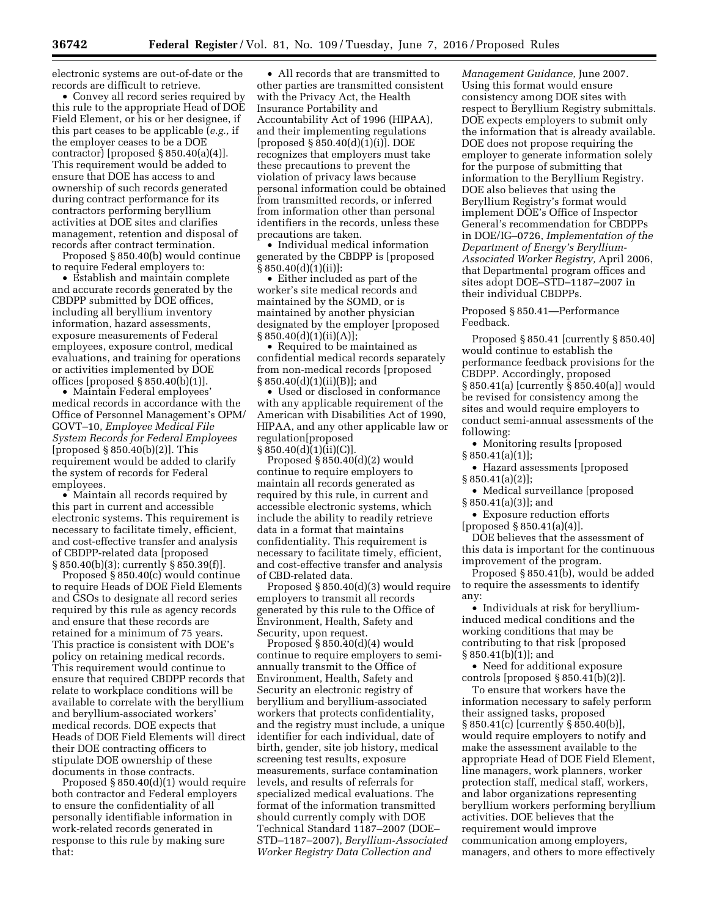electronic systems are out-of-date or the records are difficult to retrieve.

• Convey all record series required by this rule to the appropriate Head of DOE Field Element, or his or her designee, if this part ceases to be applicable (*e.g.,* if the employer ceases to be a DOE contractor) [proposed  $\S 850.40(a)(4)$ ]. This requirement would be added to ensure that DOE has access to and ownership of such records generated during contract performance for its contractors performing beryllium activities at DOE sites and clarifies management, retention and disposal of records after contract termination.

Proposed § 850.40(b) would continue to require Federal employers to:

• Establish and maintain complete and accurate records generated by the CBDPP submitted by DOE offices, including all beryllium inventory information, hazard assessments, exposure measurements of Federal employees, exposure control, medical evaluations, and training for operations or activities implemented by DOE offices [proposed  $\S 850.40(b)(1)$ ].

• Maintain Federal employees' medical records in accordance with the Office of Personnel Management's OPM/ GOVT–10, *Employee Medical File System Records for Federal Employees*  [proposed § 850.40(b)(2)]. This requirement would be added to clarify the system of records for Federal employees.

• Maintain all records required by this part in current and accessible electronic systems. This requirement is necessary to facilitate timely, efficient, and cost-effective transfer and analysis of CBDPP-related data [proposed § 850.40(b)(3); currently § 850.39(f)].

Proposed § 850.40(c) would continue to require Heads of DOE Field Elements and CSOs to designate all record series required by this rule as agency records and ensure that these records are retained for a minimum of 75 years. This practice is consistent with DOE's policy on retaining medical records. This requirement would continue to ensure that required CBDPP records that relate to workplace conditions will be available to correlate with the beryllium and beryllium-associated workers' medical records. DOE expects that Heads of DOE Field Elements will direct their DOE contracting officers to stipulate DOE ownership of these documents in those contracts.

Proposed § 850.40(d)(1) would require both contractor and Federal employers to ensure the confidentiality of all personally identifiable information in work-related records generated in response to this rule by making sure that:

• All records that are transmitted to other parties are transmitted consistent with the Privacy Act, the Health Insurance Portability and Accountability Act of 1996 (HIPAA), and their implementing regulations [proposed § 850.40(d)(1)(i)]. DOE recognizes that employers must take these precautions to prevent the violation of privacy laws because personal information could be obtained from transmitted records, or inferred from information other than personal identifiers in the records, unless these precautions are taken.

• Individual medical information generated by the CBDPP is [proposed § 850.40(d)(1)(ii)]:

• Either included as part of the worker's site medical records and maintained by the SOMD, or is maintained by another physician designated by the employer [proposed  $§ 850.40(d)(1)(ii)(A)];$ 

• Required to be maintained as confidential medical records separately from non-medical records [proposed § 850.40(d)(1)(ii)(B)]; and

• Used or disclosed in conformance with any applicable requirement of the American with Disabilities Act of 1990, HIPAA, and any other applicable law or regulation[proposed  $§ 850.40(d)(i)(ii)(C)$ ].

Proposed § 850.40(d)(2) would continue to require employers to maintain all records generated as required by this rule, in current and accessible electronic systems, which include the ability to readily retrieve data in a format that maintains confidentiality. This requirement is necessary to facilitate timely, efficient, and cost-effective transfer and analysis of CBD-related data.

Proposed § 850.40(d)(3) would require employers to transmit all records generated by this rule to the Office of Environment, Health, Safety and Security, upon request.

Proposed  $\S 850.40(d)(4)$  would continue to require employers to semiannually transmit to the Office of Environment, Health, Safety and Security an electronic registry of beryllium and beryllium-associated workers that protects confidentiality, and the registry must include, a unique identifier for each individual, date of birth, gender, site job history, medical screening test results, exposure measurements, surface contamination levels, and results of referrals for specialized medical evaluations. The format of the information transmitted should currently comply with DOE Technical Standard 1187–2007 (DOE– STD–1187–2007), *Beryllium-Associated Worker Registry Data Collection and* 

*Management Guidance,* June 2007. Using this format would ensure consistency among DOE sites with respect to Beryllium Registry submittals. DOE expects employers to submit only the information that is already available. DOE does not propose requiring the employer to generate information solely for the purpose of submitting that information to the Beryllium Registry. DOE also believes that using the Beryllium Registry's format would implement DOE's Office of Inspector General's recommendation for CBDPPs in DOE/IG–0726, *Implementation of the Department of Energy's Beryllium-Associated Worker Registry,* April 2006, that Departmental program offices and sites adopt DOE–STD–1187–2007 in their individual CBDPPs.

Proposed § 850.41—Performance Feedback.

Proposed § 850.41 [currently § 850.40] would continue to establish the performance feedback provisions for the CBDPP. Accordingly, proposed § 850.41(a) [currently § 850.40(a)] would be revised for consistency among the sites and would require employers to conduct semi-annual assessments of the following:

• Monitoring results [proposed  $§ 850.41(a)(1)];$ 

• Hazard assessments [proposed § 850.41(a)(2)];

• Medical surveillance [proposed § 850.41(a)(3)]; and

• Exposure reduction efforts [proposed § 850.41(a)(4)].

DOE believes that the assessment of this data is important for the continuous improvement of the program.

Proposed § 850.41(b), would be added to require the assessments to identify any:

• Individuals at risk for berylliuminduced medical conditions and the working conditions that may be contributing to that risk [proposed § 850.41(b)(1)]; and

• Need for additional exposure controls [proposed § 850.41(b)(2)].

To ensure that workers have the information necessary to safely perform their assigned tasks, proposed § 850.41(c) [currently § 850.40(b)], would require employers to notify and make the assessment available to the appropriate Head of DOE Field Element, line managers, work planners, worker protection staff, medical staff, workers, and labor organizations representing beryllium workers performing beryllium activities. DOE believes that the requirement would improve communication among employers, managers, and others to more effectively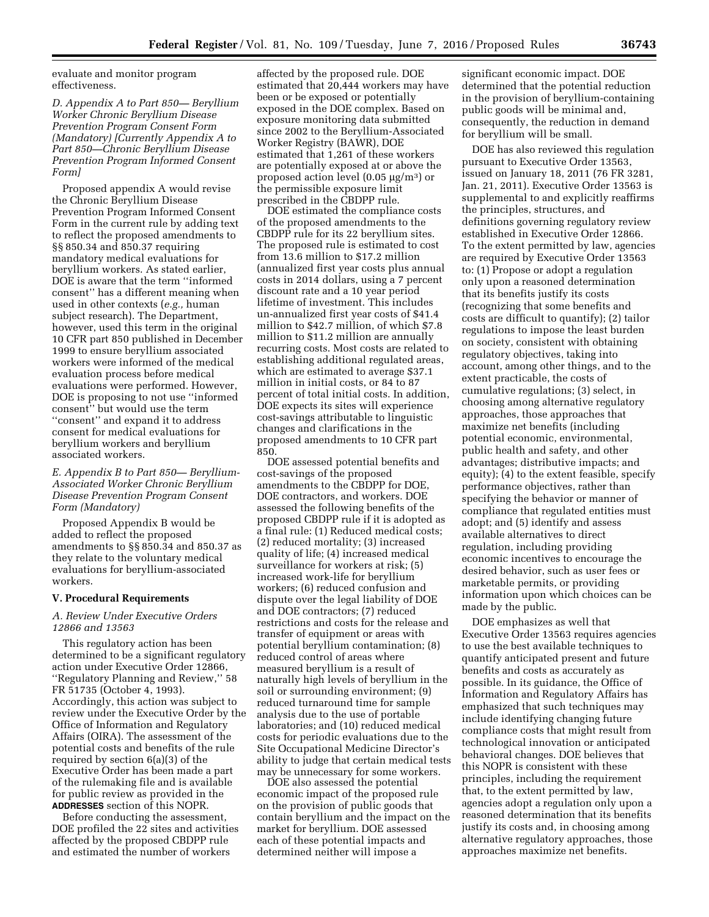evaluate and monitor program effectiveness.

*D. Appendix A to Part 850— Beryllium Worker Chronic Beryllium Disease Prevention Program Consent Form (Mandatory) [Currently Appendix A to Part 850—Chronic Beryllium Disease Prevention Program Informed Consent Form]* 

Proposed appendix A would revise the Chronic Beryllium Disease Prevention Program Informed Consent Form in the current rule by adding text to reflect the proposed amendments to §§ 850.34 and 850.37 requiring mandatory medical evaluations for beryllium workers. As stated earlier, DOE is aware that the term ''informed consent'' has a different meaning when used in other contexts (*e.g.,* human subject research). The Department, however, used this term in the original 10 CFR part 850 published in December 1999 to ensure beryllium associated workers were informed of the medical evaluation process before medical evaluations were performed. However, DOE is proposing to not use ''informed consent'' but would use the term ''consent'' and expand it to address consent for medical evaluations for beryllium workers and beryllium associated workers.

# *E. Appendix B to Part 850— Beryllium-Associated Worker Chronic Beryllium Disease Prevention Program Consent Form (Mandatory)*

Proposed Appendix B would be added to reflect the proposed amendments to §§ 850.34 and 850.37 as they relate to the voluntary medical evaluations for beryllium-associated workers.

## **V. Procedural Requirements**

## *A. Review Under Executive Orders 12866 and 13563*

This regulatory action has been determined to be a significant regulatory action under Executive Order 12866, ''Regulatory Planning and Review,'' 58 FR 51735 (October 4, 1993). Accordingly, this action was subject to review under the Executive Order by the Office of Information and Regulatory Affairs (OIRA). The assessment of the potential costs and benefits of the rule required by section 6(a)(3) of the Executive Order has been made a part of the rulemaking file and is available for public review as provided in the **ADDRESSES** section of this NOPR.

Before conducting the assessment, DOE profiled the 22 sites and activities affected by the proposed CBDPP rule and estimated the number of workers

affected by the proposed rule. DOE estimated that 20,444 workers may have been or be exposed or potentially exposed in the DOE complex. Based on exposure monitoring data submitted since 2002 to the Beryllium-Associated Worker Registry (BAWR), DOE estimated that 1,261 of these workers are potentially exposed at or above the proposed action level (0.05  $\mu$ g/m<sup>3</sup>) or the permissible exposure limit prescribed in the CBDPP rule.

DOE estimated the compliance costs of the proposed amendments to the CBDPP rule for its 22 beryllium sites. The proposed rule is estimated to cost from 13.6 million to \$17.2 million (annualized first year costs plus annual costs in 2014 dollars, using a 7 percent discount rate and a 10 year period lifetime of investment. This includes un-annualized first year costs of \$41.4 million to \$42.7 million, of which \$7.8 million to \$11.2 million are annually recurring costs. Most costs are related to establishing additional regulated areas, which are estimated to average \$37.1 million in initial costs, or 84 to 87 percent of total initial costs. In addition, DOE expects its sites will experience cost-savings attributable to linguistic changes and clarifications in the proposed amendments to 10 CFR part 850.

DOE assessed potential benefits and cost-savings of the proposed amendments to the CBDPP for DOE, DOE contractors, and workers. DOE assessed the following benefits of the proposed CBDPP rule if it is adopted as a final rule: (1) Reduced medical costs; (2) reduced mortality; (3) increased quality of life; (4) increased medical surveillance for workers at risk; (5) increased work-life for beryllium workers; (6) reduced confusion and dispute over the legal liability of DOE and DOE contractors; (7) reduced restrictions and costs for the release and transfer of equipment or areas with potential beryllium contamination; (8) reduced control of areas where measured beryllium is a result of naturally high levels of beryllium in the soil or surrounding environment; (9) reduced turnaround time for sample analysis due to the use of portable laboratories; and (10) reduced medical costs for periodic evaluations due to the Site Occupational Medicine Director's ability to judge that certain medical tests may be unnecessary for some workers.

DOE also assessed the potential economic impact of the proposed rule on the provision of public goods that contain beryllium and the impact on the market for beryllium. DOE assessed each of these potential impacts and determined neither will impose a

significant economic impact. DOE determined that the potential reduction in the provision of beryllium-containing public goods will be minimal and, consequently, the reduction in demand for beryllium will be small.

DOE has also reviewed this regulation pursuant to Executive Order 13563, issued on January 18, 2011 (76 FR 3281, Jan. 21, 2011). Executive Order 13563 is supplemental to and explicitly reaffirms the principles, structures, and definitions governing regulatory review established in Executive Order 12866. To the extent permitted by law, agencies are required by Executive Order 13563 to: (1) Propose or adopt a regulation only upon a reasoned determination that its benefits justify its costs (recognizing that some benefits and costs are difficult to quantify); (2) tailor regulations to impose the least burden on society, consistent with obtaining regulatory objectives, taking into account, among other things, and to the extent practicable, the costs of cumulative regulations; (3) select, in choosing among alternative regulatory approaches, those approaches that maximize net benefits (including potential economic, environmental, public health and safety, and other advantages; distributive impacts; and equity); (4) to the extent feasible, specify performance objectives, rather than specifying the behavior or manner of compliance that regulated entities must adopt; and (5) identify and assess available alternatives to direct regulation, including providing economic incentives to encourage the desired behavior, such as user fees or marketable permits, or providing information upon which choices can be made by the public.

DOE emphasizes as well that Executive Order 13563 requires agencies to use the best available techniques to quantify anticipated present and future benefits and costs as accurately as possible. In its guidance, the Office of Information and Regulatory Affairs has emphasized that such techniques may include identifying changing future compliance costs that might result from technological innovation or anticipated behavioral changes. DOE believes that this NOPR is consistent with these principles, including the requirement that, to the extent permitted by law, agencies adopt a regulation only upon a reasoned determination that its benefits justify its costs and, in choosing among alternative regulatory approaches, those approaches maximize net benefits.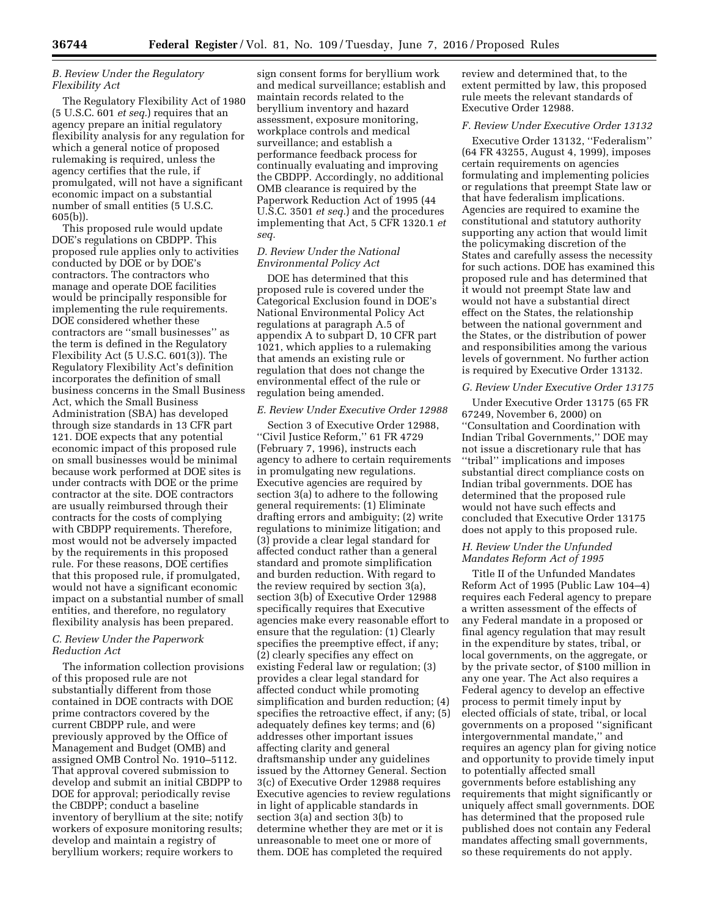# *B. Review Under the Regulatory Flexibility Act*

The Regulatory Flexibility Act of 1980 (5 U.S.C. 601 *et seq.*) requires that an agency prepare an initial regulatory flexibility analysis for any regulation for which a general notice of proposed rulemaking is required, unless the agency certifies that the rule, if promulgated, will not have a significant economic impact on a substantial number of small entities (5 U.S.C. 605(b)).

This proposed rule would update DOE's regulations on CBDPP. This proposed rule applies only to activities conducted by DOE or by DOE's contractors. The contractors who manage and operate DOE facilities would be principally responsible for implementing the rule requirements. DOE considered whether these contractors are ''small businesses'' as the term is defined in the Regulatory Flexibility Act (5 U.S.C. 601(3)). The Regulatory Flexibility Act's definition incorporates the definition of small business concerns in the Small Business Act, which the Small Business Administration (SBA) has developed through size standards in 13 CFR part 121. DOE expects that any potential economic impact of this proposed rule on small businesses would be minimal because work performed at DOE sites is under contracts with DOE or the prime contractor at the site. DOE contractors are usually reimbursed through their contracts for the costs of complying with CBDPP requirements. Therefore, most would not be adversely impacted by the requirements in this proposed rule. For these reasons, DOE certifies that this proposed rule, if promulgated, would not have a significant economic impact on a substantial number of small entities, and therefore, no regulatory flexibility analysis has been prepared.

# *C. Review Under the Paperwork Reduction Act*

The information collection provisions of this proposed rule are not substantially different from those contained in DOE contracts with DOE prime contractors covered by the current CBDPP rule, and were previously approved by the Office of Management and Budget (OMB) and assigned OMB Control No. 1910–5112. That approval covered submission to develop and submit an initial CBDPP to DOE for approval; periodically revise the CBDPP; conduct a baseline inventory of beryllium at the site; notify workers of exposure monitoring results; develop and maintain a registry of beryllium workers; require workers to

sign consent forms for beryllium work and medical surveillance; establish and maintain records related to the beryllium inventory and hazard assessment, exposure monitoring, workplace controls and medical surveillance; and establish a performance feedback process for continually evaluating and improving the CBDPP. Accordingly, no additional OMB clearance is required by the Paperwork Reduction Act of 1995 (44 U.S.C. 3501 *et seq.*) and the procedures implementing that Act, 5 CFR 1320.1 *et seq.* 

# *D. Review Under the National Environmental Policy Act*

DOE has determined that this proposed rule is covered under the Categorical Exclusion found in DOE's National Environmental Policy Act regulations at paragraph A.5 of appendix A to subpart D, 10 CFR part 1021, which applies to a rulemaking that amends an existing rule or regulation that does not change the environmental effect of the rule or regulation being amended.

## *E. Review Under Executive Order 12988*

Section 3 of Executive Order 12988, ''Civil Justice Reform,'' 61 FR 4729 (February 7, 1996), instructs each agency to adhere to certain requirements in promulgating new regulations. Executive agencies are required by section 3(a) to adhere to the following general requirements: (1) Eliminate drafting errors and ambiguity; (2) write regulations to minimize litigation; and (3) provide a clear legal standard for affected conduct rather than a general standard and promote simplification and burden reduction. With regard to the review required by section 3(a), section 3(b) of Executive Order 12988 specifically requires that Executive agencies make every reasonable effort to ensure that the regulation: (1) Clearly specifies the preemptive effect, if any; (2) clearly specifies any effect on existing Federal law or regulation; (3) provides a clear legal standard for affected conduct while promoting simplification and burden reduction; (4) specifies the retroactive effect, if any; (5) adequately defines key terms; and (6) addresses other important issues affecting clarity and general draftsmanship under any guidelines issued by the Attorney General. Section 3(c) of Executive Order 12988 requires Executive agencies to review regulations in light of applicable standards in section 3(a) and section 3(b) to determine whether they are met or it is unreasonable to meet one or more of them. DOE has completed the required

review and determined that, to the extent permitted by law, this proposed rule meets the relevant standards of Executive Order 12988.

## *F. Review Under Executive Order 13132*

Executive Order 13132, ''Federalism'' (64 FR 43255, August 4, 1999), imposes certain requirements on agencies formulating and implementing policies or regulations that preempt State law or that have federalism implications. Agencies are required to examine the constitutional and statutory authority supporting any action that would limit the policymaking discretion of the States and carefully assess the necessity for such actions. DOE has examined this proposed rule and has determined that it would not preempt State law and would not have a substantial direct effect on the States, the relationship between the national government and the States, or the distribution of power and responsibilities among the various levels of government. No further action is required by Executive Order 13132.

## *G. Review Under Executive Order 13175*

Under Executive Order 13175 (65 FR 67249, November 6, 2000) on ''Consultation and Coordination with Indian Tribal Governments,'' DOE may not issue a discretionary rule that has ''tribal'' implications and imposes substantial direct compliance costs on Indian tribal governments. DOE has determined that the proposed rule would not have such effects and concluded that Executive Order 13175 does not apply to this proposed rule.

# *H. Review Under the Unfunded Mandates Reform Act of 1995*

Title II of the Unfunded Mandates Reform Act of 1995 (Public Law 104–4) requires each Federal agency to prepare a written assessment of the effects of any Federal mandate in a proposed or final agency regulation that may result in the expenditure by states, tribal, or local governments, on the aggregate, or by the private sector, of \$100 million in any one year. The Act also requires a Federal agency to develop an effective process to permit timely input by elected officials of state, tribal, or local governments on a proposed ''significant intergovernmental mandate,'' and requires an agency plan for giving notice and opportunity to provide timely input to potentially affected small governments before establishing any requirements that might significantly or uniquely affect small governments. DOE has determined that the proposed rule published does not contain any Federal mandates affecting small governments, so these requirements do not apply.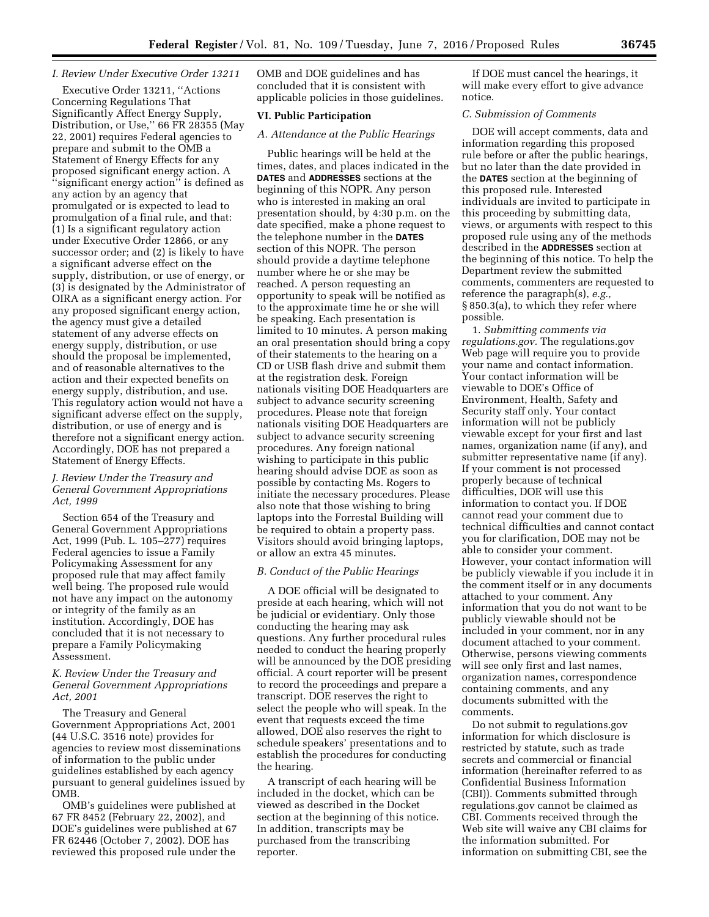# *I. Review Under Executive Order 13211*

Executive Order 13211, ''Actions Concerning Regulations That Significantly Affect Energy Supply, Distribution, or Use,'' 66 FR 28355 (May 22, 2001) requires Federal agencies to prepare and submit to the OMB a Statement of Energy Effects for any proposed significant energy action. A ''significant energy action'' is defined as any action by an agency that promulgated or is expected to lead to promulgation of a final rule, and that: (1) Is a significant regulatory action under Executive Order 12866, or any successor order; and (2) is likely to have a significant adverse effect on the supply, distribution, or use of energy, or (3) is designated by the Administrator of OIRA as a significant energy action. For any proposed significant energy action, the agency must give a detailed statement of any adverse effects on energy supply, distribution, or use should the proposal be implemented, and of reasonable alternatives to the action and their expected benefits on energy supply, distribution, and use. This regulatory action would not have a significant adverse effect on the supply, distribution, or use of energy and is therefore not a significant energy action. Accordingly, DOE has not prepared a Statement of Energy Effects.

## *J. Review Under the Treasury and General Government Appropriations Act, 1999*

Section 654 of the Treasury and General Government Appropriations Act, 1999 (Pub. L. 105–277) requires Federal agencies to issue a Family Policymaking Assessment for any proposed rule that may affect family well being. The proposed rule would not have any impact on the autonomy or integrity of the family as an institution. Accordingly, DOE has concluded that it is not necessary to prepare a Family Policymaking Assessment.

## *K. Review Under the Treasury and General Government Appropriations Act, 2001*

The Treasury and General Government Appropriations Act, 2001 (44 U.S.C. 3516 note) provides for agencies to review most disseminations of information to the public under guidelines established by each agency pursuant to general guidelines issued by OMB.

OMB's guidelines were published at 67 FR 8452 (February 22, 2002), and DOE's guidelines were published at 67 FR 62446 (October 7, 2002). DOE has reviewed this proposed rule under the

OMB and DOE guidelines and has concluded that it is consistent with applicable policies in those guidelines.

#### **VI. Public Participation**

### *A. Attendance at the Public Hearings*

Public hearings will be held at the times, dates, and places indicated in the **DATES** and **ADDRESSES** sections at the beginning of this NOPR. Any person who is interested in making an oral presentation should, by 4:30 p.m. on the date specified, make a phone request to the telephone number in the **DATES** section of this NOPR. The person should provide a daytime telephone number where he or she may be reached. A person requesting an opportunity to speak will be notified as to the approximate time he or she will be speaking. Each presentation is limited to 10 minutes. A person making an oral presentation should bring a copy of their statements to the hearing on a CD or USB flash drive and submit them at the registration desk. Foreign nationals visiting DOE Headquarters are subject to advance security screening procedures. Please note that foreign nationals visiting DOE Headquarters are subject to advance security screening procedures. Any foreign national wishing to participate in this public hearing should advise DOE as soon as possible by contacting Ms. Rogers to initiate the necessary procedures. Please also note that those wishing to bring laptops into the Forrestal Building will be required to obtain a property pass. Visitors should avoid bringing laptops, or allow an extra 45 minutes.

# *B. Conduct of the Public Hearings*

A DOE official will be designated to preside at each hearing, which will not be judicial or evidentiary. Only those conducting the hearing may ask questions. Any further procedural rules needed to conduct the hearing properly will be announced by the DOE presiding official. A court reporter will be present to record the proceedings and prepare a transcript. DOE reserves the right to select the people who will speak. In the event that requests exceed the time allowed, DOE also reserves the right to schedule speakers' presentations and to establish the procedures for conducting the hearing.

A transcript of each hearing will be included in the docket, which can be viewed as described in the Docket section at the beginning of this notice. In addition, transcripts may be purchased from the transcribing reporter.

If DOE must cancel the hearings, it will make every effort to give advance notice.

## *C. Submission of Comments*

DOE will accept comments, data and information regarding this proposed rule before or after the public hearings, but no later than the date provided in the **DATES** section at the beginning of this proposed rule. Interested individuals are invited to participate in this proceeding by submitting data, views, or arguments with respect to this proposed rule using any of the methods described in the **ADDRESSES** section at the beginning of this notice. To help the Department review the submitted comments, commenters are requested to reference the paragraph(s), *e.g.,*  § 850.3(a), to which they refer where possible.

1. *Submitting comments via regulations.gov.* The regulations.gov Web page will require you to provide your name and contact information. Your contact information will be viewable to DOE's Office of Environment, Health, Safety and Security staff only. Your contact information will not be publicly viewable except for your first and last names, organization name (if any), and submitter representative name (if any). If your comment is not processed properly because of technical difficulties, DOE will use this information to contact you. If DOE cannot read your comment due to technical difficulties and cannot contact you for clarification, DOE may not be able to consider your comment. However, your contact information will be publicly viewable if you include it in the comment itself or in any documents attached to your comment. Any information that you do not want to be publicly viewable should not be included in your comment, nor in any document attached to your comment. Otherwise, persons viewing comments will see only first and last names, organization names, correspondence containing comments, and any documents submitted with the comments.

Do not submit to regulations.gov information for which disclosure is restricted by statute, such as trade secrets and commercial or financial information (hereinafter referred to as Confidential Business Information (CBI)). Comments submitted through regulations.gov cannot be claimed as CBI. Comments received through the Web site will waive any CBI claims for the information submitted. For information on submitting CBI, see the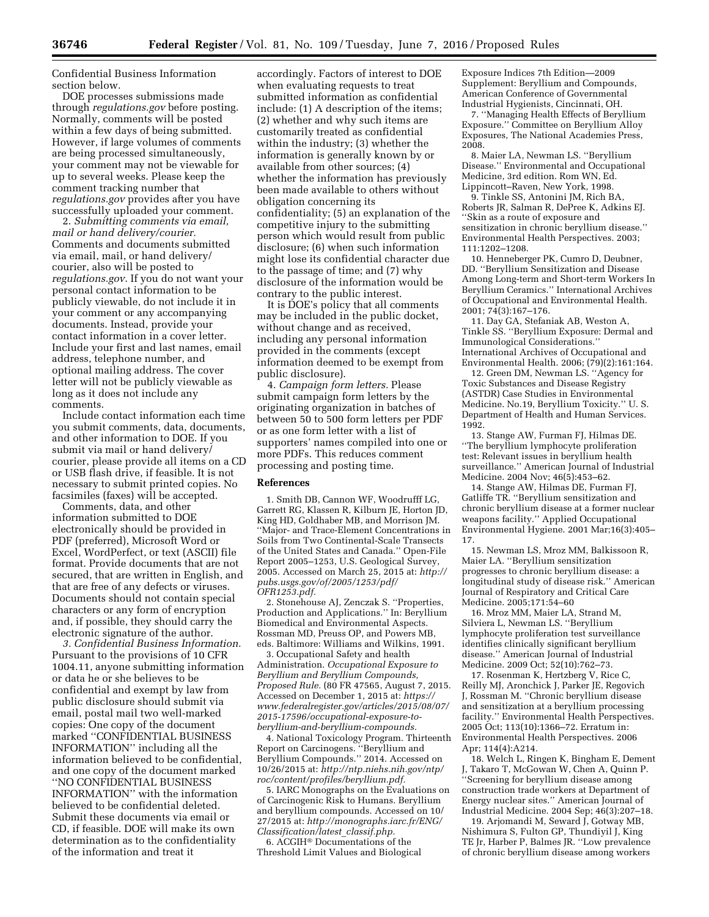Confidential Business Information section below.

DOE processes submissions made through *regulations.gov* before posting. Normally, comments will be posted within a few days of being submitted. However, if large volumes of comments are being processed simultaneously, your comment may not be viewable for up to several weeks. Please keep the comment tracking number that *regulations.gov* provides after you have successfully uploaded your comment.

2. *Submitting comments via email, mail or hand delivery/courier.*  Comments and documents submitted via email, mail, or hand delivery/ courier, also will be posted to *regulations.gov*. If you do not want your personal contact information to be publicly viewable, do not include it in your comment or any accompanying documents. Instead, provide your contact information in a cover letter. Include your first and last names, email address, telephone number, and optional mailing address. The cover letter will not be publicly viewable as long as it does not include any comments.

Include contact information each time you submit comments, data, documents, and other information to DOE. If you submit via mail or hand delivery/ courier, please provide all items on a CD or USB flash drive, if feasible. It is not necessary to submit printed copies. No facsimiles (faxes) will be accepted.

Comments, data, and other information submitted to DOE electronically should be provided in PDF (preferred), Microsoft Word or Excel, WordPerfect, or text (ASCII) file format. Provide documents that are not secured, that are written in English, and that are free of any defects or viruses. Documents should not contain special characters or any form of encryption and, if possible, they should carry the electronic signature of the author.

*3. Confidential Business Information.*  Pursuant to the provisions of 10 CFR 1004.11, anyone submitting information or data he or she believes to be confidential and exempt by law from public disclosure should submit via email, postal mail two well-marked copies: One copy of the document marked ''CONFIDENTIAL BUSINESS INFORMATION'' including all the information believed to be confidential, and one copy of the document marked ''NO CONFIDENTIAL BUSINESS INFORMATION'' with the information believed to be confidential deleted. Submit these documents via email or CD, if feasible. DOE will make its own determination as to the confidentiality of the information and treat it

accordingly. Factors of interest to DOE when evaluating requests to treat submitted information as confidential include: (1) A description of the items; (2) whether and why such items are customarily treated as confidential within the industry; (3) whether the information is generally known by or available from other sources; (4) whether the information has previously been made available to others without obligation concerning its confidentiality; (5) an explanation of the competitive injury to the submitting person which would result from public disclosure; (6) when such information might lose its confidential character due to the passage of time; and (7) why disclosure of the information would be contrary to the public interest.

It is DOE's policy that all comments may be included in the public docket, without change and as received, including any personal information provided in the comments (except information deemed to be exempt from public disclosure).

4. *Campaign form letters.* Please submit campaign form letters by the originating organization in batches of between 50 to 500 form letters per PDF or as one form letter with a list of supporters' names compiled into one or more PDFs. This reduces comment processing and posting time.

#### **References**

1. Smith DB, Cannon WF, Woodrufff LG, Garrett RG, Klassen R, Kilburn JE, Horton JD, King HD, Goldhaber MB, and Morrison JM. ''Major- and Trace-Element Concentrations in Soils from Two Continental-Scale Transects of the United States and Canada.'' Open-File Report 2005–1253, U.S. Geological Survey, 2005. Accessed on March 25, 2015 at: *[http://](http://pubs.usgs.gov/of/2005/1253/pdf/OFR1253.pdf)  [pubs.usgs.gov/of/2005/1253/pdf/](http://pubs.usgs.gov/of/2005/1253/pdf/OFR1253.pdf) [OFR1253.pdf.](http://pubs.usgs.gov/of/2005/1253/pdf/OFR1253.pdf)* 

2. Stonehouse AJ, Zenczak S. ''Properties, Production and Applications.'' In: Beryllium Biomedical and Environmental Aspects. Rossman MD, Preuss OP, and Powers MB, eds. Baltimore: Williams and Wilkins, 1991.

3. Occupational Safety and health Administration. *Occupational Exposure to Beryllium and Beryllium Compounds, Proposed Rule.* (80 FR 47565, August 7, 2015. Accessed on December 1, 2015 at: *[https://](https://www.federalregister.gov/articles/2015/08/07/2015-17596/occupational-exposure-to-beryllium-and-beryllium-compounds) [www.federalregister.gov/articles/2015/08/07/](https://www.federalregister.gov/articles/2015/08/07/2015-17596/occupational-exposure-to-beryllium-and-beryllium-compounds) [2015-17596/occupational-exposure-to](https://www.federalregister.gov/articles/2015/08/07/2015-17596/occupational-exposure-to-beryllium-and-beryllium-compounds)[beryllium-and-beryllium-compounds.](https://www.federalregister.gov/articles/2015/08/07/2015-17596/occupational-exposure-to-beryllium-and-beryllium-compounds)* 

4. National Toxicology Program. Thirteenth Report on Carcinogens. ''Beryllium and Beryllium Compounds.'' 2014. Accessed on 10/26/2015 at: *[http://ntp.niehs.nih.gov/ntp/](http://ntp.niehs.nih.gov/ntp/roc/content/profiles/beryllium.pdf) [roc/content/profiles/beryllium.pdf.](http://ntp.niehs.nih.gov/ntp/roc/content/profiles/beryllium.pdf)* 

5. IARC Monographs on the Evaluations on of Carcinogenic Risk to Humans. Beryllium and beryllium compounds. Accessed on 10/ 27/2015 at: *[http://monographs.iarc.fr/ENG/](http://monographs.iarc.fr/ENG/Classification/latest_classif.php) [Classification/latest](http://monographs.iarc.fr/ENG/Classification/latest_classif.php)*\_*classif.php.* 

6. ACGIH® Documentations of the Threshold Limit Values and Biological

Exposure Indices 7th Edition—2009 Supplement: Beryllium and Compounds, American Conference of Governmental Industrial Hygienists, Cincinnati, OH.

7. ''Managing Health Effects of Beryllium Exposure.'' Committee on Beryllium Alloy Exposures, The National Academies Press, 2008.

8. Maier LA, Newman LS. ''Beryllium Disease.'' Environmental and Occupational Medicine, 3rd edition. Rom WN, Ed. Lippincott–Raven, New York, 1998.

9. Tinkle SS, Antonini JM, Rich BA, Roberts JR, Salman R, DePree K, Adkins EJ. ''Skin as a route of exposure and sensitization in chronic beryllium disease.'' Environmental Health Perspectives. 2003; 111:1202–1208.

10. Henneberger PK, Cumro D, Deubner, DD. ''Beryllium Sensitization and Disease Among Long-term and Short-term Workers In Beryllium Ceramics.'' International Archives of Occupational and Environmental Health. 2001; 74(3):167–176.

11. Day GA, Stefaniak AB, Weston A, Tinkle SS. ''Beryllium Exposure: Dermal and Immunological Considerations.'' International Archives of Occupational and Environmental Health. 2006; (79)(2):161:164.

12. Green DM, Newman LS. ''Agency for Toxic Substances and Disease Registry (ASTDR) Case Studies in Environmental Medicine. No.19, Beryllium Toxicity.'' U. S. Department of Health and Human Services. 1992.

13. Stange AW, Furman FJ, Hilmas DE. ''The beryllium lymphocyte proliferation test: Relevant issues in beryllium health surveillance.'' American Journal of Industrial Medicine. 2004 Nov; 46(5):453–62.

14. Stange AW, Hilmas DE, Furman FJ, Gatliffe TR. ''Beryllium sensitization and chronic beryllium disease at a former nuclear weapons facility.'' Applied Occupational Environmental Hygiene. 2001 Mar;16(3):405– 17.

15. Newman LS, Mroz MM, Balkissoon R, Maier LA. ''Beryllium sensitization progresses to chronic beryllium disease: a longitudinal study of disease risk.'' American Journal of Respiratory and Critical Care Medicine. 2005;171:54–60

16. Mroz MM, Maier LA, Strand M, Silviera L, Newman LS. ''Beryllium lymphocyte proliferation test surveillance identifies clinically significant beryllium disease.'' American Journal of Industrial Medicine. 2009 Oct; 52(10):762–73.

17. Rosenman K, Hertzberg V, Rice C, Reilly MJ, Aronchick J, Parker JE, Regovich J, Rossman M. ''Chronic beryllium disease and sensitization at a beryllium processing facility.'' Environmental Health Perspectives. 2005 Oct; 113(10):1366–72. Erratum in: Environmental Health Perspectives. 2006 Apr; 114(4):A214.

18. Welch L, Ringen K, Bingham E, Dement , Takaro T, McGowan W, Chen A, Quinn P. ''Screening for beryllium disease among construction trade workers at Department of Energy nuclear sites.'' American Journal of Industrial Medicine. 2004 Sep; 46(3):207–18.

19. Arjomandi M, Seward J, Gotway MB, Nishimura S, Fulton GP, Thundiyil J, King TE Jr, Harber P, Balmes JR. ''Low prevalence of chronic beryllium disease among workers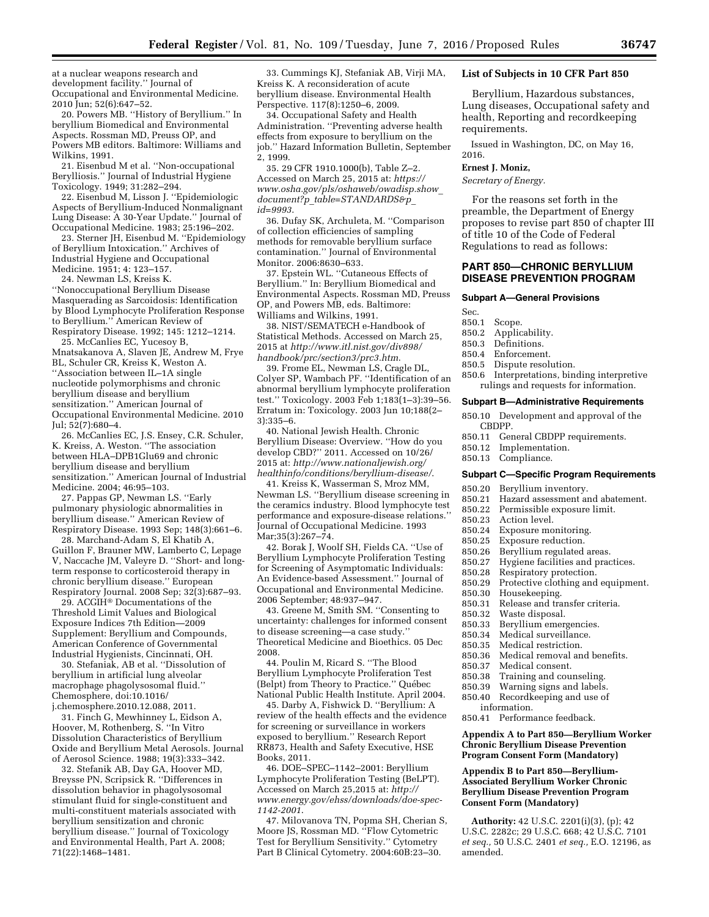at a nuclear weapons research and development facility.'' Journal of Occupational and Environmental Medicine. 2010 Jun; 52(6):647–52.

20. Powers MB. ''History of Beryllium.'' In beryllium Biomedical and Environmental Aspects. Rossman MD, Preuss OP, and Powers MB editors. Baltimore: Williams and Wilkins, 1991.

21. Eisenbud M et al. ''Non-occupational Berylliosis.'' Journal of Industrial Hygiene Toxicology. 1949; 31:282–294.

22. Eisenbud M, Lisson J. ''Epidemiologic Aspects of Beryllium-Induced Nonmalignant Lung Disease: A 30-Year Update.'' Journal of Occupational Medicine. 1983; 25:196–202.

23. Sterner JH, Eisenbud M. ''Epidemiology of Beryllium Intoxication.'' Archives of Industrial Hygiene and Occupational Medicine. 1951; 4: 123–157.

24. Newman LS, Kreiss K.

''Nonoccupational Beryllium Disease Masquerading as Sarcoidosis: Identification by Blood Lymphocyte Proliferation Response to Beryllium.'' American Review of Respiratory Disease. 1992; 145: 1212–1214.

25. McCanlies EC, Yucesoy B, Mnatsakanova A, Slaven JE, Andrew M, Frye BL, Schuler CR, Kreiss K, Weston A. ''Association between IL–1A single nucleotide polymorphisms and chronic beryllium disease and beryllium sensitization.'' American Journal of Occupational Environmental Medicine. 2010 Jul;  $52(7):680-4$ .

26. McCanlies EC, J.S. Ensey, C.R. Schuler, K. Kreiss, A. Weston. ''The association between HLA–DPB1Glu69 and chronic beryllium disease and beryllium sensitization.'' American Journal of Industrial Medicine. 2004; 46:95–103.

27. Pappas GP, Newman LS. ''Early pulmonary physiologic abnormalities in beryllium disease.'' American Review of Respiratory Disease. 1993 Sep; 148(3):661–6.

28. Marchand-Adam S, El Khatib A, Guillon F, Brauner MW, Lamberto C, Lepage V, Naccache JM, Valeyre D. ''Short- and longterm response to corticosteroid therapy in chronic beryllium disease.'' European Respiratory Journal. 2008 Sep; 32(3):687–93.

29. ACGIH® Documentations of the Threshold Limit Values and Biological Exposure Indices 7th Edition—2009 Supplement: Beryllium and Compounds, American Conference of Governmental Industrial Hygienists, Cincinnati, OH.

30. Stefaniak, AB et al. ''Dissolution of beryllium in artificial lung alveolar macrophage phagolysosomal fluid.'' Chemosphere, doi:10.1016/ j.chemosphere.2010.12.088, 2011.

31. Finch G, Mewhinney L, Eidson A, Hoover, M, Rothenberg, S. ''In Vitro Dissolution Characteristics of Beryllium Oxide and Beryllium Metal Aerosols. Journal of Aerosol Science. 1988; 19(3):333–342.

32. Stefanik AB, Day GA, Hoover MD, Breysse PN, Scripsick R. ''Differences in dissolution behavior in phagolysosomal stimulant fluid for single-constituent and multi-constituent materials associated with beryllium sensitization and chronic beryllium disease.'' Journal of Toxicology and Environmental Health, Part A. 2008; 71(22):1468–1481.

33. Cummings KJ, Stefaniak AB, Virji MA, Kreiss K. A reconsideration of acute beryllium disease. Environmental Health Perspective. 117(8):1250–6, 2009.

34. Occupational Safety and Health Administration. ''Preventing adverse health effects from exposure to beryllium on the job.'' Hazard Information Bulletin, September 2, 1999.

35. 29 CFR 1910.1000(b), Table Z–2. Accessed on March 25, 2015 at: *[https://](https://www.osha.gov/pls/oshaweb/owadisp.show_document?p_table=STANDARDS&p_id=9993) [www.osha.gov/pls/oshaweb/owadisp.show](https://www.osha.gov/pls/oshaweb/owadisp.show_document?p_table=STANDARDS&p_id=9993)*\_ *document?p*\_*[table=STANDARDS&p](https://www.osha.gov/pls/oshaweb/owadisp.show_document?p_table=STANDARDS&p_id=9993)*\_ *[id=9993](https://www.osha.gov/pls/oshaweb/owadisp.show_document?p_table=STANDARDS&p_id=9993)*.

36. Dufay SK, Archuleta, M. ''Comparison of collection efficiencies of sampling methods for removable beryllium surface contamination.'' Journal of Environmental Monitor. 2006:8630–633.

37. Epstein WL. ''Cutaneous Effects of Beryllium.'' In: Beryllium Biomedical and Environmental Aspects. Rossman MD, Preuss OP, and Powers MB, eds. Baltimore: Williams and Wilkins, 1991.

38. NIST/SEMATECH e-Handbook of Statistical Methods. Accessed on March 25, 2015 at *[http://www.itl.nist.gov/div898/](http://www.itl.nist.gov/div898/handbook/prc/section3/prc3.htm) [handbook/prc/section3/prc3.htm](http://www.itl.nist.gov/div898/handbook/prc/section3/prc3.htm)*.

39. Frome EL, Newman LS, Cragle DL, Colyer SP, Wambach PF. ''Identification of an abnormal beryllium lymphocyte proliferation test.'' Toxicology. 2003 Feb 1;183(1–3):39–56. Erratum in: Toxicology. 2003 Jun 10;188(2– 3):335–6.

40. National Jewish Health. Chronic Beryllium Disease: Overview. ''How do you develop CBD?'' 2011. Accessed on 10/26/ 2015 at: *[http://www.nationaljewish.org/](http://www.nationaljewish.org/healthinfo/conditions/beryllium-disease/) [healthinfo/conditions/beryllium-disease/](http://www.nationaljewish.org/healthinfo/conditions/beryllium-disease/)*.

41. Kreiss K, Wasserman S, Mroz MM, Newman LS. ''Beryllium disease screening in the ceramics industry. Blood lymphocyte test performance and exposure-disease relations.'' Journal of Occupational Medicine. 1993 Mar;35(3):267–74.

42. Borak J, Woolf SH, Fields CA. ''Use of Beryllium Lymphocyte Proliferation Testing for Screening of Asymptomatic Individuals: An Evidence-based Assessment.'' Journal of Occupational and Environmental Medicine. 2006 September; 48:937–947.

43. Greene M, Smith SM. ''Consenting to uncertainty: challenges for informed consent to disease screening—a case study.'' Theoretical Medicine and Bioethics. 05 Dec 2008.

44. Poulin M, Ricard S. ''The Blood Beryllium Lymphocyte Proliferation Test (Belpt) from Theory to Practice." Québec National Public Health Institute. April 2004.

45. Darby A, Fishwick D. ''Beryllium: A review of the health effects and the evidence for screening or surveillance in workers exposed to beryllium.'' Research Report RR873, Health and Safety Executive, HSE Books, 2011.

46. DOE–SPEC–1142–2001: Beryllium Lymphocyte Proliferation Testing (BeLPT). Accessed on March 25,2015 at: *[http://](http://www.energy.gov/ehss/downloads/doe-spec-1142-2001) [www.energy.gov/ehss/downloads/doe-spec-](http://www.energy.gov/ehss/downloads/doe-spec-1142-2001)[1142-2001](http://www.energy.gov/ehss/downloads/doe-spec-1142-2001)*.

47. Milovanova TN, Popma SH, Cherian S, Moore JS, Rossman MD. ''Flow Cytometric Test for Beryllium Sensitivity.'' Cytometry Part B Clinical Cytometry. 2004:60B:23–30.

#### **List of Subjects in 10 CFR Part 850**

Beryllium, Hazardous substances, Lung diseases, Occupational safety and health, Reporting and recordkeeping requirements.

Issued in Washington, DC, on May 16, 2016.

# **Ernest J. Moniz,**

*Secretary of Energy.* 

For the reasons set forth in the preamble, the Department of Energy proposes to revise part 850 of chapter III of title 10 of the Code of Federal Regulations to read as follows:

## **PART 850—CHRONIC BERYLLIUM DISEASE PREVENTION PROGRAM**

#### **Subpart A—General Provisions**

Sec.

- 850.1 Scope.
- 850.2 Applicability.
- 850.3 Definitions.
- 
- 850.4 Enforcement.<br>850.5 Dispute resol Dispute resolution.
- 850.6 Interpretations, binding interpretive rulings and requests for information.

#### **Subpart B—Administrative Requirements**

- 850.10 Development and approval of the CBDPP.
- 850.11 General CBDPP requirements.
- 850.12 Implementation.
- 850.13 Compliance.

#### **Subpart C—Specific Program Requirements**

- 850.20 Beryllium inventory.
- 850.21 Hazard assessment and abatement.
- 850.22 Permissible exposure limit.
- 850.23 Action level.
- 850.24 Exposure monitoring.<br>850.25 Exposure reduction.
- 850.25 Exposure reduction.<br>850.26 Beryllium regulated
- Beryllium regulated areas.
- 850.27 Hygiene facilities and practices.
- 850.28 Respiratory protection.
- 850.29 Protective clothing and equipment.
- Housekeeping.
- 850.31 Release and transfer criteria.
- 850.32 Waste disposal.
- 850.33 Beryllium emergencies.<br>850.34 Medical surveillance.
- Medical surveillance.
- 850.35 Medical restriction.
- 850.36 Medical removal and benefits.<br>850.37 Medical consent.
- 
- 850.37 Medical consent.<br>850.38 Training and cou Training and counseling.
- 850.39 Warning signs and labels.
- 850.40 Recordkeeping and use of
- information.
- 850.41 Performance feedback.

## **Appendix A to Part 850—Beryllium Worker Chronic Beryllium Disease Prevention Program Consent Form (Mandatory)**

### **Appendix B to Part 850—Beryllium-Associated Beryllium Worker Chronic Beryllium Disease Prevention Program Consent Form (Mandatory)**

**Authority:** 42 U.S.C. 2201(i)(3), (p); 42 U.S.C. 2282c; 29 U.S.C. 668; 42 U.S.C. 7101 *et seq.,* 50 U.S.C. 2401 *et seq.,* E.O. 12196, as amended.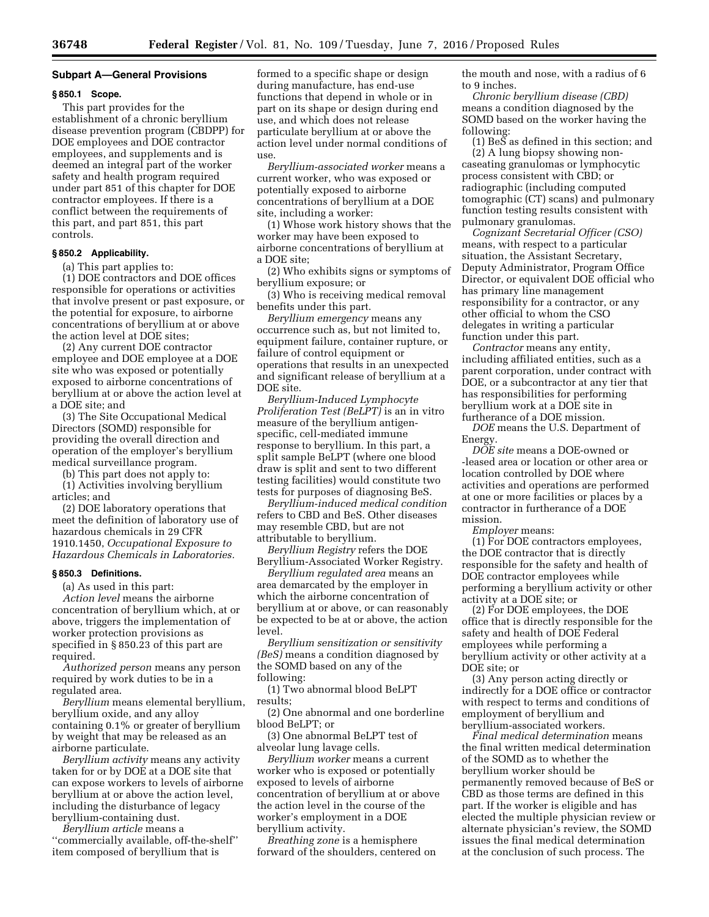#### **Subpart A—General Provisions**

#### **§ 850.1 Scope.**

This part provides for the establishment of a chronic beryllium disease prevention program (CBDPP) for DOE employees and DOE contractor employees, and supplements and is deemed an integral part of the worker safety and health program required under part 851 of this chapter for DOE contractor employees. If there is a conflict between the requirements of this part, and part 851, this part controls.

## **§ 850.2 Applicability.**

(a) This part applies to:

(1) DOE contractors and DOE offices responsible for operations or activities that involve present or past exposure, or the potential for exposure, to airborne concentrations of beryllium at or above the action level at DOE sites;

(2) Any current DOE contractor employee and DOE employee at a DOE site who was exposed or potentially exposed to airborne concentrations of beryllium at or above the action level at a DOE site; and

(3) The Site Occupational Medical Directors (SOMD) responsible for providing the overall direction and operation of the employer's beryllium medical surveillance program.

(b) This part does not apply to:

(1) Activities involving beryllium articles; and

(2) DOE laboratory operations that meet the definition of laboratory use of hazardous chemicals in 29 CFR 1910.1450, *Occupational Exposure to Hazardous Chemicals in Laboratories.* 

#### **§ 850.3 Definitions.**

(a) As used in this part: *Action level* means the airborne concentration of beryllium which, at or above, triggers the implementation of worker protection provisions as specified in § 850.23 of this part are required.

*Authorized person* means any person required by work duties to be in a regulated area.

*Beryllium* means elemental beryllium, beryllium oxide, and any alloy containing 0.1% or greater of beryllium by weight that may be released as an airborne particulate.

*Beryllium activity* means any activity taken for or by DOE at a DOE site that can expose workers to levels of airborne beryllium at or above the action level, including the disturbance of legacy beryllium-containing dust.

*Beryllium article* means a ''commercially available, off-the-shelf'' item composed of beryllium that is

formed to a specific shape or design during manufacture, has end-use functions that depend in whole or in part on its shape or design during end use, and which does not release particulate beryllium at or above the action level under normal conditions of use.

*Beryllium-associated worker* means a current worker, who was exposed or potentially exposed to airborne concentrations of beryllium at a DOE site, including a worker:

(1) Whose work history shows that the worker may have been exposed to airborne concentrations of beryllium at a DOE site;

(2) Who exhibits signs or symptoms of beryllium exposure; or

(3) Who is receiving medical removal benefits under this part.

*Beryllium emergency* means any occurrence such as, but not limited to, equipment failure, container rupture, or failure of control equipment or operations that results in an unexpected and significant release of beryllium at a DOE site.

*Beryllium-Induced Lymphocyte Proliferation Test (BeLPT)* is an in vitro measure of the beryllium antigenspecific, cell-mediated immune response to beryllium. In this part, a split sample BeLPT (where one blood draw is split and sent to two different testing facilities) would constitute two tests for purposes of diagnosing BeS.

*Beryllium-induced medical condition*  refers to CBD and BeS. Other diseases may resemble CBD, but are not attributable to beryllium.

*Beryllium Registry* refers the DOE Beryllium-Associated Worker Registry.

*Beryllium regulated area* means an area demarcated by the employer in which the airborne concentration of beryllium at or above, or can reasonably be expected to be at or above, the action level.

*Beryllium sensitization or sensitivity (BeS)* means a condition diagnosed by the SOMD based on any of the following:

(1) Two abnormal blood BeLPT results;

(2) One abnormal and one borderline blood BeLPT; or

(3) One abnormal BeLPT test of alveolar lung lavage cells.

*Beryllium worker* means a current worker who is exposed or potentially exposed to levels of airborne concentration of beryllium at or above the action level in the course of the worker's employment in a DOE beryllium activity.

*Breathing zone* is a hemisphere forward of the shoulders, centered on the mouth and nose, with a radius of 6 to 9 inches.

*Chronic beryllium disease (CBD)*  means a condition diagnosed by the SOMD based on the worker having the following:

 $(1)$  BeS as defined in this section; and (2) A lung biopsy showing noncaseating granulomas or lymphocytic process consistent with CBD; or radiographic (including computed tomographic (CT) scans) and pulmonary function testing results consistent with pulmonary granulomas.

*Cognizant Secretarial Officer (CSO)*  means, with respect to a particular situation, the Assistant Secretary, Deputy Administrator, Program Office Director, or equivalent DOE official who has primary line management responsibility for a contractor, or any other official to whom the CSO delegates in writing a particular function under this part.

*Contractor* means any entity, including affiliated entities, such as a parent corporation, under contract with DOE, or a subcontractor at any tier that has responsibilities for performing beryllium work at a DOE site in furtherance of a DOE mission.

*DOE* means the U.S. Department of Energy.

*DOE site* means a DOE-owned or -leased area or location or other area or location controlled by DOE where activities and operations are performed at one or more facilities or places by a contractor in furtherance of a DOE mission.

*Employer* means:

(1) For DOE contractors employees, the DOE contractor that is directly responsible for the safety and health of DOE contractor employees while performing a beryllium activity or other activity at a DOE site; or

(2) For DOE employees, the DOE office that is directly responsible for the safety and health of DOE Federal employees while performing a beryllium activity or other activity at a DOE site; or

(3) Any person acting directly or indirectly for a DOE office or contractor with respect to terms and conditions of employment of beryllium and beryllium-associated workers.

*Final medical determination* means the final written medical determination of the SOMD as to whether the beryllium worker should be permanently removed because of BeS or CBD as those terms are defined in this part. If the worker is eligible and has elected the multiple physician review or alternate physician's review, the SOMD issues the final medical determination at the conclusion of such process. The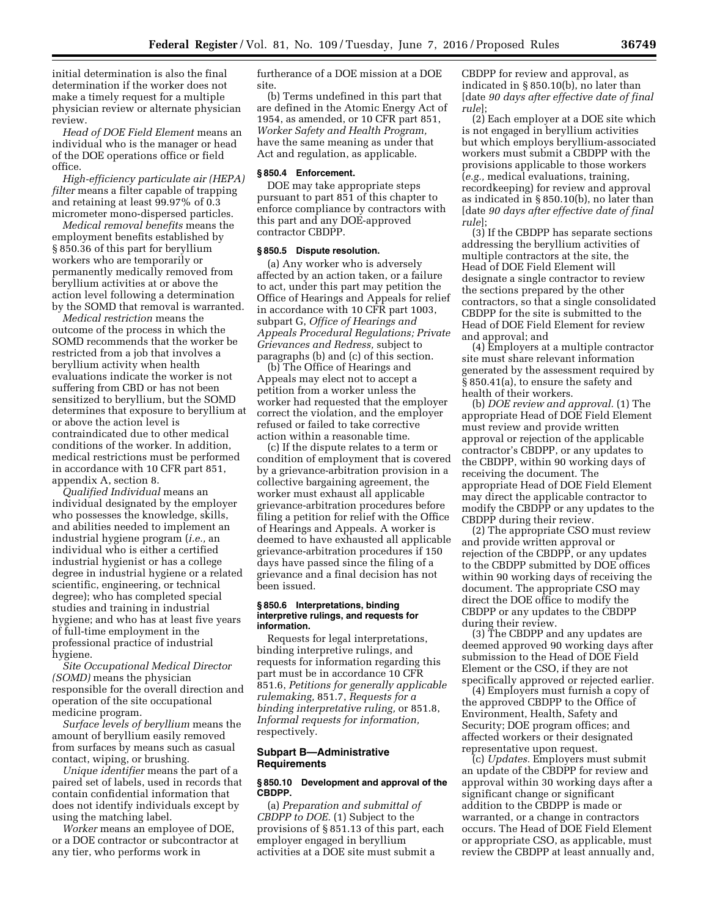initial determination is also the final determination if the worker does not make a timely request for a multiple physician review or alternate physician review.

*Head of DOE Field Element* means an individual who is the manager or head of the DOE operations office or field office.

*High-efficiency particulate air (HEPA) filter* means a filter capable of trapping and retaining at least 99.97% of 0.3 micrometer mono-dispersed particles.

*Medical removal benefits* means the employment benefits established by § 850.36 of this part for beryllium workers who are temporarily or permanently medically removed from beryllium activities at or above the action level following a determination by the SOMD that removal is warranted.

*Medical restriction* means the outcome of the process in which the SOMD recommends that the worker be restricted from a job that involves a beryllium activity when health evaluations indicate the worker is not suffering from CBD or has not been sensitized to beryllium, but the SOMD determines that exposure to beryllium at or above the action level is contraindicated due to other medical conditions of the worker. In addition, medical restrictions must be performed in accordance with 10 CFR part 851, appendix A, section 8.

*Qualified Individual* means an individual designated by the employer who possesses the knowledge, skills, and abilities needed to implement an industrial hygiene program (*i.e.,* an individual who is either a certified industrial hygienist or has a college degree in industrial hygiene or a related scientific, engineering, or technical degree); who has completed special studies and training in industrial hygiene; and who has at least five years of full-time employment in the professional practice of industrial hygiene.

*Site Occupational Medical Director (SOMD)* means the physician responsible for the overall direction and operation of the site occupational medicine program.

*Surface levels of beryllium* means the amount of beryllium easily removed from surfaces by means such as casual contact, wiping, or brushing.

*Unique identifier* means the part of a paired set of labels, used in records that contain confidential information that does not identify individuals except by using the matching label.

*Worker* means an employee of DOE, or a DOE contractor or subcontractor at any tier, who performs work in

furtherance of a DOE mission at a DOE site.

(b) Terms undefined in this part that are defined in the Atomic Energy Act of 1954, as amended, or 10 CFR part 851, *Worker Safety and Health Program,*  have the same meaning as under that Act and regulation, as applicable.

#### **§ 850.4 Enforcement.**

DOE may take appropriate steps pursuant to part 851 of this chapter to enforce compliance by contractors with this part and any DOE-approved contractor CBDPP.

## **§ 850.5 Dispute resolution.**

(a) Any worker who is adversely affected by an action taken, or a failure to act, under this part may petition the Office of Hearings and Appeals for relief in accordance with 10 CFR part 1003, subpart G, *Office of Hearings and Appeals Procedural Regulations; Private Grievances and Redress,* subject to paragraphs (b) and (c) of this section.

(b) The Office of Hearings and Appeals may elect not to accept a petition from a worker unless the worker had requested that the employer correct the violation, and the employer refused or failed to take corrective action within a reasonable time.

(c) If the dispute relates to a term or condition of employment that is covered by a grievance-arbitration provision in a collective bargaining agreement, the worker must exhaust all applicable grievance-arbitration procedures before filing a petition for relief with the Office of Hearings and Appeals. A worker is deemed to have exhausted all applicable grievance-arbitration procedures if 150 days have passed since the filing of a grievance and a final decision has not been issued.

#### **§ 850.6 Interpretations, binding interpretive rulings, and requests for information.**

Requests for legal interpretations, binding interpretive rulings, and requests for information regarding this part must be in accordance 10 CFR 851.6, *Petitions for generally applicable rulemaking,* 851.7, *Requests for a binding interpretative ruling,* or 851.8, *Informal requests for information,*  respectively.

## **Subpart B—Administrative Requirements**

#### **§ 850.10 Development and approval of the CBDPP.**

(a) *Preparation and submittal of CBDPP to DOE.* (1) Subject to the provisions of § 851.13 of this part, each employer engaged in beryllium activities at a DOE site must submit a

CBDPP for review and approval, as indicated in § 850.10(b), no later than [date *90 days after effective date of final rule*];

(2) Each employer at a DOE site which is not engaged in beryllium activities but which employs beryllium-associated workers must submit a CBDPP with the provisions applicable to those workers (*e.g.,* medical evaluations, training, recordkeeping) for review and approval as indicated in § 850.10(b), no later than [date *90 days after effective date of final rule*];

(3) If the CBDPP has separate sections addressing the beryllium activities of multiple contractors at the site, the Head of DOE Field Element will designate a single contractor to review the sections prepared by the other contractors, so that a single consolidated CBDPP for the site is submitted to the Head of DOE Field Element for review and approval; and

(4) Employers at a multiple contractor site must share relevant information generated by the assessment required by § 850.41(a), to ensure the safety and health of their workers.

(b) *DOE review and approval.* (1) The appropriate Head of DOE Field Element must review and provide written approval or rejection of the applicable contractor's CBDPP, or any updates to the CBDPP, within 90 working days of receiving the document. The appropriate Head of DOE Field Element may direct the applicable contractor to modify the CBDPP or any updates to the CBDPP during their review.

(2) The appropriate CSO must review and provide written approval or rejection of the CBDPP, or any updates to the CBDPP submitted by DOE offices within 90 working days of receiving the document. The appropriate CSO may direct the DOE office to modify the CBDPP or any updates to the CBDPP during their review.

(3) The CBDPP and any updates are deemed approved 90 working days after submission to the Head of DOE Field Element or the CSO, if they are not specifically approved or rejected earlier.

(4) Employers must furnish a copy of the approved CBDPP to the Office of Environment, Health, Safety and Security; DOE program offices; and affected workers or their designated representative upon request.

(c) *Updates.* Employers must submit an update of the CBDPP for review and approval within 30 working days after a significant change or significant addition to the CBDPP is made or warranted, or a change in contractors occurs. The Head of DOE Field Element or appropriate CSO, as applicable, must review the CBDPP at least annually and,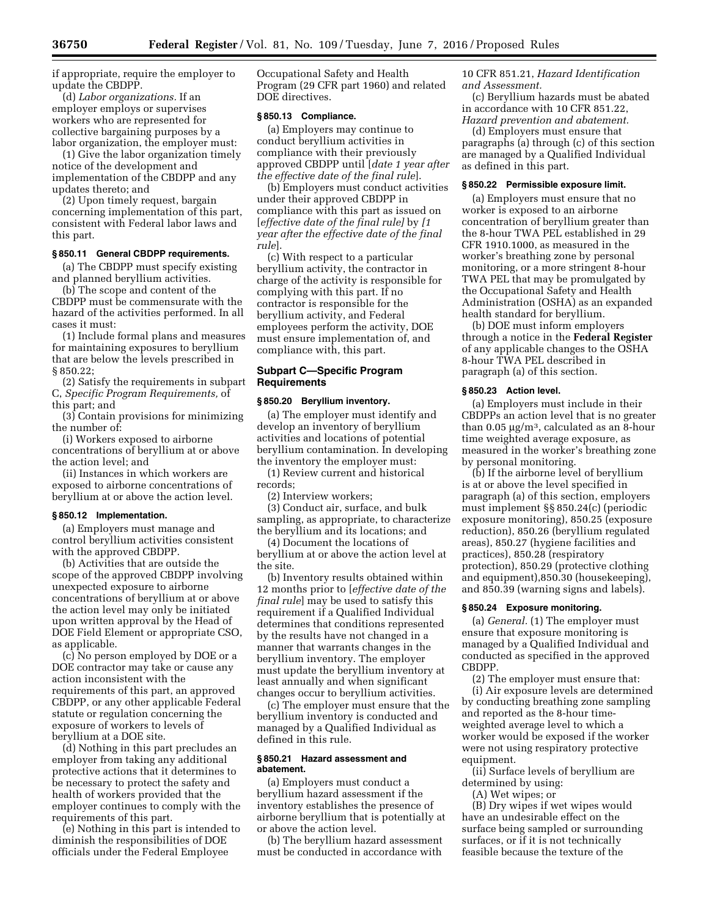if appropriate, require the employer to update the CBDPP.

(d) *Labor organizations.* If an employer employs or supervises workers who are represented for collective bargaining purposes by a labor organization, the employer must:

(1) Give the labor organization timely notice of the development and implementation of the CBDPP and any updates thereto; and

(2) Upon timely request, bargain concerning implementation of this part, consistent with Federal labor laws and this part.

## **§ 850.11 General CBDPP requirements.**

(a) The CBDPP must specify existing and planned beryllium activities.

(b) The scope and content of the CBDPP must be commensurate with the hazard of the activities performed. In all cases it must:

(1) Include formal plans and measures for maintaining exposures to beryllium that are below the levels prescribed in § 850.22;

(2) Satisfy the requirements in subpart C, *Specific Program Requirements,* of this part; and

(3) Contain provisions for minimizing the number of:

(i) Workers exposed to airborne concentrations of beryllium at or above the action level; and

(ii) Instances in which workers are exposed to airborne concentrations of beryllium at or above the action level.

#### **§ 850.12 Implementation.**

(a) Employers must manage and control beryllium activities consistent with the approved CBDPP.

(b) Activities that are outside the scope of the approved CBDPP involving unexpected exposure to airborne concentrations of beryllium at or above the action level may only be initiated upon written approval by the Head of DOE Field Element or appropriate CSO, as applicable.

(c) No person employed by DOE or a DOE contractor may take or cause any action inconsistent with the requirements of this part, an approved CBDPP, or any other applicable Federal statute or regulation concerning the exposure of workers to levels of beryllium at a DOE site.

(d) Nothing in this part precludes an employer from taking any additional protective actions that it determines to be necessary to protect the safety and health of workers provided that the employer continues to comply with the requirements of this part.

(e) Nothing in this part is intended to diminish the responsibilities of DOE officials under the Federal Employee

Occupational Safety and Health Program (29 CFR part 1960) and related DOE directives.

## **§ 850.13 Compliance.**

(a) Employers may continue to conduct beryllium activities in compliance with their previously approved CBDPP until [*date 1 year after the effective date of the final rule*].

(b) Employers must conduct activities under their approved CBDPP in compliance with this part as issued on [*effective date of the final rule]* by *[1 year after the effective date of the final rule*].

(c) With respect to a particular beryllium activity, the contractor in charge of the activity is responsible for complying with this part. If no contractor is responsible for the beryllium activity, and Federal employees perform the activity, DOE must ensure implementation of, and compliance with, this part.

## **Subpart C—Specific Program Requirements**

## **§ 850.20 Beryllium inventory.**

(a) The employer must identify and develop an inventory of beryllium activities and locations of potential beryllium contamination. In developing the inventory the employer must:

(1) Review current and historical records;

(2) Interview workers;

(3) Conduct air, surface, and bulk sampling, as appropriate, to characterize the beryllium and its locations; and

(4) Document the locations of beryllium at or above the action level at the site.

(b) Inventory results obtained within 12 months prior to [*effective date of the final rule*] may be used to satisfy this requirement if a Qualified Individual determines that conditions represented by the results have not changed in a manner that warrants changes in the beryllium inventory. The employer must update the beryllium inventory at least annually and when significant changes occur to beryllium activities.

(c) The employer must ensure that the beryllium inventory is conducted and managed by a Qualified Individual as defined in this rule.

## **§ 850.21 Hazard assessment and abatement.**

(a) Employers must conduct a beryllium hazard assessment if the inventory establishes the presence of airborne beryllium that is potentially at or above the action level.

(b) The beryllium hazard assessment must be conducted in accordance with

10 CFR 851.21, *Hazard Identification and Assessment.* 

(c) Beryllium hazards must be abated in accordance with 10 CFR 851.22, *Hazard prevention and abatement.* 

(d) Employers must ensure that paragraphs (a) through (c) of this section are managed by a Qualified Individual as defined in this part.

#### **§ 850.22 Permissible exposure limit.**

(a) Employers must ensure that no worker is exposed to an airborne concentration of beryllium greater than the 8-hour TWA PEL established in 29 CFR 1910.1000, as measured in the worker's breathing zone by personal monitoring, or a more stringent 8-hour TWA PEL that may be promulgated by the Occupational Safety and Health Administration (OSHA) as an expanded health standard for beryllium.

(b) DOE must inform employers through a notice in the **Federal Register**  of any applicable changes to the OSHA 8-hour TWA PEL described in paragraph (a) of this section.

#### **§ 850.23 Action level.**

(a) Employers must include in their CBDPPs an action level that is no greater than  $0.05 \mu g/m^3$ , calculated as an 8-hour time weighted average exposure, as measured in the worker's breathing zone by personal monitoring.

(b) If the airborne level of beryllium is at or above the level specified in paragraph (a) of this section, employers must implement §§ 850.24(c) (periodic exposure monitoring), 850.25 (exposure reduction), 850.26 (beryllium regulated areas), 850.27 (hygiene facilities and practices), 850.28 (respiratory protection), 850.29 (protective clothing and equipment),850.30 (housekeeping), and 850.39 (warning signs and labels).

#### **§ 850.24 Exposure monitoring.**

(a) *General.* (1) The employer must ensure that exposure monitoring is managed by a Qualified Individual and conducted as specified in the approved CBDPP.

(2) The employer must ensure that: (i) Air exposure levels are determined by conducting breathing zone sampling and reported as the 8-hour timeweighted average level to which a worker would be exposed if the worker were not using respiratory protective equipment.

(ii) Surface levels of beryllium are determined by using:

(A) Wet wipes; or

(B) Dry wipes if wet wipes would have an undesirable effect on the surface being sampled or surrounding surfaces, or if it is not technically feasible because the texture of the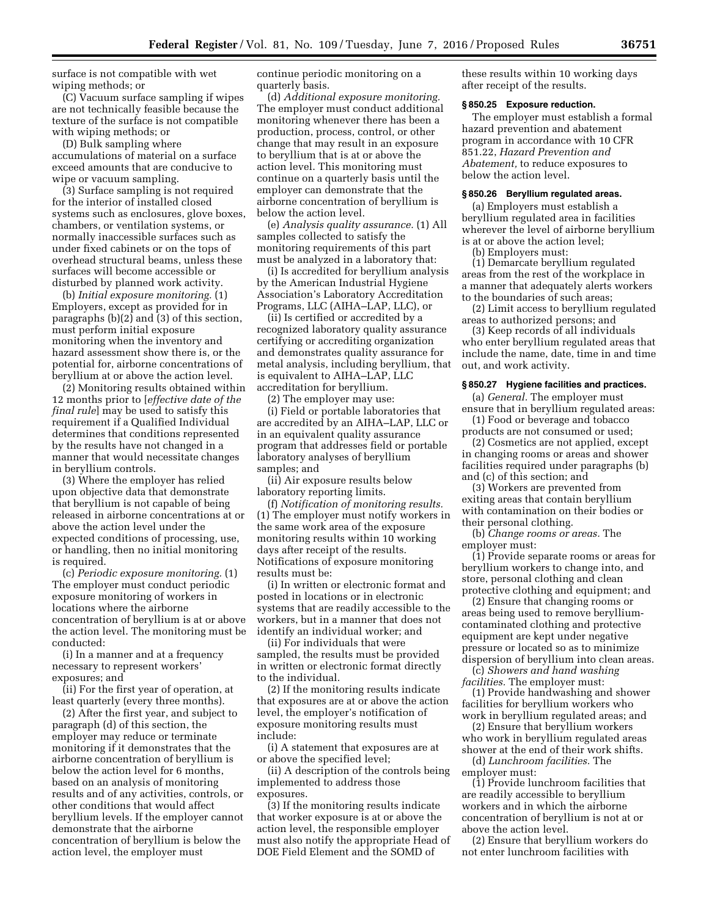surface is not compatible with wet wiping methods; or

(C) Vacuum surface sampling if wipes are not technically feasible because the texture of the surface is not compatible with wiping methods; or

(D) Bulk sampling where accumulations of material on a surface exceed amounts that are conducive to wipe or vacuum sampling.

(3) Surface sampling is not required for the interior of installed closed systems such as enclosures, glove boxes, chambers, or ventilation systems, or normally inaccessible surfaces such as under fixed cabinets or on the tops of overhead structural beams, unless these surfaces will become accessible or disturbed by planned work activity.

(b) *Initial exposure monitoring.* (1) Employers, except as provided for in paragraphs (b)(2) and (3) of this section, must perform initial exposure monitoring when the inventory and hazard assessment show there is, or the potential for, airborne concentrations of beryllium at or above the action level.

(2) Monitoring results obtained within 12 months prior to [*effective date of the final rule*] may be used to satisfy this requirement if a Qualified Individual determines that conditions represented by the results have not changed in a manner that would necessitate changes in beryllium controls.

(3) Where the employer has relied upon objective data that demonstrate that beryllium is not capable of being released in airborne concentrations at or above the action level under the expected conditions of processing, use, or handling, then no initial monitoring is required.

(c) *Periodic exposure monitoring.* (1) The employer must conduct periodic exposure monitoring of workers in locations where the airborne concentration of beryllium is at or above the action level. The monitoring must be conducted:

(i) In a manner and at a frequency necessary to represent workers' exposures; and

(ii) For the first year of operation, at least quarterly (every three months).

(2) After the first year, and subject to paragraph (d) of this section, the employer may reduce or terminate monitoring if it demonstrates that the airborne concentration of beryllium is below the action level for 6 months, based on an analysis of monitoring results and of any activities, controls, or other conditions that would affect beryllium levels. If the employer cannot demonstrate that the airborne concentration of beryllium is below the action level, the employer must

continue periodic monitoring on a quarterly basis.

(d) *Additional exposure monitoring.*  The employer must conduct additional monitoring whenever there has been a production, process, control, or other change that may result in an exposure to beryllium that is at or above the action level. This monitoring must continue on a quarterly basis until the employer can demonstrate that the airborne concentration of beryllium is below the action level.

(e) *Analysis quality assurance.* (1) All samples collected to satisfy the monitoring requirements of this part must be analyzed in a laboratory that:

(i) Is accredited for beryllium analysis by the American Industrial Hygiene Association's Laboratory Accreditation Programs, LLC (AIHA–LAP, LLC), or

(ii) Is certified or accredited by a recognized laboratory quality assurance certifying or accrediting organization and demonstrates quality assurance for metal analysis, including beryllium, that is equivalent to AIHA–LAP, LLC accreditation for beryllium.

(2) The employer may use:

(i) Field or portable laboratories that are accredited by an AIHA–LAP, LLC or in an equivalent quality assurance program that addresses field or portable laboratory analyses of beryllium samples; and

(ii) Air exposure results below laboratory reporting limits.

(f) *Notification of monitoring results.*  (1) The employer must notify workers in the same work area of the exposure monitoring results within 10 working days after receipt of the results. Notifications of exposure monitoring results must be:

(i) In written or electronic format and posted in locations or in electronic systems that are readily accessible to the workers, but in a manner that does not identify an individual worker; and

(ii) For individuals that were sampled, the results must be provided in written or electronic format directly to the individual.

(2) If the monitoring results indicate that exposures are at or above the action level, the employer's notification of exposure monitoring results must include:

(i) A statement that exposures are at or above the specified level;

(ii) A description of the controls being implemented to address those exposures.

(3) If the monitoring results indicate that worker exposure is at or above the action level, the responsible employer must also notify the appropriate Head of DOE Field Element and the SOMD of

these results within 10 working days after receipt of the results.

#### **§ 850.25 Exposure reduction.**

The employer must establish a formal hazard prevention and abatement program in accordance with 10 CFR 851.22, *Hazard Prevention and Abatement,* to reduce exposures to below the action level.

#### **§ 850.26 Beryllium regulated areas.**

(a) Employers must establish a beryllium regulated area in facilities wherever the level of airborne beryllium is at or above the action level;

(b) Employers must:

(1) Demarcate beryllium regulated areas from the rest of the workplace in a manner that adequately alerts workers to the boundaries of such areas;

(2) Limit access to beryllium regulated areas to authorized persons; and

(3) Keep records of all individuals who enter beryllium regulated areas that include the name, date, time in and time out, and work activity.

#### **§ 850.27 Hygiene facilities and practices.**

(a) *General.* The employer must ensure that in beryllium regulated areas:

(1) Food or beverage and tobacco products are not consumed or used;

(2) Cosmetics are not applied, except in changing rooms or areas and shower facilities required under paragraphs (b) and (c) of this section; and

(3) Workers are prevented from exiting areas that contain beryllium with contamination on their bodies or their personal clothing.

(b) *Change rooms or areas.* The employer must:

(1) Provide separate rooms or areas for beryllium workers to change into, and store, personal clothing and clean protective clothing and equipment; and

(2) Ensure that changing rooms or areas being used to remove berylliumcontaminated clothing and protective equipment are kept under negative pressure or located so as to minimize dispersion of beryllium into clean areas.

(c) *Showers and hand washing facilities.* The employer must:

(1) Provide handwashing and shower facilities for beryllium workers who work in beryllium regulated areas; and

(2) Ensure that beryllium workers who work in beryllium regulated areas shower at the end of their work shifts.

(d) *Lunchroom facilities.* The employer must:

(1) Provide lunchroom facilities that are readily accessible to beryllium workers and in which the airborne concentration of beryllium is not at or above the action level.

(2) Ensure that beryllium workers do not enter lunchroom facilities with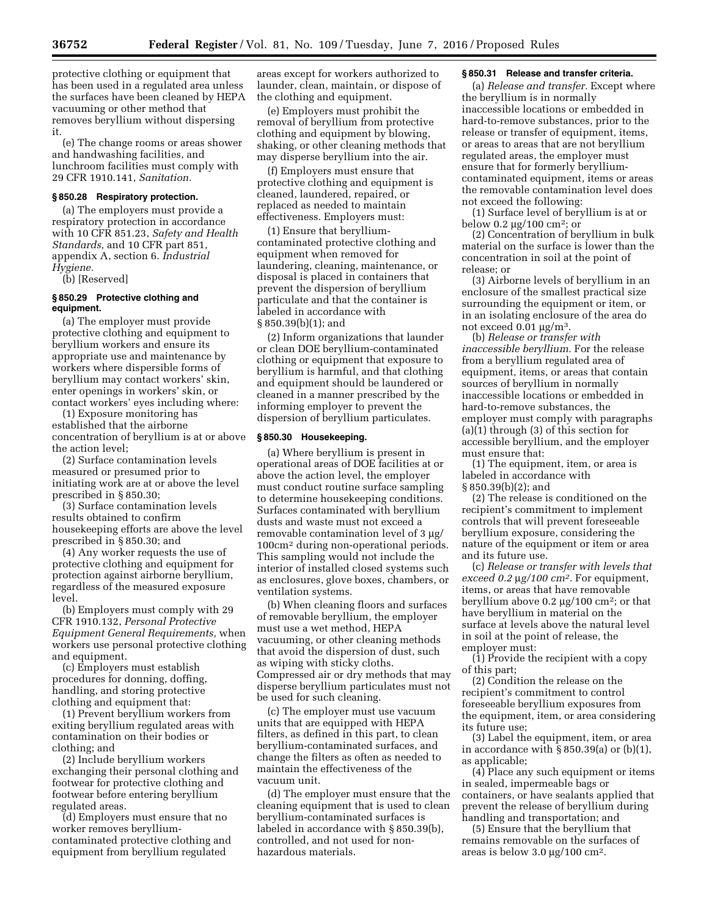protective clothing or equipment that has been used in a regulated area unless the surfaces have been cleaned by HEPA vacuuming or other method that removes beryllium without dispersing it.

(e) The change rooms or areas shower and handwashing facilities, and lunchroom facilities must comply with 29 CFR 1910.141, *Sanitation.* 

#### **§ 850.28 Respiratory protection.**

(a) The employers must provide a respiratory protection in accordance with 10 CFR 851.23, *Safety and Health Standards,* and 10 CFR part 851, appendix A, section 6. *Industrial Hygiene.* 

(b) [Reserved]

# **§ 850.29 Protective clothing and equipment.**

(a) The employer must provide protective clothing and equipment to beryllium workers and ensure its appropriate use and maintenance by workers where dispersible forms of beryllium may contact workers' skin, enter openings in workers' skin, or contact workers' eyes including where:

(1) Exposure monitoring has established that the airborne concentration of beryllium is at or above the action level;

(2) Surface contamination levels measured or presumed prior to initiating work are at or above the level prescribed in § 850.30;

(3) Surface contamination levels results obtained to confirm housekeeping efforts are above the level prescribed in § 850.30; and

(4) Any worker requests the use of protective clothing and equipment for protection against airborne beryllium, regardless of the measured exposure level.

(b) Employers must comply with 29 CFR 1910.132, *Personal Protective Equipment General Requirements,* when workers use personal protective clothing and equipment.

(c) Employers must establish procedures for donning, doffing, handling, and storing protective clothing and equipment that:

(1) Prevent beryllium workers from exiting beryllium regulated areas with contamination on their bodies or clothing; and

(2) Include beryllium workers exchanging their personal clothing and footwear for protective clothing and footwear before entering beryllium regulated areas.

(d) Employers must ensure that no worker removes berylliumcontaminated protective clothing and equipment from beryllium regulated

areas except for workers authorized to launder, clean, maintain, or dispose of the clothing and equipment.

(e) Employers must prohibit the removal of beryllium from protective clothing and equipment by blowing, shaking, or other cleaning methods that may disperse beryllium into the air.

(f) Employers must ensure that protective clothing and equipment is cleaned, laundered, repaired, or replaced as needed to maintain effectiveness. Employers must:

(1) Ensure that berylliumcontaminated protective clothing and equipment when removed for laundering, cleaning, maintenance, or disposal is placed in containers that prevent the dispersion of beryllium particulate and that the container is labeled in accordance with § 850.39(b)(1); and

(2) Inform organizations that launder or clean DOE beryllium-contaminated clothing or equipment that exposure to beryllium is harmful, and that clothing and equipment should be laundered or cleaned in a manner prescribed by the informing employer to prevent the dispersion of beryllium particulates.

## **§ 850.30 Housekeeping.**

(a) Where beryllium is present in operational areas of DOE facilities at or above the action level, the employer must conduct routine surface sampling to determine housekeeping conditions. Surfaces contaminated with beryllium dusts and waste must not exceed a removable contamination level of  $3 \mu g$ / 100cm2 during non-operational periods. This sampling would not include the interior of installed closed systems such as enclosures, glove boxes, chambers, or ventilation systems.

(b) When cleaning floors and surfaces of removable beryllium, the employer must use a wet method, HEPA vacuuming, or other cleaning methods that avoid the dispersion of dust, such as wiping with sticky cloths. Compressed air or dry methods that may disperse beryllium particulates must not be used for such cleaning.

(c) The employer must use vacuum units that are equipped with HEPA filters, as defined in this part, to clean beryllium-contaminated surfaces, and change the filters as often as needed to maintain the effectiveness of the vacuum unit.

(d) The employer must ensure that the cleaning equipment that is used to clean beryllium-contaminated surfaces is labeled in accordance with § 850.39(b), controlled, and not used for nonhazardous materials.

#### **§ 850.31 Release and transfer criteria.**

(a) *Release and transfer.* Except where the beryllium is in normally inaccessible locations or embedded in hard-to-remove substances, prior to the release or transfer of equipment, items, or areas to areas that are not beryllium regulated areas, the employer must ensure that for formerly berylliumcontaminated equipment, items or areas the removable contamination level does not exceed the following:

(1) Surface level of beryllium is at or below 0.2  $\mu$ g/100 cm<sup>2</sup>; or

(2) Concentration of beryllium in bulk material on the surface is lower than the concentration in soil at the point of release; or

(3) Airborne levels of beryllium in an enclosure of the smallest practical size surrounding the equipment or item, or in an isolating enclosure of the area do not exceed  $0.01 \mu g/m^3$ .

(b) *Release or transfer with inaccessible beryllium.* For the release from a beryllium regulated area of equipment, items, or areas that contain sources of beryllium in normally inaccessible locations or embedded in hard-to-remove substances, the employer must comply with paragraphs (a)(1) through (3) of this section for accessible beryllium, and the employer must ensure that:

(1) The equipment, item, or area is labeled in accordance with § 850.39(b)(2); and

(2) The release is conditioned on the recipient's commitment to implement controls that will prevent foreseeable beryllium exposure, considering the nature of the equipment or item or area and its future use.

(c) *Release or transfer with levels that exceed 0.2 µg/100 cm<sup>2</sup>. For equipment,* items, or areas that have removable beryllium above  $0.2 \mu g/100 \text{ cm}^2$ ; or that have beryllium in material on the surface at levels above the natural level in soil at the point of release, the employer must:

(1) Provide the recipient with a copy of this part;

(2) Condition the release on the recipient's commitment to control foreseeable beryllium exposures from the equipment, item, or area considering its future use;

(3) Label the equipment, item, or area in accordance with  $\S 850.39(a)$  or  $(b)(1)$ , as applicable;

(4) Place any such equipment or items in sealed, impermeable bags or containers, or have sealants applied that prevent the release of beryllium during handling and transportation; and

(5) Ensure that the beryllium that remains removable on the surfaces of areas is below  $3.0 \mu g / 100 \text{ cm}^2$ .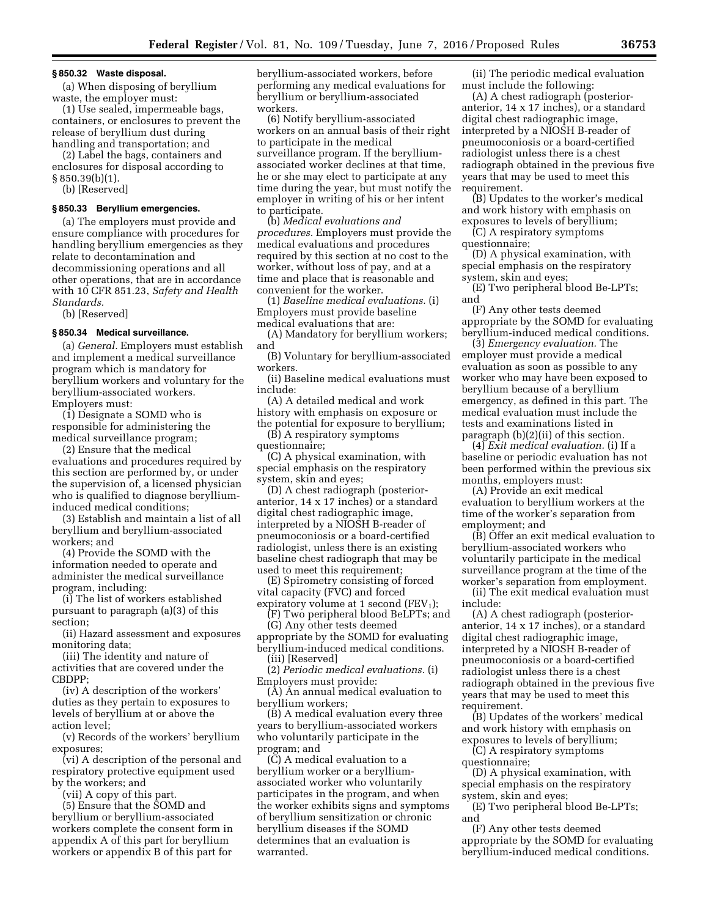#### **§ 850.32 Waste disposal.**

(a) When disposing of beryllium waste, the employer must:

(1) Use sealed, impermeable bags, containers, or enclosures to prevent the release of beryllium dust during handling and transportation; and

(2) Label the bags, containers and enclosures for disposal according to § 850.39(b)(1).

(b) [Reserved]

## **§ 850.33 Beryllium emergencies.**

(a) The employers must provide and ensure compliance with procedures for handling beryllium emergencies as they relate to decontamination and decommissioning operations and all other operations, that are in accordance with 10 CFR 851.23, *Safety and Health Standards.* 

(b) [Reserved]

#### **§ 850.34 Medical surveillance.**

(a) *General.* Employers must establish and implement a medical surveillance program which is mandatory for beryllium workers and voluntary for the beryllium-associated workers. Employers must:

(1) Designate a SOMD who is responsible for administering the medical surveillance program;

(2) Ensure that the medical evaluations and procedures required by this section are performed by, or under the supervision of, a licensed physician who is qualified to diagnose berylliuminduced medical conditions;

(3) Establish and maintain a list of all beryllium and beryllium-associated workers; and

(4) Provide the SOMD with the information needed to operate and administer the medical surveillance program, including:

(i) The list of workers established pursuant to paragraph (a)(3) of this section;

(ii) Hazard assessment and exposures monitoring data;

(iii) The identity and nature of activities that are covered under the CBDPP;

(iv) A description of the workers' duties as they pertain to exposures to levels of beryllium at or above the action level;

(v) Records of the workers' beryllium exposures;

(vi) A description of the personal and respiratory protective equipment used by the workers; and

(vii) A copy of this part.

(5) Ensure that the SOMD and beryllium or beryllium-associated workers complete the consent form in appendix A of this part for beryllium workers or appendix B of this part for beryllium-associated workers, before performing any medical evaluations for beryllium or beryllium-associated workers.

(6) Notify beryllium-associated workers on an annual basis of their right to participate in the medical surveillance program. If the berylliumassociated worker declines at that time, he or she may elect to participate at any time during the year, but must notify the employer in writing of his or her intent to participate.

(b) *Medical evaluations and procedures.* Employers must provide the medical evaluations and procedures required by this section at no cost to the worker, without loss of pay, and at a time and place that is reasonable and convenient for the worker.

(1) *Baseline medical evaluations.* (i) Employers must provide baseline medical evaluations that are:

(A) Mandatory for beryllium workers; and

(B) Voluntary for beryllium-associated workers.

(ii) Baseline medical evaluations must include:

(A) A detailed medical and work history with emphasis on exposure or the potential for exposure to beryllium;

(B) A respiratory symptoms questionnaire;

(C) A physical examination, with special emphasis on the respiratory system, skin and eyes;

(D) A chest radiograph (posterioranterior, 14 x 17 inches) or a standard digital chest radiographic image, interpreted by a NIOSH B-reader of pneumoconiosis or a board-certified radiologist, unless there is an existing baseline chest radiograph that may be used to meet this requirement;

(E) Spirometry consisting of forced vital capacity (FVC) and forced expiratory volume at 1 second (FEV<sub>1</sub>);

(F) Two peripheral blood BeLPTs; and

(G) Any other tests deemed appropriate by the SOMD for evaluating beryllium-induced medical conditions.

(iii) [Reserved]

(2) *Periodic medical evaluations.* (i) Employers must provide:

(A) An annual medical evaluation to beryllium workers;

(B) A medical evaluation every three years to beryllium-associated workers who voluntarily participate in the program; and

(C) A medical evaluation to a beryllium worker or a berylliumassociated worker who voluntarily participates in the program, and when the worker exhibits signs and symptoms of beryllium sensitization or chronic beryllium diseases if the SOMD determines that an evaluation is warranted.

(ii) The periodic medical evaluation must include the following:

(A) A chest radiograph (posterioranterior, 14 x 17 inches), or a standard digital chest radiographic image, interpreted by a NIOSH B-reader of pneumoconiosis or a board-certified radiologist unless there is a chest radiograph obtained in the previous five years that may be used to meet this requirement.

(B) Updates to the worker's medical and work history with emphasis on exposures to levels of beryllium;

(C) A respiratory symptoms questionnaire;

(D) A physical examination, with special emphasis on the respiratory system, skin and eyes;

(E) Two peripheral blood Be-LPTs; and

(F) Any other tests deemed appropriate by the SOMD for evaluating beryllium-induced medical conditions.

(3) *Emergency evaluation.* The employer must provide a medical evaluation as soon as possible to any worker who may have been exposed to beryllium because of a beryllium emergency, as defined in this part. The medical evaluation must include the tests and examinations listed in paragraph (b)(2)(ii) of this section.

(4) *Exit medical evaluation.* (i) If a baseline or periodic evaluation has not been performed within the previous six months, employers must:

(A) Provide an exit medical evaluation to beryllium workers at the time of the worker's separation from employment; and

(B) Offer an exit medical evaluation to beryllium-associated workers who voluntarily participate in the medical surveillance program at the time of the worker's separation from employment.

(ii) The exit medical evaluation must include:

(A) A chest radiograph (posterioranterior, 14 x 17 inches), or a standard digital chest radiographic image, interpreted by a NIOSH B-reader of pneumoconiosis or a board-certified radiologist unless there is a chest radiograph obtained in the previous five years that may be used to meet this requirement.

(B) Updates of the workers' medical and work history with emphasis on exposures to levels of beryllium;

(C) A respiratory symptoms questionnaire;

(D) A physical examination, with special emphasis on the respiratory system, skin and eyes;

(E) Two peripheral blood Be-LPTs; and

(F) Any other tests deemed appropriate by the SOMD for evaluating beryllium-induced medical conditions.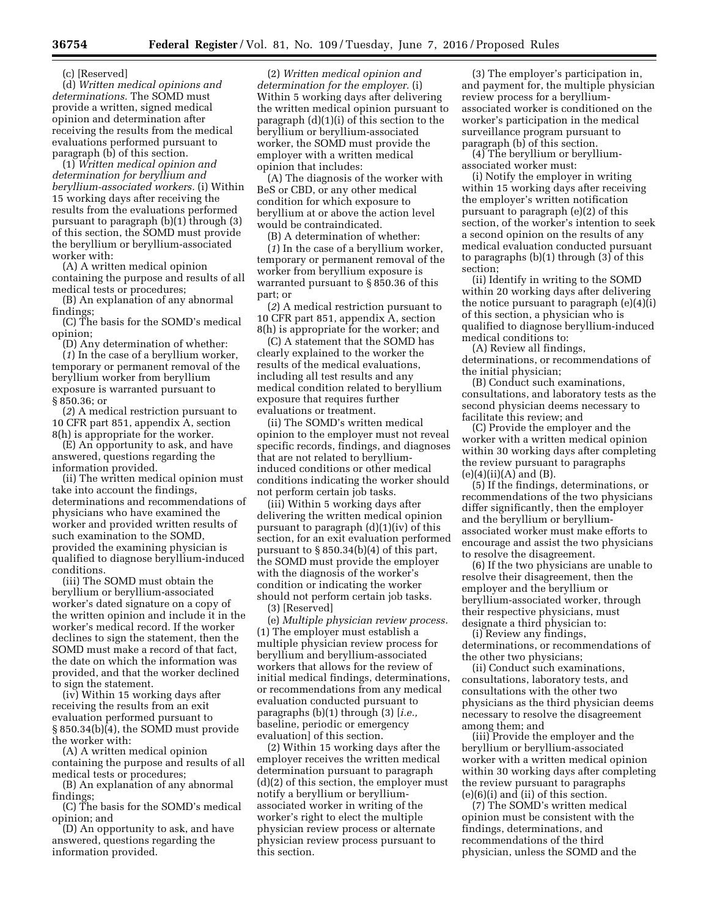(c) [Reserved]

(d) *Written medical opinions and determinations.* The SOMD must provide a written, signed medical opinion and determination after receiving the results from the medical evaluations performed pursuant to paragraph (b) of this section.

(1) *Written medical opinion and determination for beryllium and beryllium-associated workers.* (i) Within 15 working days after receiving the results from the evaluations performed pursuant to paragraph (b)(1) through (3) of this section, the SOMD must provide the beryllium or beryllium-associated worker with:

(A) A written medical opinion containing the purpose and results of all medical tests or procedures;

(B) An explanation of any abnormal findings;

(C) The basis for the SOMD's medical opinion;

(D) Any determination of whether: (*1*) In the case of a beryllium worker, temporary or permanent removal of the beryllium worker from beryllium exposure is warranted pursuant to § 850.36; or

(*2*) A medical restriction pursuant to 10 CFR part 851, appendix A, section 8(h) is appropriate for the worker.

(E) An opportunity to ask, and have answered, questions regarding the information provided.

(ii) The written medical opinion must take into account the findings, determinations and recommendations of physicians who have examined the worker and provided written results of such examination to the SOMD, provided the examining physician is qualified to diagnose beryllium-induced conditions.

(iii) The SOMD must obtain the beryllium or beryllium-associated worker's dated signature on a copy of the written opinion and include it in the worker's medical record. If the worker declines to sign the statement, then the SOMD must make a record of that fact, the date on which the information was provided, and that the worker declined to sign the statement.

(iv) Within 15 working days after receiving the results from an exit evaluation performed pursuant to § 850.34(b)(4), the SOMD must provide the worker with:

(A) A written medical opinion containing the purpose and results of all medical tests or procedures;

(B) An explanation of any abnormal findings;

(C) The basis for the SOMD's medical opinion; and

(D) An opportunity to ask, and have answered, questions regarding the information provided.

(2) *Written medical opinion and determination for the employer.* (i) Within 5 working days after delivering the written medical opinion pursuant to paragraph (d)(1)(i) of this section to the beryllium or beryllium-associated worker, the SOMD must provide the employer with a written medical opinion that includes:

(A) The diagnosis of the worker with BeS or CBD, or any other medical condition for which exposure to beryllium at or above the action level would be contraindicated.

(B) A determination of whether:

(*1*) In the case of a beryllium worker, temporary or permanent removal of the worker from beryllium exposure is warranted pursuant to § 850.36 of this part; or

(*2*) A medical restriction pursuant to 10 CFR part 851, appendix A, section 8(h) is appropriate for the worker; and

(C) A statement that the SOMD has clearly explained to the worker the results of the medical evaluations, including all test results and any medical condition related to beryllium exposure that requires further evaluations or treatment.

(ii) The SOMD's written medical opinion to the employer must not reveal specific records, findings, and diagnoses that are not related to berylliuminduced conditions or other medical conditions indicating the worker should not perform certain job tasks.

(iii) Within 5 working days after delivering the written medical opinion pursuant to paragraph (d)(1)(iv) of this section, for an exit evaluation performed pursuant to  $\S 850.34(b)(4)$  of this part, the SOMD must provide the employer with the diagnosis of the worker's condition or indicating the worker should not perform certain job tasks. (3) [Reserved]

(e) *Multiple physician review process.*  (1) The employer must establish a multiple physician review process for beryllium and beryllium-associated workers that allows for the review of initial medical findings, determinations, or recommendations from any medical evaluation conducted pursuant to paragraphs (b)(1) through (3) [*i.e.,*  baseline, periodic or emergency evaluation] of this section.

(2) Within 15 working days after the employer receives the written medical determination pursuant to paragraph (d)(2) of this section, the employer must notify a beryllium or berylliumassociated worker in writing of the worker's right to elect the multiple physician review process or alternate physician review process pursuant to this section.

(3) The employer's participation in, and payment for, the multiple physician review process for a berylliumassociated worker is conditioned on the worker's participation in the medical surveillance program pursuant to paragraph (b) of this section.

(4) The beryllium or berylliumassociated worker must:

(i) Notify the employer in writing within 15 working days after receiving the employer's written notification pursuant to paragraph (e)(2) of this section, of the worker's intention to seek a second opinion on the results of any medical evaluation conducted pursuant to paragraphs (b)(1) through (3) of this section;

(ii) Identify in writing to the SOMD within 20 working days after delivering the notice pursuant to paragraph (e)(4)(i) of this section, a physician who is qualified to diagnose beryllium-induced medical conditions to:

(A) Review all findings, determinations, or recommendations of the initial physician;

(B) Conduct such examinations, consultations, and laboratory tests as the second physician deems necessary to facilitate this review; and

(C) Provide the employer and the worker with a written medical opinion within 30 working days after completing the review pursuant to paragraphs  $(e)(4)(ii)(A)$  and  $(B)$ .

(5) If the findings, determinations, or recommendations of the two physicians differ significantly, then the employer and the beryllium or berylliumassociated worker must make efforts to encourage and assist the two physicians to resolve the disagreement.

(6) If the two physicians are unable to resolve their disagreement, then the employer and the beryllium or beryllium-associated worker, through their respective physicians, must designate a third physician to:

(i) Review any findings, determinations, or recommendations of the other two physicians;

(ii) Conduct such examinations, consultations, laboratory tests, and consultations with the other two physicians as the third physician deems necessary to resolve the disagreement among them; and

(iii) Provide the employer and the beryllium or beryllium-associated worker with a written medical opinion within 30 working days after completing the review pursuant to paragraphs  $(e)(6)(i)$  and  $(ii)$  of this section.

(7) The SOMD's written medical opinion must be consistent with the findings, determinations, and recommendations of the third physician, unless the SOMD and the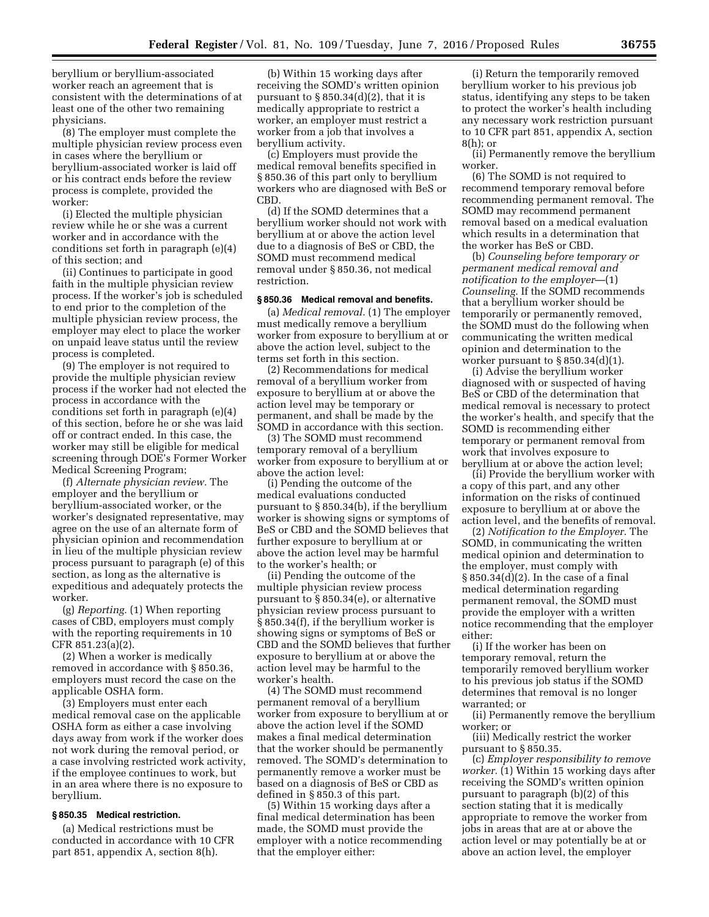beryllium or beryllium-associated worker reach an agreement that is consistent with the determinations of at least one of the other two remaining physicians.

(8) The employer must complete the multiple physician review process even in cases where the beryllium or beryllium-associated worker is laid off or his contract ends before the review process is complete, provided the worker:

(i) Elected the multiple physician review while he or she was a current worker and in accordance with the conditions set forth in paragraph (e)(4) of this section; and

(ii) Continues to participate in good faith in the multiple physician review process. If the worker's job is scheduled to end prior to the completion of the multiple physician review process, the employer may elect to place the worker on unpaid leave status until the review process is completed.

(9) The employer is not required to provide the multiple physician review process if the worker had not elected the process in accordance with the conditions set forth in paragraph (e)(4) of this section, before he or she was laid off or contract ended. In this case, the worker may still be eligible for medical screening through DOE's Former Worker Medical Screening Program;

(f) *Alternate physician review.* The employer and the beryllium or beryllium-associated worker, or the worker's designated representative, may agree on the use of an alternate form of physician opinion and recommendation in lieu of the multiple physician review process pursuant to paragraph (e) of this section, as long as the alternative is expeditious and adequately protects the worker.

(g) *Reporting.* (1) When reporting cases of CBD, employers must comply with the reporting requirements in 10 CFR 851.23(a)(2).

(2) When a worker is medically removed in accordance with § 850.36, employers must record the case on the applicable OSHA form.

(3) Employers must enter each medical removal case on the applicable OSHA form as either a case involving days away from work if the worker does not work during the removal period, or a case involving restricted work activity, if the employee continues to work, but in an area where there is no exposure to beryllium.

#### **§ 850.35 Medical restriction.**

(a) Medical restrictions must be conducted in accordance with 10 CFR part 851, appendix A, section 8(h).

(b) Within 15 working days after receiving the SOMD's written opinion pursuant to  $\S 850.34(d)(2)$ , that it is medically appropriate to restrict a worker, an employer must restrict a worker from a job that involves a beryllium activity.

(c) Employers must provide the medical removal benefits specified in § 850.36 of this part only to beryllium workers who are diagnosed with BeS or CBD.

(d) If the SOMD determines that a beryllium worker should not work with beryllium at or above the action level due to a diagnosis of BeS or CBD, the SOMD must recommend medical removal under § 850.36, not medical restriction.

## **§ 850.36 Medical removal and benefits.**

(a) *Medical removal.* (1) The employer must medically remove a beryllium worker from exposure to beryllium at or above the action level, subject to the terms set forth in this section.

(2) Recommendations for medical removal of a beryllium worker from exposure to beryllium at or above the action level may be temporary or permanent, and shall be made by the SOMD in accordance with this section.

(3) The SOMD must recommend temporary removal of a beryllium worker from exposure to beryllium at or above the action level:

(i) Pending the outcome of the medical evaluations conducted pursuant to § 850.34(b), if the beryllium worker is showing signs or symptoms of BeS or CBD and the SOMD believes that further exposure to beryllium at or above the action level may be harmful to the worker's health; or

(ii) Pending the outcome of the multiple physician review process pursuant to § 850.34(e), or alternative physician review process pursuant to § 850.34(f), if the beryllium worker is showing signs or symptoms of BeS or CBD and the SOMD believes that further exposure to beryllium at or above the action level may be harmful to the worker's health.

(4) The SOMD must recommend permanent removal of a beryllium worker from exposure to beryllium at or above the action level if the SOMD makes a final medical determination that the worker should be permanently removed. The SOMD's determination to permanently remove a worker must be based on a diagnosis of BeS or CBD as defined in § 850.3 of this part.

(5) Within 15 working days after a final medical determination has been made, the SOMD must provide the employer with a notice recommending that the employer either:

(i) Return the temporarily removed beryllium worker to his previous job status, identifying any steps to be taken to protect the worker's health including any necessary work restriction pursuant to 10 CFR part 851, appendix A, section 8(h); or

(ii) Permanently remove the beryllium worker.

(6) The SOMD is not required to recommend temporary removal before recommending permanent removal. The SOMD may recommend permanent removal based on a medical evaluation which results in a determination that the worker has BeS or CBD.

(b) *Counseling before temporary or permanent medical removal and notification to the employer*—(1) *Counseling.* If the SOMD recommends that a beryllium worker should be temporarily or permanently removed, the SOMD must do the following when communicating the written medical opinion and determination to the worker pursuant to  $\S 850.34(d)(1)$ .

(i) Advise the beryllium worker diagnosed with or suspected of having BeS or CBD of the determination that medical removal is necessary to protect the worker's health, and specify that the SOMD is recommending either temporary or permanent removal from work that involves exposure to beryllium at or above the action level;

(ii) Provide the beryllium worker with a copy of this part, and any other information on the risks of continued exposure to beryllium at or above the action level, and the benefits of removal.

(2) *Notification to the Employer.* The SOMD, in communicating the written medical opinion and determination to the employer, must comply with § 850.34(d)(2). In the case of a final medical determination regarding permanent removal, the SOMD must provide the employer with a written notice recommending that the employer either:

(i) If the worker has been on temporary removal, return the temporarily removed beryllium worker to his previous job status if the SOMD determines that removal is no longer warranted; or

(ii) Permanently remove the beryllium worker; or

(iii) Medically restrict the worker pursuant to § 850.35.

(c) *Employer responsibility to remove worker.* (1) Within 15 working days after receiving the SOMD's written opinion pursuant to paragraph (b)(2) of this section stating that it is medically appropriate to remove the worker from jobs in areas that are at or above the action level or may potentially be at or above an action level, the employer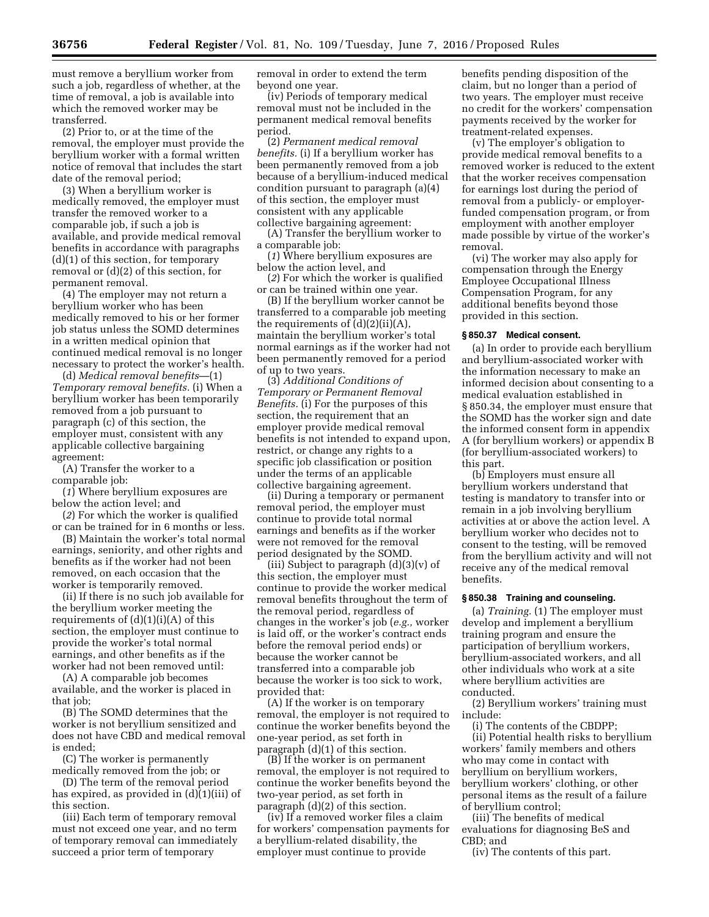must remove a beryllium worker from such a job, regardless of whether, at the time of removal, a job is available into which the removed worker may be transferred.

(2) Prior to, or at the time of the removal, the employer must provide the beryllium worker with a formal written notice of removal that includes the start date of the removal period;

(3) When a beryllium worker is medically removed, the employer must transfer the removed worker to a comparable job, if such a job is available, and provide medical removal benefits in accordance with paragraphs (d)(1) of this section, for temporary removal or (d)(2) of this section, for permanent removal.

(4) The employer may not return a beryllium worker who has been medically removed to his or her former job status unless the SOMD determines in a written medical opinion that continued medical removal is no longer necessary to protect the worker's health.

(d) *Medical removal benefits*—(1) *Temporary removal benefits.* (i) When a beryllium worker has been temporarily removed from a job pursuant to paragraph (c) of this section, the employer must, consistent with any applicable collective bargaining agreement:

(A) Transfer the worker to a comparable job:

(*1*) Where beryllium exposures are below the action level; and

(*2*) For which the worker is qualified or can be trained for in 6 months or less.

(B) Maintain the worker's total normal earnings, seniority, and other rights and benefits as if the worker had not been removed, on each occasion that the worker is temporarily removed.

(ii) If there is no such job available for the beryllium worker meeting the requirements of  $(d)(1)(i)(A)$  of this section, the employer must continue to provide the worker's total normal earnings, and other benefits as if the worker had not been removed until:

(A) A comparable job becomes available, and the worker is placed in that *iob*:

(B) The SOMD determines that the worker is not beryllium sensitized and does not have CBD and medical removal is ended;

(C) The worker is permanently medically removed from the job; or

(D) The term of the removal period has expired, as provided in (d)(1)(iii) of this section.

(iii) Each term of temporary removal must not exceed one year, and no term of temporary removal can immediately succeed a prior term of temporary

removal in order to extend the term beyond one year.

(iv) Periods of temporary medical removal must not be included in the permanent medical removal benefits period.

(2) *Permanent medical removal benefits.* (i) If a beryllium worker has been permanently removed from a job because of a beryllium-induced medical condition pursuant to paragraph (a)(4) of this section, the employer must consistent with any applicable collective bargaining agreement:

(A) Transfer the beryllium worker to a comparable job:

(*1*) Where beryllium exposures are below the action level, and

(*2*) For which the worker is qualified or can be trained within one year.

(B) If the beryllium worker cannot be transferred to a comparable job meeting the requirements of  $(d)(2)(ii)(A)$ , maintain the beryllium worker's total normal earnings as if the worker had not been permanently removed for a period of up to two years.

(3) *Additional Conditions of Temporary or Permanent Removal Benefits.* (i) For the purposes of this section, the requirement that an employer provide medical removal benefits is not intended to expand upon, restrict, or change any rights to a specific job classification or position under the terms of an applicable collective bargaining agreement.

(ii) During a temporary or permanent removal period, the employer must continue to provide total normal earnings and benefits as if the worker were not removed for the removal period designated by the SOMD.

(iii) Subject to paragraph  $(d)(3)(v)$  of this section, the employer must continue to provide the worker medical removal benefits throughout the term of the removal period, regardless of changes in the worker's job (*e.g.,* worker is laid off, or the worker's contract ends before the removal period ends) or because the worker cannot be transferred into a comparable job because the worker is too sick to work, provided that:

(A) If the worker is on temporary removal, the employer is not required to continue the worker benefits beyond the one-year period, as set forth in paragraph (d)(1) of this section.

(B) If the worker is on permanent removal, the employer is not required to continue the worker benefits beyond the two-year period, as set forth in paragraph (d)(2) of this section.

(iv) If a removed worker files a claim for workers' compensation payments for a beryllium-related disability, the employer must continue to provide

benefits pending disposition of the claim, but no longer than a period of two years. The employer must receive no credit for the workers' compensation payments received by the worker for treatment-related expenses.

(v) The employer's obligation to provide medical removal benefits to a removed worker is reduced to the extent that the worker receives compensation for earnings lost during the period of removal from a publicly- or employerfunded compensation program, or from employment with another employer made possible by virtue of the worker's removal.

(vi) The worker may also apply for compensation through the Energy Employee Occupational Illness Compensation Program, for any additional benefits beyond those provided in this section.

#### **§ 850.37 Medical consent.**

(a) In order to provide each beryllium and beryllium-associated worker with the information necessary to make an informed decision about consenting to a medical evaluation established in § 850.34, the employer must ensure that the SOMD has the worker sign and date the informed consent form in appendix A (for beryllium workers) or appendix B (for beryllium-associated workers) to this part.

(b) Employers must ensure all beryllium workers understand that testing is mandatory to transfer into or remain in a job involving beryllium activities at or above the action level. A beryllium worker who decides not to consent to the testing, will be removed from the beryllium activity and will not receive any of the medical removal benefits.

## **§ 850.38 Training and counseling.**

(a) *Training.* (1) The employer must develop and implement a beryllium training program and ensure the participation of beryllium workers, beryllium-associated workers, and all other individuals who work at a site where beryllium activities are conducted.

(2) Beryllium workers' training must include:

(i) The contents of the CBDPP;

(ii) Potential health risks to beryllium workers' family members and others who may come in contact with beryllium on beryllium workers, beryllium workers' clothing, or other personal items as the result of a failure of beryllium control;

(iii) The benefits of medical evaluations for diagnosing BeS and CBD; and

(iv) The contents of this part.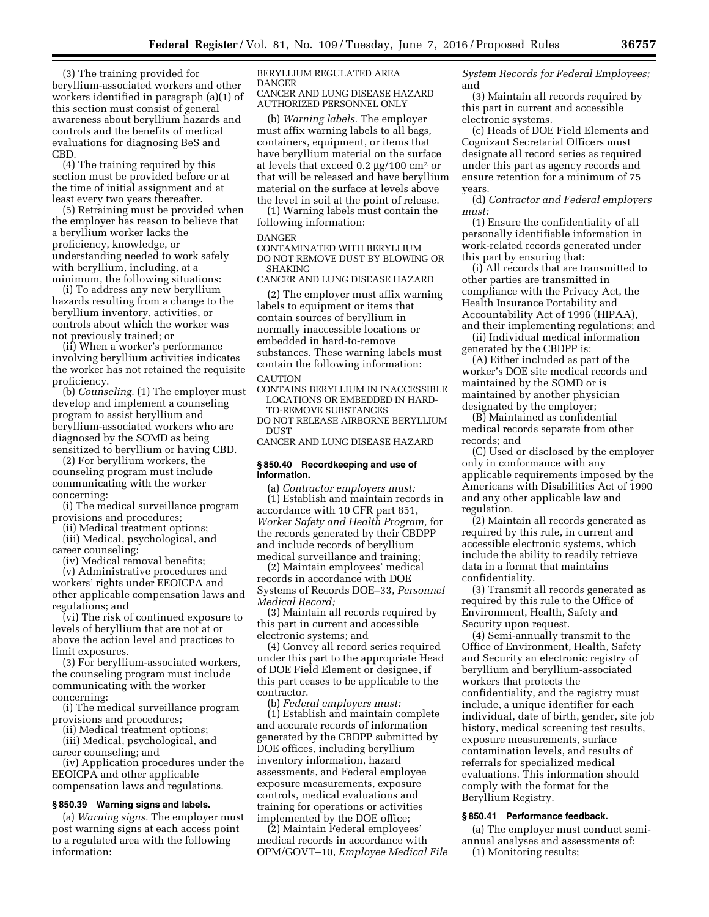(3) The training provided for beryllium-associated workers and other workers identified in paragraph (a)(1) of this section must consist of general awareness about beryllium hazards and controls and the benefits of medical evaluations for diagnosing BeS and CBD.

(4) The training required by this section must be provided before or at the time of initial assignment and at least every two years thereafter.

(5) Retraining must be provided when the employer has reason to believe that a beryllium worker lacks the proficiency, knowledge, or understanding needed to work safely with beryllium, including, at a minimum, the following situations:

(i) To address any new beryllium hazards resulting from a change to the beryllium inventory, activities, or controls about which the worker was not previously trained; or

(ii) When a worker's performance involving beryllium activities indicates the worker has not retained the requisite proficiency.

(b) *Counseling.* (1) The employer must develop and implement a counseling program to assist beryllium and beryllium-associated workers who are diagnosed by the SOMD as being sensitized to beryllium or having CBD.

(2) For beryllium workers, the counseling program must include communicating with the worker concerning:

(i) The medical surveillance program provisions and procedures;

(ii) Medical treatment options; (iii) Medical, psychological, and career counseling;

(iv) Medical removal benefits; (v) Administrative procedures and workers' rights under EEOICPA and other applicable compensation laws and regulations; and

(vi) The risk of continued exposure to levels of beryllium that are not at or above the action level and practices to limit exposures.

(3) For beryllium-associated workers, the counseling program must include communicating with the worker concerning:

(i) The medical surveillance program provisions and procedures;

(ii) Medical treatment options;

(iii) Medical, psychological, and career counseling; and

(iv) Application procedures under the EEOICPA and other applicable compensation laws and regulations.

## **§ 850.39 Warning signs and labels.**

(a) *Warning signs.* The employer must post warning signs at each access point to a regulated area with the following information:

BERYLLIUM REGULATED AREA DANGER CANCER AND LUNG DISEASE HAZARD AUTHORIZED PERSONNEL ONLY

(b) *Warning labels.* The employer must affix warning labels to all bags, containers, equipment, or items that have beryllium material on the surface at levels that exceed  $0.2 \mu g / 100 \text{ cm}^2 \text{ or}$ that will be released and have beryllium material on the surface at levels above the level in soil at the point of release.

(1) Warning labels must contain the following information:

#### DANGER

CONTAMINATED WITH BERYLLIUM DO NOT REMOVE DUST BY BLOWING OR SHAKING

CANCER AND LUNG DISEASE HAZARD

(2) The employer must affix warning labels to equipment or items that contain sources of beryllium in normally inaccessible locations or embedded in hard-to-remove substances. These warning labels must contain the following information:

# **CAUTION**

CONTAINS BERYLLIUM IN INACCESSIBLE LOCATIONS OR EMBEDDED IN HARD-

TO-REMOVE SUBSTANCES DO NOT RELEASE AIRBORNE BERYLLIUM DUST

CANCER AND LUNG DISEASE HAZARD

#### **§ 850.40 Recordkeeping and use of information.**

(a) *Contractor employers must:*  (1) Establish and maintain records in accordance with 10 CFR part 851, *Worker Safety and Health Program,* for the records generated by their CBDPP and include records of beryllium medical surveillance and training;

(2) Maintain employees' medical records in accordance with DOE Systems of Records DOE–33, *Personnel Medical Record;* 

(3) Maintain all records required by this part in current and accessible electronic systems; and

(4) Convey all record series required under this part to the appropriate Head of DOE Field Element or designee, if this part ceases to be applicable to the contractor.

(b) *Federal employers must:*  (1) Establish and maintain complete and accurate records of information generated by the CBDPP submitted by DOE offices, including beryllium inventory information, hazard assessments, and Federal employee exposure measurements, exposure controls, medical evaluations and training for operations or activities implemented by the DOE office;

(2) Maintain Federal employees' medical records in accordance with OPM/GOVT–10, *Employee Medical File*  *System Records for Federal Employees;*  and

(3) Maintain all records required by this part in current and accessible electronic systems.

(c) Heads of DOE Field Elements and Cognizant Secretarial Officers must designate all record series as required under this part as agency records and ensure retention for a minimum of 75 years.

(d) *Contractor and Federal employers must:* 

(1) Ensure the confidentiality of all personally identifiable information in work-related records generated under this part by ensuring that:

(i) All records that are transmitted to other parties are transmitted in compliance with the Privacy Act, the Health Insurance Portability and Accountability Act of 1996 (HIPAA), and their implementing regulations; and

(ii) Individual medical information generated by the CBDPP is:

(A) Either included as part of the worker's DOE site medical records and maintained by the SOMD or is maintained by another physician designated by the employer;

(B) Maintained as confidential medical records separate from other records; and

(C) Used or disclosed by the employer only in conformance with any applicable requirements imposed by the Americans with Disabilities Act of 1990 and any other applicable law and regulation.

(2) Maintain all records generated as required by this rule, in current and accessible electronic systems, which include the ability to readily retrieve data in a format that maintains confidentiality.

(3) Transmit all records generated as required by this rule to the Office of Environment, Health, Safety and Security upon request.

(4) Semi-annually transmit to the Office of Environment, Health, Safety and Security an electronic registry of beryllium and beryllium-associated workers that protects the confidentiality, and the registry must include, a unique identifier for each individual, date of birth, gender, site job history, medical screening test results, exposure measurements, surface contamination levels, and results of referrals for specialized medical evaluations. This information should comply with the format for the Beryllium Registry.

# **§ 850.41 Performance feedback.**

(a) The employer must conduct semiannual analyses and assessments of: (1) Monitoring results;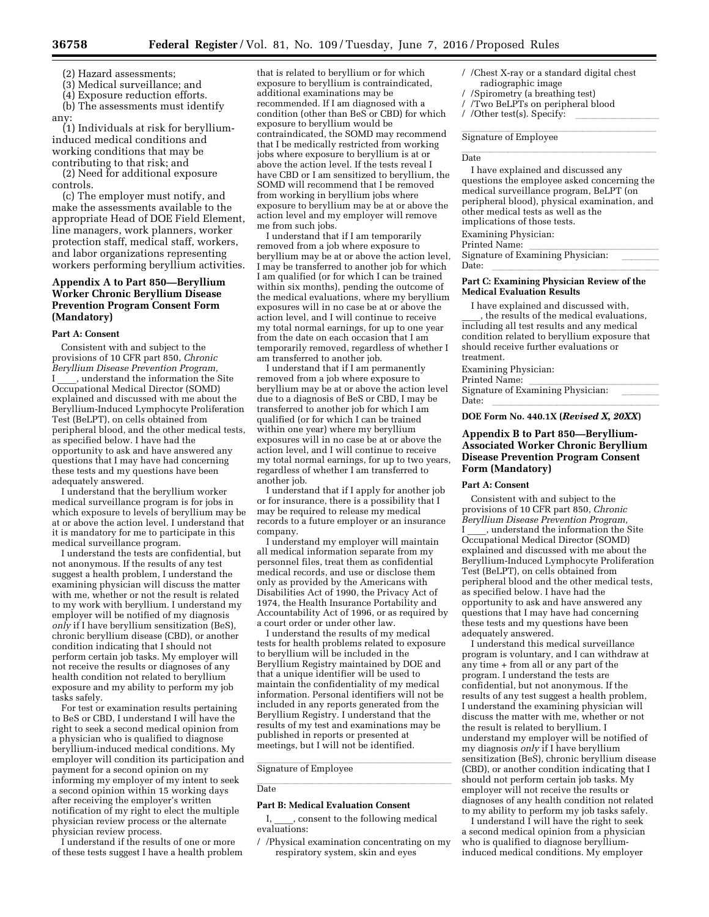(2) Hazard assessments;

(3) Medical surveillance; and

(4) Exposure reduction efforts. (b) The assessments must identify

any: (1) Individuals at risk for beryllium-

induced medical conditions and working conditions that may be contributing to that risk; and

(2) Need for additional exposure controls.

(c) The employer must notify, and make the assessments available to the appropriate Head of DOE Field Element, line managers, work planners, worker protection staff, medical staff, workers, and labor organizations representing workers performing beryllium activities.

# **Appendix A to Part 850—Beryllium Worker Chronic Beryllium Disease Prevention Program Consent Form (Mandatory)**

## **Part A: Consent**

Consistent with and subject to the provisions of 10 CFR part 850, *Chronic Beryllium Disease Prevention Program,*  , understand the information the Site Occupational Medical Director (SOMD) explained and discussed with me about the Beryllium-Induced Lymphocyte Proliferation Test (BeLPT), on cells obtained from peripheral blood, and the other medical tests, as specified below. I have had the opportunity to ask and have answered any questions that I may have had concerning these tests and my questions have been adequately answered.

I understand that the beryllium worker medical surveillance program is for jobs in which exposure to levels of beryllium may be at or above the action level. I understand that it is mandatory for me to participate in this medical surveillance program.

I understand the tests are confidential, but not anonymous. If the results of any test suggest a health problem, I understand the examining physician will discuss the matter with me, whether or not the result is related to my work with beryllium. I understand my employer will be notified of my diagnosis *only* if I have beryllium sensitization (BeS), chronic beryllium disease (CBD), or another condition indicating that I should not perform certain job tasks. My employer will not receive the results or diagnoses of any health condition not related to beryllium exposure and my ability to perform my job tasks safely.

For test or examination results pertaining to BeS or CBD, I understand I will have the right to seek a second medical opinion from a physician who is qualified to diagnose beryllium-induced medical conditions. My employer will condition its participation and payment for a second opinion on my informing my employer of my intent to seek a second opinion within 15 working days after receiving the employer's written notification of my right to elect the multiple physician review process or the alternate physician review process.

I understand if the results of one or more of these tests suggest I have a health problem

that is related to beryllium or for which exposure to beryllium is contraindicated, additional examinations may be recommended. If I am diagnosed with a condition (other than BeS or CBD) for which exposure to beryllium would be contraindicated, the SOMD may recommend that I be medically restricted from working jobs where exposure to beryllium is at or above the action level. If the tests reveal I have CBD or I am sensitized to beryllium, the SOMD will recommend that I be removed from working in beryllium jobs where exposure to beryllium may be at or above the action level and my employer will remove me from such jobs.

I understand that if I am temporarily removed from a job where exposure to beryllium may be at or above the action level, I may be transferred to another job for which I am qualified (or for which I can be trained within six months), pending the outcome of the medical evaluations, where my beryllium exposures will in no case be at or above the action level, and I will continue to receive my total normal earnings, for up to one year from the date on each occasion that I am temporarily removed, regardless of whether I am transferred to another job.

I understand that if I am permanently removed from a job where exposure to beryllium may be at or above the action level due to a diagnosis of BeS or CBD, I may be transferred to another job for which I am qualified (or for which I can be trained within one year) where my beryllium exposures will in no case be at or above the action level, and I will continue to receive my total normal earnings, for up to two years, regardless of whether I am transferred to another job.

I understand that if I apply for another job or for insurance, there is a possibility that I may be required to release my medical records to a future employer or an insurance company.

I understand my employer will maintain all medical information separate from my personnel files, treat them as confidential medical records, and use or disclose them only as provided by the Americans with Disabilities Act of 1990, the Privacy Act of 1974, the Health Insurance Portability and Accountability Act of 1996, or as required by a court order or under other law.

I understand the results of my medical tests for health problems related to exposure to beryllium will be included in the Beryllium Registry maintained by DOE and that a unique identifier will be used to maintain the confidentiality of my medical information. Personal identifiers will not be included in any reports generated from the Beryllium Registry. I understand that the results of my test and examinations may be published in reports or presented at meetings, but I will not be identified.

# Signature of Employee

#### llate and the control of the control of the control of the control of the control of the control of the control of the control of the control of the control of the control of the control of the control of the control of th Date

#### **Part B: Medical Evaluation Consent**

I, consent to the following medical evaluations:

/ /Physical examination concentrating on my respiratory system, skin and eyes

- / /Chest X-ray or a standard digital chest radiographic image
- / /Spirometry (a breathing test)
- / /Two BeLPTs on peripheral blood
- / /Other test(s). Specify:

# Signature of Employee

#### Date Date

I have explained and discussed any questions the employee asked concerning the medical surveillance program, BeLPT (on peripheral blood), physical examination, and other medical tests as well as the implications of those tests. Examining Physician:

Printed Name:<br>Signature of Examining Physician: Signature of Examining Physician: llll Date: llllllllllllllllll

#### **Part C: Examining Physician Review of the Medical Evaluation Results**

I have explained and discussed with, the results of the medical evaluations, including all test results and any medical condition related to beryllium exposure that should receive further evaluations or treatment.

Examining Physician:

Printed Name:<br>Signature of Examining Physician: Signature of Examining Physician: llll Date: llllllllllllllllll

### **DOE Form No. 440.1X (***Revised X, 20XX***)**

## **Appendix B to Part 850—Beryllium-Associated Worker Chronic Beryllium Disease Prevention Program Consent Form (Mandatory)**

#### **Part A: Consent**

Consistent with and subject to the provisions of 10 CFR part 850, *Chronic Beryllium Disease Prevention Program,* 

 $\_$ , understand the information the Site Occupational Medical Director (SOMD) explained and discussed with me about the Beryllium-Induced Lymphocyte Proliferation Test (BeLPT), on cells obtained from peripheral blood and the other medical tests, as specified below. I have had the opportunity to ask and have answered any questions that I may have had concerning these tests and my questions have been adequately answered.

I understand this medical surveillance program is voluntary, and I can withdraw at any time + from all or any part of the program. I understand the tests are confidential, but not anonymous. If the results of any test suggest a health problem, I understand the examining physician will discuss the matter with me, whether or not the result is related to beryllium. I understand my employer will be notified of my diagnosis *only* if I have beryllium sensitization (BeS), chronic beryllium disease (CBD), or another condition indicating that I should not perform certain job tasks. My employer will not receive the results or diagnoses of any health condition not related to my ability to perform my job tasks safely.

I understand I will have the right to seek a second medical opinion from a physician who is qualified to diagnose berylliuminduced medical conditions. My employer